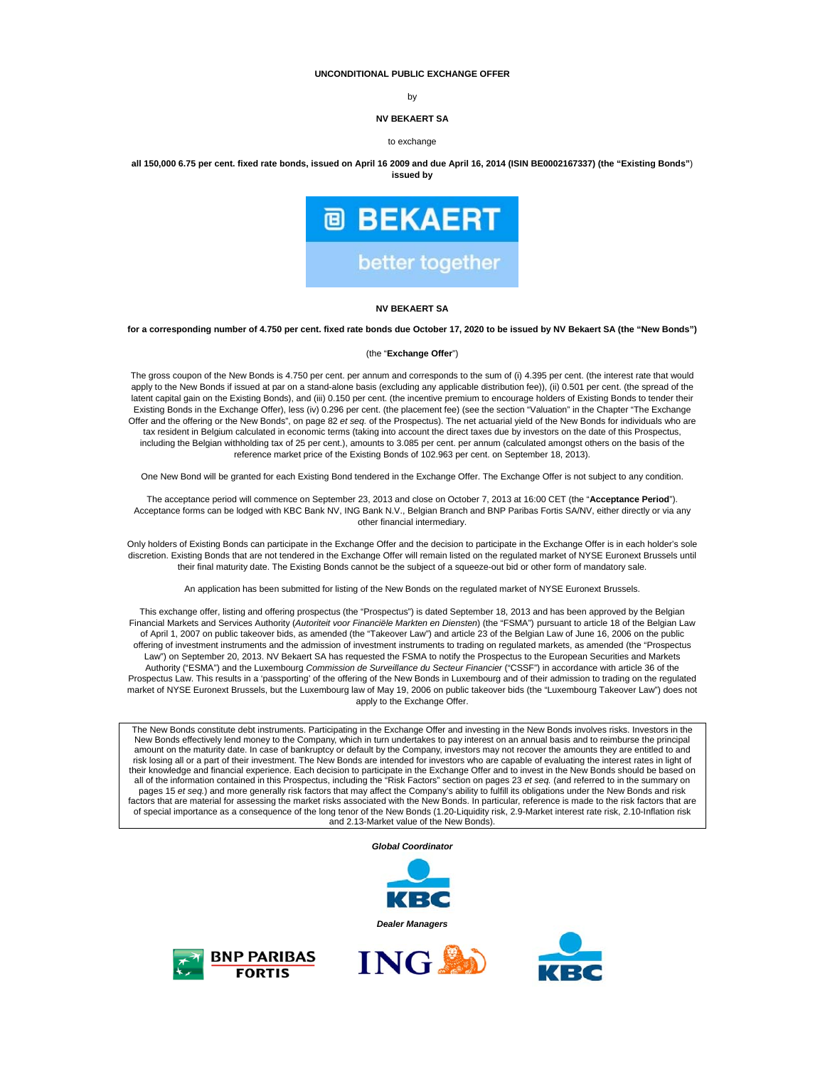#### **UNCONDITIONAL PUBLIC EXCHANGE OFFER**

by

#### **NV BEKAERT SA**

#### to exchange

**all 150,000 6.75 per cent. fixed rate bonds, issued on April 16 2009 and due April 16, 2014 (ISIN BE0002167337) (the "Existing Bonds"**) **issued by** 



#### **NV BEKAERT SA**

#### **for a corresponding number of 4.750 per cent. fixed rate bonds due October 17, 2020 to be issued by NV Bekaert SA (the "New Bonds")**

#### (the "**Exchange Offer**")

The gross coupon of the New Bonds is 4.750 per cent. per annum and corresponds to the sum of (i) 4.395 per cent. (the interest rate that would apply to the New Bonds if issued at par on a stand-alone basis (excluding any applicable distribution fee)), (ii) 0.501 per cent. (the spread of the latent capital gain on the Existing Bonds), and (iii) 0.150 per cent. (the incentive premium to encourage holders of Existing Bonds to tender their Existing Bonds in the Exchange Offer), less (iv) 0.296 per cent. (the placement fee) (see the section "Valuation" in the Chapter "The Exchange Offer and the offering or the New Bonds", on page 82 *et seq.* of the Prospectus). The net actuarial yield of the New Bonds for individuals who are tax resident in Belgium calculated in economic terms (taking into account the direct taxes due by investors on the date of this Prospectus, including the Belgian withholding tax of 25 per cent.), amounts to 3.085 per cent. per annum (calculated amongst others on the basis of the reference market price of the Existing Bonds of 102.963 per cent. on September 18, 2013).

One New Bond will be granted for each Existing Bond tendered in the Exchange Offer. The Exchange Offer is not subject to any condition.

The acceptance period will commence on September 23, 2013 and close on October 7, 2013 at 16:00 CET (the "**Acceptance Period**"). Acceptance forms can be lodged with KBC Bank NV, ING Bank N.V., Belgian Branch and BNP Paribas Fortis SA/NV, either directly or via any other financial intermediary.

Only holders of Existing Bonds can participate in the Exchange Offer and the decision to participate in the Exchange Offer is in each holder's sole discretion. Existing Bonds that are not tendered in the Exchange Offer will remain listed on the regulated market of NYSE Euronext Brussels until their final maturity date. The Existing Bonds cannot be the subject of a squeeze-out bid or other form of mandatory sale.

An application has been submitted for listing of the New Bonds on the regulated market of NYSE Euronext Brussels.

This exchange offer, listing and offering prospectus (the "Prospectus") is dated September 18, 2013 and has been approved by the Belgian Financial Markets and Services Authority (*Autoriteit voor Financiële Markten en Diensten*) (the "FSMA") pursuant to article 18 of the Belgian Law of April 1, 2007 on public takeover bids, as amended (the "Takeover Law") and article 23 of the Belgian Law of June 16, 2006 on the public offering of investment instruments and the admission of investment instruments to trading on regulated markets, as amended (the "Prospectus Law") on September 20, 2013. NV Bekaert SA has requested the FSMA to notify the Prospectus to the European Securities and Markets Authority ("ESMA") and the Luxembourg *Commission de Surveillance du Secteur Financier* ("CSSF") in accordance with article 36 of the Prospectus Law. This results in a 'passporting' of the offering of the New Bonds in Luxembourg and of their admission to trading on the regulated market of NYSE Euronext Brussels, but the Luxembourg law of May 19, 2006 on public takeover bids (the "Luxembourg Takeover Law") does not apply to the Exchange Offer.

The New Bonds constitute debt instruments. Participating in the Exchange Offer and investing in the New Bonds involves risks. Investors in the New Bonds effectively lend money to the Company, which in turn undertakes to pay interest on an annual basis and to reimburse the principal amount on the maturity date. In case of bankruptcy or default by the Company, investors may not recover the amounts they are entitled to and risk losing all or a part of their investment. The New Bonds are intended for investors who are capable of evaluating the interest rates in light of their knowledge and financial experience. Each decision to participate in the Exchange Offer and to invest in the New Bonds should be based on all of the information contained in this Prospectus, including the "Risk Factors" section on pages 23 et seq. (and referred to in the summary on<br>pages 15 et seq.) and more generally risk factors that may affect the Company of special importance as a consequence of the long tenor of the New Bonds (1.20-Liquidity risk, 2.9-Market interest rate risk, 2.10-Inflation risk and 2.13-Market value of the New Bonds).

*Global Coordinator*







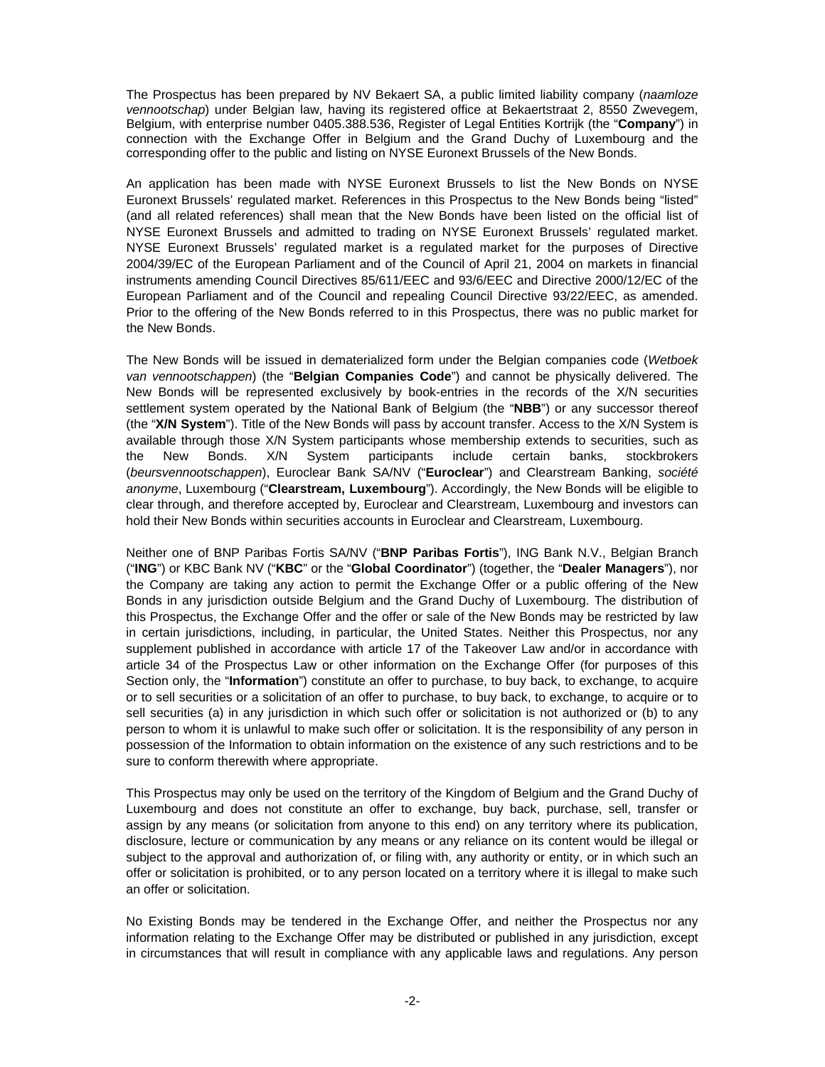The Prospectus has been prepared by NV Bekaert SA, a public limited liability company (*naamloze vennootschap*) under Belgian law, having its registered office at Bekaertstraat 2, 8550 Zwevegem, Belgium, with enterprise number 0405.388.536, Register of Legal Entities Kortrijk (the "**Company**") in connection with the Exchange Offer in Belgium and the Grand Duchy of Luxembourg and the corresponding offer to the public and listing on NYSE Euronext Brussels of the New Bonds.

An application has been made with NYSE Euronext Brussels to list the New Bonds on NYSE Euronext Brussels' regulated market. References in this Prospectus to the New Bonds being "listed" (and all related references) shall mean that the New Bonds have been listed on the official list of NYSE Euronext Brussels and admitted to trading on NYSE Euronext Brussels' regulated market. NYSE Euronext Brussels' regulated market is a regulated market for the purposes of Directive 2004/39/EC of the European Parliament and of the Council of April 21, 2004 on markets in financial instruments amending Council Directives 85/611/EEC and 93/6/EEC and Directive 2000/12/EC of the European Parliament and of the Council and repealing Council Directive 93/22/EEC, as amended. Prior to the offering of the New Bonds referred to in this Prospectus, there was no public market for the New Bonds.

The New Bonds will be issued in dematerialized form under the Belgian companies code (*Wetboek van vennootschappen*) (the "**Belgian Companies Code**") and cannot be physically delivered. The New Bonds will be represented exclusively by book-entries in the records of the X/N securities settlement system operated by the National Bank of Belgium (the "**NBB**") or any successor thereof (the "**X/N System**"). Title of the New Bonds will pass by account transfer. Access to the X/N System is available through those X/N System participants whose membership extends to securities, such as the New Bonds. X/N System participants include certain banks, stockbrokers (*beursvennootschappen*), Euroclear Bank SA/NV ("**Euroclear**") and Clearstream Banking, *société anonyme*, Luxembourg ("**Clearstream, Luxembourg**"). Accordingly, the New Bonds will be eligible to clear through, and therefore accepted by, Euroclear and Clearstream, Luxembourg and investors can hold their New Bonds within securities accounts in Euroclear and Clearstream, Luxembourg.

Neither one of BNP Paribas Fortis SA/NV ("**BNP Paribas Fortis**"), ING Bank N.V., Belgian Branch ("**ING**") or KBC Bank NV ("**KBC**" or the "**Global Coordinator**") (together, the "**Dealer Managers**"), nor the Company are taking any action to permit the Exchange Offer or a public offering of the New Bonds in any jurisdiction outside Belgium and the Grand Duchy of Luxembourg. The distribution of this Prospectus, the Exchange Offer and the offer or sale of the New Bonds may be restricted by law in certain jurisdictions, including, in particular, the United States. Neither this Prospectus, nor any supplement published in accordance with article 17 of the Takeover Law and/or in accordance with article 34 of the Prospectus Law or other information on the Exchange Offer (for purposes of this Section only, the "**Information**") constitute an offer to purchase, to buy back, to exchange, to acquire or to sell securities or a solicitation of an offer to purchase, to buy back, to exchange, to acquire or to sell securities (a) in any jurisdiction in which such offer or solicitation is not authorized or (b) to any person to whom it is unlawful to make such offer or solicitation. It is the responsibility of any person in possession of the Information to obtain information on the existence of any such restrictions and to be sure to conform therewith where appropriate.

This Prospectus may only be used on the territory of the Kingdom of Belgium and the Grand Duchy of Luxembourg and does not constitute an offer to exchange, buy back, purchase, sell, transfer or assign by any means (or solicitation from anyone to this end) on any territory where its publication, disclosure, lecture or communication by any means or any reliance on its content would be illegal or subject to the approval and authorization of, or filing with, any authority or entity, or in which such an offer or solicitation is prohibited, or to any person located on a territory where it is illegal to make such an offer or solicitation.

No Existing Bonds may be tendered in the Exchange Offer, and neither the Prospectus nor any information relating to the Exchange Offer may be distributed or published in any jurisdiction, except in circumstances that will result in compliance with any applicable laws and regulations. Any person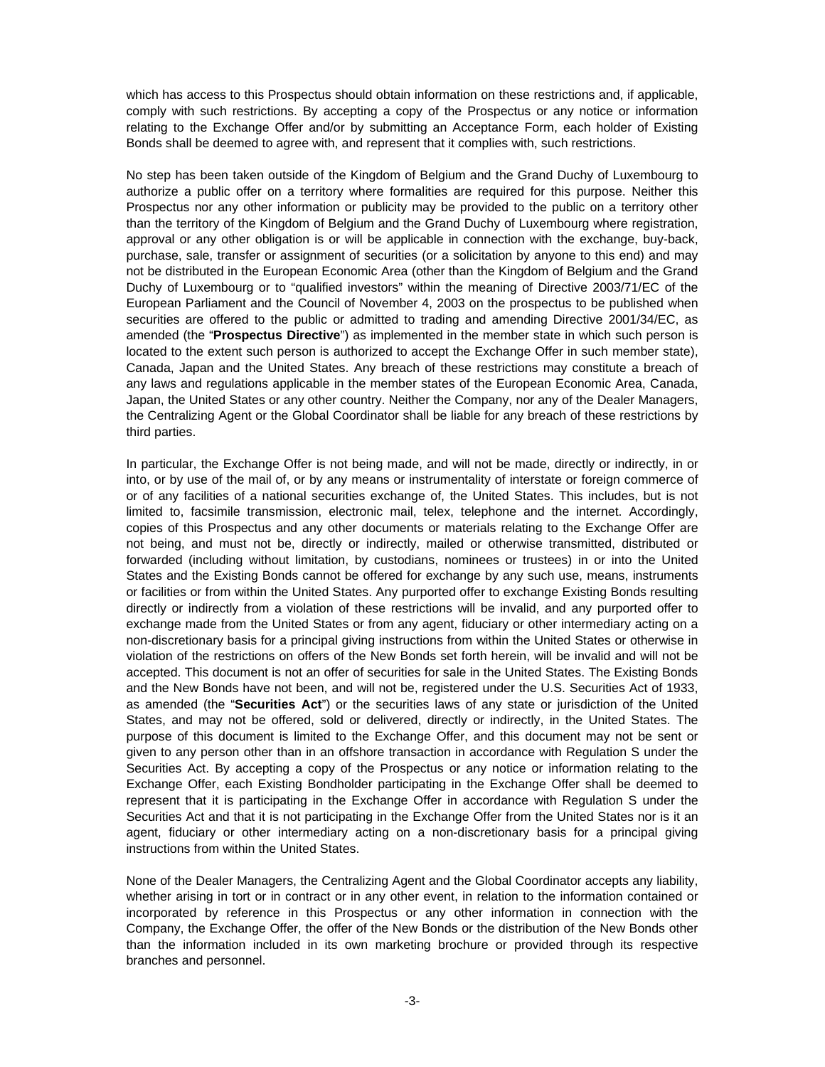which has access to this Prospectus should obtain information on these restrictions and, if applicable, comply with such restrictions. By accepting a copy of the Prospectus or any notice or information relating to the Exchange Offer and/or by submitting an Acceptance Form, each holder of Existing Bonds shall be deemed to agree with, and represent that it complies with, such restrictions.

No step has been taken outside of the Kingdom of Belgium and the Grand Duchy of Luxembourg to authorize a public offer on a territory where formalities are required for this purpose. Neither this Prospectus nor any other information or publicity may be provided to the public on a territory other than the territory of the Kingdom of Belgium and the Grand Duchy of Luxembourg where registration, approval or any other obligation is or will be applicable in connection with the exchange, buy-back, purchase, sale, transfer or assignment of securities (or a solicitation by anyone to this end) and may not be distributed in the European Economic Area (other than the Kingdom of Belgium and the Grand Duchy of Luxembourg or to "qualified investors" within the meaning of Directive 2003/71/EC of the European Parliament and the Council of November 4, 2003 on the prospectus to be published when securities are offered to the public or admitted to trading and amending Directive 2001/34/EC, as amended (the "**Prospectus Directive**") as implemented in the member state in which such person is located to the extent such person is authorized to accept the Exchange Offer in such member state), Canada, Japan and the United States. Any breach of these restrictions may constitute a breach of any laws and regulations applicable in the member states of the European Economic Area, Canada, Japan, the United States or any other country. Neither the Company, nor any of the Dealer Managers, the Centralizing Agent or the Global Coordinator shall be liable for any breach of these restrictions by third parties.

In particular, the Exchange Offer is not being made, and will not be made, directly or indirectly, in or into, or by use of the mail of, or by any means or instrumentality of interstate or foreign commerce of or of any facilities of a national securities exchange of, the United States. This includes, but is not limited to, facsimile transmission, electronic mail, telex, telephone and the internet. Accordingly, copies of this Prospectus and any other documents or materials relating to the Exchange Offer are not being, and must not be, directly or indirectly, mailed or otherwise transmitted, distributed or forwarded (including without limitation, by custodians, nominees or trustees) in or into the United States and the Existing Bonds cannot be offered for exchange by any such use, means, instruments or facilities or from within the United States. Any purported offer to exchange Existing Bonds resulting directly or indirectly from a violation of these restrictions will be invalid, and any purported offer to exchange made from the United States or from any agent, fiduciary or other intermediary acting on a non-discretionary basis for a principal giving instructions from within the United States or otherwise in violation of the restrictions on offers of the New Bonds set forth herein, will be invalid and will not be accepted. This document is not an offer of securities for sale in the United States. The Existing Bonds and the New Bonds have not been, and will not be, registered under the U.S. Securities Act of 1933, as amended (the "**Securities Act**") or the securities laws of any state or jurisdiction of the United States, and may not be offered, sold or delivered, directly or indirectly, in the United States. The purpose of this document is limited to the Exchange Offer, and this document may not be sent or given to any person other than in an offshore transaction in accordance with Regulation S under the Securities Act. By accepting a copy of the Prospectus or any notice or information relating to the Exchange Offer, each Existing Bondholder participating in the Exchange Offer shall be deemed to represent that it is participating in the Exchange Offer in accordance with Regulation S under the Securities Act and that it is not participating in the Exchange Offer from the United States nor is it an agent, fiduciary or other intermediary acting on a non-discretionary basis for a principal giving instructions from within the United States.

None of the Dealer Managers, the Centralizing Agent and the Global Coordinator accepts any liability, whether arising in tort or in contract or in any other event, in relation to the information contained or incorporated by reference in this Prospectus or any other information in connection with the Company, the Exchange Offer, the offer of the New Bonds or the distribution of the New Bonds other than the information included in its own marketing brochure or provided through its respective branches and personnel.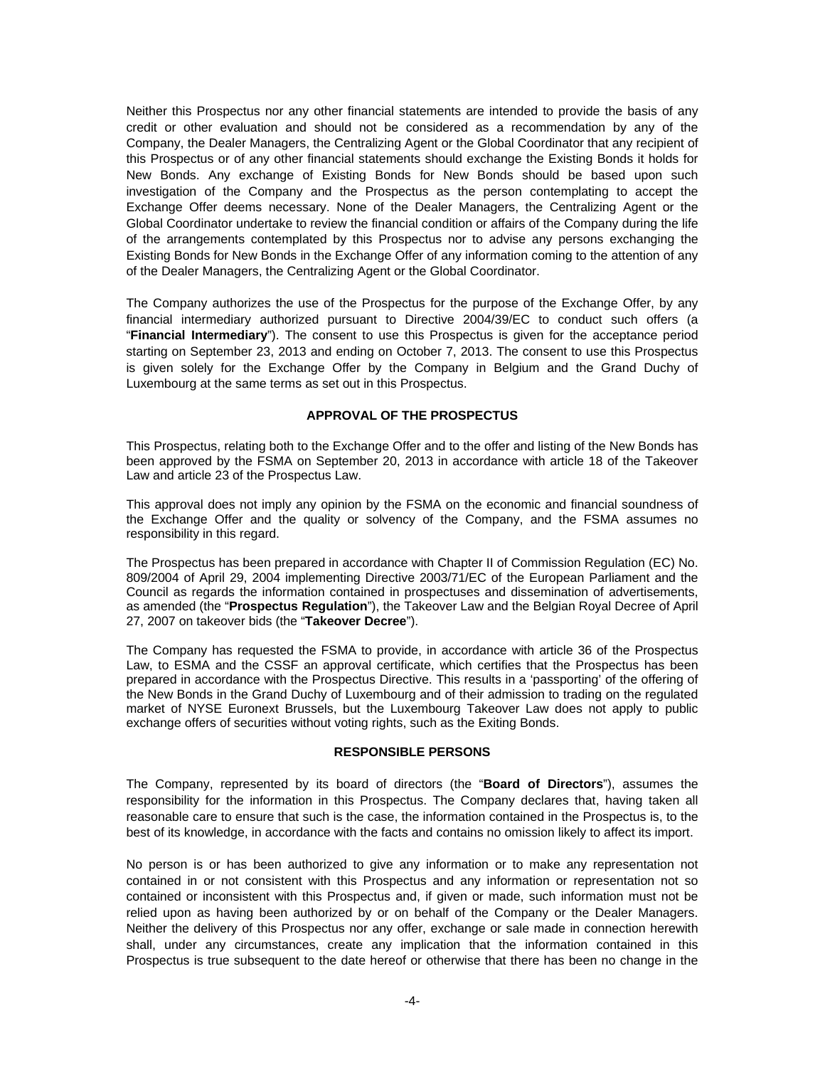Neither this Prospectus nor any other financial statements are intended to provide the basis of any credit or other evaluation and should not be considered as a recommendation by any of the Company, the Dealer Managers, the Centralizing Agent or the Global Coordinator that any recipient of this Prospectus or of any other financial statements should exchange the Existing Bonds it holds for New Bonds. Any exchange of Existing Bonds for New Bonds should be based upon such investigation of the Company and the Prospectus as the person contemplating to accept the Exchange Offer deems necessary. None of the Dealer Managers, the Centralizing Agent or the Global Coordinator undertake to review the financial condition or affairs of the Company during the life of the arrangements contemplated by this Prospectus nor to advise any persons exchanging the Existing Bonds for New Bonds in the Exchange Offer of any information coming to the attention of any of the Dealer Managers, the Centralizing Agent or the Global Coordinator.

The Company authorizes the use of the Prospectus for the purpose of the Exchange Offer, by any financial intermediary authorized pursuant to Directive 2004/39/EC to conduct such offers (a "**Financial Intermediary**"). The consent to use this Prospectus is given for the acceptance period starting on September 23, 2013 and ending on October 7, 2013. The consent to use this Prospectus is given solely for the Exchange Offer by the Company in Belgium and the Grand Duchy of Luxembourg at the same terms as set out in this Prospectus.

# **APPROVAL OF THE PROSPECTUS**

This Prospectus, relating both to the Exchange Offer and to the offer and listing of the New Bonds has been approved by the FSMA on September 20, 2013 in accordance with article 18 of the Takeover Law and article 23 of the Prospectus Law.

This approval does not imply any opinion by the FSMA on the economic and financial soundness of the Exchange Offer and the quality or solvency of the Company, and the FSMA assumes no responsibility in this regard.

The Prospectus has been prepared in accordance with Chapter II of Commission Regulation (EC) No. 809/2004 of April 29, 2004 implementing Directive 2003/71/EC of the European Parliament and the Council as regards the information contained in prospectuses and dissemination of advertisements, as amended (the "**Prospectus Regulation**"), the Takeover Law and the Belgian Royal Decree of April 27, 2007 on takeover bids (the "**Takeover Decree**").

The Company has requested the FSMA to provide, in accordance with article 36 of the Prospectus Law, to ESMA and the CSSF an approval certificate, which certifies that the Prospectus has been prepared in accordance with the Prospectus Directive. This results in a 'passporting' of the offering of the New Bonds in the Grand Duchy of Luxembourg and of their admission to trading on the regulated market of NYSE Euronext Brussels, but the Luxembourg Takeover Law does not apply to public exchange offers of securities without voting rights, such as the Exiting Bonds.

# **RESPONSIBLE PERSONS**

The Company, represented by its board of directors (the "**Board of Directors**"), assumes the responsibility for the information in this Prospectus. The Company declares that, having taken all reasonable care to ensure that such is the case, the information contained in the Prospectus is, to the best of its knowledge, in accordance with the facts and contains no omission likely to affect its import.

No person is or has been authorized to give any information or to make any representation not contained in or not consistent with this Prospectus and any information or representation not so contained or inconsistent with this Prospectus and, if given or made, such information must not be relied upon as having been authorized by or on behalf of the Company or the Dealer Managers. Neither the delivery of this Prospectus nor any offer, exchange or sale made in connection herewith shall, under any circumstances, create any implication that the information contained in this Prospectus is true subsequent to the date hereof or otherwise that there has been no change in the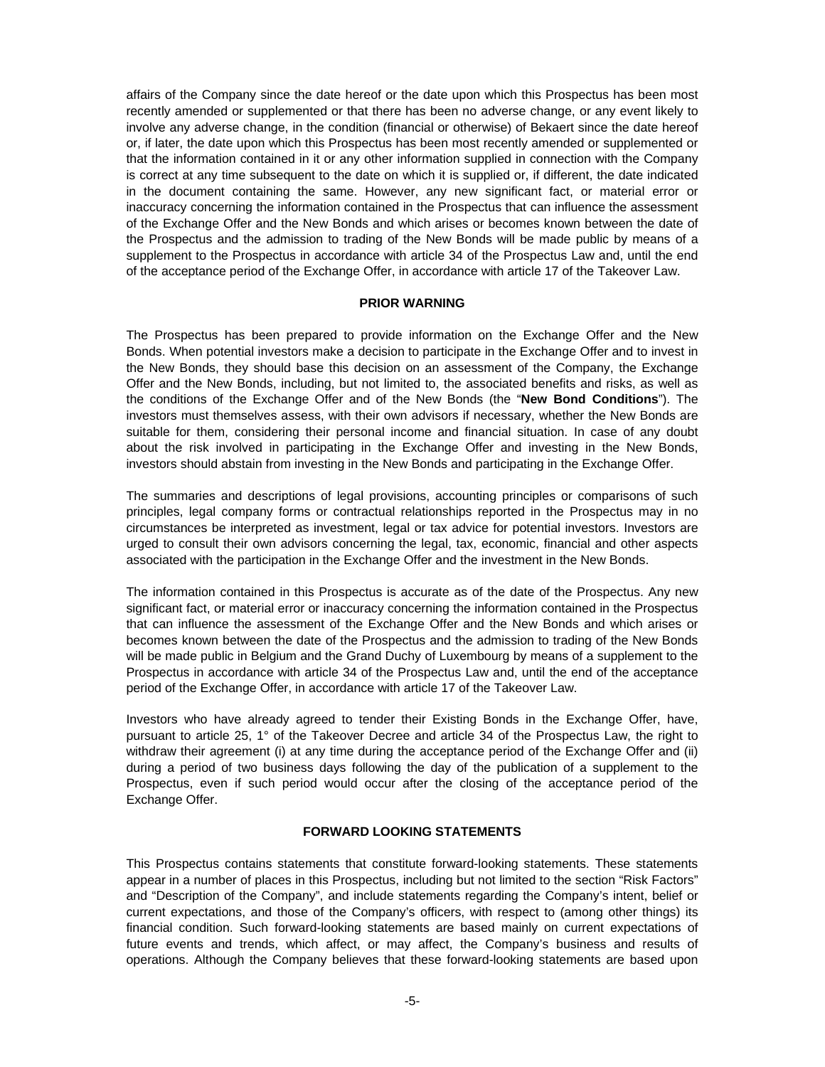affairs of the Company since the date hereof or the date upon which this Prospectus has been most recently amended or supplemented or that there has been no adverse change, or any event likely to involve any adverse change, in the condition (financial or otherwise) of Bekaert since the date hereof or, if later, the date upon which this Prospectus has been most recently amended or supplemented or that the information contained in it or any other information supplied in connection with the Company is correct at any time subsequent to the date on which it is supplied or, if different, the date indicated in the document containing the same. However, any new significant fact, or material error or inaccuracy concerning the information contained in the Prospectus that can influence the assessment of the Exchange Offer and the New Bonds and which arises or becomes known between the date of the Prospectus and the admission to trading of the New Bonds will be made public by means of a supplement to the Prospectus in accordance with article 34 of the Prospectus Law and, until the end of the acceptance period of the Exchange Offer, in accordance with article 17 of the Takeover Law.

# **PRIOR WARNING**

The Prospectus has been prepared to provide information on the Exchange Offer and the New Bonds. When potential investors make a decision to participate in the Exchange Offer and to invest in the New Bonds, they should base this decision on an assessment of the Company, the Exchange Offer and the New Bonds, including, but not limited to, the associated benefits and risks, as well as the conditions of the Exchange Offer and of the New Bonds (the "**New Bond Conditions**"). The investors must themselves assess, with their own advisors if necessary, whether the New Bonds are suitable for them, considering their personal income and financial situation. In case of any doubt about the risk involved in participating in the Exchange Offer and investing in the New Bonds, investors should abstain from investing in the New Bonds and participating in the Exchange Offer.

The summaries and descriptions of legal provisions, accounting principles or comparisons of such principles, legal company forms or contractual relationships reported in the Prospectus may in no circumstances be interpreted as investment, legal or tax advice for potential investors. Investors are urged to consult their own advisors concerning the legal, tax, economic, financial and other aspects associated with the participation in the Exchange Offer and the investment in the New Bonds.

The information contained in this Prospectus is accurate as of the date of the Prospectus. Any new significant fact, or material error or inaccuracy concerning the information contained in the Prospectus that can influence the assessment of the Exchange Offer and the New Bonds and which arises or becomes known between the date of the Prospectus and the admission to trading of the New Bonds will be made public in Belgium and the Grand Duchy of Luxembourg by means of a supplement to the Prospectus in accordance with article 34 of the Prospectus Law and, until the end of the acceptance period of the Exchange Offer, in accordance with article 17 of the Takeover Law.

Investors who have already agreed to tender their Existing Bonds in the Exchange Offer, have, pursuant to article 25, 1° of the Takeover Decree and article 34 of the Prospectus Law, the right to withdraw their agreement (i) at any time during the acceptance period of the Exchange Offer and (ii) during a period of two business days following the day of the publication of a supplement to the Prospectus, even if such period would occur after the closing of the acceptance period of the Exchange Offer.

# **FORWARD LOOKING STATEMENTS**

This Prospectus contains statements that constitute forward-looking statements. These statements appear in a number of places in this Prospectus, including but not limited to the section "Risk Factors" and "Description of the Company", and include statements regarding the Company's intent, belief or current expectations, and those of the Company's officers, with respect to (among other things) its financial condition. Such forward-looking statements are based mainly on current expectations of future events and trends, which affect, or may affect, the Company's business and results of operations. Although the Company believes that these forward-looking statements are based upon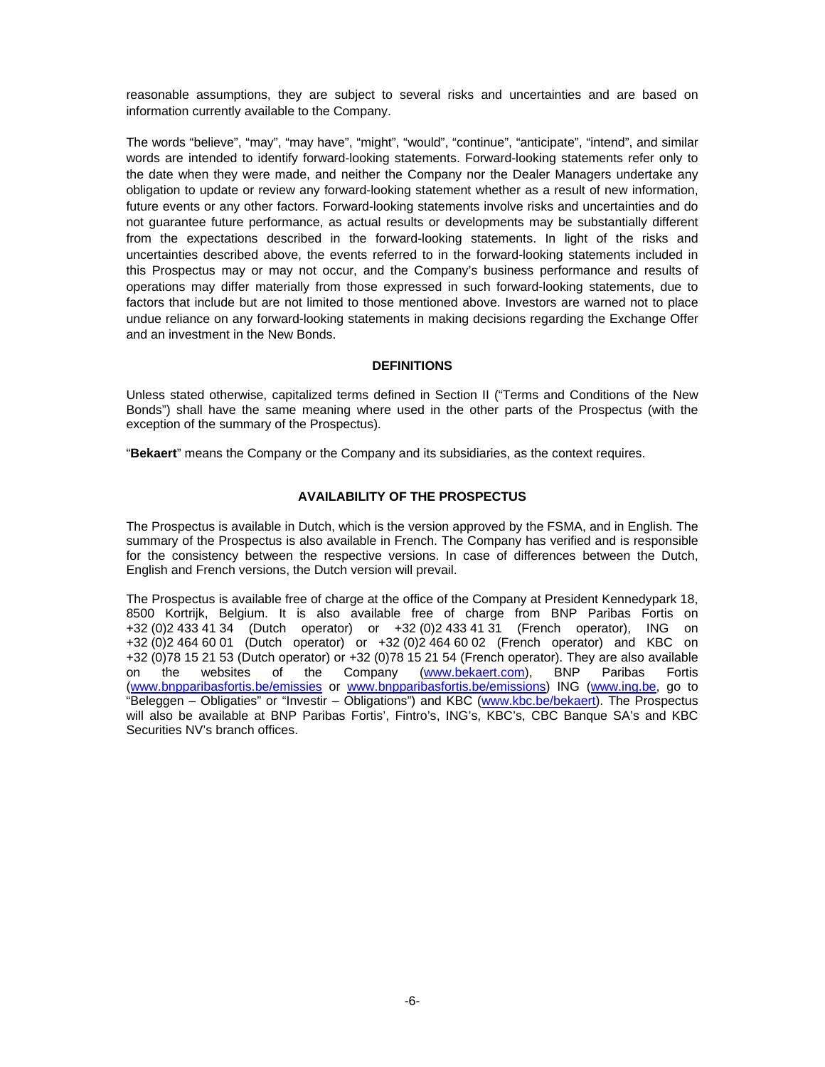reasonable assumptions, they are subject to several risks and uncertainties and are based on information currently available to the Company.

The words "believe", "may", "may have", "might", "would", "continue", "anticipate", "intend", and similar words are intended to identify forward-looking statements. Forward-looking statements refer only to the date when they were made, and neither the Company nor the Dealer Managers undertake any obligation to update or review any forward-looking statement whether as a result of new information, future events or any other factors. Forward-looking statements involve risks and uncertainties and do not guarantee future performance, as actual results or developments may be substantially different from the expectations described in the forward-looking statements. In light of the risks and uncertainties described above, the events referred to in the forward-looking statements included in this Prospectus may or may not occur, and the Company's business performance and results of operations may differ materially from those expressed in such forward-looking statements, due to factors that include but are not limited to those mentioned above. Investors are warned not to place undue reliance on any forward-looking statements in making decisions regarding the Exchange Offer and an investment in the New Bonds.

### **DEFINITIONS**

Unless stated otherwise, capitalized terms defined in Section II ("Terms and Conditions of the New Bonds") shall have the same meaning where used in the other parts of the Prospectus (with the exception of the summary of the Prospectus).

"**Bekaert**" means the Company or the Company and its subsidiaries, as the context requires.

# **AVAILABILITY OF THE PROSPECTUS**

The Prospectus is available in Dutch, which is the version approved by the FSMA, and in English. The summary of the Prospectus is also available in French. The Company has verified and is responsible for the consistency between the respective versions. In case of differences between the Dutch, English and French versions, the Dutch version will prevail.

The Prospectus is available free of charge at the office of the Company at President Kennedypark 18, 8500 Kortrijk, Belgium. It is also available free of charge from BNP Paribas Fortis on +32 (0)2 433 41 34 (Dutch operator) or +32 (0)2 433 41 31 (French operator), ING on +32 (0)2 464 60 01 (Dutch operator) or +32 (0)2 464 60 02 (French operator) and KBC on +32 (0)78 15 21 53 (Dutch operator) or +32 (0)78 15 21 54 (French operator). They are also available on the websites of the Company (www.bekaert.com), BNP Paribas Fortis (www.bnpparibasfortis.be/emissies or www.bnpparibasfortis.be/emissions) ING (www.ing.be, go to "Beleggen – Obligaties" or "Investir – Obligations") and KBC (www.kbc.be/bekaert). The Prospectus will also be available at BNP Paribas Fortis', Fintro's, ING's, KBC's, CBC Banque SA's and KBC Securities NV's branch offices.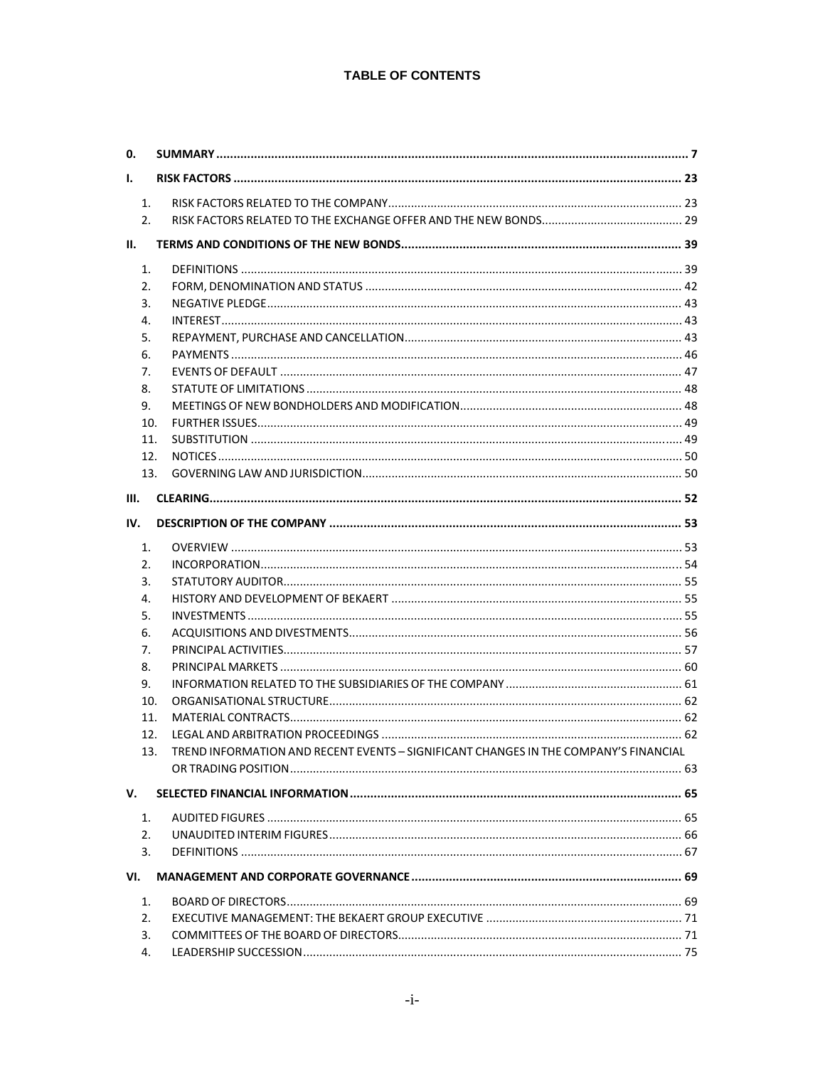# **TABLE OF CONTENTS**

| 0.             |                                                                                      |  |
|----------------|--------------------------------------------------------------------------------------|--|
| Ι.             |                                                                                      |  |
| 1.             |                                                                                      |  |
| 2.             |                                                                                      |  |
| Ш.             |                                                                                      |  |
| 1.             |                                                                                      |  |
| 2.             |                                                                                      |  |
| 3.             |                                                                                      |  |
| 4.             |                                                                                      |  |
| 5.             |                                                                                      |  |
| 6.             |                                                                                      |  |
| 7.             |                                                                                      |  |
| 8.             |                                                                                      |  |
| 9.             |                                                                                      |  |
| 10.            |                                                                                      |  |
| 11.            |                                                                                      |  |
| 12.            |                                                                                      |  |
| 13.            |                                                                                      |  |
| III.           |                                                                                      |  |
| IV.            |                                                                                      |  |
| 1.             |                                                                                      |  |
| 2.             |                                                                                      |  |
| 3.             |                                                                                      |  |
| 4.             |                                                                                      |  |
| 5.             |                                                                                      |  |
|                |                                                                                      |  |
| 6.<br>7.       |                                                                                      |  |
| 8.             |                                                                                      |  |
|                |                                                                                      |  |
| 9.<br>10.      |                                                                                      |  |
|                |                                                                                      |  |
| 11.            |                                                                                      |  |
| 12.<br>13.     | TREND INFORMATION AND RECENT EVENTS - SIGNIFICANT CHANGES IN THE COMPANY'S FINANCIAL |  |
|                |                                                                                      |  |
|                |                                                                                      |  |
| v.             |                                                                                      |  |
| 1.             |                                                                                      |  |
| 2.5            |                                                                                      |  |
| 3.             |                                                                                      |  |
| VI.            |                                                                                      |  |
| $\mathbf{1}$ . |                                                                                      |  |
| 2.             |                                                                                      |  |
| 3.             |                                                                                      |  |
| 4.             |                                                                                      |  |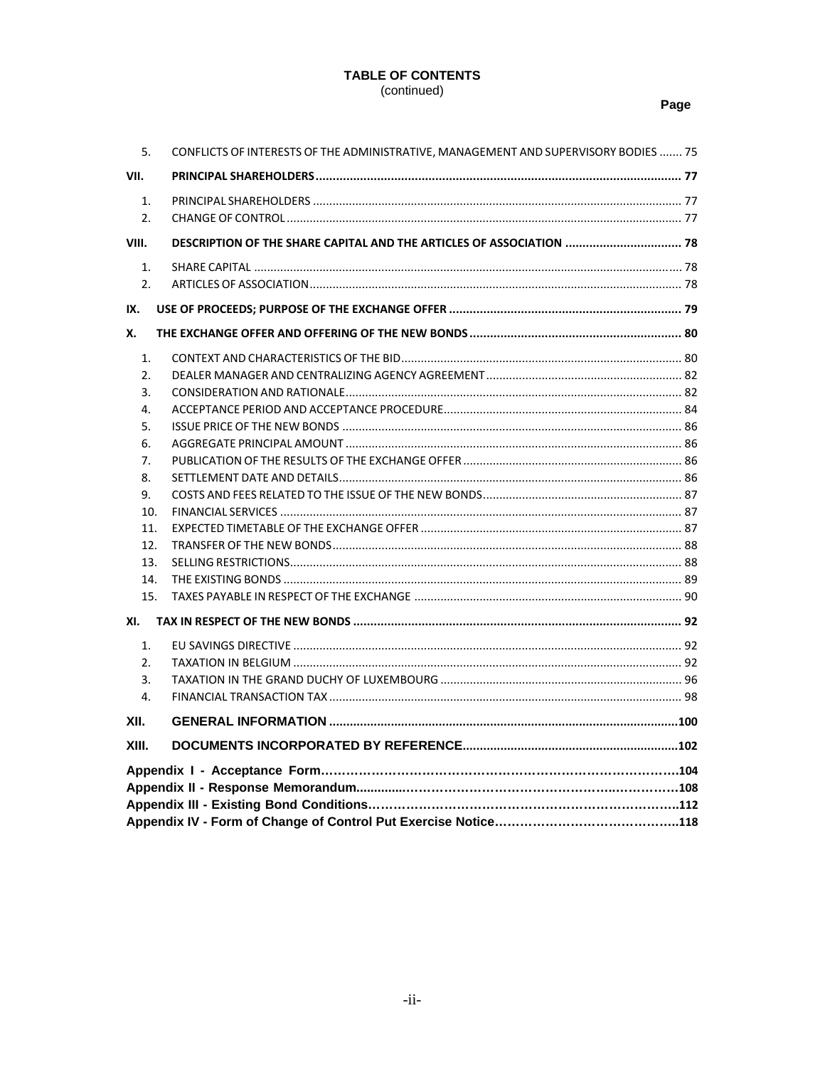# **TABLE OF CONTENTS** (continued)

# Page

| 5.               | CONFLICTS OF INTERESTS OF THE ADMINISTRATIVE, MANAGEMENT AND SUPERVISORY BODIES  75 |  |  |  |
|------------------|-------------------------------------------------------------------------------------|--|--|--|
| VII.             |                                                                                     |  |  |  |
| 1.               |                                                                                     |  |  |  |
| $\mathfrak{D}$ . |                                                                                     |  |  |  |
| VIII.            | DESCRIPTION OF THE SHARE CAPITAL AND THE ARTICLES OF ASSOCIATION  78                |  |  |  |
| 1.               |                                                                                     |  |  |  |
| 2.               |                                                                                     |  |  |  |
| IX.              |                                                                                     |  |  |  |
| Х.               |                                                                                     |  |  |  |
| 1.               |                                                                                     |  |  |  |
| $\mathcal{L}$    |                                                                                     |  |  |  |
| 3.               |                                                                                     |  |  |  |
| 4.               |                                                                                     |  |  |  |
| 5.               |                                                                                     |  |  |  |
| 6.               |                                                                                     |  |  |  |
| 7.               |                                                                                     |  |  |  |
| 8.               |                                                                                     |  |  |  |
| 9.               |                                                                                     |  |  |  |
| 10.              |                                                                                     |  |  |  |
| 11.              |                                                                                     |  |  |  |
| 12.              |                                                                                     |  |  |  |
| 13.              |                                                                                     |  |  |  |
| 14.              |                                                                                     |  |  |  |
| 15.              |                                                                                     |  |  |  |
| XI.              |                                                                                     |  |  |  |
| 1.               |                                                                                     |  |  |  |
| 2.               |                                                                                     |  |  |  |
| 3.               |                                                                                     |  |  |  |
| $\mathbf{4}$     |                                                                                     |  |  |  |
| XII.             |                                                                                     |  |  |  |
| XIII.            |                                                                                     |  |  |  |
|                  |                                                                                     |  |  |  |
|                  |                                                                                     |  |  |  |
|                  |                                                                                     |  |  |  |
|                  |                                                                                     |  |  |  |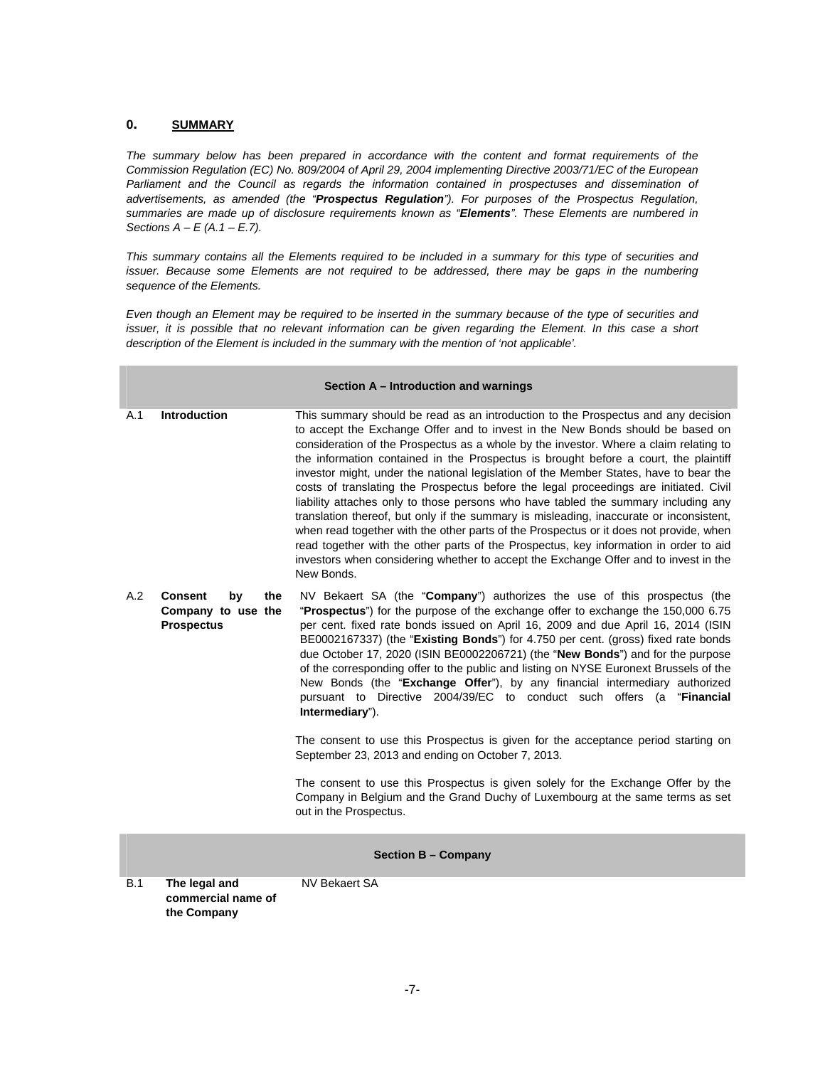#### **0. SUMMARY**

*The summary below has been prepared in accordance with the content and format requirements of the Commission Regulation (EC) No. 809/2004 of April 29, 2004 implementing Directive 2003/71/EC of the European*  Parliament and the Council as regards the information contained in prospectuses and dissemination of *advertisements, as amended (the "Prospectus Regulation"). For purposes of the Prospectus Regulation, summaries are made up of disclosure requirements known as "Elements". These Elements are numbered in Sections A – E (A.1 – E.7).* 

*This summary contains all the Elements required to be included in a summary for this type of securities and issuer. Because some Elements are not required to be addressed, there may be gaps in the numbering sequence of the Elements.* 

*Even though an Element may be required to be inserted in the summary because of the type of securities and issuer, it is possible that no relevant information can be given regarding the Element. In this case a short description of the Element is included in the summary with the mention of 'not applicable'.* 

| Section A - Introduction and warnings |                                                                        |                                                                                                                                                                                                                                                                                                                                                                                                                                                                                                                                                                                                                                                                                                                                                                                                                                                                                                                                                                                                                  |  |
|---------------------------------------|------------------------------------------------------------------------|------------------------------------------------------------------------------------------------------------------------------------------------------------------------------------------------------------------------------------------------------------------------------------------------------------------------------------------------------------------------------------------------------------------------------------------------------------------------------------------------------------------------------------------------------------------------------------------------------------------------------------------------------------------------------------------------------------------------------------------------------------------------------------------------------------------------------------------------------------------------------------------------------------------------------------------------------------------------------------------------------------------|--|
| A.1                                   | <b>Introduction</b>                                                    | This summary should be read as an introduction to the Prospectus and any decision<br>to accept the Exchange Offer and to invest in the New Bonds should be based on<br>consideration of the Prospectus as a whole by the investor. Where a claim relating to<br>the information contained in the Prospectus is brought before a court, the plaintiff<br>investor might, under the national legislation of the Member States, have to bear the<br>costs of translating the Prospectus before the legal proceedings are initiated. Civil<br>liability attaches only to those persons who have tabled the summary including any<br>translation thereof, but only if the summary is misleading, inaccurate or inconsistent,<br>when read together with the other parts of the Prospectus or it does not provide, when<br>read together with the other parts of the Prospectus, key information in order to aid<br>investors when considering whether to accept the Exchange Offer and to invest in the<br>New Bonds. |  |
| A.2                                   | <b>Consent</b><br>by<br>the<br>Company to use the<br><b>Prospectus</b> | NV Bekaert SA (the "Company") authorizes the use of this prospectus (the<br>"Prospectus") for the purpose of the exchange offer to exchange the 150,000 6.75<br>per cent. fixed rate bonds issued on April 16, 2009 and due April 16, 2014 (ISIN<br>BE0002167337) (the "Existing Bonds") for 4.750 per cent. (gross) fixed rate bonds<br>due October 17, 2020 (ISIN BE0002206721) (the "New Bonds") and for the purpose<br>of the corresponding offer to the public and listing on NYSE Euronext Brussels of the<br>New Bonds (the "Exchange Offer"), by any financial intermediary authorized<br>pursuant to Directive 2004/39/EC to conduct such offers (a " <b>Financial</b><br>Intermediary").                                                                                                                                                                                                                                                                                                               |  |
|                                       |                                                                        | The consent to use this Prospectus is given for the acceptance period starting on<br>September 23, 2013 and ending on October 7, 2013.                                                                                                                                                                                                                                                                                                                                                                                                                                                                                                                                                                                                                                                                                                                                                                                                                                                                           |  |
|                                       |                                                                        | The consent to use this Prospectus is given solely for the Exchange Offer by the<br>Company in Belgium and the Grand Duchy of Luxembourg at the same terms as set<br>out in the Prospectus.                                                                                                                                                                                                                                                                                                                                                                                                                                                                                                                                                                                                                                                                                                                                                                                                                      |  |
|                                       |                                                                        | <b>Section B - Company</b>                                                                                                                                                                                                                                                                                                                                                                                                                                                                                                                                                                                                                                                                                                                                                                                                                                                                                                                                                                                       |  |
| <b>B.1</b>                            | The legal and<br>commercial name of<br>the Company                     | <b>NV Bekaert SA</b>                                                                                                                                                                                                                                                                                                                                                                                                                                                                                                                                                                                                                                                                                                                                                                                                                                                                                                                                                                                             |  |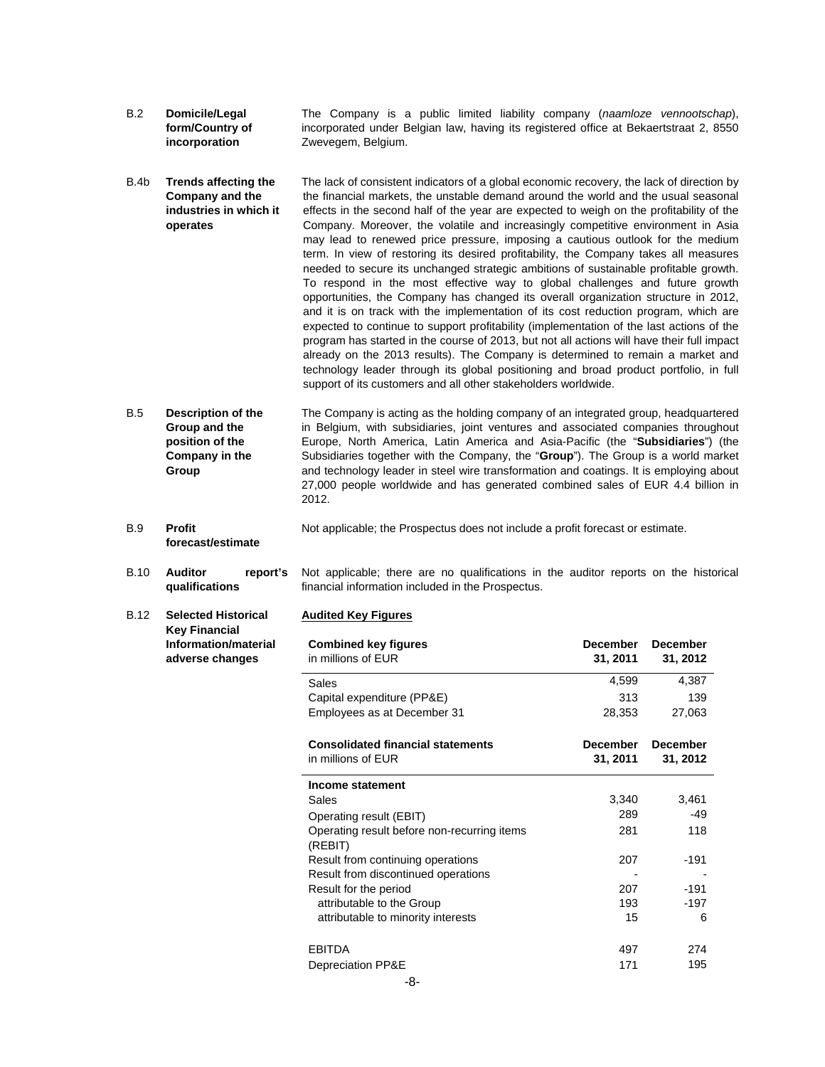- B.2 **Domicile/Legal form/Country of incorporation**  The Company is a public limited liability company (*naamloze vennootschap*), incorporated under Belgian law, having its registered office at Bekaertstraat 2, 8550 Zwevegem, Belgium.
- B.4b **Trends affecting the Company and the industries in which it operates**  The lack of consistent indicators of a global economic recovery, the lack of direction by the financial markets, the unstable demand around the world and the usual seasonal effects in the second half of the year are expected to weigh on the profitability of the Company. Moreover, the volatile and increasingly competitive environment in Asia may lead to renewed price pressure, imposing a cautious outlook for the medium term. In view of restoring its desired profitability, the Company takes all measures needed to secure its unchanged strategic ambitions of sustainable profitable growth. To respond in the most effective way to global challenges and future growth opportunities, the Company has changed its overall organization structure in 2012, and it is on track with the implementation of its cost reduction program, which are expected to continue to support profitability (implementation of the last actions of the program has started in the course of 2013, but not all actions will have their full impact already on the 2013 results). The Company is determined to remain a market and technology leader through its global positioning and broad product portfolio, in full support of its customers and all other stakeholders worldwide.
- B.5 **Description of the Group and the position of the Company in the Group**  The Company is acting as the holding company of an integrated group, headquartered in Belgium, with subsidiaries, joint ventures and associated companies throughout Europe, North America, Latin America and Asia-Pacific (the "**Subsidiaries**") (the Subsidiaries together with the Company, the "**Group**"). The Group is a world market and technology leader in steel wire transformation and coatings. It is employing about 27,000 people worldwide and has generated combined sales of EUR 4.4 billion in 2012.
- B.9 **Profit forecast/estimate**  Not applicable; the Prospectus does not include a profit forecast or estimate.

B.10 **Auditor report's qualifications**  Not applicable; there are no qualifications in the auditor reports on the historical financial information included in the Prospectus.

#### **Audited Key Figures**

B.12 **Selected Historical Key Financial Information/material adverse changes** 

| <b>Combined key figures</b><br>in millions of EUR              | December<br>31, 2011 | <b>December</b><br>31, 2012 |
|----------------------------------------------------------------|----------------------|-----------------------------|
| Sales                                                          | 4,599                | 4,387                       |
| Capital expenditure (PP&E)                                     | 313                  | 139                         |
| Employees as at December 31                                    | 28,353               | 27,063                      |
| <b>Consolidated financial statements</b><br>in millions of EUR | December<br>31, 2011 | <b>December</b><br>31, 2012 |
| Income statement                                               |                      |                             |
| Sales                                                          | 3,340                | 3,461                       |
| Operating result (EBIT)                                        | 289                  | -49                         |
| Operating result before non-recurring items<br>(REBIT)         | 281                  | 118                         |
| Result from continuing operations                              | 207                  | $-191$                      |
| Result from discontinued operations                            |                      |                             |
| Result for the period                                          | 207                  | $-191$                      |
| attributable to the Group                                      | 193                  | -197                        |
| attributable to minority interests                             | 15                   | 6                           |
| <b>EBITDA</b>                                                  | 497                  | 274                         |
| Depreciation PP&E                                              | 171                  | 195                         |
| -8-                                                            |                      |                             |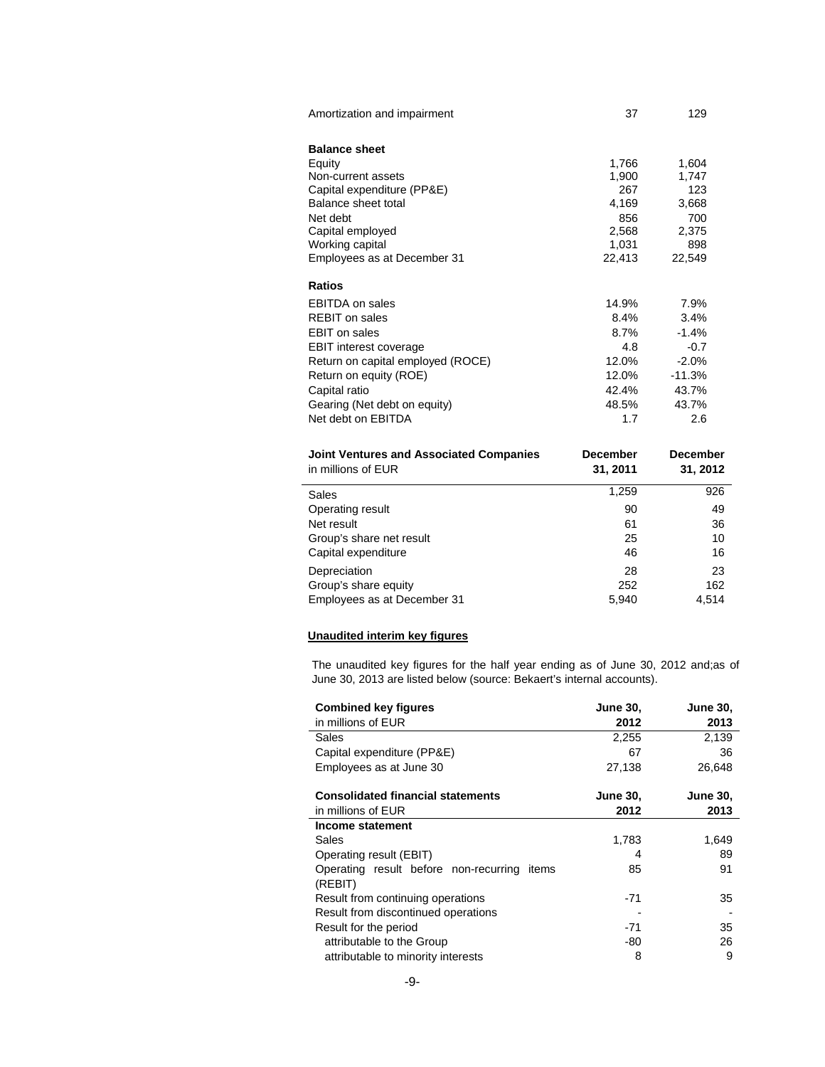| Amortization and impairment                    | 37              | 129             |
|------------------------------------------------|-----------------|-----------------|
| <b>Balance sheet</b>                           |                 |                 |
| Equity                                         | 1,766           | 1,604           |
| Non-current assets                             | 1,900           | 1.747           |
| Capital expenditure (PP&E)                     | 267             | 123             |
| Balance sheet total                            | 4,169           | 3,668           |
| Net debt                                       | 856             | 700             |
| Capital employed                               | 2,568           | 2,375           |
| Working capital                                | 1,031           | 898             |
| Employees as at December 31                    | 22,413          | 22,549          |
| <b>Ratios</b>                                  |                 |                 |
| <b>EBITDA</b> on sales                         | 14.9%           | 7.9%            |
| <b>REBIT</b> on sales                          | 8.4%            | 3.4%            |
| <b>EBIT</b> on sales                           | 8.7%            | $-1.4%$         |
| <b>EBIT</b> interest coverage                  | 4.8             | $-0.7$          |
| Return on capital employed (ROCE)              | 12.0%           | $-2.0%$         |
| Return on equity (ROE)                         | 12.0%           | $-11.3%$        |
| Capital ratio                                  | 42.4%           | 43.7%           |
| Gearing (Net debt on equity)                   | 48.5%           | 43.7%           |
| Net debt on EBITDA                             | 1.7             | 2.6             |
|                                                |                 |                 |
| <b>Joint Ventures and Associated Companies</b> | <b>December</b> | <b>December</b> |
| in millions of EUR                             | 31, 2011        | 31, 2012        |
|                                                |                 |                 |
| Sales                                          | 1,259           | 926             |
| Operating result                               | 90              | 49              |
| Net result                                     | 61              | 36              |
| Group's share net result                       | 25              | 10              |
| Capital expenditure                            | 46              | 16              |
| Depreciation                                   | 28              | 23              |
| Group's share equity                           | 252             | 162             |
| Employees as at December 31                    | 5,940           | 4,514           |

# **Unaudited interim key figures**

The unaudited key figures for the half year ending as of June 30, 2012 and;as of June 30, 2013 are listed below (source: Bekaert's internal accounts).

| <b>Combined key figures</b>                                    | <b>June 30,</b>         | <b>June 30,</b>         |
|----------------------------------------------------------------|-------------------------|-------------------------|
| in millions of EUR                                             | 2012                    | 2013                    |
| Sales                                                          | 2,255                   | 2,139                   |
| Capital expenditure (PP&E)                                     | 67                      | 36                      |
| Employees as at June 30                                        | 27,138                  | 26,648                  |
| <b>Consolidated financial statements</b><br>in millions of EUR | <b>June 30,</b><br>2012 | <b>June 30,</b><br>2013 |
| Income statement                                               |                         |                         |
| Sales                                                          | 1,783                   | 1,649                   |
| Operating result (EBIT)                                        | 4                       | 89                      |
| Operating result before non-recurring<br>items<br>(REBIT)      | 85                      | 91                      |
| Result from continuing operations                              | -71                     | 35                      |
| Result from discontinued operations                            |                         |                         |
| Result for the period                                          | -71                     | 35                      |
| attributable to the Group                                      | -80                     | 26                      |
| attributable to minority interests                             | 8                       | 9                       |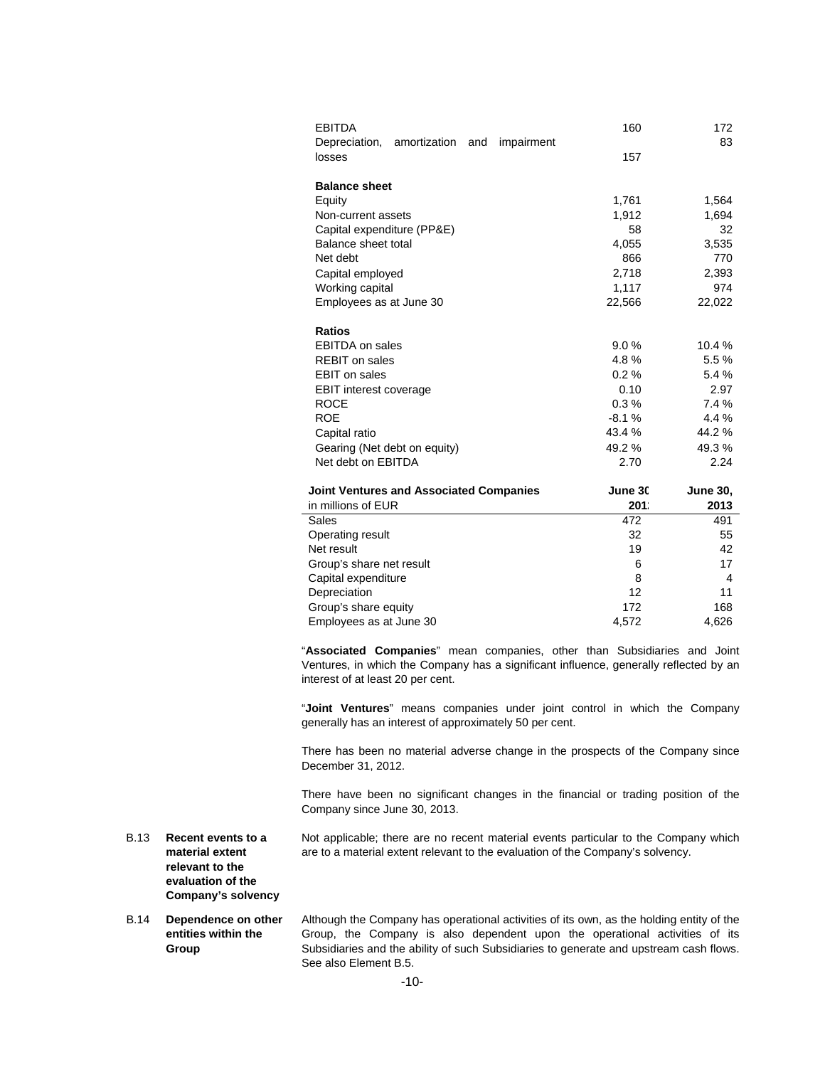| <b>EBITDA</b>                                             | 160      | 172             |
|-----------------------------------------------------------|----------|-----------------|
| Depreciation, amortization<br>and<br>impairment<br>losses | 157      | 83              |
| <b>Balance sheet</b>                                      |          |                 |
| Equity                                                    | 1,761    | 1,564           |
| Non-current assets                                        | 1,912    | 1,694           |
| Capital expenditure (PP&E)                                | 58       | 32              |
| Balance sheet total                                       | 4,055    | 3,535           |
| Net debt                                                  | 866      | 770             |
| Capital employed                                          | 2,718    | 2,393           |
| Working capital                                           | 1,117    | 974             |
| Employees as at June 30                                   | 22,566   | 22,022          |
| <b>Ratios</b>                                             |          |                 |
| <b>EBITDA</b> on sales                                    | 9.0%     | 10.4 %          |
| <b>REBIT on sales</b>                                     | 4.8%     | 5.5 %           |
| <b>EBIT</b> on sales                                      | $0.2 \%$ | 5.4 %           |
| <b>EBIT interest coverage</b>                             | 0.10     | 2.97            |
| <b>ROCE</b>                                               | 0.3%     | 7.4 %           |
| <b>ROE</b>                                                | $-8.1%$  | 4.4 %           |
| Capital ratio                                             | 43.4 %   | 44.2 %          |
| Gearing (Net debt on equity)                              | 49.2%    | 49.3%           |
| Net debt on EBITDA                                        | 2.70     | 2.24            |
| <b>Joint Ventures and Associated Companies</b>            | June 30  | <b>June 30,</b> |
| in millions of EUR                                        | 201.     | 2013            |
| Sales                                                     | 472      | 491             |
| Operating result                                          | 32       | 55              |
| Net result                                                | 19       | 42              |
| Group's share net result                                  | 6        | 17              |
| Capital expenditure                                       | 8        | 4               |
| Depreciation                                              | 12       | 11              |
| Group's share equity                                      | 172      | 168             |
| Employees as at June 30                                   | 4,572    | 4,626           |
|                                                           |          |                 |

"**Associated Companies**" mean companies, other than Subsidiaries and Joint Ventures, in which the Company has a significant influence, generally reflected by an interest of at least 20 per cent.

"**Joint Ventures**" means companies under joint control in which the Company generally has an interest of approximately 50 per cent.

There has been no material adverse change in the prospects of the Company since December 31, 2012.

There have been no significant changes in the financial or trading position of the Company since June 30, 2013.

- B.13 **Recent events to a material extent relevant to the**  Not applicable; there are no recent material events particular to the Company which are to a material extent relevant to the evaluation of the Company's solvency.
- B.14 **Dependence on other entities within the Group**  Although the Company has operational activities of its own, as the holding entity of the Group, the Company is also dependent upon the operational activities of its Subsidiaries and the ability of such Subsidiaries to generate and upstream cash flows. See also Element B.5.

**evaluation of the Company's solvency**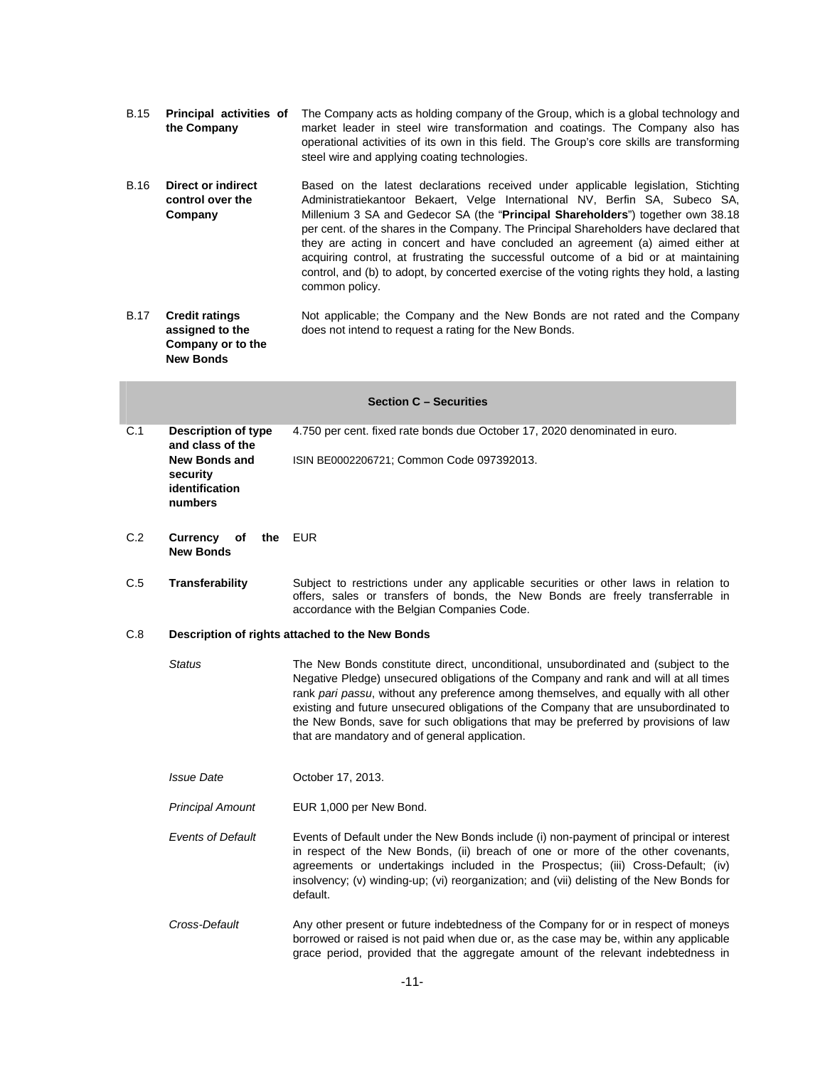- B.15 **Principal activities of**  The Company acts as holding company of the Group, which is a global technology and **the Company**  market leader in steel wire transformation and coatings. The Company also has operational activities of its own in this field. The Group's core skills are transforming steel wire and applying coating technologies.
- B.16 **Direct or indirect control over the Company**  Based on the latest declarations received under applicable legislation, Stichting Administratiekantoor Bekaert, Velge International NV, Berfin SA, Subeco SA, Millenium 3 SA and Gedecor SA (the "**Principal Shareholders**") together own 38.18 per cent. of the shares in the Company. The Principal Shareholders have declared that they are acting in concert and have concluded an agreement (a) aimed either at acquiring control, at frustrating the successful outcome of a bid or at maintaining control, and (b) to adopt, by concerted exercise of the voting rights they hold, a lasting common policy.
- B.17 **Credit ratings assigned to the Company or to the New Bonds**  Not applicable; the Company and the New Bonds are not rated and the Company does not intend to request a rating for the New Bonds.

|     |                                                        | <b>Section C - Securities</b>                                                                                                                                                                                                                                                                                                                                                                                                                                                                      |  |
|-----|--------------------------------------------------------|----------------------------------------------------------------------------------------------------------------------------------------------------------------------------------------------------------------------------------------------------------------------------------------------------------------------------------------------------------------------------------------------------------------------------------------------------------------------------------------------------|--|
| C.1 | <b>Description of type</b><br>and class of the         | 4.750 per cent. fixed rate bonds due October 17, 2020 denominated in euro.                                                                                                                                                                                                                                                                                                                                                                                                                         |  |
|     | New Bonds and<br>security<br>identification<br>numbers | ISIN BE0002206721; Common Code 097392013.                                                                                                                                                                                                                                                                                                                                                                                                                                                          |  |
| C.2 | <b>Currency</b><br>оf<br>the<br><b>New Bonds</b>       | <b>EUR</b>                                                                                                                                                                                                                                                                                                                                                                                                                                                                                         |  |
| C.5 | Transferability                                        | Subject to restrictions under any applicable securities or other laws in relation to<br>offers, sales or transfers of bonds, the New Bonds are freely transferrable in<br>accordance with the Belgian Companies Code.                                                                                                                                                                                                                                                                              |  |
| C.8 |                                                        | Description of rights attached to the New Bonds                                                                                                                                                                                                                                                                                                                                                                                                                                                    |  |
|     | <b>Status</b>                                          | The New Bonds constitute direct, unconditional, unsubordinated and (subject to the<br>Negative Pledge) unsecured obligations of the Company and rank and will at all times<br>rank pari passu, without any preference among themselves, and equally with all other<br>existing and future unsecured obligations of the Company that are unsubordinated to<br>the New Bonds, save for such obligations that may be preferred by provisions of law<br>that are mandatory and of general application. |  |
|     | <i><b>Issue Date</b></i>                               | October 17, 2013.                                                                                                                                                                                                                                                                                                                                                                                                                                                                                  |  |
|     | <b>Principal Amount</b>                                | EUR 1,000 per New Bond.                                                                                                                                                                                                                                                                                                                                                                                                                                                                            |  |
|     | <b>Events of Default</b>                               | Events of Default under the New Bonds include (i) non-payment of principal or interest<br>in respect of the New Bonds, (ii) breach of one or more of the other covenants,<br>agreements or undertakings included in the Prospectus; (iii) Cross-Default; (iv)<br>insolvency; (v) winding-up; (vi) reorganization; and (vii) delisting of the New Bonds for<br>default.                                                                                                                             |  |
|     | Cross-Default                                          | Any other present or future indebtedness of the Company for or in respect of moneys<br>borrowed or raised is not paid when due or, as the case may be, within any applicable<br>grace period, provided that the aggregate amount of the relevant indebtedness in                                                                                                                                                                                                                                   |  |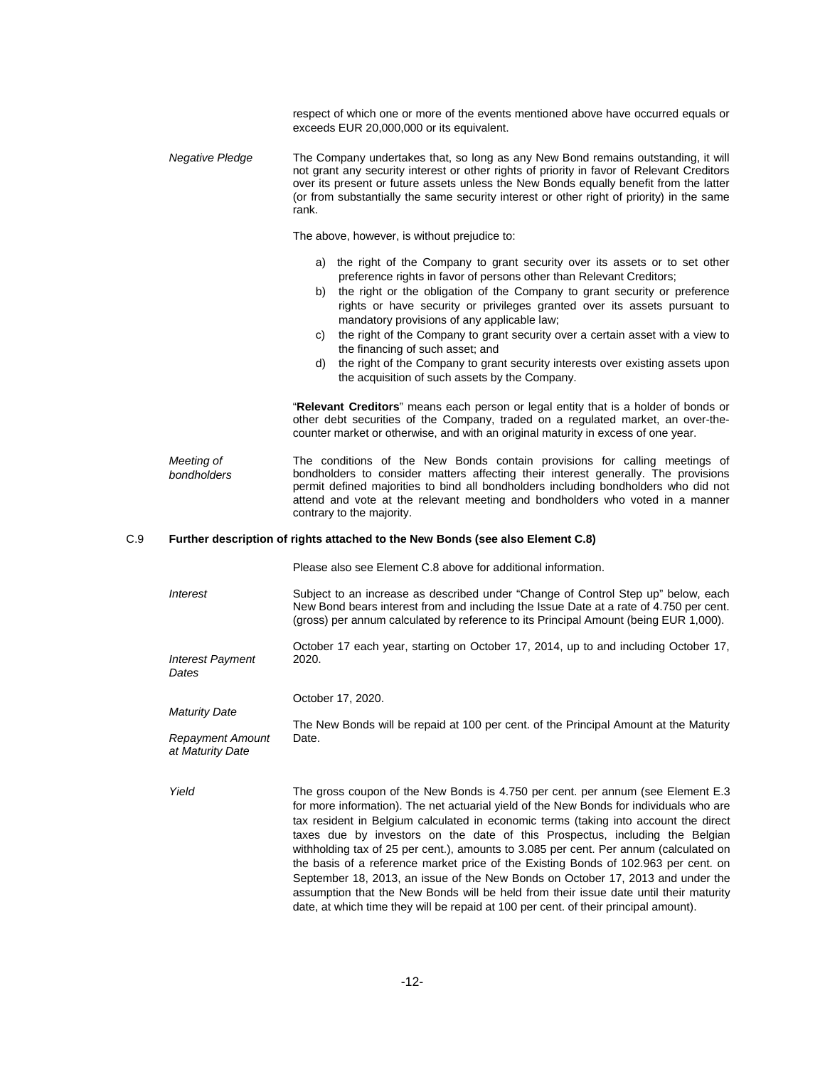|     |                                             | respect of which one or more of the events mentioned above have occurred equals or<br>exceeds EUR 20,000,000 or its equivalent.                                                                                                                                                                                                                                                                                                                                                                                                                                                                                                                                                                                                                                                                         |
|-----|---------------------------------------------|---------------------------------------------------------------------------------------------------------------------------------------------------------------------------------------------------------------------------------------------------------------------------------------------------------------------------------------------------------------------------------------------------------------------------------------------------------------------------------------------------------------------------------------------------------------------------------------------------------------------------------------------------------------------------------------------------------------------------------------------------------------------------------------------------------|
|     | <b>Negative Pledge</b>                      | The Company undertakes that, so long as any New Bond remains outstanding, it will<br>not grant any security interest or other rights of priority in favor of Relevant Creditors<br>over its present or future assets unless the New Bonds equally benefit from the latter<br>(or from substantially the same security interest or other right of priority) in the same<br>rank.                                                                                                                                                                                                                                                                                                                                                                                                                         |
|     |                                             | The above, however, is without prejudice to:                                                                                                                                                                                                                                                                                                                                                                                                                                                                                                                                                                                                                                                                                                                                                            |
|     |                                             | the right of the Company to grant security over its assets or to set other<br>a)<br>preference rights in favor of persons other than Relevant Creditors;<br>the right or the obligation of the Company to grant security or preference<br>b)<br>rights or have security or privileges granted over its assets pursuant to<br>mandatory provisions of any applicable law;<br>the right of the Company to grant security over a certain asset with a view to<br>C)<br>the financing of such asset; and<br>the right of the Company to grant security interests over existing assets upon<br>d)<br>the acquisition of such assets by the Company.                                                                                                                                                          |
|     |                                             | "Relevant Creditors" means each person or legal entity that is a holder of bonds or<br>other debt securities of the Company, traded on a regulated market, an over-the-<br>counter market or otherwise, and with an original maturity in excess of one year.                                                                                                                                                                                                                                                                                                                                                                                                                                                                                                                                            |
|     | Meeting of<br>bondholders                   | The conditions of the New Bonds contain provisions for calling meetings of<br>bondholders to consider matters affecting their interest generally. The provisions<br>permit defined majorities to bind all bondholders including bondholders who did not<br>attend and vote at the relevant meeting and bondholders who voted in a manner<br>contrary to the majority.                                                                                                                                                                                                                                                                                                                                                                                                                                   |
| C.9 |                                             | Further description of rights attached to the New Bonds (see also Element C.8)                                                                                                                                                                                                                                                                                                                                                                                                                                                                                                                                                                                                                                                                                                                          |
|     |                                             | Please also see Element C.8 above for additional information.                                                                                                                                                                                                                                                                                                                                                                                                                                                                                                                                                                                                                                                                                                                                           |
|     | <i><b>Interest</b></i>                      | Subject to an increase as described under "Change of Control Step up" below, each<br>New Bond bears interest from and including the Issue Date at a rate of 4.750 per cent.<br>(gross) per annum calculated by reference to its Principal Amount (being EUR 1,000).                                                                                                                                                                                                                                                                                                                                                                                                                                                                                                                                     |
|     | <b>Interest Payment</b><br>Dates            | October 17 each year, starting on October 17, 2014, up to and including October 17,<br>2020.                                                                                                                                                                                                                                                                                                                                                                                                                                                                                                                                                                                                                                                                                                            |
|     | <b>Maturity Date</b>                        | October 17, 2020.                                                                                                                                                                                                                                                                                                                                                                                                                                                                                                                                                                                                                                                                                                                                                                                       |
|     | <b>Repayment Amount</b><br>at Maturity Date | The New Bonds will be repaid at 100 per cent. of the Principal Amount at the Maturity<br>Date.                                                                                                                                                                                                                                                                                                                                                                                                                                                                                                                                                                                                                                                                                                          |
|     | Yield                                       | The gross coupon of the New Bonds is 4.750 per cent. per annum (see Element E.3)<br>for more information). The net actuarial yield of the New Bonds for individuals who are<br>tax resident in Belgium calculated in economic terms (taking into account the direct<br>taxes due by investors on the date of this Prospectus, including the Belgian<br>withholding tax of 25 per cent.), amounts to 3.085 per cent. Per annum (calculated on<br>the basis of a reference market price of the Existing Bonds of 102.963 per cent. on<br>September 18, 2013, an issue of the New Bonds on October 17, 2013 and under the<br>assumption that the New Bonds will be held from their issue date until their maturity<br>date, at which time they will be repaid at 100 per cent. of their principal amount). |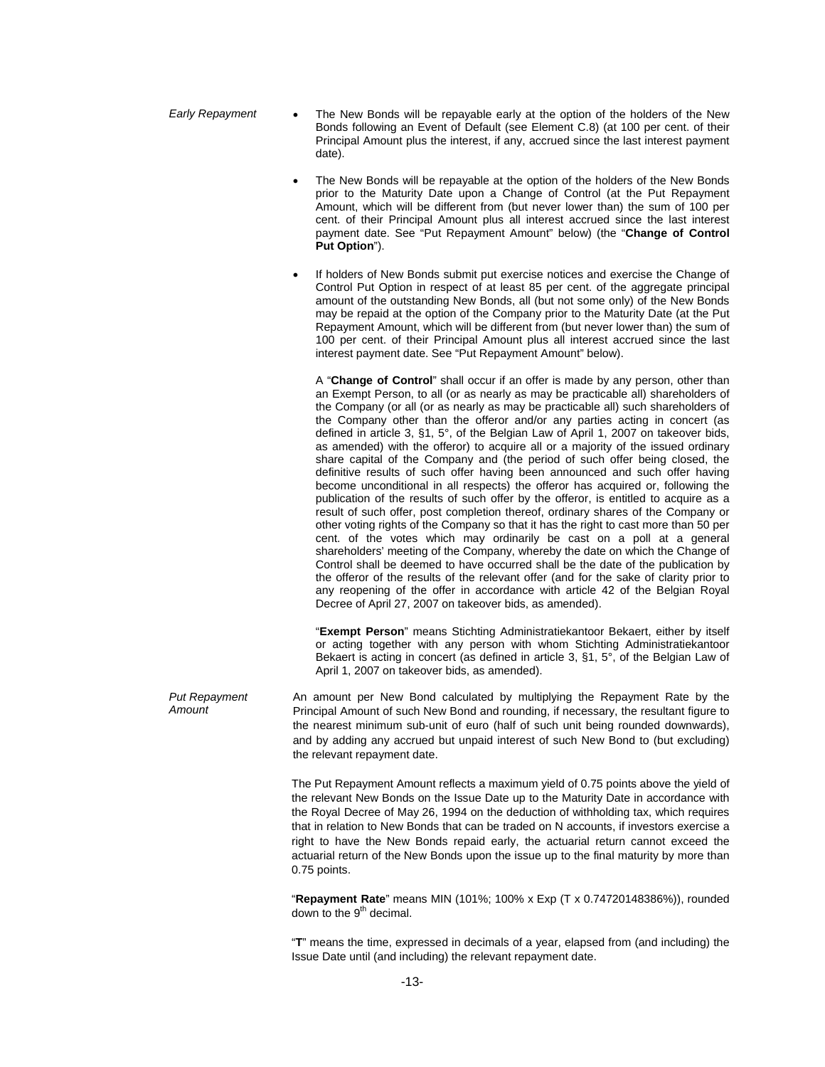- *Early Repayment*  The New Bonds will be repayable early at the option of the holders of the New Bonds following an Event of Default (see Element C.8) (at 100 per cent. of their Principal Amount plus the interest, if any, accrued since the last interest payment date).
	- The New Bonds will be repayable at the option of the holders of the New Bonds prior to the Maturity Date upon a Change of Control (at the Put Repayment Amount, which will be different from (but never lower than) the sum of 100 per cent. of their Principal Amount plus all interest accrued since the last interest payment date. See "Put Repayment Amount" below) (the "**Change of Control Put Option**").
	- If holders of New Bonds submit put exercise notices and exercise the Change of Control Put Option in respect of at least 85 per cent. of the aggregate principal amount of the outstanding New Bonds, all (but not some only) of the New Bonds may be repaid at the option of the Company prior to the Maturity Date (at the Put Repayment Amount, which will be different from (but never lower than) the sum of 100 per cent. of their Principal Amount plus all interest accrued since the last interest payment date. See "Put Repayment Amount" below).

A "**Change of Control**" shall occur if an offer is made by any person, other than an Exempt Person, to all (or as nearly as may be practicable all) shareholders of the Company (or all (or as nearly as may be practicable all) such shareholders of the Company other than the offeror and/or any parties acting in concert (as defined in article 3, §1, 5°, of the Belgian Law of April 1, 2007 on takeover bids, as amended) with the offeror) to acquire all or a majority of the issued ordinary share capital of the Company and (the period of such offer being closed, the definitive results of such offer having been announced and such offer having become unconditional in all respects) the offeror has acquired or, following the publication of the results of such offer by the offeror, is entitled to acquire as a result of such offer, post completion thereof, ordinary shares of the Company or other voting rights of the Company so that it has the right to cast more than 50 per cent. of the votes which may ordinarily be cast on a poll at a general shareholders' meeting of the Company, whereby the date on which the Change of Control shall be deemed to have occurred shall be the date of the publication by the offeror of the results of the relevant offer (and for the sake of clarity prior to any reopening of the offer in accordance with article 42 of the Belgian Royal Decree of April 27, 2007 on takeover bids, as amended).

"**Exempt Person**" means Stichting Administratiekantoor Bekaert, either by itself or acting together with any person with whom Stichting Administratiekantoor Bekaert is acting in concert (as defined in article 3, §1, 5°, of the Belgian Law of April 1, 2007 on takeover bids, as amended).

*Put Repayment Amount*  An amount per New Bond calculated by multiplying the Repayment Rate by the Principal Amount of such New Bond and rounding, if necessary, the resultant figure to the nearest minimum sub-unit of euro (half of such unit being rounded downwards), and by adding any accrued but unpaid interest of such New Bond to (but excluding) the relevant repayment date.

> The Put Repayment Amount reflects a maximum yield of 0.75 points above the yield of the relevant New Bonds on the Issue Date up to the Maturity Date in accordance with the Royal Decree of May 26, 1994 on the deduction of withholding tax, which requires that in relation to New Bonds that can be traded on N accounts, if investors exercise a right to have the New Bonds repaid early, the actuarial return cannot exceed the actuarial return of the New Bonds upon the issue up to the final maturity by more than 0.75 points.

> "**Repayment Rate**" means MIN (101%; 100% x Exp (T x 0.74720148386%)), rounded down to the  $9<sup>th</sup>$  decimal.

> "**T**" means the time, expressed in decimals of a year, elapsed from (and including) the Issue Date until (and including) the relevant repayment date.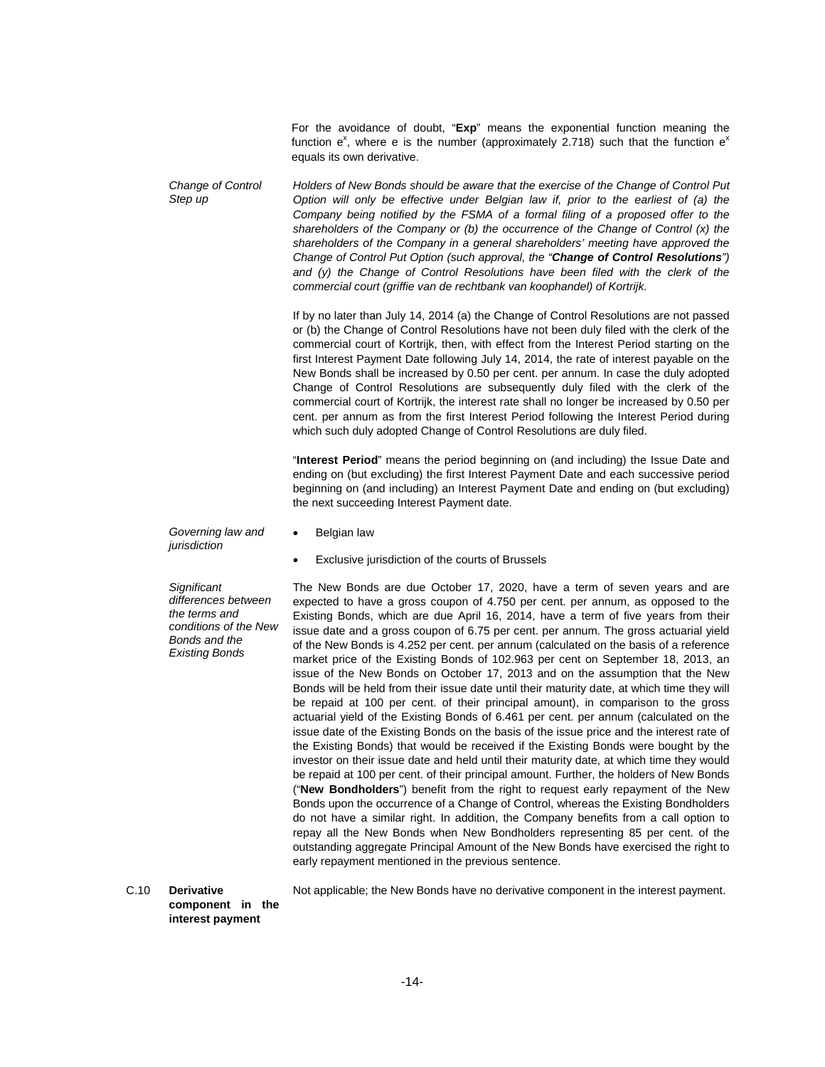For the avoidance of doubt, "**Exp**" means the exponential function meaning the function  $e^x$ , where e is the number (approximately 2.718) such that the function  $e^x$ equals its own derivative.

*Change of Control Step up Holders of New Bonds should be aware that the exercise of the Change of Control Put Option will only be effective under Belgian law if, prior to the earliest of (a) the Company being notified by the FSMA of a formal filing of a proposed offer to the shareholders of the Company or (b) the occurrence of the Change of Control (x) the shareholders of the Company in a general shareholders' meeting have approved the Change of Control Put Option (such approval, the "Change of Control Resolutions")*  and (y) the Change of Control Resolutions have been filed with the clerk of the *commercial court (griffie van de rechtbank van koophandel) of Kortrijk.* 

> If by no later than July 14, 2014 (a) the Change of Control Resolutions are not passed or (b) the Change of Control Resolutions have not been duly filed with the clerk of the commercial court of Kortrijk, then, with effect from the Interest Period starting on the first Interest Payment Date following July 14, 2014, the rate of interest payable on the New Bonds shall be increased by 0.50 per cent. per annum. In case the duly adopted Change of Control Resolutions are subsequently duly filed with the clerk of the commercial court of Kortrijk, the interest rate shall no longer be increased by 0.50 per cent. per annum as from the first Interest Period following the Interest Period during which such duly adopted Change of Control Resolutions are duly filed.

> "**Interest Period**" means the period beginning on (and including) the Issue Date and ending on (but excluding) the first Interest Payment Date and each successive period beginning on (and including) an Interest Payment Date and ending on (but excluding) the next succeeding Interest Payment date.

*Governing law and jurisdiction* 

- Belgian law
- Exclusive jurisdiction of the courts of Brussels

*Significant differences between the terms and conditions of the New Bonds and the Existing Bonds* 

The New Bonds are due October 17, 2020, have a term of seven years and are expected to have a gross coupon of 4.750 per cent. per annum, as opposed to the Existing Bonds, which are due April 16, 2014, have a term of five years from their issue date and a gross coupon of 6.75 per cent. per annum. The gross actuarial yield of the New Bonds is 4.252 per cent. per annum (calculated on the basis of a reference market price of the Existing Bonds of 102.963 per cent on September 18, 2013, an issue of the New Bonds on October 17, 2013 and on the assumption that the New Bonds will be held from their issue date until their maturity date, at which time they will be repaid at 100 per cent. of their principal amount), in comparison to the gross actuarial yield of the Existing Bonds of 6.461 per cent. per annum (calculated on the issue date of the Existing Bonds on the basis of the issue price and the interest rate of the Existing Bonds) that would be received if the Existing Bonds were bought by the investor on their issue date and held until their maturity date, at which time they would be repaid at 100 per cent. of their principal amount. Further, the holders of New Bonds ("**New Bondholders**") benefit from the right to request early repayment of the New Bonds upon the occurrence of a Change of Control, whereas the Existing Bondholders do not have a similar right. In addition, the Company benefits from a call option to repay all the New Bonds when New Bondholders representing 85 per cent. of the outstanding aggregate Principal Amount of the New Bonds have exercised the right to early repayment mentioned in the previous sentence.

C.10 **Derivative component in the**  Not applicable; the New Bonds have no derivative component in the interest payment.

**interest payment**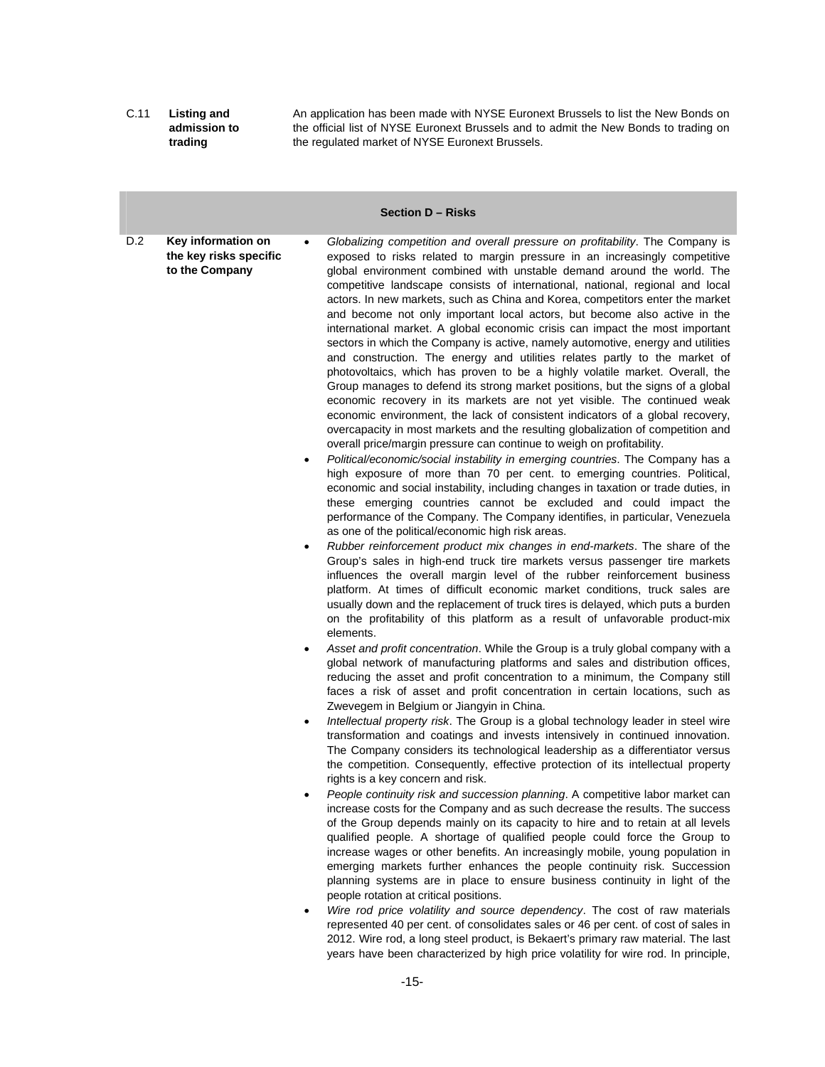C.11 **Listing and admission to trading**  An application has been made with NYSE Euronext Brussels to list the New Bonds on the official list of NYSE Euronext Brussels and to admit the New Bonds to trading on the regulated market of NYSE Euronext Brussels.

#### **Section D – Risks**

- D.2 **Key information on the key risks specific to the Company**  *Globalizing competition and overall pressure on profitability*. The Company is exposed to risks related to margin pressure in an increasingly competitive global environment combined with unstable demand around the world. The competitive landscape consists of international, national, regional and local actors. In new markets, such as China and Korea, competitors enter the market and become not only important local actors, but become also active in the international market. A global economic crisis can impact the most important sectors in which the Company is active, namely automotive, energy and utilities and construction. The energy and utilities relates partly to the market of photovoltaics, which has proven to be a highly volatile market. Overall, the Group manages to defend its strong market positions, but the signs of a global economic recovery in its markets are not yet visible. The continued weak economic environment, the lack of consistent indicators of a global recovery, overcapacity in most markets and the resulting globalization of competition and overall price/margin pressure can continue to weigh on profitability.
	- *Political/economic/social instability in emerging countries*. The Company has a high exposure of more than 70 per cent. to emerging countries. Political, economic and social instability, including changes in taxation or trade duties, in these emerging countries cannot be excluded and could impact the performance of the Company. The Company identifies, in particular, Venezuela as one of the political/economic high risk areas.
	- *Rubber reinforcement product mix changes in end-markets*. The share of the Group's sales in high-end truck tire markets versus passenger tire markets influences the overall margin level of the rubber reinforcement business platform. At times of difficult economic market conditions, truck sales are usually down and the replacement of truck tires is delayed, which puts a burden on the profitability of this platform as a result of unfavorable product-mix elements.
	- *Asset and profit concentration*. While the Group is a truly global company with a global network of manufacturing platforms and sales and distribution offices, reducing the asset and profit concentration to a minimum, the Company still faces a risk of asset and profit concentration in certain locations, such as Zwevegem in Belgium or Jiangyin in China.
	- *Intellectual property risk*. The Group is a global technology leader in steel wire transformation and coatings and invests intensively in continued innovation. The Company considers its technological leadership as a differentiator versus the competition. Consequently, effective protection of its intellectual property rights is a key concern and risk.
	- *People continuity risk and succession planning*. A competitive labor market can increase costs for the Company and as such decrease the results. The success of the Group depends mainly on its capacity to hire and to retain at all levels qualified people. A shortage of qualified people could force the Group to increase wages or other benefits. An increasingly mobile, young population in emerging markets further enhances the people continuity risk. Succession planning systems are in place to ensure business continuity in light of the people rotation at critical positions.
	- *Wire rod price volatility and source dependency*. The cost of raw materials represented 40 per cent. of consolidates sales or 46 per cent. of cost of sales in 2012. Wire rod, a long steel product, is Bekaert's primary raw material. The last years have been characterized by high price volatility for wire rod. In principle,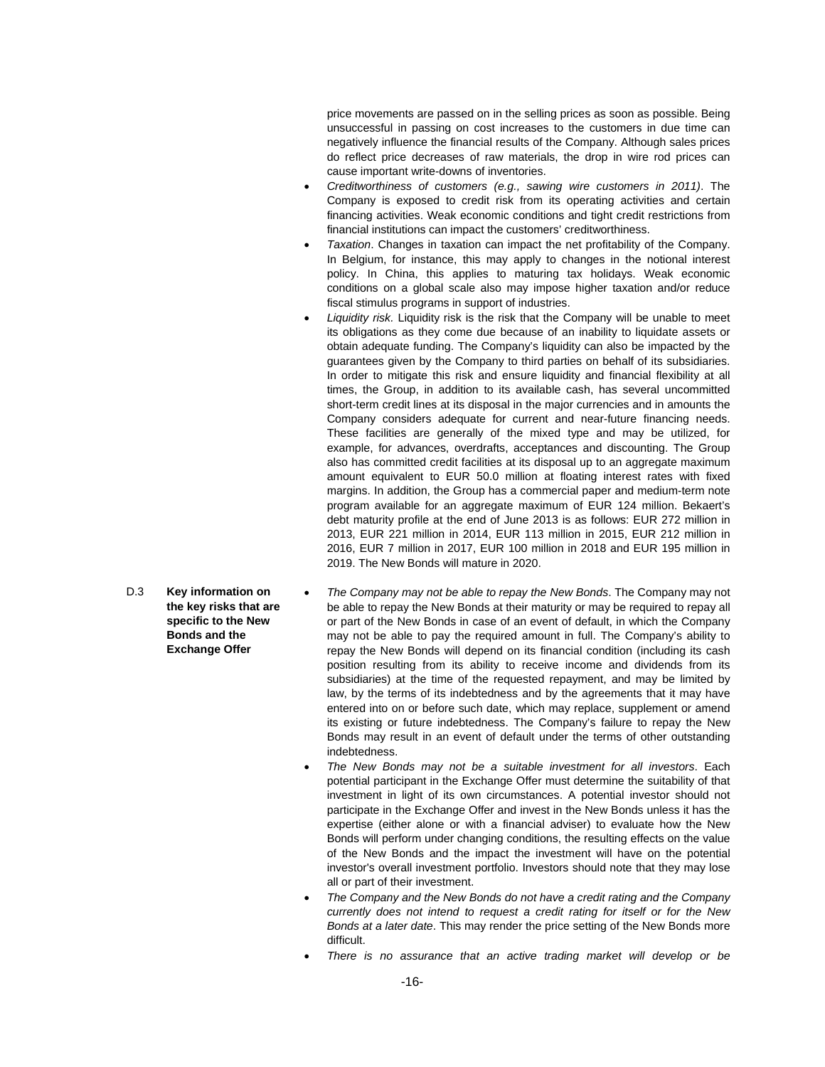price movements are passed on in the selling prices as soon as possible. Being unsuccessful in passing on cost increases to the customers in due time can negatively influence the financial results of the Company. Although sales prices do reflect price decreases of raw materials, the drop in wire rod prices can cause important write-downs of inventories.

- *Creditworthiness of customers (e.g., sawing wire customers in 2011)*. The Company is exposed to credit risk from its operating activities and certain financing activities. Weak economic conditions and tight credit restrictions from financial institutions can impact the customers' creditworthiness.
- *Taxation*. Changes in taxation can impact the net profitability of the Company. In Belgium, for instance, this may apply to changes in the notional interest policy. In China, this applies to maturing tax holidays. Weak economic conditions on a global scale also may impose higher taxation and/or reduce fiscal stimulus programs in support of industries.
- *Liquidity risk.* Liquidity risk is the risk that the Company will be unable to meet its obligations as they come due because of an inability to liquidate assets or obtain adequate funding. The Company's liquidity can also be impacted by the guarantees given by the Company to third parties on behalf of its subsidiaries. In order to mitigate this risk and ensure liquidity and financial flexibility at all times, the Group, in addition to its available cash, has several uncommitted short-term credit lines at its disposal in the major currencies and in amounts the Company considers adequate for current and near-future financing needs. These facilities are generally of the mixed type and may be utilized, for example, for advances, overdrafts, acceptances and discounting. The Group also has committed credit facilities at its disposal up to an aggregate maximum amount equivalent to EUR 50.0 million at floating interest rates with fixed margins. In addition, the Group has a commercial paper and medium-term note program available for an aggregate maximum of EUR 124 million. Bekaert's debt maturity profile at the end of June 2013 is as follows: EUR 272 million in 2013, EUR 221 million in 2014, EUR 113 million in 2015, EUR 212 million in 2016, EUR 7 million in 2017, EUR 100 million in 2018 and EUR 195 million in 2019. The New Bonds will mature in 2020.
- *The Company may not be able to repay the New Bonds*. The Company may not be able to repay the New Bonds at their maturity or may be required to repay all or part of the New Bonds in case of an event of default, in which the Company may not be able to pay the required amount in full. The Company's ability to repay the New Bonds will depend on its financial condition (including its cash position resulting from its ability to receive income and dividends from its subsidiaries) at the time of the requested repayment, and may be limited by law, by the terms of its indebtedness and by the agreements that it may have entered into on or before such date, which may replace, supplement or amend its existing or future indebtedness. The Company's failure to repay the New Bonds may result in an event of default under the terms of other outstanding indebtedness.
	- *The New Bonds may not be a suitable investment for all investors*. Each potential participant in the Exchange Offer must determine the suitability of that investment in light of its own circumstances. A potential investor should not participate in the Exchange Offer and invest in the New Bonds unless it has the expertise (either alone or with a financial adviser) to evaluate how the New Bonds will perform under changing conditions, the resulting effects on the value of the New Bonds and the impact the investment will have on the potential investor's overall investment portfolio. Investors should note that they may lose all or part of their investment.
	- *The Company and the New Bonds do not have a credit rating and the Company currently does not intend to request a credit rating for itself or for the New Bonds at a later date*. This may render the price setting of the New Bonds more difficult.
	- *There is no assurance that an active trading market will develop or be*

D.3 **Key information on the key risks that are specific to the New Bonds and the Exchange Offer**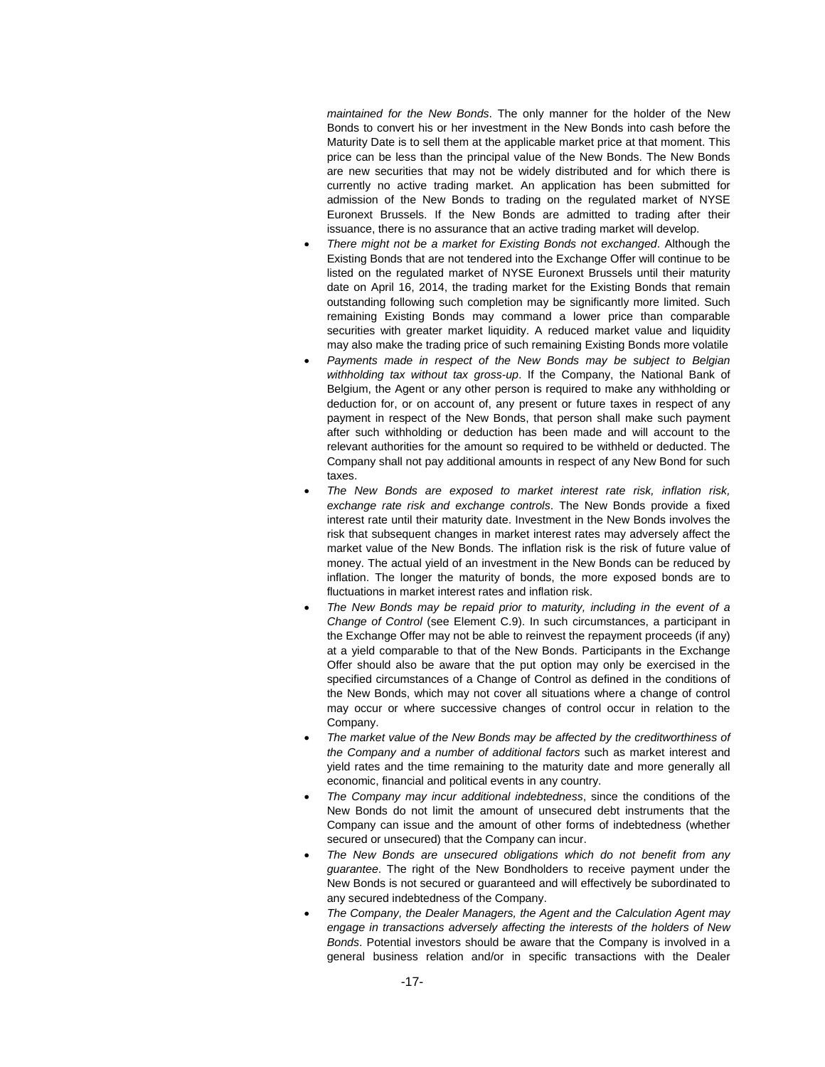*maintained for the New Bonds*. The only manner for the holder of the New Bonds to convert his or her investment in the New Bonds into cash before the Maturity Date is to sell them at the applicable market price at that moment. This price can be less than the principal value of the New Bonds. The New Bonds are new securities that may not be widely distributed and for which there is currently no active trading market. An application has been submitted for admission of the New Bonds to trading on the regulated market of NYSE Euronext Brussels. If the New Bonds are admitted to trading after their issuance, there is no assurance that an active trading market will develop.

- *There might not be a market for Existing Bonds not exchanged*. Although the Existing Bonds that are not tendered into the Exchange Offer will continue to be listed on the regulated market of NYSE Euronext Brussels until their maturity date on April 16, 2014, the trading market for the Existing Bonds that remain outstanding following such completion may be significantly more limited. Such remaining Existing Bonds may command a lower price than comparable securities with greater market liquidity. A reduced market value and liquidity may also make the trading price of such remaining Existing Bonds more volatile
- *Payments made in respect of the New Bonds may be subject to Belgian withholding tax without tax gross-up*. If the Company, the National Bank of Belgium, the Agent or any other person is required to make any withholding or deduction for, or on account of, any present or future taxes in respect of any payment in respect of the New Bonds, that person shall make such payment after such withholding or deduction has been made and will account to the relevant authorities for the amount so required to be withheld or deducted. The Company shall not pay additional amounts in respect of any New Bond for such taxes.
- *The New Bonds are exposed to market interest rate risk, inflation risk, exchange rate risk and exchange controls*. The New Bonds provide a fixed interest rate until their maturity date. Investment in the New Bonds involves the risk that subsequent changes in market interest rates may adversely affect the market value of the New Bonds. The inflation risk is the risk of future value of money. The actual yield of an investment in the New Bonds can be reduced by inflation. The longer the maturity of bonds, the more exposed bonds are to fluctuations in market interest rates and inflation risk.
- *The New Bonds may be repaid prior to maturity, including in the event of a Change of Control* (see Element C.9). In such circumstances, a participant in the Exchange Offer may not be able to reinvest the repayment proceeds (if any) at a yield comparable to that of the New Bonds. Participants in the Exchange Offer should also be aware that the put option may only be exercised in the specified circumstances of a Change of Control as defined in the conditions of the New Bonds, which may not cover all situations where a change of control may occur or where successive changes of control occur in relation to the Company.
- *The market value of the New Bonds may be affected by the creditworthiness of the Company and a number of additional factors* such as market interest and yield rates and the time remaining to the maturity date and more generally all economic, financial and political events in any country.
- *The Company may incur additional indebtedness*, since the conditions of the New Bonds do not limit the amount of unsecured debt instruments that the Company can issue and the amount of other forms of indebtedness (whether secured or unsecured) that the Company can incur.
- *The New Bonds are unsecured obligations which do not benefit from any guarantee*. The right of the New Bondholders to receive payment under the New Bonds is not secured or guaranteed and will effectively be subordinated to any secured indebtedness of the Company.
- *The Company, the Dealer Managers, the Agent and the Calculation Agent may engage in transactions adversely affecting the interests of the holders of New Bonds*. Potential investors should be aware that the Company is involved in a general business relation and/or in specific transactions with the Dealer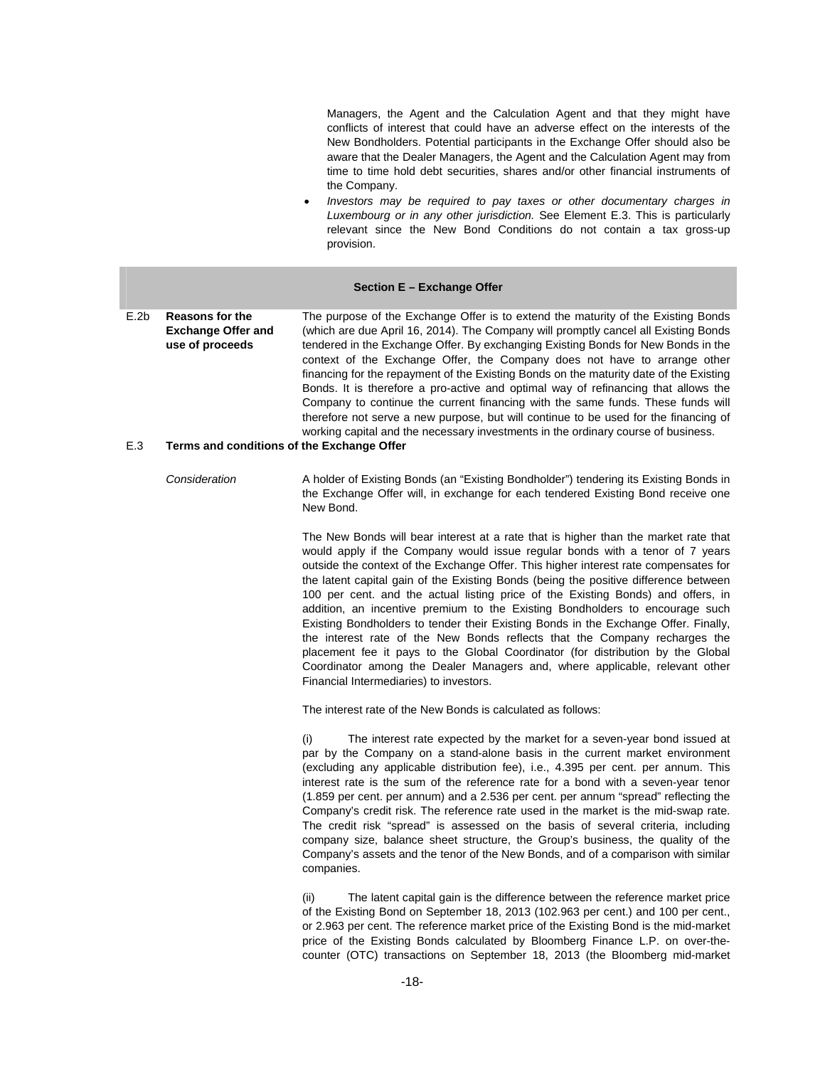Managers, the Agent and the Calculation Agent and that they might have conflicts of interest that could have an adverse effect on the interests of the New Bondholders. Potential participants in the Exchange Offer should also be aware that the Dealer Managers, the Agent and the Calculation Agent may from time to time hold debt securities, shares and/or other financial instruments of the Company.

 *Investors may be required to pay taxes or other documentary charges in Luxembourg or in any other jurisdiction.* See Element E.3. This is particularly relevant since the New Bond Conditions do not contain a tax gross-up provision.

#### **Section E – Exchange Offer**

E.2b **Reasons for the Exchange Offer and use of proceeds**  The purpose of the Exchange Offer is to extend the maturity of the Existing Bonds (which are due April 16, 2014). The Company will promptly cancel all Existing Bonds tendered in the Exchange Offer. By exchanging Existing Bonds for New Bonds in the context of the Exchange Offer, the Company does not have to arrange other financing for the repayment of the Existing Bonds on the maturity date of the Existing Bonds. It is therefore a pro-active and optimal way of refinancing that allows the Company to continue the current financing with the same funds. These funds will therefore not serve a new purpose, but will continue to be used for the financing of working capital and the necessary investments in the ordinary course of business.

#### E.3 **Terms and conditions of the Exchange Offer**

*Consideration* A holder of Existing Bonds (an "Existing Bondholder") tendering its Existing Bonds in the Exchange Offer will, in exchange for each tendered Existing Bond receive one New Bond.

> The New Bonds will bear interest at a rate that is higher than the market rate that would apply if the Company would issue regular bonds with a tenor of 7 years outside the context of the Exchange Offer. This higher interest rate compensates for the latent capital gain of the Existing Bonds (being the positive difference between 100 per cent. and the actual listing price of the Existing Bonds) and offers, in addition, an incentive premium to the Existing Bondholders to encourage such Existing Bondholders to tender their Existing Bonds in the Exchange Offer. Finally, the interest rate of the New Bonds reflects that the Company recharges the placement fee it pays to the Global Coordinator (for distribution by the Global Coordinator among the Dealer Managers and, where applicable, relevant other Financial Intermediaries) to investors.

The interest rate of the New Bonds is calculated as follows:

The interest rate expected by the market for a seven-year bond issued at par by the Company on a stand-alone basis in the current market environment (excluding any applicable distribution fee), i.e., 4.395 per cent. per annum. This interest rate is the sum of the reference rate for a bond with a seven-year tenor (1.859 per cent. per annum) and a 2.536 per cent. per annum "spread" reflecting the Company's credit risk. The reference rate used in the market is the mid-swap rate. The credit risk "spread" is assessed on the basis of several criteria, including company size, balance sheet structure, the Group's business, the quality of the Company's assets and the tenor of the New Bonds, and of a comparison with similar companies.

(ii) The latent capital gain is the difference between the reference market price of the Existing Bond on September 18, 2013 (102.963 per cent.) and 100 per cent., or 2.963 per cent. The reference market price of the Existing Bond is the mid-market price of the Existing Bonds calculated by Bloomberg Finance L.P. on over-thecounter (OTC) transactions on September 18, 2013 (the Bloomberg mid-market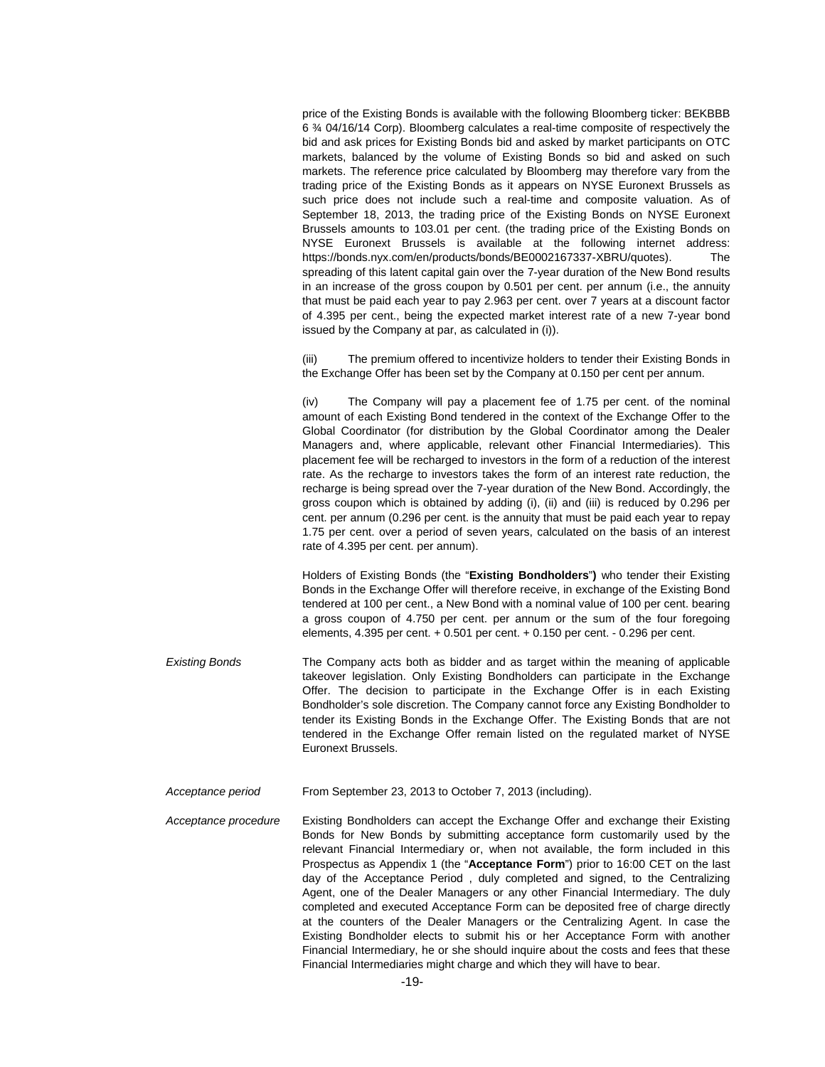price of the Existing Bonds is available with the following Bloomberg ticker: BEKBBB 6 ¾ 04/16/14 Corp). Bloomberg calculates a real-time composite of respectively the bid and ask prices for Existing Bonds bid and asked by market participants on OTC markets, balanced by the volume of Existing Bonds so bid and asked on such markets. The reference price calculated by Bloomberg may therefore vary from the trading price of the Existing Bonds as it appears on NYSE Euronext Brussels as such price does not include such a real-time and composite valuation. As of September 18, 2013, the trading price of the Existing Bonds on NYSE Euronext Brussels amounts to 103.01 per cent. (the trading price of the Existing Bonds on NYSE Euronext Brussels is available at the following internet address: https://bonds.nyx.com/en/products/bonds/BE0002167337-XBRU/quotes). The spreading of this latent capital gain over the 7-year duration of the New Bond results in an increase of the gross coupon by 0.501 per cent. per annum (i.e., the annuity that must be paid each year to pay 2.963 per cent. over 7 years at a discount factor of 4.395 per cent., being the expected market interest rate of a new 7-year bond issued by the Company at par, as calculated in (i)).

(iii) The premium offered to incentivize holders to tender their Existing Bonds in the Exchange Offer has been set by the Company at 0.150 per cent per annum.

(iv) The Company will pay a placement fee of 1.75 per cent. of the nominal amount of each Existing Bond tendered in the context of the Exchange Offer to the Global Coordinator (for distribution by the Global Coordinator among the Dealer Managers and, where applicable, relevant other Financial Intermediaries). This placement fee will be recharged to investors in the form of a reduction of the interest rate. As the recharge to investors takes the form of an interest rate reduction, the recharge is being spread over the 7-year duration of the New Bond. Accordingly, the gross coupon which is obtained by adding (i), (ii) and (iii) is reduced by 0.296 per cent. per annum (0.296 per cent. is the annuity that must be paid each year to repay 1.75 per cent. over a period of seven years, calculated on the basis of an interest rate of 4.395 per cent. per annum).

Holders of Existing Bonds (the "**Existing Bondholders**"**)** who tender their Existing Bonds in the Exchange Offer will therefore receive, in exchange of the Existing Bond tendered at 100 per cent., a New Bond with a nominal value of 100 per cent. bearing a gross coupon of 4.750 per cent. per annum or the sum of the four foregoing elements, 4.395 per cent. + 0.501 per cent. + 0.150 per cent. - 0.296 per cent.

- *Existing Bonds*  The Company acts both as bidder and as target within the meaning of applicable takeover legislation. Only Existing Bondholders can participate in the Exchange Offer. The decision to participate in the Exchange Offer is in each Existing Bondholder's sole discretion. The Company cannot force any Existing Bondholder to tender its Existing Bonds in the Exchange Offer. The Existing Bonds that are not tendered in the Exchange Offer remain listed on the regulated market of NYSE Euronext Brussels.
- *Acceptance period*  From September 23, 2013 to October 7, 2013 (including).

*Acceptance procedure*  Existing Bondholders can accept the Exchange Offer and exchange their Existing Bonds for New Bonds by submitting acceptance form customarily used by the relevant Financial Intermediary or, when not available, the form included in this Prospectus as Appendix 1 (the "**Acceptance Form**") prior to 16:00 CET on the last day of the Acceptance Period , duly completed and signed, to the Centralizing Agent, one of the Dealer Managers or any other Financial Intermediary. The duly completed and executed Acceptance Form can be deposited free of charge directly at the counters of the Dealer Managers or the Centralizing Agent. In case the Existing Bondholder elects to submit his or her Acceptance Form with another Financial Intermediary, he or she should inquire about the costs and fees that these Financial Intermediaries might charge and which they will have to bear.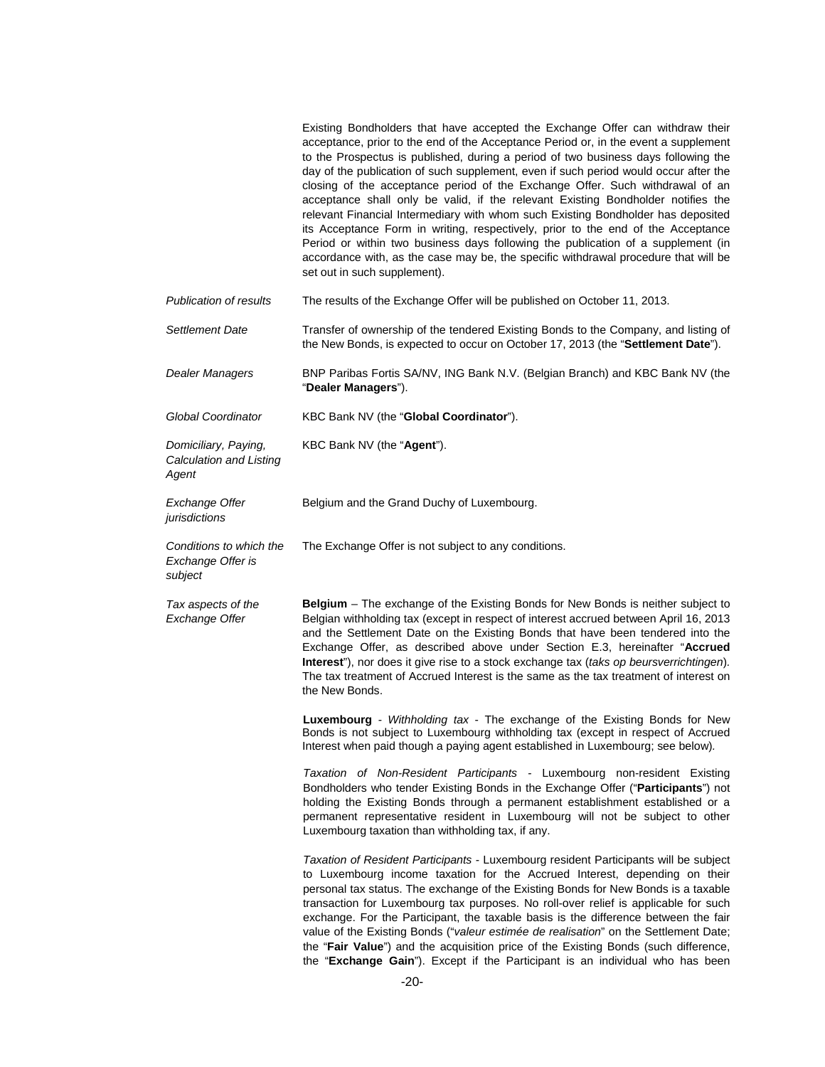|                                                          | Existing Bondholders that have accepted the Exchange Offer can withdraw their<br>acceptance, prior to the end of the Acceptance Period or, in the event a supplement<br>to the Prospectus is published, during a period of two business days following the<br>day of the publication of such supplement, even if such period would occur after the<br>closing of the acceptance period of the Exchange Offer. Such withdrawal of an<br>acceptance shall only be valid, if the relevant Existing Bondholder notifies the<br>relevant Financial Intermediary with whom such Existing Bondholder has deposited<br>its Acceptance Form in writing, respectively, prior to the end of the Acceptance<br>Period or within two business days following the publication of a supplement (in<br>accordance with, as the case may be, the specific withdrawal procedure that will be<br>set out in such supplement). |
|----------------------------------------------------------|------------------------------------------------------------------------------------------------------------------------------------------------------------------------------------------------------------------------------------------------------------------------------------------------------------------------------------------------------------------------------------------------------------------------------------------------------------------------------------------------------------------------------------------------------------------------------------------------------------------------------------------------------------------------------------------------------------------------------------------------------------------------------------------------------------------------------------------------------------------------------------------------------------|
| <b>Publication of results</b>                            | The results of the Exchange Offer will be published on October 11, 2013.                                                                                                                                                                                                                                                                                                                                                                                                                                                                                                                                                                                                                                                                                                                                                                                                                                   |
| Settlement Date                                          | Transfer of ownership of the tendered Existing Bonds to the Company, and listing of<br>the New Bonds, is expected to occur on October 17, 2013 (the "Settlement Date").                                                                                                                                                                                                                                                                                                                                                                                                                                                                                                                                                                                                                                                                                                                                    |
| <b>Dealer Managers</b>                                   | BNP Paribas Fortis SA/NV, ING Bank N.V. (Belgian Branch) and KBC Bank NV (the<br>"Dealer Managers").                                                                                                                                                                                                                                                                                                                                                                                                                                                                                                                                                                                                                                                                                                                                                                                                       |
| <b>Global Coordinator</b>                                | KBC Bank NV (the "Global Coordinator").                                                                                                                                                                                                                                                                                                                                                                                                                                                                                                                                                                                                                                                                                                                                                                                                                                                                    |
| Domiciliary, Paying,<br>Calculation and Listing<br>Agent | KBC Bank NV (the "Agent").                                                                                                                                                                                                                                                                                                                                                                                                                                                                                                                                                                                                                                                                                                                                                                                                                                                                                 |
| <b>Exchange Offer</b><br>jurisdictions                   | Belgium and the Grand Duchy of Luxembourg.                                                                                                                                                                                                                                                                                                                                                                                                                                                                                                                                                                                                                                                                                                                                                                                                                                                                 |
| Conditions to which the<br>Exchange Offer is<br>subject  | The Exchange Offer is not subject to any conditions.                                                                                                                                                                                                                                                                                                                                                                                                                                                                                                                                                                                                                                                                                                                                                                                                                                                       |
| Tax aspects of the<br>Exchange Offer                     | Belgium - The exchange of the Existing Bonds for New Bonds is neither subject to<br>Belgian withholding tax (except in respect of interest accrued between April 16, 2013<br>and the Settlement Date on the Existing Bonds that have been tendered into the<br>Exchange Offer, as described above under Section E.3, hereinafter "Accrued<br>Interest"), nor does it give rise to a stock exchange tax (taks op beursverrichtingen).<br>The tax treatment of Accrued Interest is the same as the tax treatment of interest on<br>the New Bonds.                                                                                                                                                                                                                                                                                                                                                            |
|                                                          | Luxembourg - Withholding tax - The exchange of the Existing Bonds for New<br>Bonds is not subject to Luxembourg withholding tax (except in respect of Accrued<br>Interest when paid though a paying agent established in Luxembourg; see below).                                                                                                                                                                                                                                                                                                                                                                                                                                                                                                                                                                                                                                                           |
|                                                          | Taxation of Non-Resident Participants - Luxembourg non-resident Existing<br>Bondholders who tender Existing Bonds in the Exchange Offer ("Participants") not<br>holding the Existing Bonds through a permanent establishment established or a<br>permanent representative resident in Luxembourg will not be subject to other<br>Luxembourg taxation than withholding tax, if any.                                                                                                                                                                                                                                                                                                                                                                                                                                                                                                                         |
|                                                          | Taxation of Resident Participants - Luxembourg resident Participants will be subject<br>to Luxembourg income taxation for the Accrued Interest, depending on their<br>personal tax status. The exchange of the Existing Bonds for New Bonds is a taxable<br>transaction for Luxembourg tax purposes. No roll-over relief is applicable for such<br>exchange. For the Participant, the taxable basis is the difference between the fair<br>value of the Existing Bonds ("valeur estimée de realisation" on the Settlement Date;<br>the "Fair Value") and the acquisition price of the Existing Bonds (such difference,<br>the "Exchange Gain"). Except if the Participant is an individual who has been                                                                                                                                                                                                     |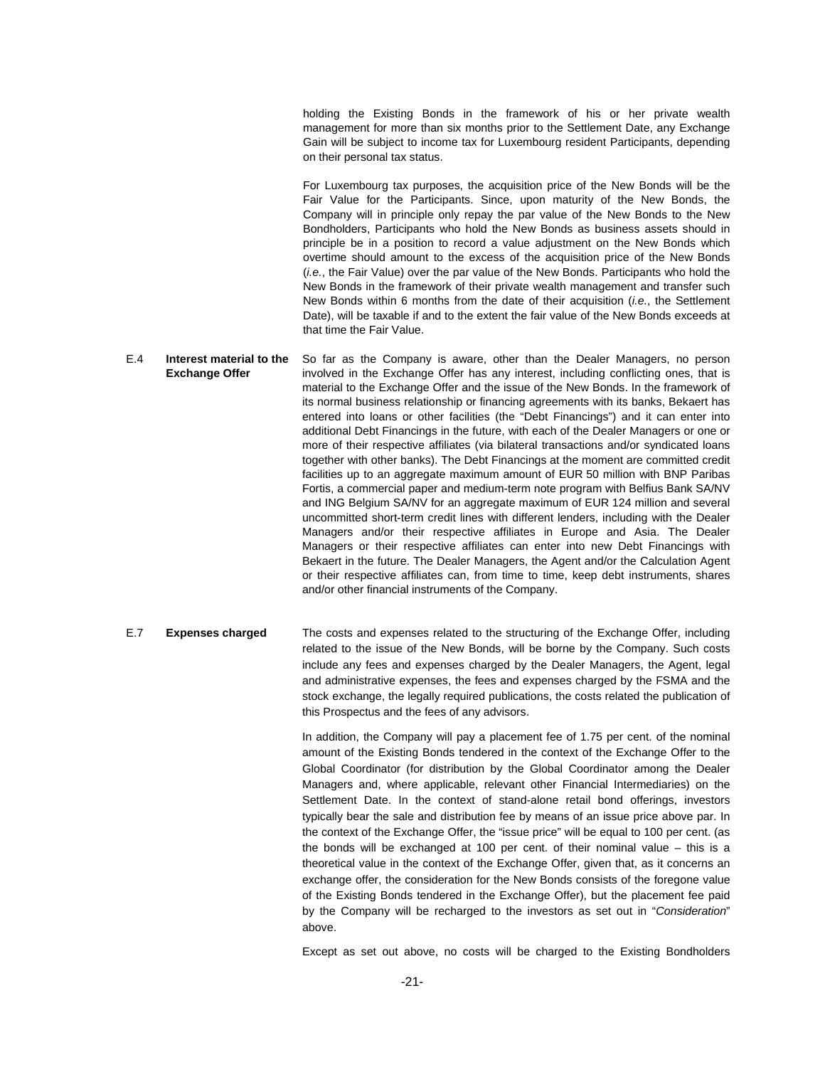holding the Existing Bonds in the framework of his or her private wealth management for more than six months prior to the Settlement Date, any Exchange Gain will be subject to income tax for Luxembourg resident Participants, depending on their personal tax status.

For Luxembourg tax purposes, the acquisition price of the New Bonds will be the Fair Value for the Participants. Since, upon maturity of the New Bonds, the Company will in principle only repay the par value of the New Bonds to the New Bondholders, Participants who hold the New Bonds as business assets should in principle be in a position to record a value adjustment on the New Bonds which overtime should amount to the excess of the acquisition price of the New Bonds (*i.e.*, the Fair Value) over the par value of the New Bonds. Participants who hold the New Bonds in the framework of their private wealth management and transfer such New Bonds within 6 months from the date of their acquisition (*i.e.*, the Settlement Date), will be taxable if and to the extent the fair value of the New Bonds exceeds at that time the Fair Value.

E.4 **Interest material to the Exchange Offer**  So far as the Company is aware, other than the Dealer Managers, no person involved in the Exchange Offer has any interest, including conflicting ones, that is material to the Exchange Offer and the issue of the New Bonds. In the framework of its normal business relationship or financing agreements with its banks, Bekaert has entered into loans or other facilities (the "Debt Financings") and it can enter into additional Debt Financings in the future, with each of the Dealer Managers or one or more of their respective affiliates (via bilateral transactions and/or syndicated loans together with other banks). The Debt Financings at the moment are committed credit facilities up to an aggregate maximum amount of EUR 50 million with BNP Paribas Fortis, a commercial paper and medium-term note program with Belfius Bank SA/NV and ING Belgium SA/NV for an aggregate maximum of EUR 124 million and several uncommitted short-term credit lines with different lenders, including with the Dealer Managers and/or their respective affiliates in Europe and Asia. The Dealer Managers or their respective affiliates can enter into new Debt Financings with Bekaert in the future. The Dealer Managers, the Agent and/or the Calculation Agent or their respective affiliates can, from time to time, keep debt instruments, shares and/or other financial instruments of the Company.

E.7 **Expenses charged** The costs and expenses related to the structuring of the Exchange Offer, including related to the issue of the New Bonds, will be borne by the Company. Such costs include any fees and expenses charged by the Dealer Managers, the Agent, legal and administrative expenses, the fees and expenses charged by the FSMA and the stock exchange, the legally required publications, the costs related the publication of this Prospectus and the fees of any advisors.

> In addition, the Company will pay a placement fee of 1.75 per cent. of the nominal amount of the Existing Bonds tendered in the context of the Exchange Offer to the Global Coordinator (for distribution by the Global Coordinator among the Dealer Managers and, where applicable, relevant other Financial Intermediaries) on the Settlement Date. In the context of stand-alone retail bond offerings, investors typically bear the sale and distribution fee by means of an issue price above par. In the context of the Exchange Offer, the "issue price" will be equal to 100 per cent. (as the bonds will be exchanged at 100 per cent. of their nominal value – this is a theoretical value in the context of the Exchange Offer, given that, as it concerns an exchange offer, the consideration for the New Bonds consists of the foregone value of the Existing Bonds tendered in the Exchange Offer), but the placement fee paid by the Company will be recharged to the investors as set out in "*Consideration*" above.

> Except as set out above, no costs will be charged to the Existing Bondholders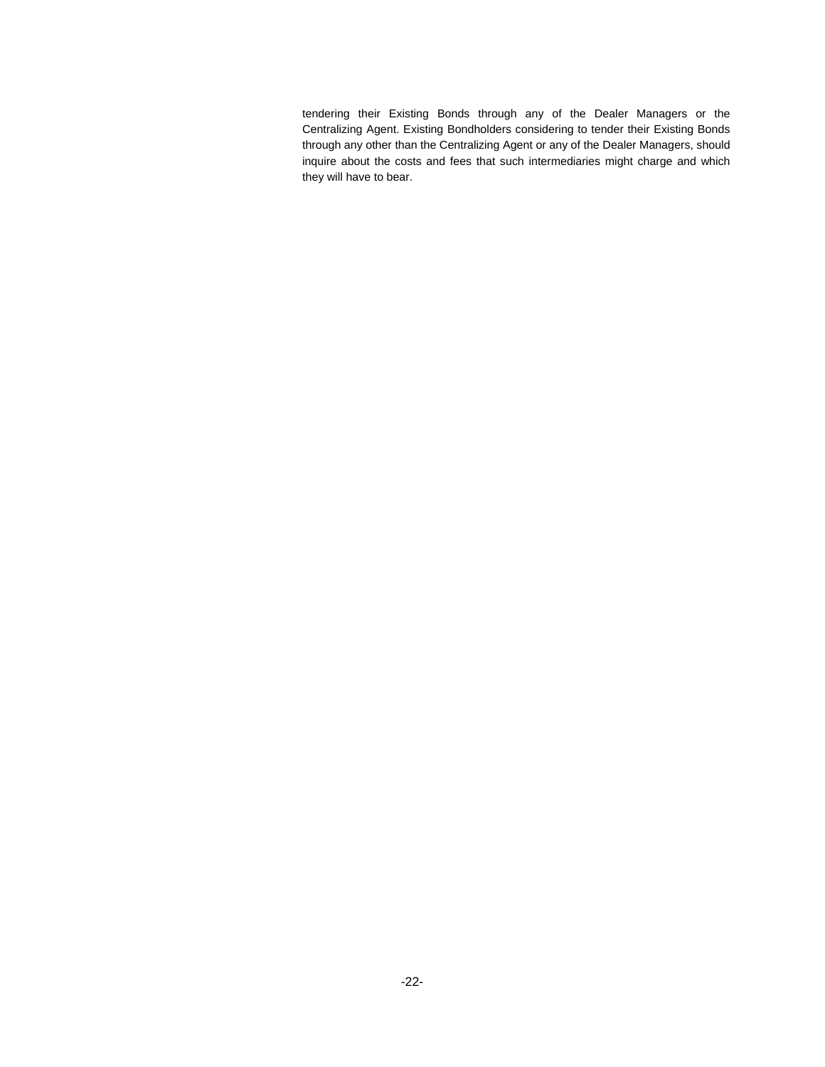tendering their Existing Bonds through any of the Dealer Managers or the Centralizing Agent. Existing Bondholders considering to tender their Existing Bonds through any other than the Centralizing Agent or any of the Dealer Managers, should inquire about the costs and fees that such intermediaries might charge and which they will have to bear.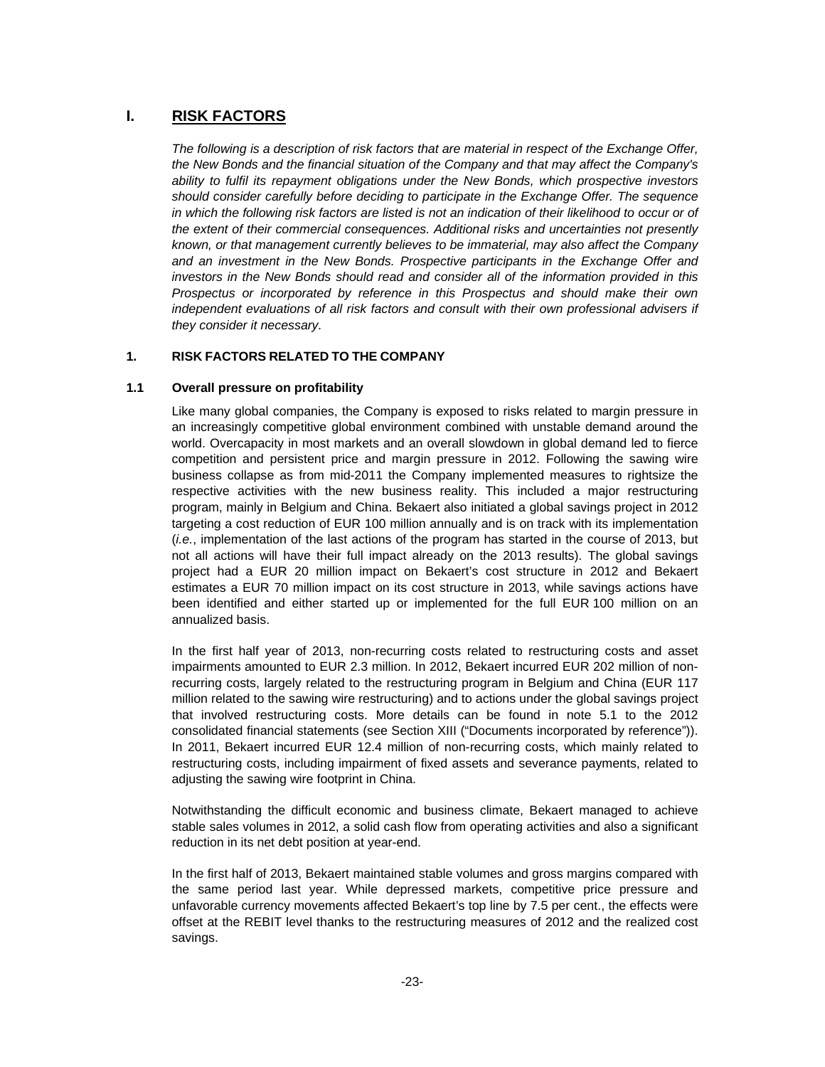# **I. RISK FACTORS**

*The following is a description of risk factors that are material in respect of the Exchange Offer, the New Bonds and the financial situation of the Company and that may affect the Company's ability to fulfil its repayment obligations under the New Bonds, which prospective investors should consider carefully before deciding to participate in the Exchange Offer. The sequence in which the following risk factors are listed is not an indication of their likelihood to occur or of the extent of their commercial consequences. Additional risks and uncertainties not presently known, or that management currently believes to be immaterial, may also affect the Company and an investment in the New Bonds. Prospective participants in the Exchange Offer and investors in the New Bonds should read and consider all of the information provided in this Prospectus or incorporated by reference in this Prospectus and should make their own independent evaluations of all risk factors and consult with their own professional advisers if they consider it necessary.* 

# **1. RISK FACTORS RELATED TO THE COMPANY**

# **1.1 Overall pressure on profitability**

Like many global companies, the Company is exposed to risks related to margin pressure in an increasingly competitive global environment combined with unstable demand around the world. Overcapacity in most markets and an overall slowdown in global demand led to fierce competition and persistent price and margin pressure in 2012. Following the sawing wire business collapse as from mid-2011 the Company implemented measures to rightsize the respective activities with the new business reality. This included a major restructuring program, mainly in Belgium and China. Bekaert also initiated a global savings project in 2012 targeting a cost reduction of EUR 100 million annually and is on track with its implementation (*i.e.*, implementation of the last actions of the program has started in the course of 2013, but not all actions will have their full impact already on the 2013 results). The global savings project had a EUR 20 million impact on Bekaert's cost structure in 2012 and Bekaert estimates a EUR 70 million impact on its cost structure in 2013, while savings actions have been identified and either started up or implemented for the full EUR 100 million on an annualized basis.

In the first half year of 2013, non-recurring costs related to restructuring costs and asset impairments amounted to EUR 2.3 million. In 2012, Bekaert incurred EUR 202 million of nonrecurring costs, largely related to the restructuring program in Belgium and China (EUR 117 million related to the sawing wire restructuring) and to actions under the global savings project that involved restructuring costs. More details can be found in note 5.1 to the 2012 consolidated financial statements (see Section XIII ("Documents incorporated by reference")). In 2011, Bekaert incurred EUR 12.4 million of non-recurring costs, which mainly related to restructuring costs, including impairment of fixed assets and severance payments, related to adjusting the sawing wire footprint in China.

Notwithstanding the difficult economic and business climate, Bekaert managed to achieve stable sales volumes in 2012, a solid cash flow from operating activities and also a significant reduction in its net debt position at year-end.

In the first half of 2013, Bekaert maintained stable volumes and gross margins compared with the same period last year. While depressed markets, competitive price pressure and unfavorable currency movements affected Bekaert's top line by 7.5 per cent., the effects were offset at the REBIT level thanks to the restructuring measures of 2012 and the realized cost savings.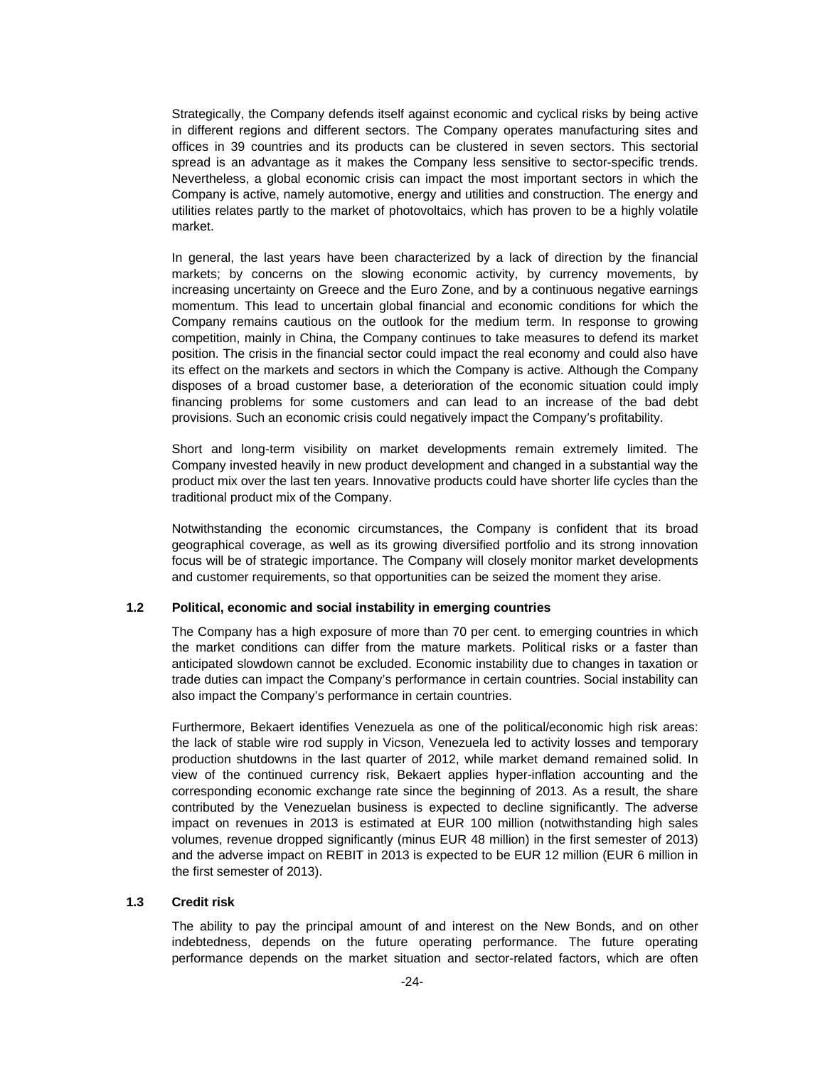Strategically, the Company defends itself against economic and cyclical risks by being active in different regions and different sectors. The Company operates manufacturing sites and offices in 39 countries and its products can be clustered in seven sectors. This sectorial spread is an advantage as it makes the Company less sensitive to sector-specific trends. Nevertheless, a global economic crisis can impact the most important sectors in which the Company is active, namely automotive, energy and utilities and construction. The energy and utilities relates partly to the market of photovoltaics, which has proven to be a highly volatile market.

In general, the last years have been characterized by a lack of direction by the financial markets; by concerns on the slowing economic activity, by currency movements, by increasing uncertainty on Greece and the Euro Zone, and by a continuous negative earnings momentum. This lead to uncertain global financial and economic conditions for which the Company remains cautious on the outlook for the medium term. In response to growing competition, mainly in China, the Company continues to take measures to defend its market position. The crisis in the financial sector could impact the real economy and could also have its effect on the markets and sectors in which the Company is active. Although the Company disposes of a broad customer base, a deterioration of the economic situation could imply financing problems for some customers and can lead to an increase of the bad debt provisions. Such an economic crisis could negatively impact the Company's profitability.

Short and long-term visibility on market developments remain extremely limited. The Company invested heavily in new product development and changed in a substantial way the product mix over the last ten years. Innovative products could have shorter life cycles than the traditional product mix of the Company.

Notwithstanding the economic circumstances, the Company is confident that its broad geographical coverage, as well as its growing diversified portfolio and its strong innovation focus will be of strategic importance. The Company will closely monitor market developments and customer requirements, so that opportunities can be seized the moment they arise.

# **1.2 Political, economic and social instability in emerging countries**

The Company has a high exposure of more than 70 per cent. to emerging countries in which the market conditions can differ from the mature markets. Political risks or a faster than anticipated slowdown cannot be excluded. Economic instability due to changes in taxation or trade duties can impact the Company's performance in certain countries. Social instability can also impact the Company's performance in certain countries.

Furthermore, Bekaert identifies Venezuela as one of the political/economic high risk areas: the lack of stable wire rod supply in Vicson, Venezuela led to activity losses and temporary production shutdowns in the last quarter of 2012, while market demand remained solid. In view of the continued currency risk, Bekaert applies hyper-inflation accounting and the corresponding economic exchange rate since the beginning of 2013. As a result, the share contributed by the Venezuelan business is expected to decline significantly. The adverse impact on revenues in 2013 is estimated at EUR 100 million (notwithstanding high sales volumes, revenue dropped significantly (minus EUR 48 million) in the first semester of 2013) and the adverse impact on REBIT in 2013 is expected to be EUR 12 million (EUR 6 million in the first semester of 2013).

# **1.3 Credit risk**

The ability to pay the principal amount of and interest on the New Bonds, and on other indebtedness, depends on the future operating performance. The future operating performance depends on the market situation and sector-related factors, which are often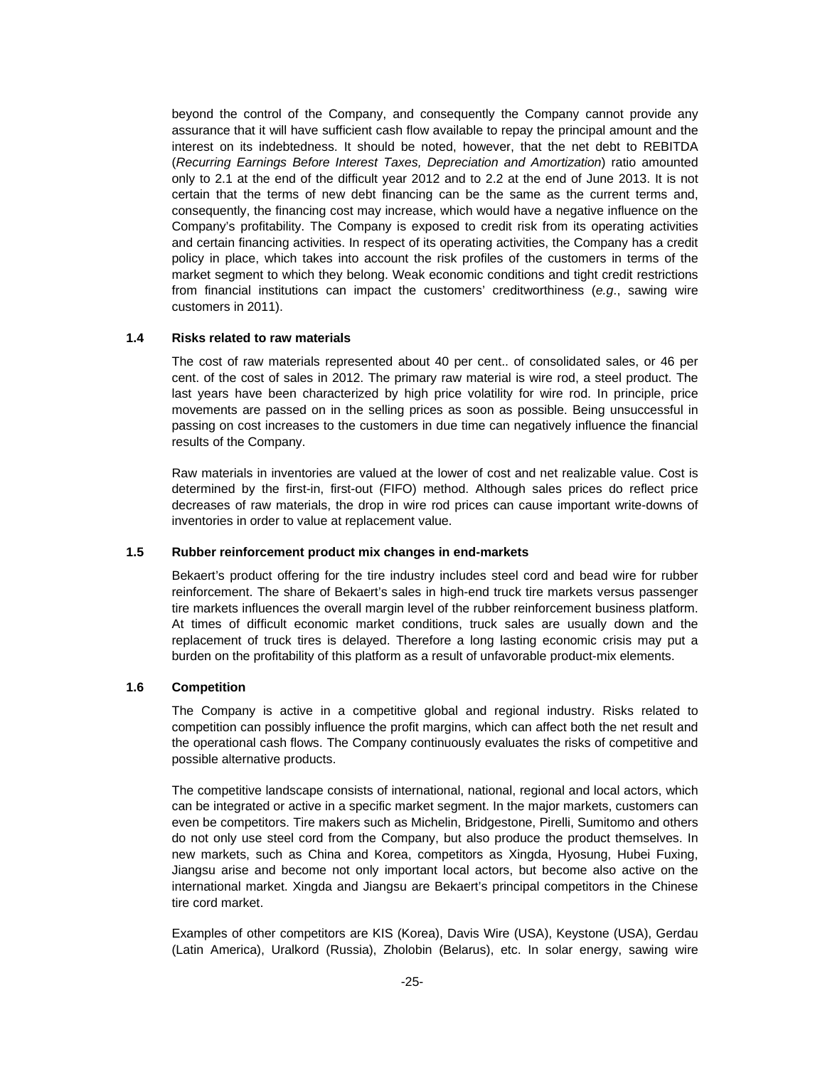beyond the control of the Company, and consequently the Company cannot provide any assurance that it will have sufficient cash flow available to repay the principal amount and the interest on its indebtedness. It should be noted, however, that the net debt to REBITDA (*Recurring Earnings Before Interest Taxes, Depreciation and Amortization*) ratio amounted only to 2.1 at the end of the difficult year 2012 and to 2.2 at the end of June 2013. It is not certain that the terms of new debt financing can be the same as the current terms and, consequently, the financing cost may increase, which would have a negative influence on the Company's profitability. The Company is exposed to credit risk from its operating activities and certain financing activities. In respect of its operating activities, the Company has a credit policy in place, which takes into account the risk profiles of the customers in terms of the market segment to which they belong. Weak economic conditions and tight credit restrictions from financial institutions can impact the customers' creditworthiness (*e.g*., sawing wire customers in 2011).

#### **1.4 Risks related to raw materials**

The cost of raw materials represented about 40 per cent.. of consolidated sales, or 46 per cent. of the cost of sales in 2012. The primary raw material is wire rod, a steel product. The last years have been characterized by high price volatility for wire rod. In principle, price movements are passed on in the selling prices as soon as possible. Being unsuccessful in passing on cost increases to the customers in due time can negatively influence the financial results of the Company.

Raw materials in inventories are valued at the lower of cost and net realizable value. Cost is determined by the first-in, first-out (FIFO) method. Although sales prices do reflect price decreases of raw materials, the drop in wire rod prices can cause important write-downs of inventories in order to value at replacement value.

#### **1.5 Rubber reinforcement product mix changes in end-markets**

Bekaert's product offering for the tire industry includes steel cord and bead wire for rubber reinforcement. The share of Bekaert's sales in high-end truck tire markets versus passenger tire markets influences the overall margin level of the rubber reinforcement business platform. At times of difficult economic market conditions, truck sales are usually down and the replacement of truck tires is delayed. Therefore a long lasting economic crisis may put a burden on the profitability of this platform as a result of unfavorable product-mix elements.

# **1.6 Competition**

The Company is active in a competitive global and regional industry. Risks related to competition can possibly influence the profit margins, which can affect both the net result and the operational cash flows. The Company continuously evaluates the risks of competitive and possible alternative products.

The competitive landscape consists of international, national, regional and local actors, which can be integrated or active in a specific market segment. In the major markets, customers can even be competitors. Tire makers such as Michelin, Bridgestone, Pirelli, Sumitomo and others do not only use steel cord from the Company, but also produce the product themselves. In new markets, such as China and Korea, competitors as Xingda, Hyosung, Hubei Fuxing, Jiangsu arise and become not only important local actors, but become also active on the international market. Xingda and Jiangsu are Bekaert's principal competitors in the Chinese tire cord market.

Examples of other competitors are KIS (Korea), Davis Wire (USA), Keystone (USA), Gerdau (Latin America), Uralkord (Russia), Zholobin (Belarus), etc. In solar energy, sawing wire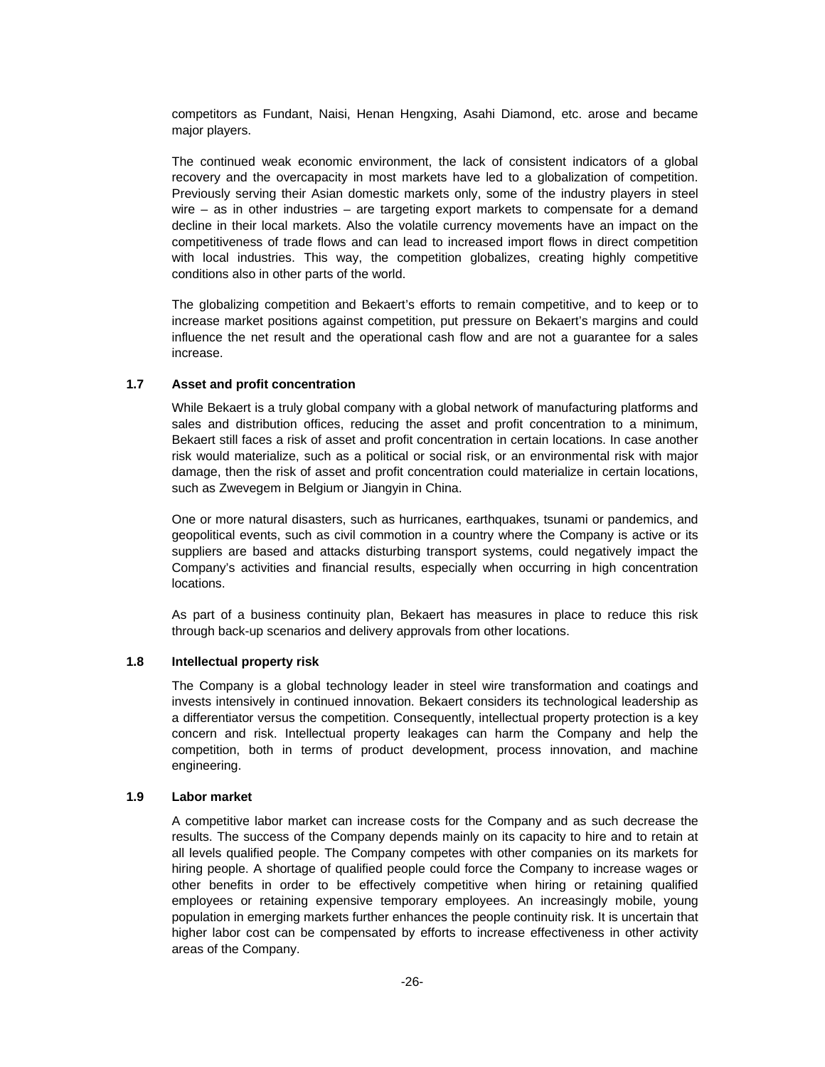competitors as Fundant, Naisi, Henan Hengxing, Asahi Diamond, etc. arose and became major players.

The continued weak economic environment, the lack of consistent indicators of a global recovery and the overcapacity in most markets have led to a globalization of competition. Previously serving their Asian domestic markets only, some of the industry players in steel wire – as in other industries – are targeting export markets to compensate for a demand decline in their local markets. Also the volatile currency movements have an impact on the competitiveness of trade flows and can lead to increased import flows in direct competition with local industries. This way, the competition globalizes, creating highly competitive conditions also in other parts of the world.

The globalizing competition and Bekaert's efforts to remain competitive, and to keep or to increase market positions against competition, put pressure on Bekaert's margins and could influence the net result and the operational cash flow and are not a guarantee for a sales increase.

# **1.7 Asset and profit concentration**

While Bekaert is a truly global company with a global network of manufacturing platforms and sales and distribution offices, reducing the asset and profit concentration to a minimum, Bekaert still faces a risk of asset and profit concentration in certain locations. In case another risk would materialize, such as a political or social risk, or an environmental risk with major damage, then the risk of asset and profit concentration could materialize in certain locations, such as Zwevegem in Belgium or Jiangyin in China.

One or more natural disasters, such as hurricanes, earthquakes, tsunami or pandemics, and geopolitical events, such as civil commotion in a country where the Company is active or its suppliers are based and attacks disturbing transport systems, could negatively impact the Company's activities and financial results, especially when occurring in high concentration locations.

As part of a business continuity plan, Bekaert has measures in place to reduce this risk through back-up scenarios and delivery approvals from other locations.

## **1.8 Intellectual property risk**

The Company is a global technology leader in steel wire transformation and coatings and invests intensively in continued innovation. Bekaert considers its technological leadership as a differentiator versus the competition. Consequently, intellectual property protection is a key concern and risk. Intellectual property leakages can harm the Company and help the competition, both in terms of product development, process innovation, and machine engineering.

#### **1.9 Labor market**

A competitive labor market can increase costs for the Company and as such decrease the results. The success of the Company depends mainly on its capacity to hire and to retain at all levels qualified people. The Company competes with other companies on its markets for hiring people. A shortage of qualified people could force the Company to increase wages or other benefits in order to be effectively competitive when hiring or retaining qualified employees or retaining expensive temporary employees. An increasingly mobile, young population in emerging markets further enhances the people continuity risk. It is uncertain that higher labor cost can be compensated by efforts to increase effectiveness in other activity areas of the Company.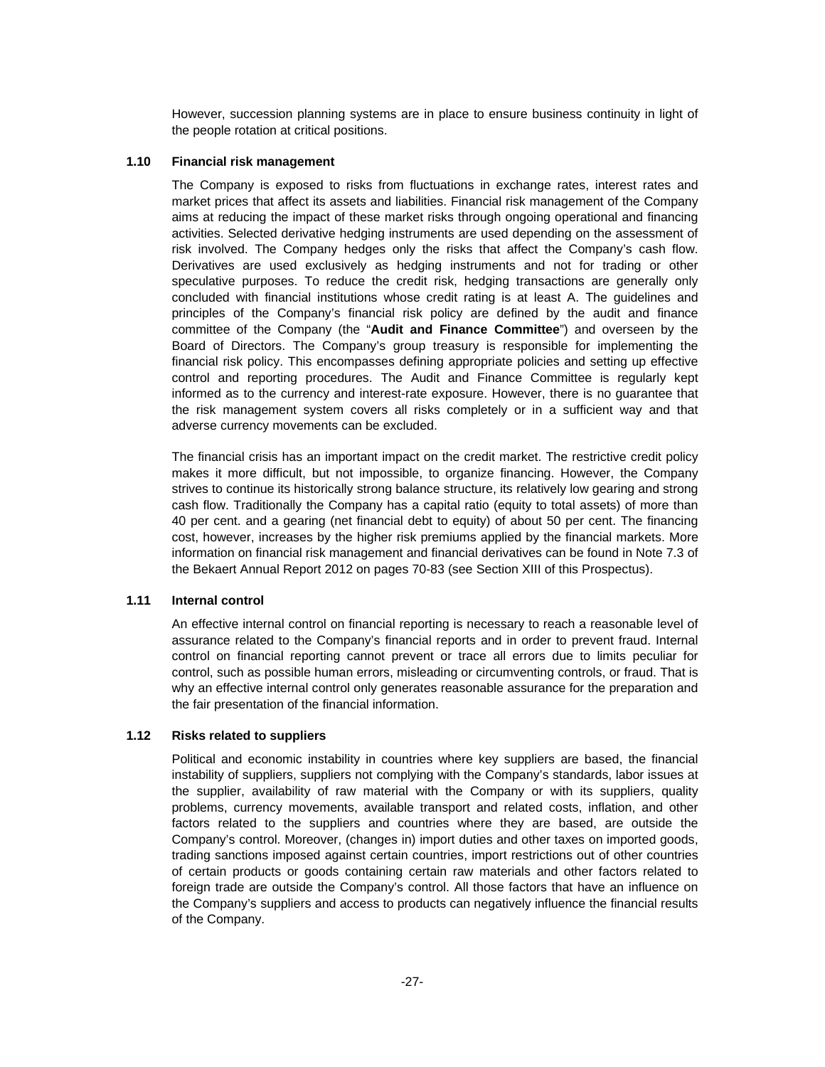However, succession planning systems are in place to ensure business continuity in light of the people rotation at critical positions.

# **1.10 Financial risk management**

The Company is exposed to risks from fluctuations in exchange rates, interest rates and market prices that affect its assets and liabilities. Financial risk management of the Company aims at reducing the impact of these market risks through ongoing operational and financing activities. Selected derivative hedging instruments are used depending on the assessment of risk involved. The Company hedges only the risks that affect the Company's cash flow. Derivatives are used exclusively as hedging instruments and not for trading or other speculative purposes. To reduce the credit risk, hedging transactions are generally only concluded with financial institutions whose credit rating is at least A. The guidelines and principles of the Company's financial risk policy are defined by the audit and finance committee of the Company (the "**Audit and Finance Committee**") and overseen by the Board of Directors. The Company's group treasury is responsible for implementing the financial risk policy. This encompasses defining appropriate policies and setting up effective control and reporting procedures. The Audit and Finance Committee is regularly kept informed as to the currency and interest-rate exposure. However, there is no guarantee that the risk management system covers all risks completely or in a sufficient way and that adverse currency movements can be excluded.

The financial crisis has an important impact on the credit market. The restrictive credit policy makes it more difficult, but not impossible, to organize financing. However, the Company strives to continue its historically strong balance structure, its relatively low gearing and strong cash flow. Traditionally the Company has a capital ratio (equity to total assets) of more than 40 per cent. and a gearing (net financial debt to equity) of about 50 per cent. The financing cost, however, increases by the higher risk premiums applied by the financial markets. More information on financial risk management and financial derivatives can be found in Note 7.3 of the Bekaert Annual Report 2012 on pages 70-83 (see Section XIII of this Prospectus).

### **1.11 Internal control**

An effective internal control on financial reporting is necessary to reach a reasonable level of assurance related to the Company's financial reports and in order to prevent fraud. Internal control on financial reporting cannot prevent or trace all errors due to limits peculiar for control, such as possible human errors, misleading or circumventing controls, or fraud. That is why an effective internal control only generates reasonable assurance for the preparation and the fair presentation of the financial information.

# **1.12 Risks related to suppliers**

Political and economic instability in countries where key suppliers are based, the financial instability of suppliers, suppliers not complying with the Company's standards, labor issues at the supplier, availability of raw material with the Company or with its suppliers, quality problems, currency movements, available transport and related costs, inflation, and other factors related to the suppliers and countries where they are based, are outside the Company's control. Moreover, (changes in) import duties and other taxes on imported goods, trading sanctions imposed against certain countries, import restrictions out of other countries of certain products or goods containing certain raw materials and other factors related to foreign trade are outside the Company's control. All those factors that have an influence on the Company's suppliers and access to products can negatively influence the financial results of the Company.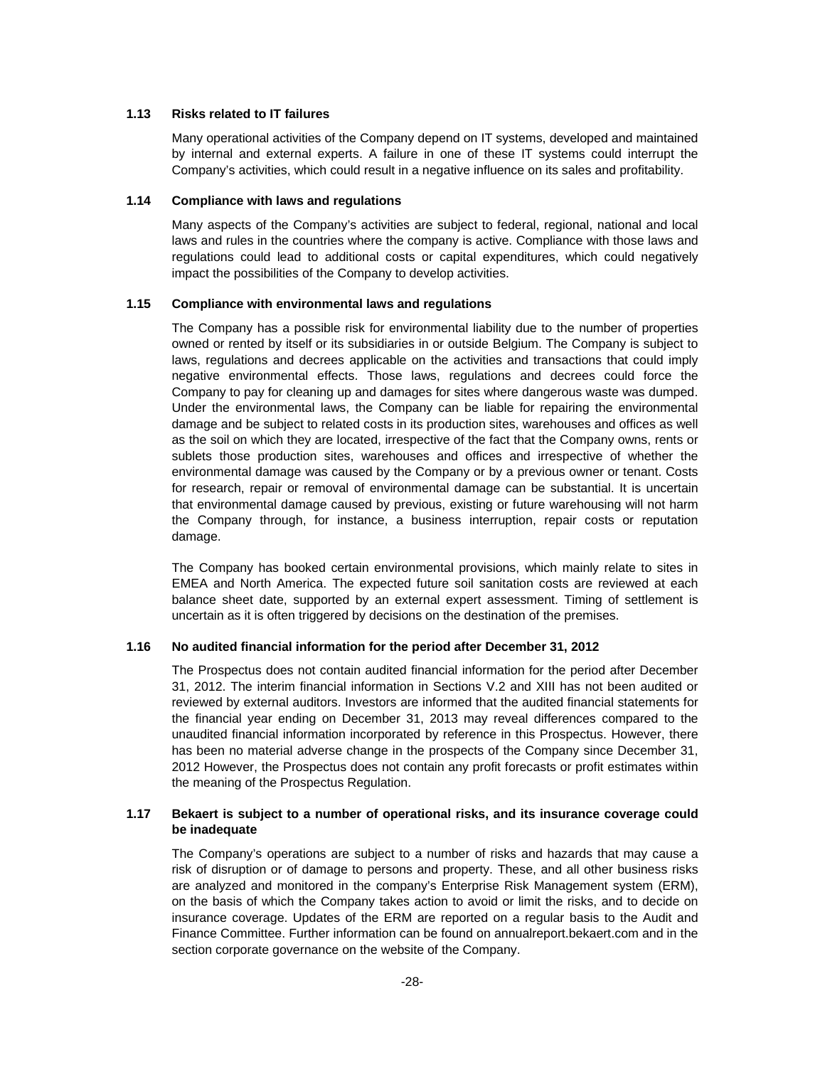### **1.13 Risks related to IT failures**

Many operational activities of the Company depend on IT systems, developed and maintained by internal and external experts. A failure in one of these IT systems could interrupt the Company's activities, which could result in a negative influence on its sales and profitability.

# **1.14 Compliance with laws and regulations**

Many aspects of the Company's activities are subject to federal, regional, national and local laws and rules in the countries where the company is active. Compliance with those laws and regulations could lead to additional costs or capital expenditures, which could negatively impact the possibilities of the Company to develop activities.

## **1.15 Compliance with environmental laws and regulations**

The Company has a possible risk for environmental liability due to the number of properties owned or rented by itself or its subsidiaries in or outside Belgium. The Company is subject to laws, regulations and decrees applicable on the activities and transactions that could imply negative environmental effects. Those laws, regulations and decrees could force the Company to pay for cleaning up and damages for sites where dangerous waste was dumped. Under the environmental laws, the Company can be liable for repairing the environmental damage and be subject to related costs in its production sites, warehouses and offices as well as the soil on which they are located, irrespective of the fact that the Company owns, rents or sublets those production sites, warehouses and offices and irrespective of whether the environmental damage was caused by the Company or by a previous owner or tenant. Costs for research, repair or removal of environmental damage can be substantial. It is uncertain that environmental damage caused by previous, existing or future warehousing will not harm the Company through, for instance, a business interruption, repair costs or reputation damage.

The Company has booked certain environmental provisions, which mainly relate to sites in EMEA and North America. The expected future soil sanitation costs are reviewed at each balance sheet date, supported by an external expert assessment. Timing of settlement is uncertain as it is often triggered by decisions on the destination of the premises.

# **1.16 No audited financial information for the period after December 31, 2012**

The Prospectus does not contain audited financial information for the period after December 31, 2012. The interim financial information in Sections V.2 and XIII has not been audited or reviewed by external auditors. Investors are informed that the audited financial statements for the financial year ending on December 31, 2013 may reveal differences compared to the unaudited financial information incorporated by reference in this Prospectus. However, there has been no material adverse change in the prospects of the Company since December 31, 2012 However, the Prospectus does not contain any profit forecasts or profit estimates within the meaning of the Prospectus Regulation.

# **1.17 Bekaert is subject to a number of operational risks, and its insurance coverage could be inadequate**

The Company's operations are subject to a number of risks and hazards that may cause a risk of disruption or of damage to persons and property. These, and all other business risks are analyzed and monitored in the company's Enterprise Risk Management system (ERM), on the basis of which the Company takes action to avoid or limit the risks, and to decide on insurance coverage. Updates of the ERM are reported on a regular basis to the Audit and Finance Committee. Further information can be found on annualreport.bekaert.com and in the section corporate governance on the website of the Company.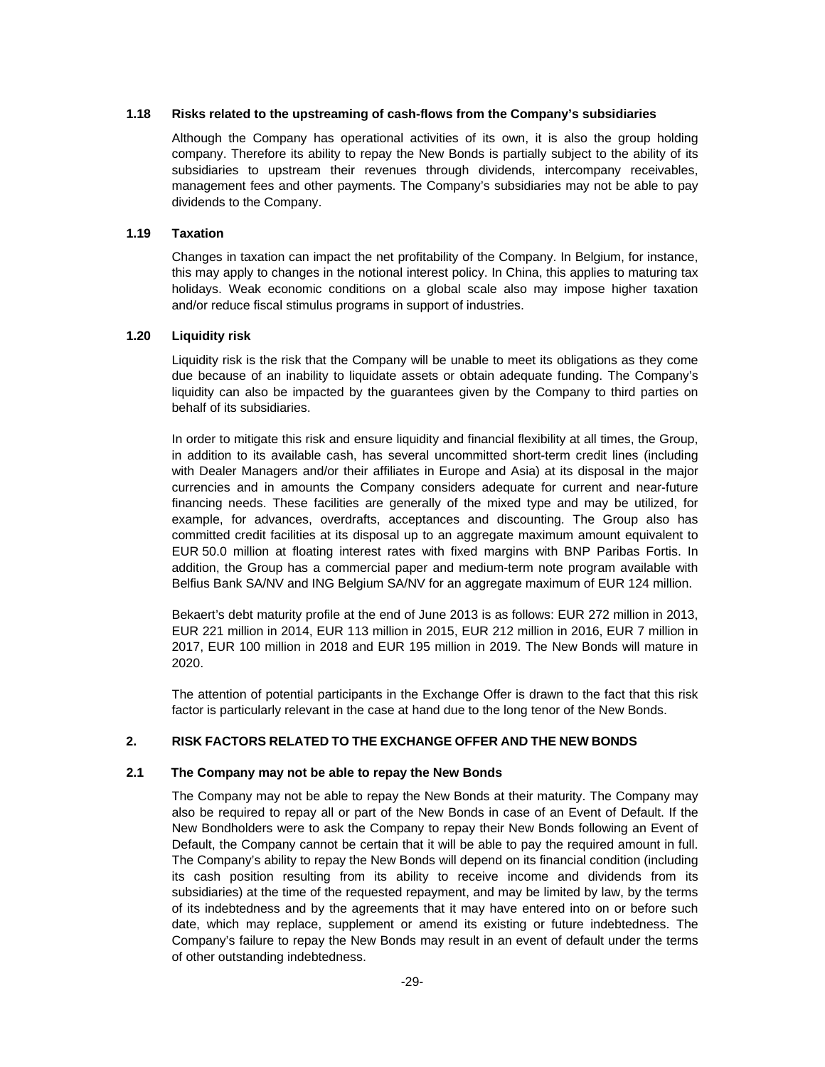#### **1.18 Risks related to the upstreaming of cash-flows from the Company's subsidiaries**

Although the Company has operational activities of its own, it is also the group holding company. Therefore its ability to repay the New Bonds is partially subject to the ability of its subsidiaries to upstream their revenues through dividends, intercompany receivables, management fees and other payments. The Company's subsidiaries may not be able to pay dividends to the Company.

### **1.19 Taxation**

Changes in taxation can impact the net profitability of the Company. In Belgium, for instance, this may apply to changes in the notional interest policy. In China, this applies to maturing tax holidays. Weak economic conditions on a global scale also may impose higher taxation and/or reduce fiscal stimulus programs in support of industries.

### **1.20 Liquidity risk**

Liquidity risk is the risk that the Company will be unable to meet its obligations as they come due because of an inability to liquidate assets or obtain adequate funding. The Company's liquidity can also be impacted by the guarantees given by the Company to third parties on behalf of its subsidiaries.

In order to mitigate this risk and ensure liquidity and financial flexibility at all times, the Group, in addition to its available cash, has several uncommitted short-term credit lines (including with Dealer Managers and/or their affiliates in Europe and Asia) at its disposal in the major currencies and in amounts the Company considers adequate for current and near-future financing needs. These facilities are generally of the mixed type and may be utilized, for example, for advances, overdrafts, acceptances and discounting. The Group also has committed credit facilities at its disposal up to an aggregate maximum amount equivalent to EUR 50.0 million at floating interest rates with fixed margins with BNP Paribas Fortis. In addition, the Group has a commercial paper and medium-term note program available with Belfius Bank SA/NV and ING Belgium SA/NV for an aggregate maximum of EUR 124 million.

Bekaert's debt maturity profile at the end of June 2013 is as follows: EUR 272 million in 2013, EUR 221 million in 2014, EUR 113 million in 2015, EUR 212 million in 2016, EUR 7 million in 2017, EUR 100 million in 2018 and EUR 195 million in 2019. The New Bonds will mature in 2020.

The attention of potential participants in the Exchange Offer is drawn to the fact that this risk factor is particularly relevant in the case at hand due to the long tenor of the New Bonds.

# **2. RISK FACTORS RELATED TO THE EXCHANGE OFFER AND THE NEW BONDS**

### **2.1 The Company may not be able to repay the New Bonds**

The Company may not be able to repay the New Bonds at their maturity. The Company may also be required to repay all or part of the New Bonds in case of an Event of Default. If the New Bondholders were to ask the Company to repay their New Bonds following an Event of Default, the Company cannot be certain that it will be able to pay the required amount in full. The Company's ability to repay the New Bonds will depend on its financial condition (including its cash position resulting from its ability to receive income and dividends from its subsidiaries) at the time of the requested repayment, and may be limited by law, by the terms of its indebtedness and by the agreements that it may have entered into on or before such date, which may replace, supplement or amend its existing or future indebtedness. The Company's failure to repay the New Bonds may result in an event of default under the terms of other outstanding indebtedness.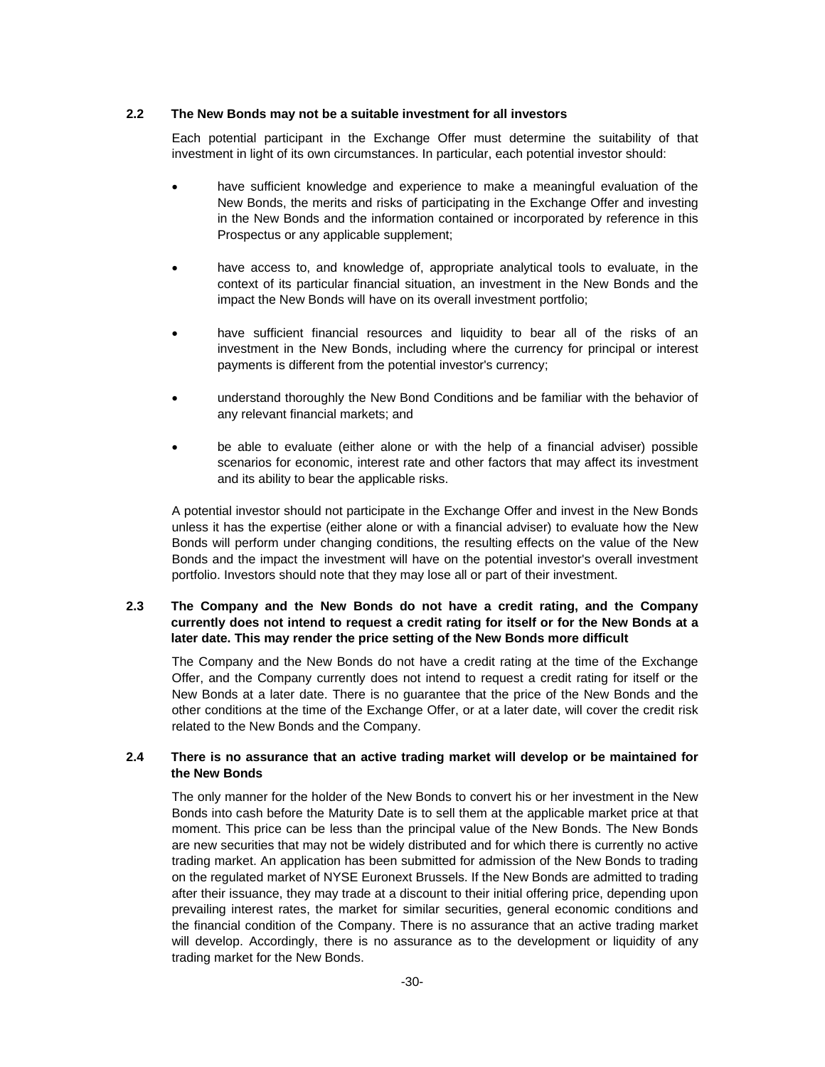### **2.2 The New Bonds may not be a suitable investment for all investors**

Each potential participant in the Exchange Offer must determine the suitability of that investment in light of its own circumstances. In particular, each potential investor should:

- have sufficient knowledge and experience to make a meaningful evaluation of the New Bonds, the merits and risks of participating in the Exchange Offer and investing in the New Bonds and the information contained or incorporated by reference in this Prospectus or any applicable supplement;
- have access to, and knowledge of, appropriate analytical tools to evaluate, in the context of its particular financial situation, an investment in the New Bonds and the impact the New Bonds will have on its overall investment portfolio;
- have sufficient financial resources and liquidity to bear all of the risks of an investment in the New Bonds, including where the currency for principal or interest payments is different from the potential investor's currency;
- understand thoroughly the New Bond Conditions and be familiar with the behavior of any relevant financial markets; and
- be able to evaluate (either alone or with the help of a financial adviser) possible scenarios for economic, interest rate and other factors that may affect its investment and its ability to bear the applicable risks.

A potential investor should not participate in the Exchange Offer and invest in the New Bonds unless it has the expertise (either alone or with a financial adviser) to evaluate how the New Bonds will perform under changing conditions, the resulting effects on the value of the New Bonds and the impact the investment will have on the potential investor's overall investment portfolio. Investors should note that they may lose all or part of their investment.

# **2.3 The Company and the New Bonds do not have a credit rating, and the Company currently does not intend to request a credit rating for itself or for the New Bonds at a later date. This may render the price setting of the New Bonds more difficult**

The Company and the New Bonds do not have a credit rating at the time of the Exchange Offer, and the Company currently does not intend to request a credit rating for itself or the New Bonds at a later date. There is no guarantee that the price of the New Bonds and the other conditions at the time of the Exchange Offer, or at a later date, will cover the credit risk related to the New Bonds and the Company.

### **2.4 There is no assurance that an active trading market will develop or be maintained for the New Bonds**

The only manner for the holder of the New Bonds to convert his or her investment in the New Bonds into cash before the Maturity Date is to sell them at the applicable market price at that moment. This price can be less than the principal value of the New Bonds. The New Bonds are new securities that may not be widely distributed and for which there is currently no active trading market. An application has been submitted for admission of the New Bonds to trading on the regulated market of NYSE Euronext Brussels. If the New Bonds are admitted to trading after their issuance, they may trade at a discount to their initial offering price, depending upon prevailing interest rates, the market for similar securities, general economic conditions and the financial condition of the Company. There is no assurance that an active trading market will develop. Accordingly, there is no assurance as to the development or liquidity of any trading market for the New Bonds.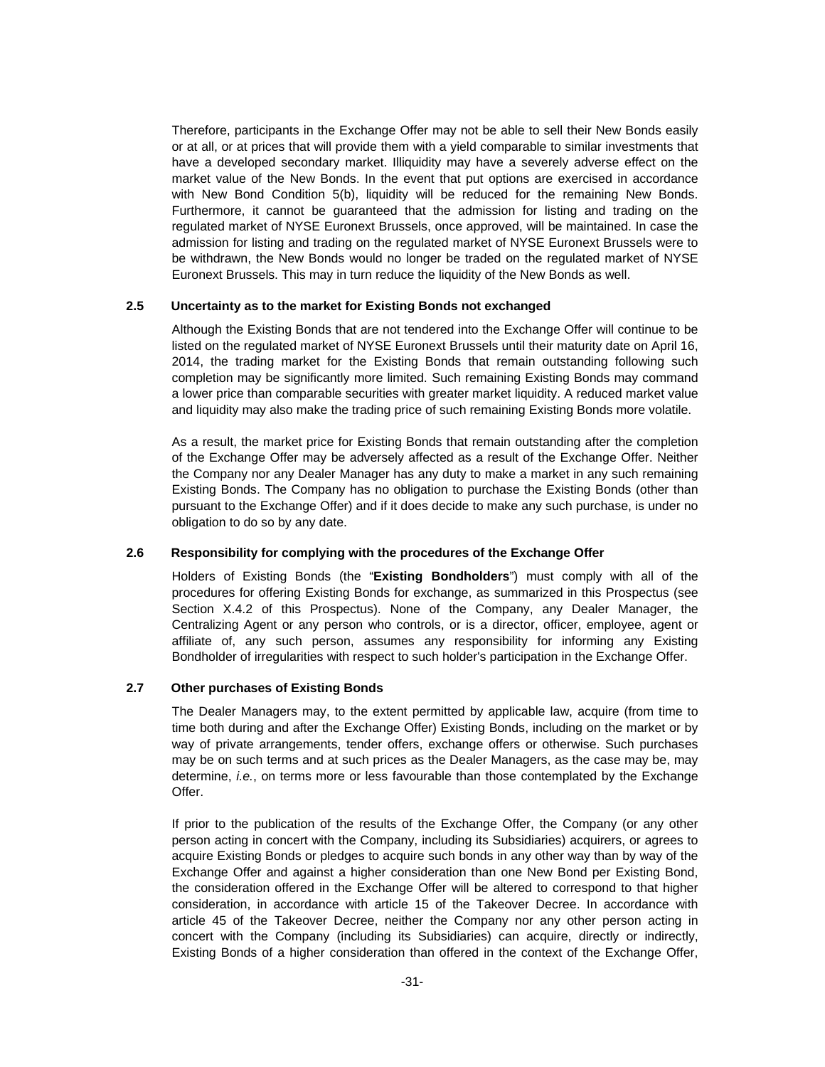Therefore, participants in the Exchange Offer may not be able to sell their New Bonds easily or at all, or at prices that will provide them with a yield comparable to similar investments that have a developed secondary market. Illiquidity may have a severely adverse effect on the market value of the New Bonds. In the event that put options are exercised in accordance with New Bond Condition 5(b), liquidity will be reduced for the remaining New Bonds. Furthermore, it cannot be guaranteed that the admission for listing and trading on the regulated market of NYSE Euronext Brussels, once approved, will be maintained. In case the admission for listing and trading on the regulated market of NYSE Euronext Brussels were to be withdrawn, the New Bonds would no longer be traded on the regulated market of NYSE Euronext Brussels. This may in turn reduce the liquidity of the New Bonds as well.

# **2.5 Uncertainty as to the market for Existing Bonds not exchanged**

Although the Existing Bonds that are not tendered into the Exchange Offer will continue to be listed on the regulated market of NYSE Euronext Brussels until their maturity date on April 16, 2014, the trading market for the Existing Bonds that remain outstanding following such completion may be significantly more limited. Such remaining Existing Bonds may command a lower price than comparable securities with greater market liquidity. A reduced market value and liquidity may also make the trading price of such remaining Existing Bonds more volatile.

As a result, the market price for Existing Bonds that remain outstanding after the completion of the Exchange Offer may be adversely affected as a result of the Exchange Offer. Neither the Company nor any Dealer Manager has any duty to make a market in any such remaining Existing Bonds. The Company has no obligation to purchase the Existing Bonds (other than pursuant to the Exchange Offer) and if it does decide to make any such purchase, is under no obligation to do so by any date.

# **2.6 Responsibility for complying with the procedures of the Exchange Offer**

Holders of Existing Bonds (the "**Existing Bondholders**") must comply with all of the procedures for offering Existing Bonds for exchange, as summarized in this Prospectus (see Section X.4.2 of this Prospectus). None of the Company, any Dealer Manager, the Centralizing Agent or any person who controls, or is a director, officer, employee, agent or affiliate of, any such person, assumes any responsibility for informing any Existing Bondholder of irregularities with respect to such holder's participation in the Exchange Offer.

# **2.7 Other purchases of Existing Bonds**

The Dealer Managers may, to the extent permitted by applicable law, acquire (from time to time both during and after the Exchange Offer) Existing Bonds, including on the market or by way of private arrangements, tender offers, exchange offers or otherwise. Such purchases may be on such terms and at such prices as the Dealer Managers, as the case may be, may determine, *i.e.*, on terms more or less favourable than those contemplated by the Exchange Offer.

If prior to the publication of the results of the Exchange Offer, the Company (or any other person acting in concert with the Company, including its Subsidiaries) acquirers, or agrees to acquire Existing Bonds or pledges to acquire such bonds in any other way than by way of the Exchange Offer and against a higher consideration than one New Bond per Existing Bond, the consideration offered in the Exchange Offer will be altered to correspond to that higher consideration, in accordance with article 15 of the Takeover Decree. In accordance with article 45 of the Takeover Decree, neither the Company nor any other person acting in concert with the Company (including its Subsidiaries) can acquire, directly or indirectly, Existing Bonds of a higher consideration than offered in the context of the Exchange Offer,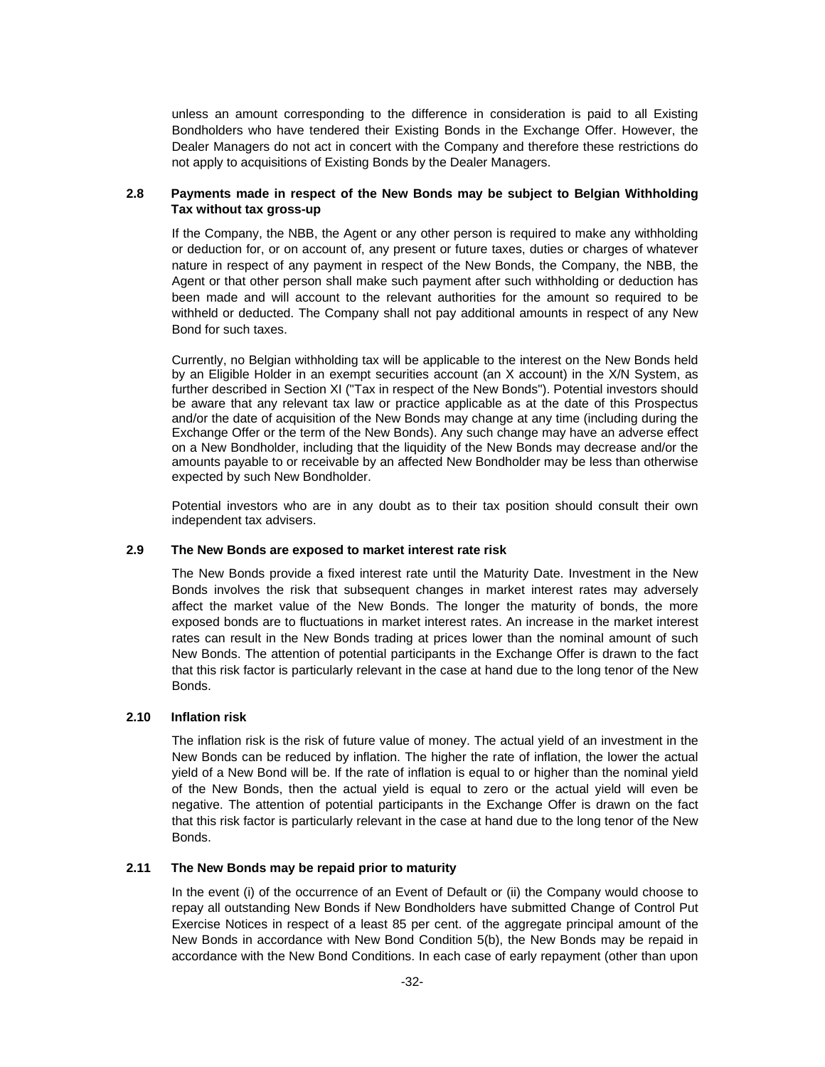unless an amount corresponding to the difference in consideration is paid to all Existing Bondholders who have tendered their Existing Bonds in the Exchange Offer. However, the Dealer Managers do not act in concert with the Company and therefore these restrictions do not apply to acquisitions of Existing Bonds by the Dealer Managers.

# **2.8 Payments made in respect of the New Bonds may be subject to Belgian Withholding Tax without tax gross-up**

If the Company, the NBB, the Agent or any other person is required to make any withholding or deduction for, or on account of, any present or future taxes, duties or charges of whatever nature in respect of any payment in respect of the New Bonds, the Company, the NBB, the Agent or that other person shall make such payment after such withholding or deduction has been made and will account to the relevant authorities for the amount so required to be withheld or deducted. The Company shall not pay additional amounts in respect of any New Bond for such taxes.

Currently, no Belgian withholding tax will be applicable to the interest on the New Bonds held by an Eligible Holder in an exempt securities account (an X account) in the X/N System, as further described in Section XI ("Tax in respect of the New Bonds"). Potential investors should be aware that any relevant tax law or practice applicable as at the date of this Prospectus and/or the date of acquisition of the New Bonds may change at any time (including during the Exchange Offer or the term of the New Bonds). Any such change may have an adverse effect on a New Bondholder, including that the liquidity of the New Bonds may decrease and/or the amounts payable to or receivable by an affected New Bondholder may be less than otherwise expected by such New Bondholder.

Potential investors who are in any doubt as to their tax position should consult their own independent tax advisers.

# **2.9 The New Bonds are exposed to market interest rate risk**

The New Bonds provide a fixed interest rate until the Maturity Date. Investment in the New Bonds involves the risk that subsequent changes in market interest rates may adversely affect the market value of the New Bonds. The longer the maturity of bonds, the more exposed bonds are to fluctuations in market interest rates. An increase in the market interest rates can result in the New Bonds trading at prices lower than the nominal amount of such New Bonds. The attention of potential participants in the Exchange Offer is drawn to the fact that this risk factor is particularly relevant in the case at hand due to the long tenor of the New Bonds.

# **2.10 Inflation risk**

The inflation risk is the risk of future value of money. The actual yield of an investment in the New Bonds can be reduced by inflation. The higher the rate of inflation, the lower the actual yield of a New Bond will be. If the rate of inflation is equal to or higher than the nominal yield of the New Bonds, then the actual yield is equal to zero or the actual yield will even be negative. The attention of potential participants in the Exchange Offer is drawn on the fact that this risk factor is particularly relevant in the case at hand due to the long tenor of the New Bonds.

# **2.11 The New Bonds may be repaid prior to maturity**

In the event (i) of the occurrence of an Event of Default or (ii) the Company would choose to repay all outstanding New Bonds if New Bondholders have submitted Change of Control Put Exercise Notices in respect of a least 85 per cent. of the aggregate principal amount of the New Bonds in accordance with New Bond Condition 5(b), the New Bonds may be repaid in accordance with the New Bond Conditions. In each case of early repayment (other than upon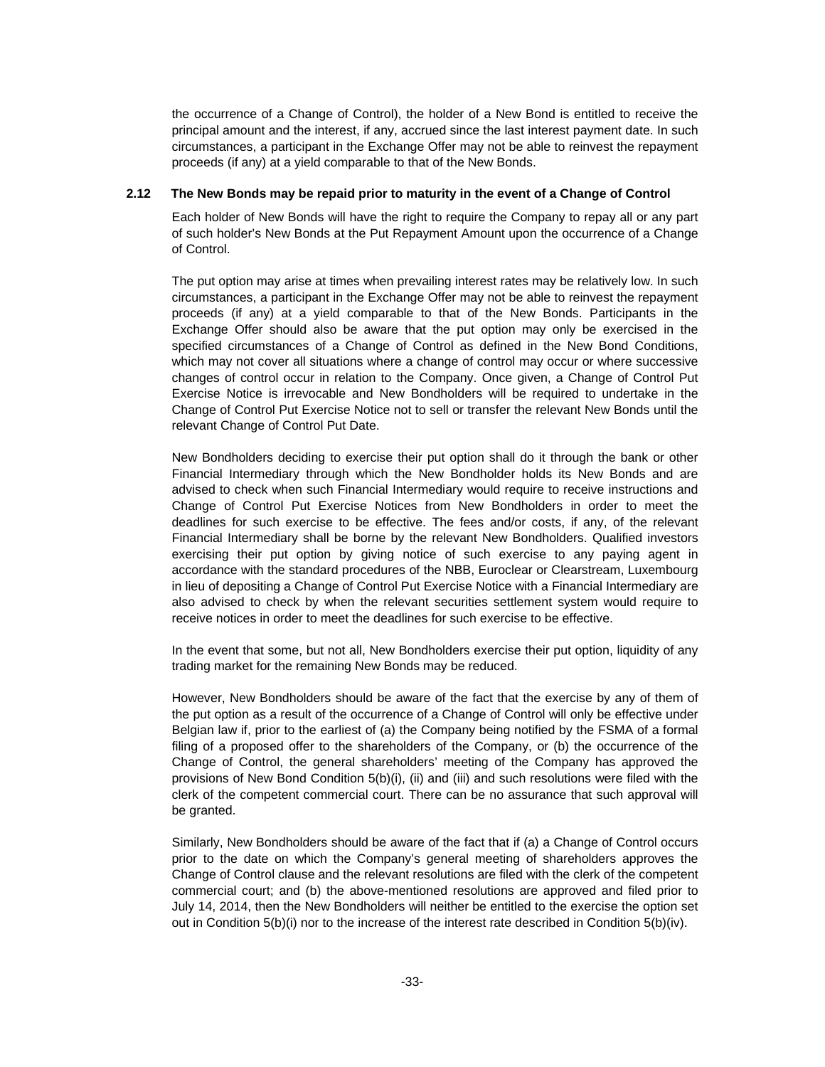the occurrence of a Change of Control), the holder of a New Bond is entitled to receive the principal amount and the interest, if any, accrued since the last interest payment date. In such circumstances, a participant in the Exchange Offer may not be able to reinvest the repayment proceeds (if any) at a yield comparable to that of the New Bonds.

# **2.12 The New Bonds may be repaid prior to maturity in the event of a Change of Control**

Each holder of New Bonds will have the right to require the Company to repay all or any part of such holder's New Bonds at the Put Repayment Amount upon the occurrence of a Change of Control.

The put option may arise at times when prevailing interest rates may be relatively low. In such circumstances, a participant in the Exchange Offer may not be able to reinvest the repayment proceeds (if any) at a yield comparable to that of the New Bonds. Participants in the Exchange Offer should also be aware that the put option may only be exercised in the specified circumstances of a Change of Control as defined in the New Bond Conditions, which may not cover all situations where a change of control may occur or where successive changes of control occur in relation to the Company. Once given, a Change of Control Put Exercise Notice is irrevocable and New Bondholders will be required to undertake in the Change of Control Put Exercise Notice not to sell or transfer the relevant New Bonds until the relevant Change of Control Put Date.

New Bondholders deciding to exercise their put option shall do it through the bank or other Financial Intermediary through which the New Bondholder holds its New Bonds and are advised to check when such Financial Intermediary would require to receive instructions and Change of Control Put Exercise Notices from New Bondholders in order to meet the deadlines for such exercise to be effective. The fees and/or costs, if any, of the relevant Financial Intermediary shall be borne by the relevant New Bondholders. Qualified investors exercising their put option by giving notice of such exercise to any paying agent in accordance with the standard procedures of the NBB, Euroclear or Clearstream, Luxembourg in lieu of depositing a Change of Control Put Exercise Notice with a Financial Intermediary are also advised to check by when the relevant securities settlement system would require to receive notices in order to meet the deadlines for such exercise to be effective.

In the event that some, but not all, New Bondholders exercise their put option, liquidity of any trading market for the remaining New Bonds may be reduced.

However, New Bondholders should be aware of the fact that the exercise by any of them of the put option as a result of the occurrence of a Change of Control will only be effective under Belgian law if, prior to the earliest of (a) the Company being notified by the FSMA of a formal filing of a proposed offer to the shareholders of the Company, or (b) the occurrence of the Change of Control, the general shareholders' meeting of the Company has approved the provisions of New Bond Condition 5(b)(i), (ii) and (iii) and such resolutions were filed with the clerk of the competent commercial court. There can be no assurance that such approval will be granted.

Similarly, New Bondholders should be aware of the fact that if (a) a Change of Control occurs prior to the date on which the Company's general meeting of shareholders approves the Change of Control clause and the relevant resolutions are filed with the clerk of the competent commercial court; and (b) the above-mentioned resolutions are approved and filed prior to July 14, 2014, then the New Bondholders will neither be entitled to the exercise the option set out in Condition 5(b)(i) nor to the increase of the interest rate described in Condition 5(b)(iv).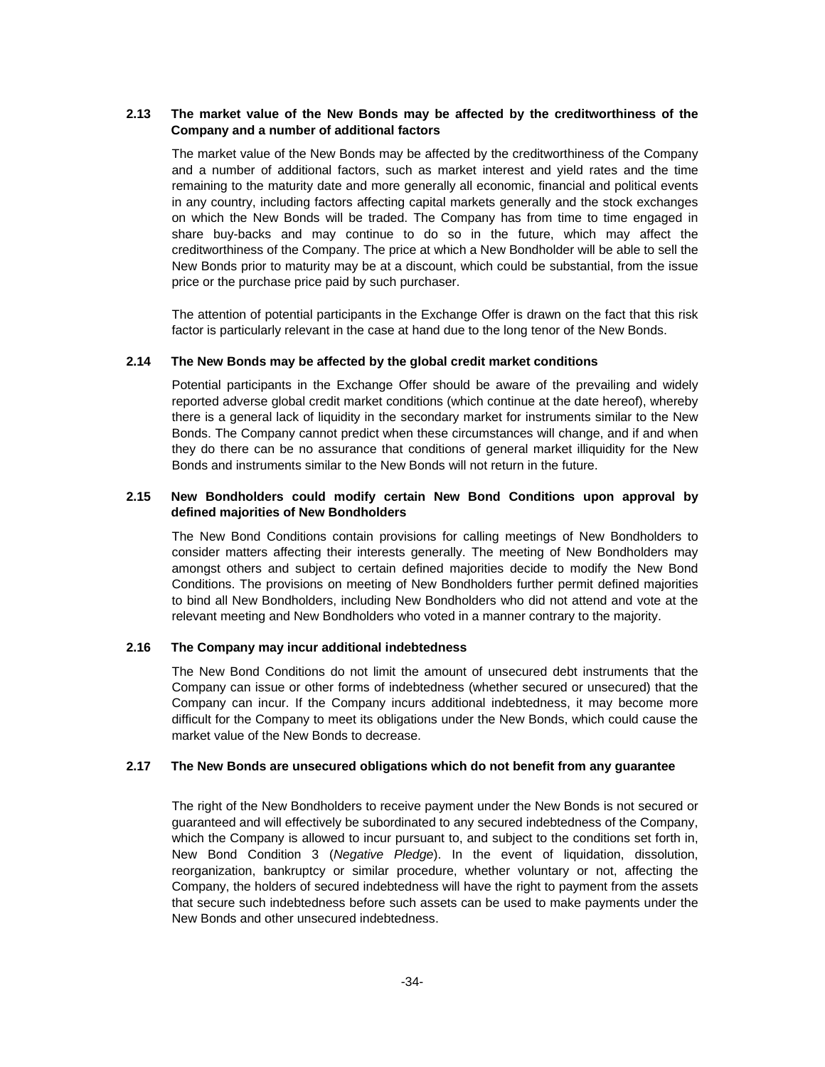# **2.13 The market value of the New Bonds may be affected by the creditworthiness of the Company and a number of additional factors**

The market value of the New Bonds may be affected by the creditworthiness of the Company and a number of additional factors, such as market interest and yield rates and the time remaining to the maturity date and more generally all economic, financial and political events in any country, including factors affecting capital markets generally and the stock exchanges on which the New Bonds will be traded. The Company has from time to time engaged in share buy-backs and may continue to do so in the future, which may affect the creditworthiness of the Company. The price at which a New Bondholder will be able to sell the New Bonds prior to maturity may be at a discount, which could be substantial, from the issue price or the purchase price paid by such purchaser.

The attention of potential participants in the Exchange Offer is drawn on the fact that this risk factor is particularly relevant in the case at hand due to the long tenor of the New Bonds.

# **2.14 The New Bonds may be affected by the global credit market conditions**

Potential participants in the Exchange Offer should be aware of the prevailing and widely reported adverse global credit market conditions (which continue at the date hereof), whereby there is a general lack of liquidity in the secondary market for instruments similar to the New Bonds. The Company cannot predict when these circumstances will change, and if and when they do there can be no assurance that conditions of general market illiquidity for the New Bonds and instruments similar to the New Bonds will not return in the future.

# **2.15 New Bondholders could modify certain New Bond Conditions upon approval by defined majorities of New Bondholders**

The New Bond Conditions contain provisions for calling meetings of New Bondholders to consider matters affecting their interests generally. The meeting of New Bondholders may amongst others and subject to certain defined majorities decide to modify the New Bond Conditions. The provisions on meeting of New Bondholders further permit defined majorities to bind all New Bondholders, including New Bondholders who did not attend and vote at the relevant meeting and New Bondholders who voted in a manner contrary to the majority.

### **2.16 The Company may incur additional indebtedness**

The New Bond Conditions do not limit the amount of unsecured debt instruments that the Company can issue or other forms of indebtedness (whether secured or unsecured) that the Company can incur. If the Company incurs additional indebtedness, it may become more difficult for the Company to meet its obligations under the New Bonds, which could cause the market value of the New Bonds to decrease.

### **2.17 The New Bonds are unsecured obligations which do not benefit from any guarantee**

The right of the New Bondholders to receive payment under the New Bonds is not secured or guaranteed and will effectively be subordinated to any secured indebtedness of the Company, which the Company is allowed to incur pursuant to, and subject to the conditions set forth in, New Bond Condition 3 (*Negative Pledge*). In the event of liquidation, dissolution, reorganization, bankruptcy or similar procedure, whether voluntary or not, affecting the Company, the holders of secured indebtedness will have the right to payment from the assets that secure such indebtedness before such assets can be used to make payments under the New Bonds and other unsecured indebtedness.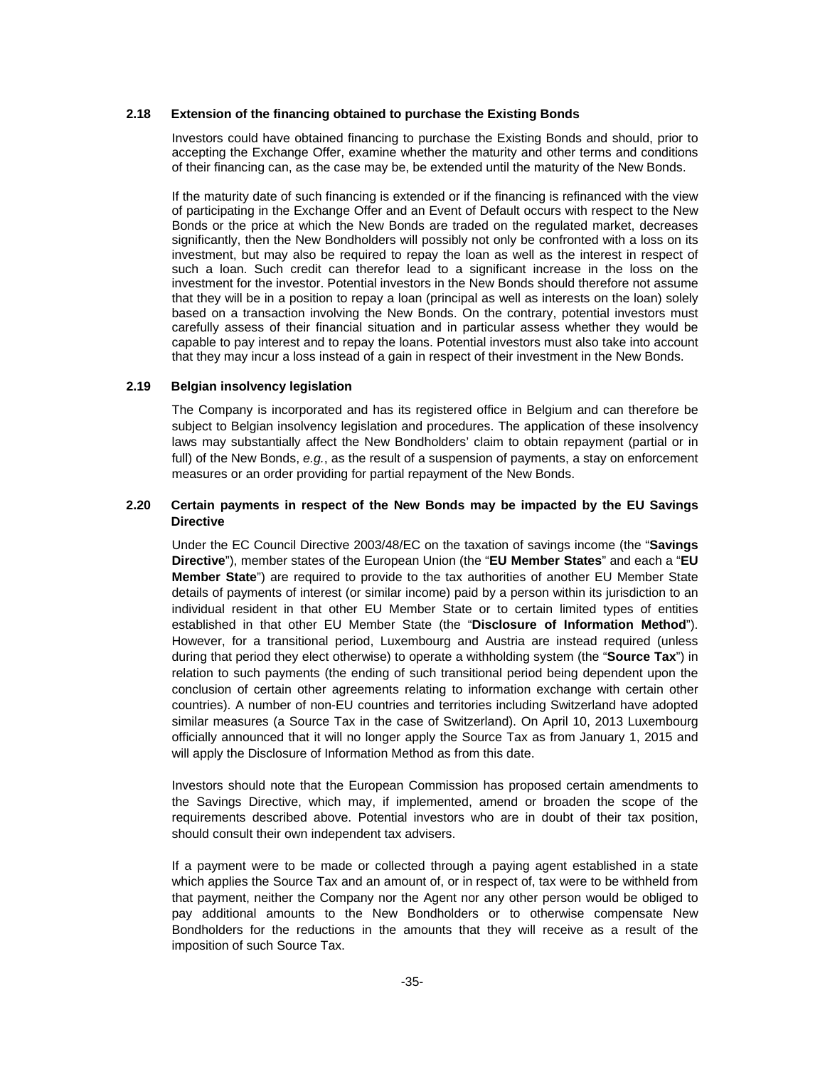#### **2.18 Extension of the financing obtained to purchase the Existing Bonds**

Investors could have obtained financing to purchase the Existing Bonds and should, prior to accepting the Exchange Offer, examine whether the maturity and other terms and conditions of their financing can, as the case may be, be extended until the maturity of the New Bonds.

If the maturity date of such financing is extended or if the financing is refinanced with the view of participating in the Exchange Offer and an Event of Default occurs with respect to the New Bonds or the price at which the New Bonds are traded on the regulated market, decreases significantly, then the New Bondholders will possibly not only be confronted with a loss on its investment, but may also be required to repay the loan as well as the interest in respect of such a loan. Such credit can therefor lead to a significant increase in the loss on the investment for the investor. Potential investors in the New Bonds should therefore not assume that they will be in a position to repay a loan (principal as well as interests on the loan) solely based on a transaction involving the New Bonds. On the contrary, potential investors must carefully assess of their financial situation and in particular assess whether they would be capable to pay interest and to repay the loans. Potential investors must also take into account that they may incur a loss instead of a gain in respect of their investment in the New Bonds.

#### **2.19 Belgian insolvency legislation**

The Company is incorporated and has its registered office in Belgium and can therefore be subject to Belgian insolvency legislation and procedures. The application of these insolvency laws may substantially affect the New Bondholders' claim to obtain repayment (partial or in full) of the New Bonds, *e.g.*, as the result of a suspension of payments, a stay on enforcement measures or an order providing for partial repayment of the New Bonds.

## **2.20 Certain payments in respect of the New Bonds may be impacted by the EU Savings Directive**

Under the EC Council Directive 2003/48/EC on the taxation of savings income (the "**Savings Directive**"), member states of the European Union (the "**EU Member States**" and each a "**EU Member State**") are required to provide to the tax authorities of another EU Member State details of payments of interest (or similar income) paid by a person within its jurisdiction to an individual resident in that other EU Member State or to certain limited types of entities established in that other EU Member State (the "**Disclosure of Information Method**"). However, for a transitional period, Luxembourg and Austria are instead required (unless during that period they elect otherwise) to operate a withholding system (the "**Source Tax**") in relation to such payments (the ending of such transitional period being dependent upon the conclusion of certain other agreements relating to information exchange with certain other countries). A number of non-EU countries and territories including Switzerland have adopted similar measures (a Source Tax in the case of Switzerland). On April 10, 2013 Luxembourg officially announced that it will no longer apply the Source Tax as from January 1, 2015 and will apply the Disclosure of Information Method as from this date.

Investors should note that the European Commission has proposed certain amendments to the Savings Directive, which may, if implemented, amend or broaden the scope of the requirements described above. Potential investors who are in doubt of their tax position, should consult their own independent tax advisers.

If a payment were to be made or collected through a paying agent established in a state which applies the Source Tax and an amount of, or in respect of, tax were to be withheld from that payment, neither the Company nor the Agent nor any other person would be obliged to pay additional amounts to the New Bondholders or to otherwise compensate New Bondholders for the reductions in the amounts that they will receive as a result of the imposition of such Source Tax.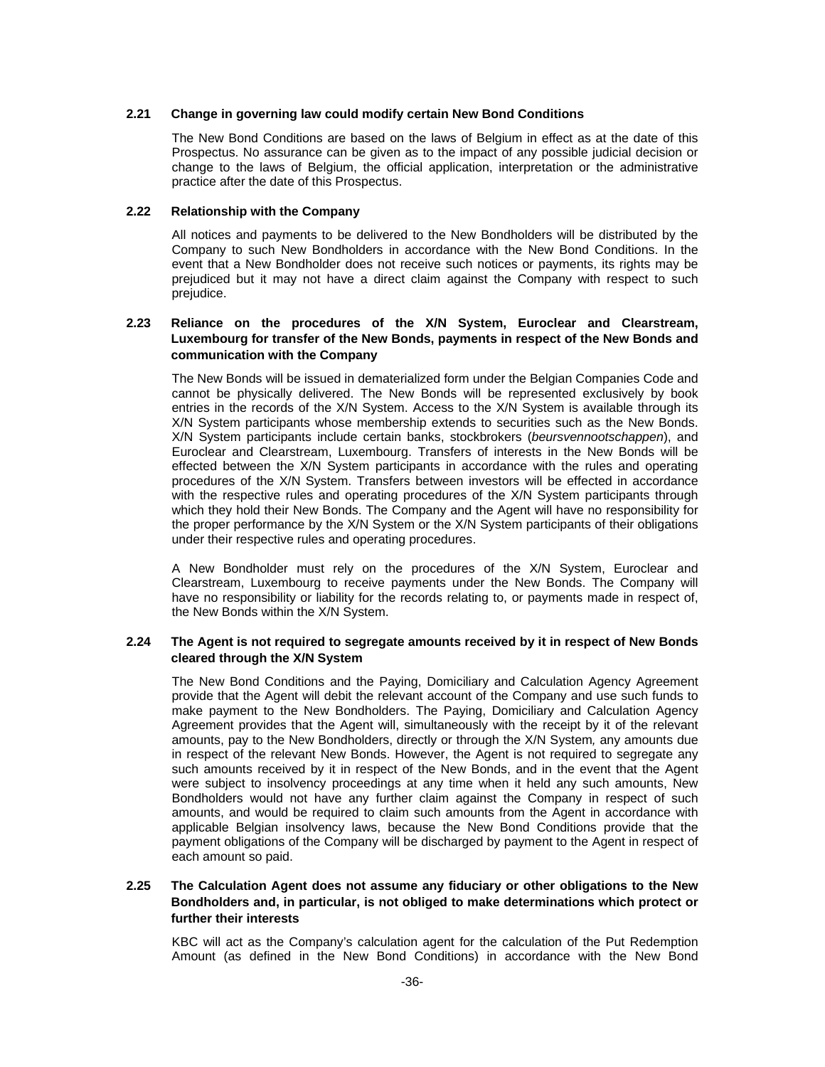#### **2.21 Change in governing law could modify certain New Bond Conditions**

The New Bond Conditions are based on the laws of Belgium in effect as at the date of this Prospectus. No assurance can be given as to the impact of any possible judicial decision or change to the laws of Belgium, the official application, interpretation or the administrative practice after the date of this Prospectus.

#### **2.22 Relationship with the Company**

All notices and payments to be delivered to the New Bondholders will be distributed by the Company to such New Bondholders in accordance with the New Bond Conditions. In the event that a New Bondholder does not receive such notices or payments, its rights may be prejudiced but it may not have a direct claim against the Company with respect to such prejudice.

## **2.23 Reliance on the procedures of the X/N System, Euroclear and Clearstream, Luxembourg for transfer of the New Bonds, payments in respect of the New Bonds and communication with the Company**

The New Bonds will be issued in dematerialized form under the Belgian Companies Code and cannot be physically delivered. The New Bonds will be represented exclusively by book entries in the records of the X/N System. Access to the X/N System is available through its X/N System participants whose membership extends to securities such as the New Bonds. X/N System participants include certain banks, stockbrokers (*beursvennootschappen*), and Euroclear and Clearstream, Luxembourg. Transfers of interests in the New Bonds will be effected between the X/N System participants in accordance with the rules and operating procedures of the X/N System. Transfers between investors will be effected in accordance with the respective rules and operating procedures of the X/N System participants through which they hold their New Bonds. The Company and the Agent will have no responsibility for the proper performance by the X/N System or the X/N System participants of their obligations under their respective rules and operating procedures.

A New Bondholder must rely on the procedures of the X/N System, Euroclear and Clearstream, Luxembourg to receive payments under the New Bonds. The Company will have no responsibility or liability for the records relating to, or payments made in respect of, the New Bonds within the X/N System.

#### **2.24 The Agent is not required to segregate amounts received by it in respect of New Bonds cleared through the X/N System**

The New Bond Conditions and the Paying, Domiciliary and Calculation Agency Agreement provide that the Agent will debit the relevant account of the Company and use such funds to make payment to the New Bondholders. The Paying, Domiciliary and Calculation Agency Agreement provides that the Agent will, simultaneously with the receipt by it of the relevant amounts, pay to the New Bondholders, directly or through the X/N System*,* any amounts due in respect of the relevant New Bonds. However, the Agent is not required to segregate any such amounts received by it in respect of the New Bonds, and in the event that the Agent were subject to insolvency proceedings at any time when it held any such amounts, New Bondholders would not have any further claim against the Company in respect of such amounts, and would be required to claim such amounts from the Agent in accordance with applicable Belgian insolvency laws, because the New Bond Conditions provide that the payment obligations of the Company will be discharged by payment to the Agent in respect of each amount so paid.

### **2.25 The Calculation Agent does not assume any fiduciary or other obligations to the New Bondholders and, in particular, is not obliged to make determinations which protect or further their interests**

KBC will act as the Company's calculation agent for the calculation of the Put Redemption Amount (as defined in the New Bond Conditions) in accordance with the New Bond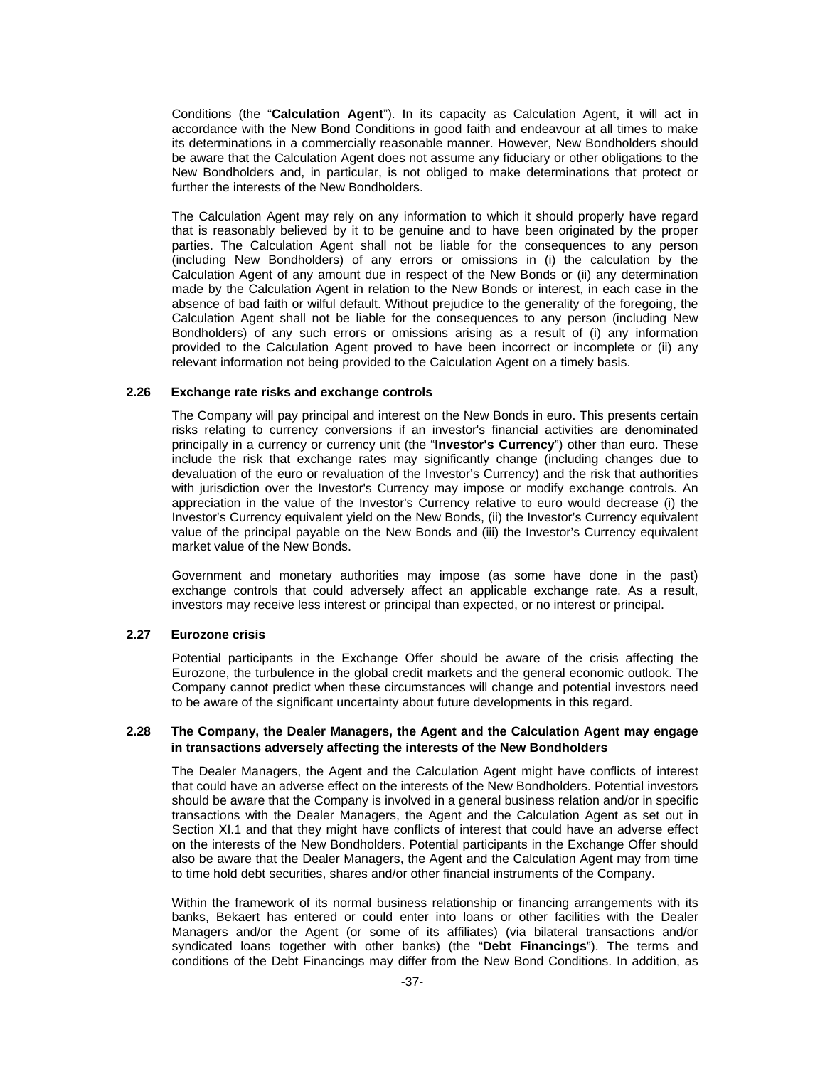Conditions (the "**Calculation Agent**"). In its capacity as Calculation Agent, it will act in accordance with the New Bond Conditions in good faith and endeavour at all times to make its determinations in a commercially reasonable manner. However, New Bondholders should be aware that the Calculation Agent does not assume any fiduciary or other obligations to the New Bondholders and, in particular, is not obliged to make determinations that protect or further the interests of the New Bondholders.

The Calculation Agent may rely on any information to which it should properly have regard that is reasonably believed by it to be genuine and to have been originated by the proper parties. The Calculation Agent shall not be liable for the consequences to any person (including New Bondholders) of any errors or omissions in (i) the calculation by the Calculation Agent of any amount due in respect of the New Bonds or (ii) any determination made by the Calculation Agent in relation to the New Bonds or interest, in each case in the absence of bad faith or wilful default. Without prejudice to the generality of the foregoing, the Calculation Agent shall not be liable for the consequences to any person (including New Bondholders) of any such errors or omissions arising as a result of (i) any information provided to the Calculation Agent proved to have been incorrect or incomplete or (ii) any relevant information not being provided to the Calculation Agent on a timely basis.

#### **2.26 Exchange rate risks and exchange controls**

The Company will pay principal and interest on the New Bonds in euro. This presents certain risks relating to currency conversions if an investor's financial activities are denominated principally in a currency or currency unit (the "**Investor's Currency**") other than euro. These include the risk that exchange rates may significantly change (including changes due to devaluation of the euro or revaluation of the Investor's Currency) and the risk that authorities with jurisdiction over the Investor's Currency may impose or modify exchange controls. An appreciation in the value of the Investor's Currency relative to euro would decrease (i) the Investor's Currency equivalent yield on the New Bonds, (ii) the Investor's Currency equivalent value of the principal payable on the New Bonds and (iii) the Investor's Currency equivalent market value of the New Bonds.

Government and monetary authorities may impose (as some have done in the past) exchange controls that could adversely affect an applicable exchange rate. As a result, investors may receive less interest or principal than expected, or no interest or principal.

#### **2.27 Eurozone crisis**

Potential participants in the Exchange Offer should be aware of the crisis affecting the Eurozone, the turbulence in the global credit markets and the general economic outlook. The Company cannot predict when these circumstances will change and potential investors need to be aware of the significant uncertainty about future developments in this regard.

#### **2.28 The Company, the Dealer Managers, the Agent and the Calculation Agent may engage in transactions adversely affecting the interests of the New Bondholders**

The Dealer Managers, the Agent and the Calculation Agent might have conflicts of interest that could have an adverse effect on the interests of the New Bondholders. Potential investors should be aware that the Company is involved in a general business relation and/or in specific transactions with the Dealer Managers, the Agent and the Calculation Agent as set out in Section XI.1 and that they might have conflicts of interest that could have an adverse effect on the interests of the New Bondholders. Potential participants in the Exchange Offer should also be aware that the Dealer Managers, the Agent and the Calculation Agent may from time to time hold debt securities, shares and/or other financial instruments of the Company.

Within the framework of its normal business relationship or financing arrangements with its banks, Bekaert has entered or could enter into loans or other facilities with the Dealer Managers and/or the Agent (or some of its affiliates) (via bilateral transactions and/or syndicated loans together with other banks) (the "**Debt Financings**"). The terms and conditions of the Debt Financings may differ from the New Bond Conditions. In addition, as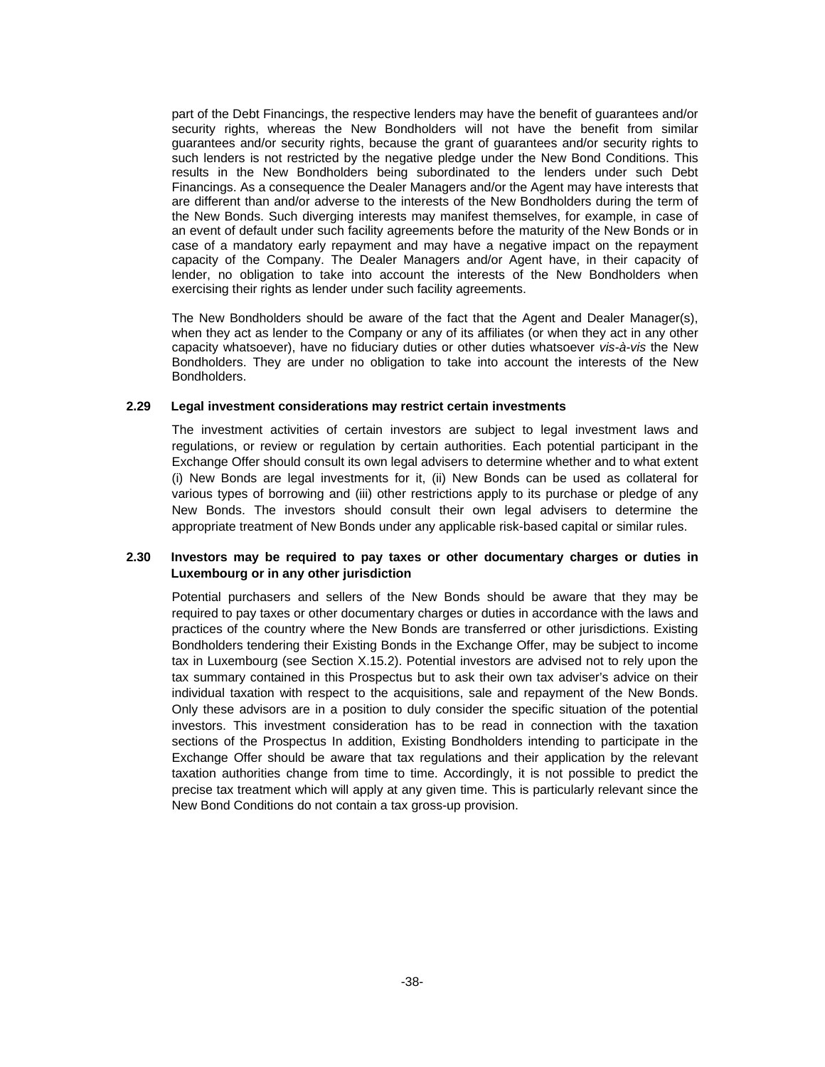part of the Debt Financings, the respective lenders may have the benefit of guarantees and/or security rights, whereas the New Bondholders will not have the benefit from similar guarantees and/or security rights, because the grant of guarantees and/or security rights to such lenders is not restricted by the negative pledge under the New Bond Conditions. This results in the New Bondholders being subordinated to the lenders under such Debt Financings. As a consequence the Dealer Managers and/or the Agent may have interests that are different than and/or adverse to the interests of the New Bondholders during the term of the New Bonds. Such diverging interests may manifest themselves, for example, in case of an event of default under such facility agreements before the maturity of the New Bonds or in case of a mandatory early repayment and may have a negative impact on the repayment capacity of the Company. The Dealer Managers and/or Agent have, in their capacity of lender, no obligation to take into account the interests of the New Bondholders when exercising their rights as lender under such facility agreements.

The New Bondholders should be aware of the fact that the Agent and Dealer Manager(s), when they act as lender to the Company or any of its affiliates (or when they act in any other capacity whatsoever), have no fiduciary duties or other duties whatsoever *vis-à-vis* the New Bondholders. They are under no obligation to take into account the interests of the New Bondholders.

#### **2.29 Legal investment considerations may restrict certain investments**

The investment activities of certain investors are subject to legal investment laws and regulations, or review or regulation by certain authorities. Each potential participant in the Exchange Offer should consult its own legal advisers to determine whether and to what extent (i) New Bonds are legal investments for it, (ii) New Bonds can be used as collateral for various types of borrowing and (iii) other restrictions apply to its purchase or pledge of any New Bonds. The investors should consult their own legal advisers to determine the appropriate treatment of New Bonds under any applicable risk-based capital or similar rules.

#### **2.30 Investors may be required to pay taxes or other documentary charges or duties in Luxembourg or in any other jurisdiction**

Potential purchasers and sellers of the New Bonds should be aware that they may be required to pay taxes or other documentary charges or duties in accordance with the laws and practices of the country where the New Bonds are transferred or other jurisdictions. Existing Bondholders tendering their Existing Bonds in the Exchange Offer, may be subject to income tax in Luxembourg (see Section X.15.2). Potential investors are advised not to rely upon the tax summary contained in this Prospectus but to ask their own tax adviser's advice on their individual taxation with respect to the acquisitions, sale and repayment of the New Bonds. Only these advisors are in a position to duly consider the specific situation of the potential investors. This investment consideration has to be read in connection with the taxation sections of the Prospectus In addition, Existing Bondholders intending to participate in the Exchange Offer should be aware that tax regulations and their application by the relevant taxation authorities change from time to time. Accordingly, it is not possible to predict the precise tax treatment which will apply at any given time. This is particularly relevant since the New Bond Conditions do not contain a tax gross-up provision.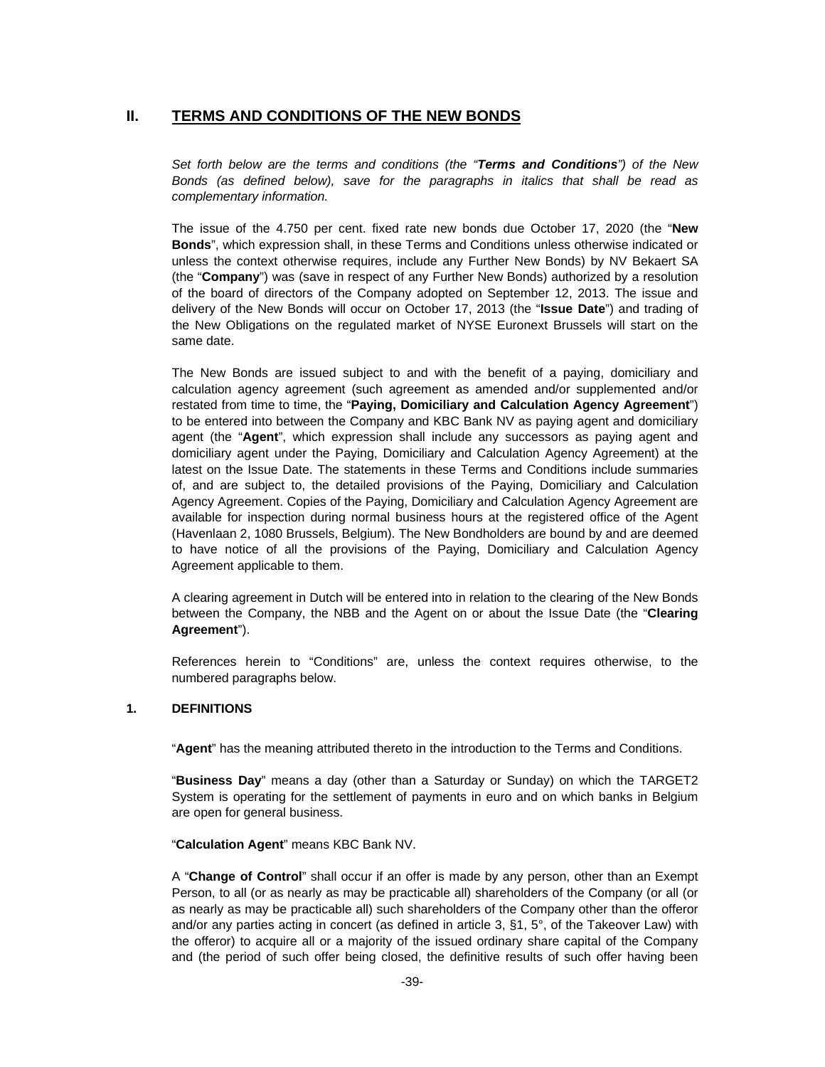## **II. TERMS AND CONDITIONS OF THE NEW BONDS**

*Set forth below are the terms and conditions (the "Terms and Conditions") of the New Bonds (as defined below), save for the paragraphs in italics that shall be read as complementary information.* 

The issue of the 4.750 per cent. fixed rate new bonds due October 17, 2020 (the "**New Bonds**", which expression shall, in these Terms and Conditions unless otherwise indicated or unless the context otherwise requires, include any Further New Bonds) by NV Bekaert SA (the "**Company**") was (save in respect of any Further New Bonds) authorized by a resolution of the board of directors of the Company adopted on September 12, 2013. The issue and delivery of the New Bonds will occur on October 17, 2013 (the "**Issue Date**") and trading of the New Obligations on the regulated market of NYSE Euronext Brussels will start on the same date.

The New Bonds are issued subject to and with the benefit of a paying, domiciliary and calculation agency agreement (such agreement as amended and/or supplemented and/or restated from time to time, the "**Paying, Domiciliary and Calculation Agency Agreement**") to be entered into between the Company and KBC Bank NV as paying agent and domiciliary agent (the "**Agent**", which expression shall include any successors as paying agent and domiciliary agent under the Paying, Domiciliary and Calculation Agency Agreement) at the latest on the Issue Date. The statements in these Terms and Conditions include summaries of, and are subject to, the detailed provisions of the Paying, Domiciliary and Calculation Agency Agreement. Copies of the Paying, Domiciliary and Calculation Agency Agreement are available for inspection during normal business hours at the registered office of the Agent (Havenlaan 2, 1080 Brussels, Belgium). The New Bondholders are bound by and are deemed to have notice of all the provisions of the Paying, Domiciliary and Calculation Agency Agreement applicable to them.

A clearing agreement in Dutch will be entered into in relation to the clearing of the New Bonds between the Company, the NBB and the Agent on or about the Issue Date (the "**Clearing Agreement**").

References herein to "Conditions" are, unless the context requires otherwise, to the numbered paragraphs below.

#### **1. DEFINITIONS**

"**Agent**" has the meaning attributed thereto in the introduction to the Terms and Conditions.

"**Business Day**" means a day (other than a Saturday or Sunday) on which the TARGET2 System is operating for the settlement of payments in euro and on which banks in Belgium are open for general business.

"**Calculation Agent**" means KBC Bank NV.

A "**Change of Control**" shall occur if an offer is made by any person, other than an Exempt Person, to all (or as nearly as may be practicable all) shareholders of the Company (or all (or as nearly as may be practicable all) such shareholders of the Company other than the offeror and/or any parties acting in concert (as defined in article 3, §1, 5°, of the Takeover Law) with the offeror) to acquire all or a majority of the issued ordinary share capital of the Company and (the period of such offer being closed, the definitive results of such offer having been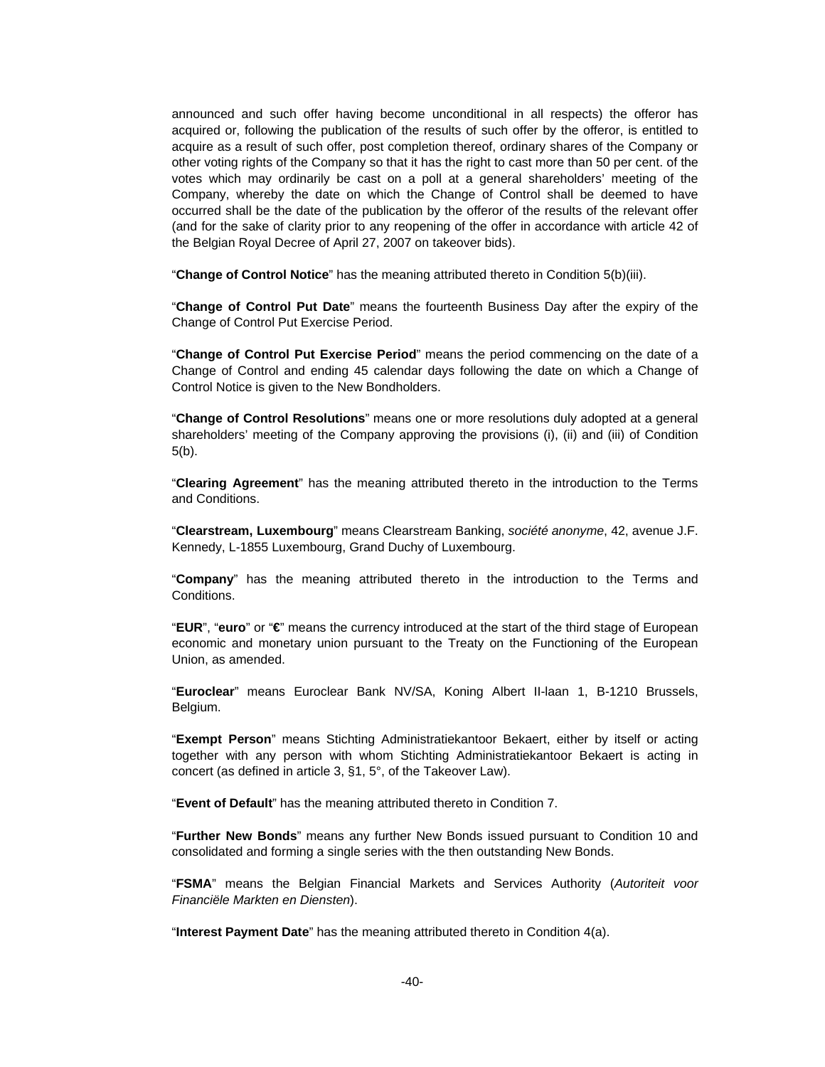announced and such offer having become unconditional in all respects) the offeror has acquired or, following the publication of the results of such offer by the offeror, is entitled to acquire as a result of such offer, post completion thereof, ordinary shares of the Company or other voting rights of the Company so that it has the right to cast more than 50 per cent. of the votes which may ordinarily be cast on a poll at a general shareholders' meeting of the Company, whereby the date on which the Change of Control shall be deemed to have occurred shall be the date of the publication by the offeror of the results of the relevant offer (and for the sake of clarity prior to any reopening of the offer in accordance with article 42 of the Belgian Royal Decree of April 27, 2007 on takeover bids).

"**Change of Control Notice**" has the meaning attributed thereto in Condition 5(b)(iii).

"**Change of Control Put Date**" means the fourteenth Business Day after the expiry of the Change of Control Put Exercise Period.

"**Change of Control Put Exercise Period**" means the period commencing on the date of a Change of Control and ending 45 calendar days following the date on which a Change of Control Notice is given to the New Bondholders.

"**Change of Control Resolutions**" means one or more resolutions duly adopted at a general shareholders' meeting of the Company approving the provisions (i), (ii) and (iii) of Condition 5(b).

"**Clearing Agreement**" has the meaning attributed thereto in the introduction to the Terms and Conditions.

"**Clearstream, Luxembourg**" means Clearstream Banking, *société anonyme*, 42, avenue J.F. Kennedy, L-1855 Luxembourg, Grand Duchy of Luxembourg.

"**Company**" has the meaning attributed thereto in the introduction to the Terms and Conditions.

"**EUR**", "**euro**" or "**€**" means the currency introduced at the start of the third stage of European economic and monetary union pursuant to the Treaty on the Functioning of the European Union, as amended.

"**Euroclear**" means Euroclear Bank NV/SA, Koning Albert II-laan 1, B-1210 Brussels, Belgium.

"**Exempt Person**" means Stichting Administratiekantoor Bekaert, either by itself or acting together with any person with whom Stichting Administratiekantoor Bekaert is acting in concert (as defined in article 3, §1, 5°, of the Takeover Law).

"**Event of Default**" has the meaning attributed thereto in Condition 7.

"**Further New Bonds**" means any further New Bonds issued pursuant to Condition 10 and consolidated and forming a single series with the then outstanding New Bonds.

"**FSMA**" means the Belgian Financial Markets and Services Authority (*Autoriteit voor Financiële Markten en Diensten*).

"**Interest Payment Date**" has the meaning attributed thereto in Condition 4(a).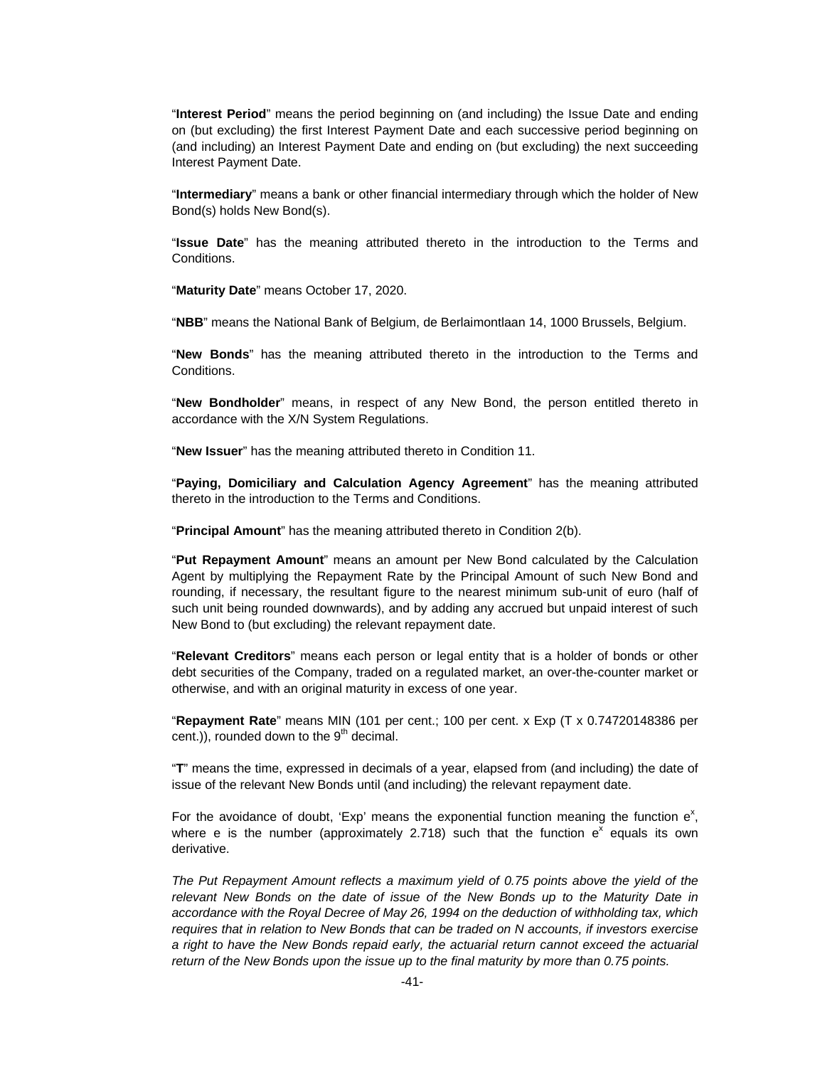"**Interest Period**" means the period beginning on (and including) the Issue Date and ending on (but excluding) the first Interest Payment Date and each successive period beginning on (and including) an Interest Payment Date and ending on (but excluding) the next succeeding Interest Payment Date.

"**Intermediary**" means a bank or other financial intermediary through which the holder of New Bond(s) holds New Bond(s).

"**Issue Date**" has the meaning attributed thereto in the introduction to the Terms and Conditions.

"**Maturity Date**" means October 17, 2020.

"**NBB**" means the National Bank of Belgium, de Berlaimontlaan 14, 1000 Brussels, Belgium.

"**New Bonds**" has the meaning attributed thereto in the introduction to the Terms and Conditions.

"**New Bondholder**" means, in respect of any New Bond, the person entitled thereto in accordance with the X/N System Regulations.

"**New Issuer**" has the meaning attributed thereto in Condition 11.

"**Paying, Domiciliary and Calculation Agency Agreement**" has the meaning attributed thereto in the introduction to the Terms and Conditions.

"**Principal Amount**" has the meaning attributed thereto in Condition 2(b).

"**Put Repayment Amount**" means an amount per New Bond calculated by the Calculation Agent by multiplying the Repayment Rate by the Principal Amount of such New Bond and rounding, if necessary, the resultant figure to the nearest minimum sub-unit of euro (half of such unit being rounded downwards), and by adding any accrued but unpaid interest of such New Bond to (but excluding) the relevant repayment date.

"**Relevant Creditors**" means each person or legal entity that is a holder of bonds or other debt securities of the Company, traded on a regulated market, an over-the-counter market or otherwise, and with an original maturity in excess of one year.

"**Repayment Rate**" means MIN (101 per cent.; 100 per cent. x Exp (T x 0.74720148386 per cent.)), rounded down to the  $9<sup>th</sup>$  decimal.

"**T**" means the time, expressed in decimals of a year, elapsed from (and including) the date of issue of the relevant New Bonds until (and including) the relevant repayment date.

For the avoidance of doubt, 'Exp' means the exponential function meaning the function  $e^x$ , where e is the number (approximately 2.718) such that the function  $e^{\bar{x}}$  equals its own derivative.

*The Put Repayment Amount reflects a maximum yield of 0.75 points above the yield of the*  relevant New Bonds on the date of issue of the New Bonds up to the Maturity Date in *accordance with the Royal Decree of May 26, 1994 on the deduction of withholding tax, which requires that in relation to New Bonds that can be traded on N accounts, if investors exercise a right to have the New Bonds repaid early, the actuarial return cannot exceed the actuarial return of the New Bonds upon the issue up to the final maturity by more than 0.75 points.*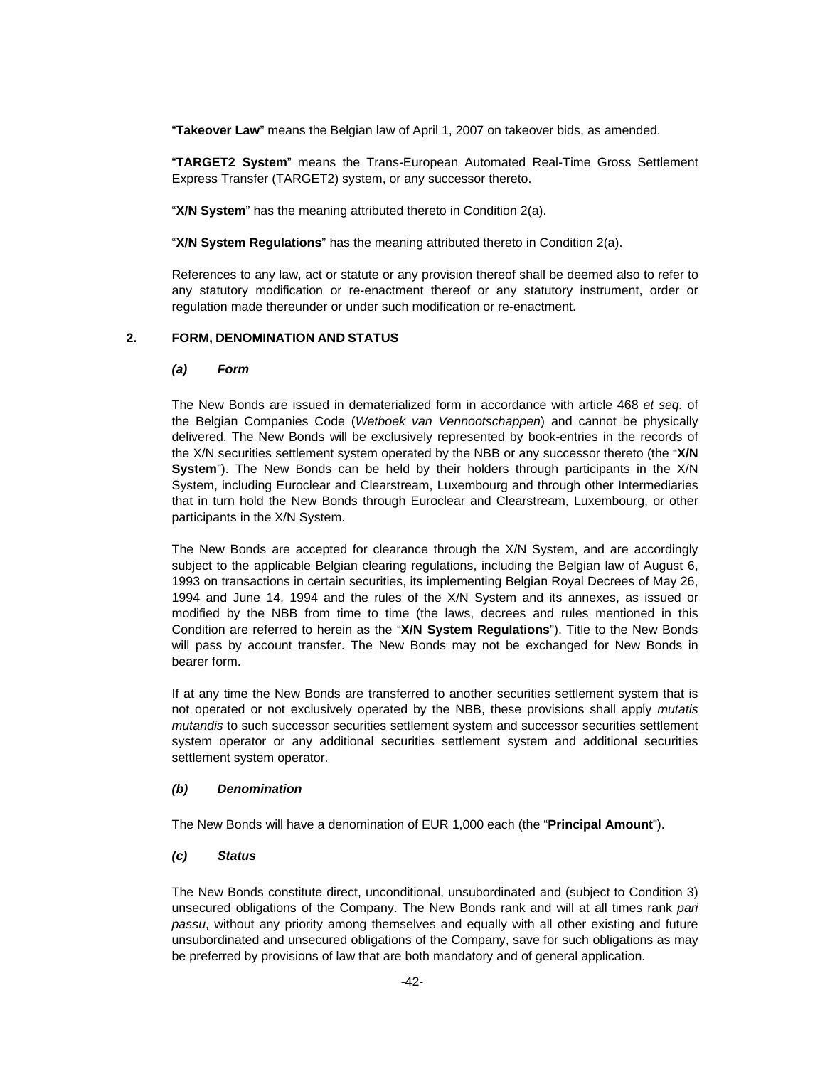"**Takeover Law**" means the Belgian law of April 1, 2007 on takeover bids, as amended.

"**TARGET2 System**" means the Trans-European Automated Real-Time Gross Settlement Express Transfer (TARGET2) system, or any successor thereto.

"**X/N System**" has the meaning attributed thereto in Condition 2(a).

"**X/N System Regulations**" has the meaning attributed thereto in Condition 2(a).

References to any law, act or statute or any provision thereof shall be deemed also to refer to any statutory modification or re-enactment thereof or any statutory instrument, order or regulation made thereunder or under such modification or re-enactment.

#### **2. FORM, DENOMINATION AND STATUS**

#### *(a) Form*

The New Bonds are issued in dematerialized form in accordance with article 468 *et seq.* of the Belgian Companies Code (*Wetboek van Vennootschappen*) and cannot be physically delivered. The New Bonds will be exclusively represented by book-entries in the records of the X/N securities settlement system operated by the NBB or any successor thereto (the "**X/N System**"). The New Bonds can be held by their holders through participants in the X/N System, including Euroclear and Clearstream, Luxembourg and through other Intermediaries that in turn hold the New Bonds through Euroclear and Clearstream, Luxembourg, or other participants in the X/N System.

The New Bonds are accepted for clearance through the X/N System, and are accordingly subject to the applicable Belgian clearing regulations, including the Belgian law of August 6, 1993 on transactions in certain securities, its implementing Belgian Royal Decrees of May 26, 1994 and June 14, 1994 and the rules of the X/N System and its annexes, as issued or modified by the NBB from time to time (the laws, decrees and rules mentioned in this Condition are referred to herein as the "**X/N System Regulations**"). Title to the New Bonds will pass by account transfer. The New Bonds may not be exchanged for New Bonds in bearer form.

If at any time the New Bonds are transferred to another securities settlement system that is not operated or not exclusively operated by the NBB, these provisions shall apply *mutatis mutandis* to such successor securities settlement system and successor securities settlement system operator or any additional securities settlement system and additional securities settlement system operator.

#### *(b) Denomination*

The New Bonds will have a denomination of EUR 1,000 each (the "**Principal Amount**").

#### *(c) Status*

The New Bonds constitute direct, unconditional, unsubordinated and (subject to Condition 3) unsecured obligations of the Company. The New Bonds rank and will at all times rank *pari passu*, without any priority among themselves and equally with all other existing and future unsubordinated and unsecured obligations of the Company, save for such obligations as may be preferred by provisions of law that are both mandatory and of general application.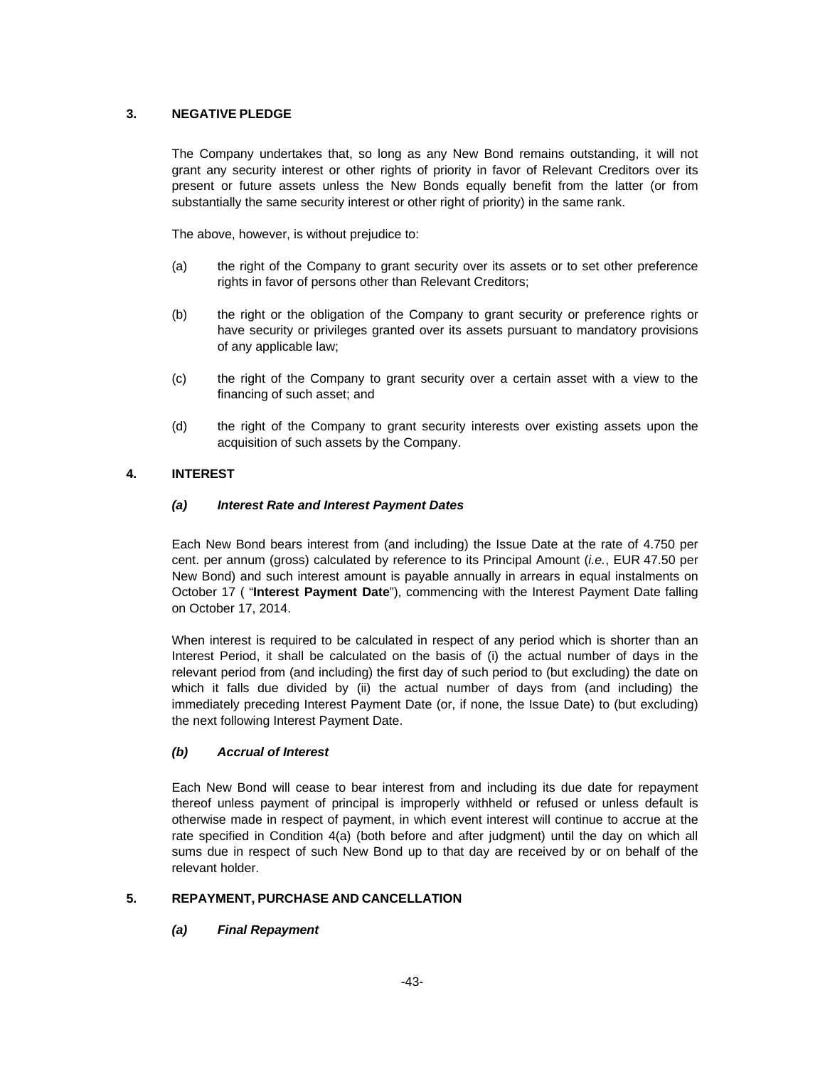## **3. NEGATIVE PLEDGE**

The Company undertakes that, so long as any New Bond remains outstanding, it will not grant any security interest or other rights of priority in favor of Relevant Creditors over its present or future assets unless the New Bonds equally benefit from the latter (or from substantially the same security interest or other right of priority) in the same rank.

The above, however, is without prejudice to:

- (a) the right of the Company to grant security over its assets or to set other preference rights in favor of persons other than Relevant Creditors;
- (b) the right or the obligation of the Company to grant security or preference rights or have security or privileges granted over its assets pursuant to mandatory provisions of any applicable law;
- (c) the right of the Company to grant security over a certain asset with a view to the financing of such asset; and
- (d) the right of the Company to grant security interests over existing assets upon the acquisition of such assets by the Company.

## **4. INTEREST**

## *(a) Interest Rate and Interest Payment Dates*

Each New Bond bears interest from (and including) the Issue Date at the rate of 4.750 per cent. per annum (gross) calculated by reference to its Principal Amount (*i.e.*, EUR 47.50 per New Bond) and such interest amount is payable annually in arrears in equal instalments on October 17 ( "**Interest Payment Date**"), commencing with the Interest Payment Date falling on October 17, 2014.

When interest is required to be calculated in respect of any period which is shorter than an Interest Period, it shall be calculated on the basis of (i) the actual number of days in the relevant period from (and including) the first day of such period to (but excluding) the date on which it falls due divided by (ii) the actual number of days from (and including) the immediately preceding Interest Payment Date (or, if none, the Issue Date) to (but excluding) the next following Interest Payment Date.

## *(b) Accrual of Interest*

Each New Bond will cease to bear interest from and including its due date for repayment thereof unless payment of principal is improperly withheld or refused or unless default is otherwise made in respect of payment, in which event interest will continue to accrue at the rate specified in Condition 4(a) (both before and after judgment) until the day on which all sums due in respect of such New Bond up to that day are received by or on behalf of the relevant holder.

## **5. REPAYMENT, PURCHASE AND CANCELLATION**

## *(a) Final Repayment*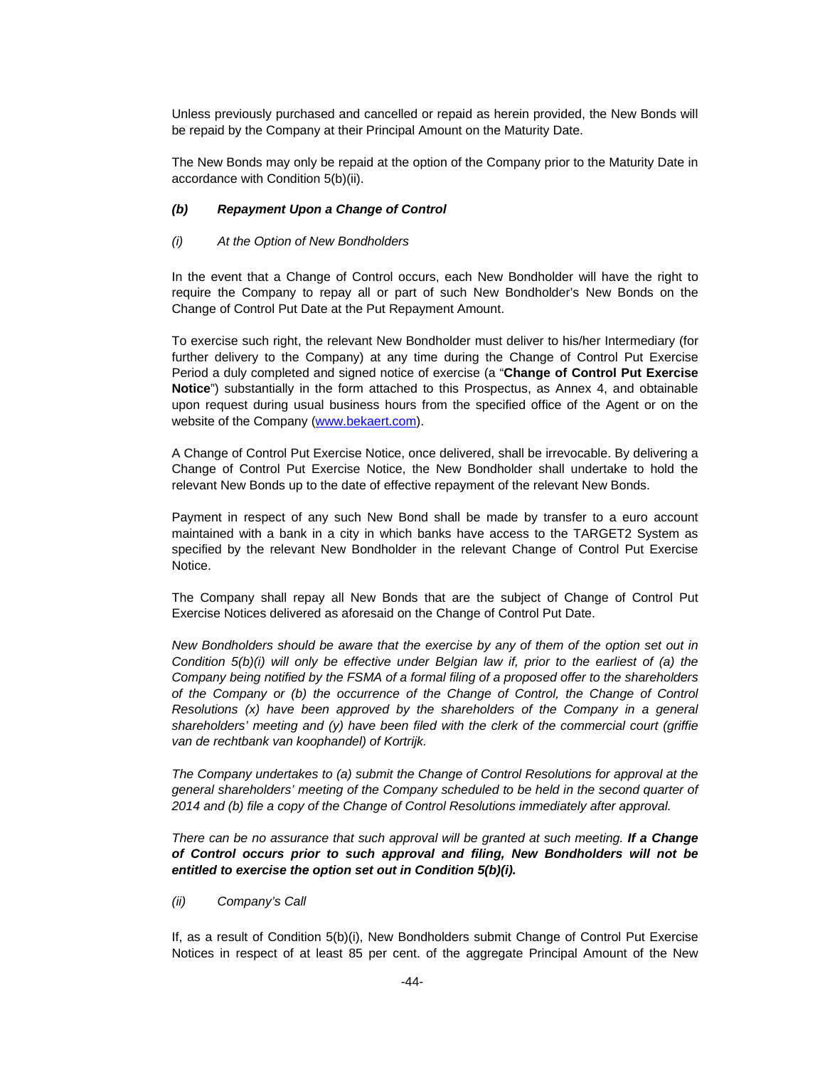Unless previously purchased and cancelled or repaid as herein provided, the New Bonds will be repaid by the Company at their Principal Amount on the Maturity Date.

The New Bonds may only be repaid at the option of the Company prior to the Maturity Date in accordance with Condition 5(b)(ii).

#### *(b) Repayment Upon a Change of Control*

#### *(i) At the Option of New Bondholders*

In the event that a Change of Control occurs, each New Bondholder will have the right to require the Company to repay all or part of such New Bondholder's New Bonds on the Change of Control Put Date at the Put Repayment Amount.

To exercise such right, the relevant New Bondholder must deliver to his/her Intermediary (for further delivery to the Company) at any time during the Change of Control Put Exercise Period a duly completed and signed notice of exercise (a "**Change of Control Put Exercise Notice**") substantially in the form attached to this Prospectus, as Annex 4, and obtainable upon request during usual business hours from the specified office of the Agent or on the website of the Company (www.bekaert.com).

A Change of Control Put Exercise Notice, once delivered, shall be irrevocable. By delivering a Change of Control Put Exercise Notice, the New Bondholder shall undertake to hold the relevant New Bonds up to the date of effective repayment of the relevant New Bonds.

Payment in respect of any such New Bond shall be made by transfer to a euro account maintained with a bank in a city in which banks have access to the TARGET2 System as specified by the relevant New Bondholder in the relevant Change of Control Put Exercise Notice.

The Company shall repay all New Bonds that are the subject of Change of Control Put Exercise Notices delivered as aforesaid on the Change of Control Put Date.

*New Bondholders should be aware that the exercise by any of them of the option set out in Condition 5(b)(i) will only be effective under Belgian law if, prior to the earliest of (a) the Company being notified by the FSMA of a formal filing of a proposed offer to the shareholders of the Company or (b) the occurrence of the Change of Control, the Change of Control Resolutions (x) have been approved by the shareholders of the Company in a general shareholders' meeting and (y) have been filed with the clerk of the commercial court (griffie van de rechtbank van koophandel) of Kortrijk.* 

*The Company undertakes to (a) submit the Change of Control Resolutions for approval at the general shareholders' meeting of the Company scheduled to be held in the second quarter of 2014 and (b) file a copy of the Change of Control Resolutions immediately after approval.* 

There can be no assurance that such approval will be granted at such meeting. If a Change *of Control occurs prior to such approval and filing, New Bondholders will not be entitled to exercise the option set out in Condition 5(b)(i).*

*(ii) Company's Call* 

If, as a result of Condition 5(b)(i), New Bondholders submit Change of Control Put Exercise Notices in respect of at least 85 per cent. of the aggregate Principal Amount of the New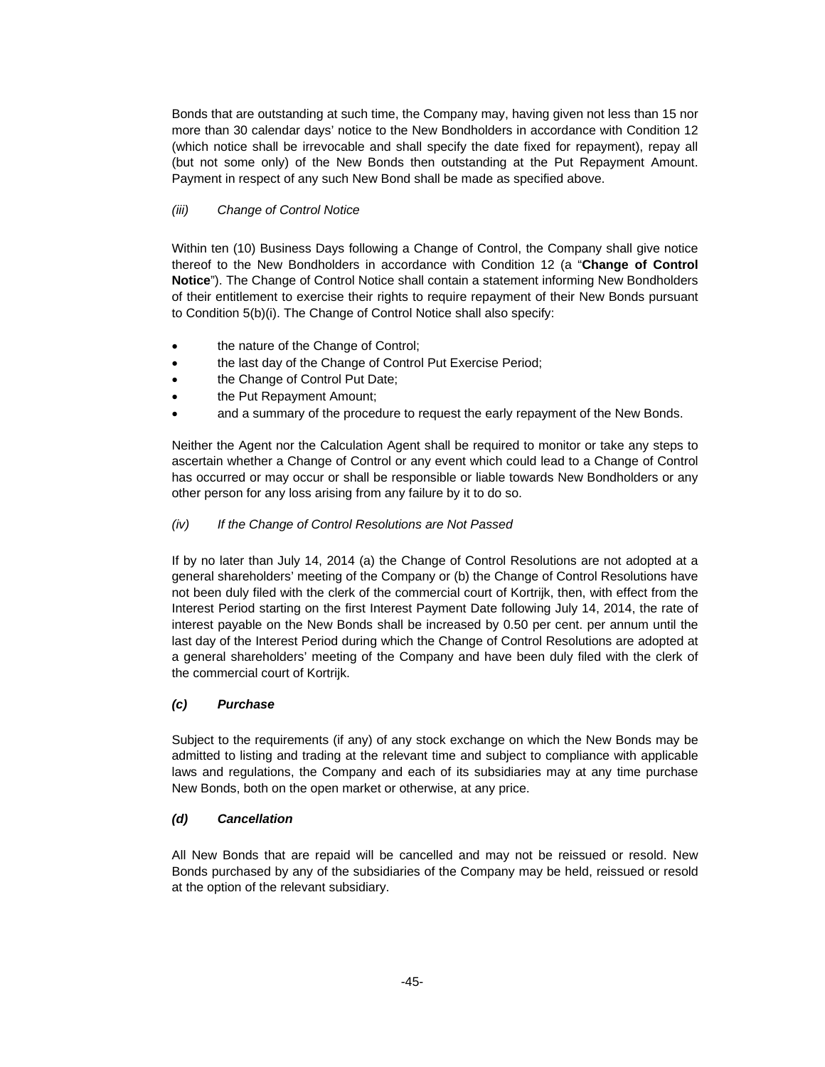Bonds that are outstanding at such time, the Company may, having given not less than 15 nor more than 30 calendar days' notice to the New Bondholders in accordance with Condition 12 (which notice shall be irrevocable and shall specify the date fixed for repayment), repay all (but not some only) of the New Bonds then outstanding at the Put Repayment Amount. Payment in respect of any such New Bond shall be made as specified above.

## *(iii) Change of Control Notice*

Within ten (10) Business Days following a Change of Control, the Company shall give notice thereof to the New Bondholders in accordance with Condition 12 (a "**Change of Control Notice**"). The Change of Control Notice shall contain a statement informing New Bondholders of their entitlement to exercise their rights to require repayment of their New Bonds pursuant to Condition 5(b)(i). The Change of Control Notice shall also specify:

- the nature of the Change of Control;
- the last day of the Change of Control Put Exercise Period;
- the Change of Control Put Date;
- the Put Repayment Amount;
- and a summary of the procedure to request the early repayment of the New Bonds.

Neither the Agent nor the Calculation Agent shall be required to monitor or take any steps to ascertain whether a Change of Control or any event which could lead to a Change of Control has occurred or may occur or shall be responsible or liable towards New Bondholders or any other person for any loss arising from any failure by it to do so.

## *(iv) If the Change of Control Resolutions are Not Passed*

If by no later than July 14, 2014 (a) the Change of Control Resolutions are not adopted at a general shareholders' meeting of the Company or (b) the Change of Control Resolutions have not been duly filed with the clerk of the commercial court of Kortrijk, then, with effect from the Interest Period starting on the first Interest Payment Date following July 14, 2014, the rate of interest payable on the New Bonds shall be increased by 0.50 per cent. per annum until the last day of the Interest Period during which the Change of Control Resolutions are adopted at a general shareholders' meeting of the Company and have been duly filed with the clerk of the commercial court of Kortrijk.

## *(c) Purchase*

Subject to the requirements (if any) of any stock exchange on which the New Bonds may be admitted to listing and trading at the relevant time and subject to compliance with applicable laws and regulations, the Company and each of its subsidiaries may at any time purchase New Bonds, both on the open market or otherwise, at any price.

## *(d) Cancellation*

All New Bonds that are repaid will be cancelled and may not be reissued or resold. New Bonds purchased by any of the subsidiaries of the Company may be held, reissued or resold at the option of the relevant subsidiary.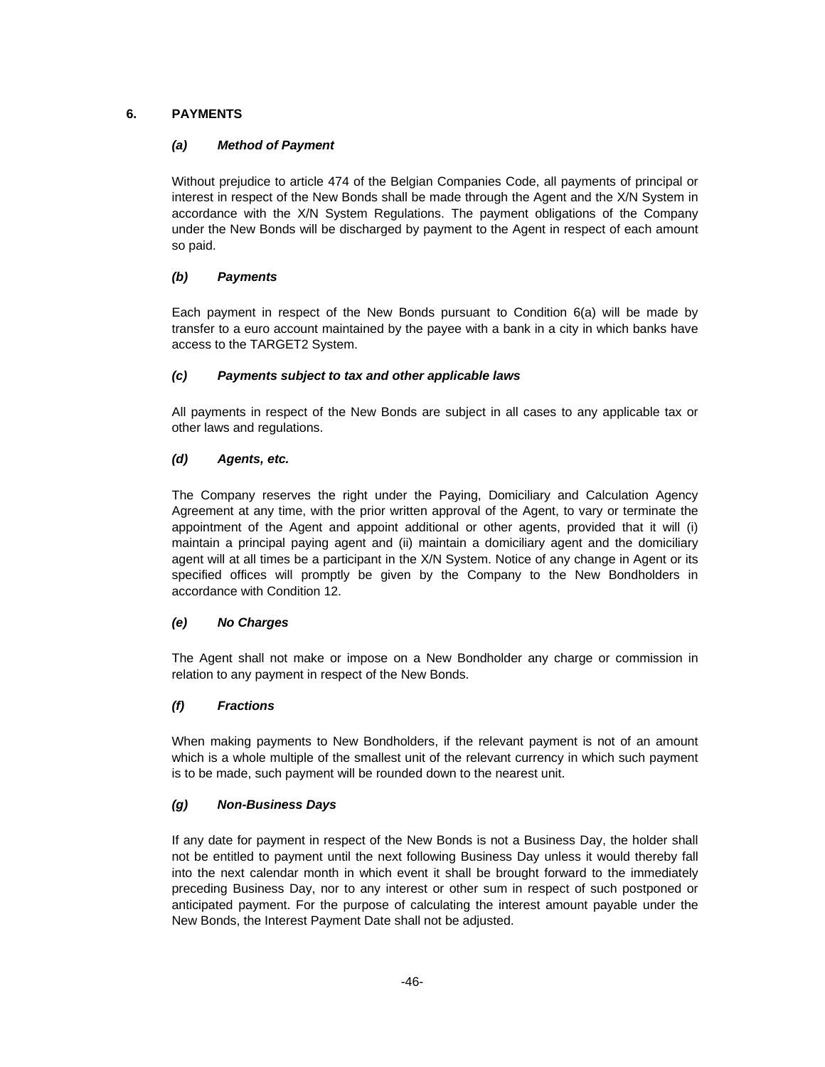## **6. PAYMENTS**

## *(a) Method of Payment*

Without prejudice to article 474 of the Belgian Companies Code, all payments of principal or interest in respect of the New Bonds shall be made through the Agent and the X/N System in accordance with the X/N System Regulations. The payment obligations of the Company under the New Bonds will be discharged by payment to the Agent in respect of each amount so paid.

## *(b) Payments*

Each payment in respect of the New Bonds pursuant to Condition 6(a) will be made by transfer to a euro account maintained by the payee with a bank in a city in which banks have access to the TARGET2 System.

## *(c) Payments subject to tax and other applicable laws*

All payments in respect of the New Bonds are subject in all cases to any applicable tax or other laws and regulations.

## *(d) Agents, etc.*

The Company reserves the right under the Paying, Domiciliary and Calculation Agency Agreement at any time, with the prior written approval of the Agent, to vary or terminate the appointment of the Agent and appoint additional or other agents, provided that it will (i) maintain a principal paying agent and (ii) maintain a domiciliary agent and the domiciliary agent will at all times be a participant in the X/N System. Notice of any change in Agent or its specified offices will promptly be given by the Company to the New Bondholders in accordance with Condition 12.

## *(e) No Charges*

The Agent shall not make or impose on a New Bondholder any charge or commission in relation to any payment in respect of the New Bonds.

## *(f) Fractions*

When making payments to New Bondholders, if the relevant payment is not of an amount which is a whole multiple of the smallest unit of the relevant currency in which such payment is to be made, such payment will be rounded down to the nearest unit.

## *(g) Non-Business Days*

If any date for payment in respect of the New Bonds is not a Business Day, the holder shall not be entitled to payment until the next following Business Day unless it would thereby fall into the next calendar month in which event it shall be brought forward to the immediately preceding Business Day, nor to any interest or other sum in respect of such postponed or anticipated payment. For the purpose of calculating the interest amount payable under the New Bonds, the Interest Payment Date shall not be adjusted.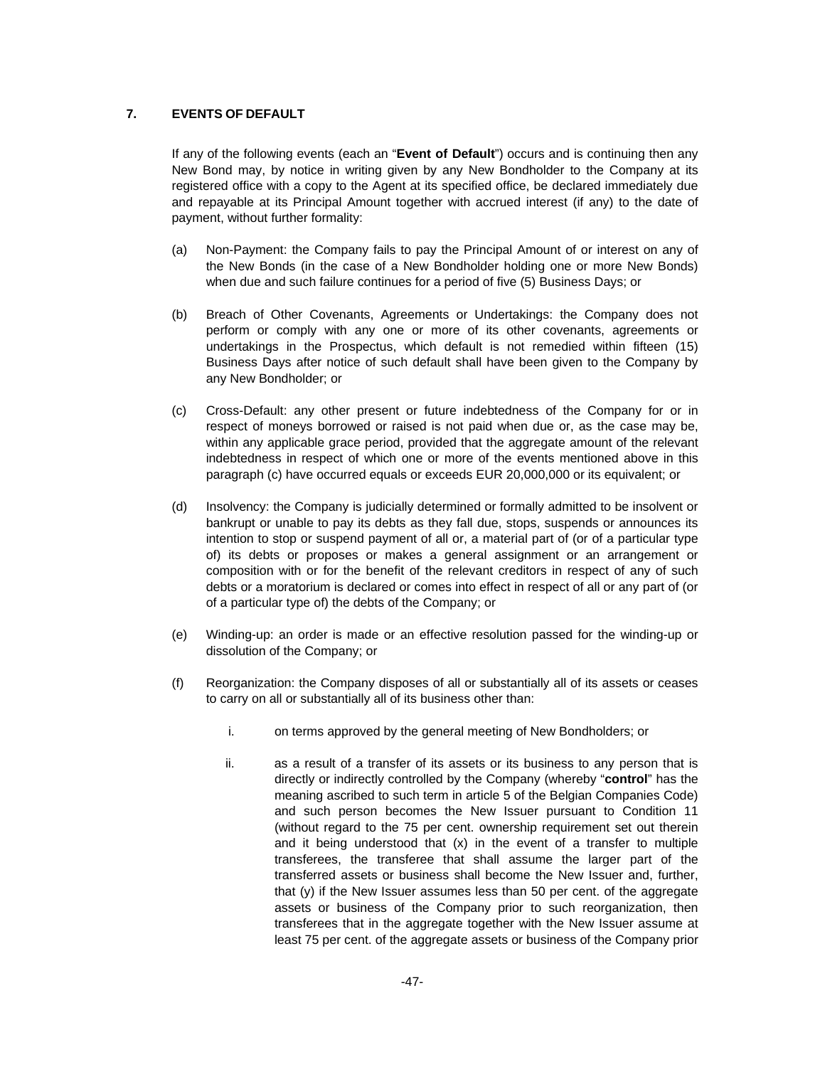## **7. EVENTS OF DEFAULT**

If any of the following events (each an "**Event of Default**") occurs and is continuing then any New Bond may, by notice in writing given by any New Bondholder to the Company at its registered office with a copy to the Agent at its specified office, be declared immediately due and repayable at its Principal Amount together with accrued interest (if any) to the date of payment, without further formality:

- (a) Non-Payment: the Company fails to pay the Principal Amount of or interest on any of the New Bonds (in the case of a New Bondholder holding one or more New Bonds) when due and such failure continues for a period of five (5) Business Days; or
- (b) Breach of Other Covenants, Agreements or Undertakings: the Company does not perform or comply with any one or more of its other covenants, agreements or undertakings in the Prospectus, which default is not remedied within fifteen (15) Business Days after notice of such default shall have been given to the Company by any New Bondholder; or
- (c) Cross-Default: any other present or future indebtedness of the Company for or in respect of moneys borrowed or raised is not paid when due or, as the case may be, within any applicable grace period, provided that the aggregate amount of the relevant indebtedness in respect of which one or more of the events mentioned above in this paragraph (c) have occurred equals or exceeds EUR 20,000,000 or its equivalent; or
- (d) Insolvency: the Company is judicially determined or formally admitted to be insolvent or bankrupt or unable to pay its debts as they fall due, stops, suspends or announces its intention to stop or suspend payment of all or, a material part of (or of a particular type of) its debts or proposes or makes a general assignment or an arrangement or composition with or for the benefit of the relevant creditors in respect of any of such debts or a moratorium is declared or comes into effect in respect of all or any part of (or of a particular type of) the debts of the Company; or
- (e) Winding-up: an order is made or an effective resolution passed for the winding-up or dissolution of the Company; or
- (f) Reorganization: the Company disposes of all or substantially all of its assets or ceases to carry on all or substantially all of its business other than:
	- i. on terms approved by the general meeting of New Bondholders; or
	- ii. as a result of a transfer of its assets or its business to any person that is directly or indirectly controlled by the Company (whereby "**control**" has the meaning ascribed to such term in article 5 of the Belgian Companies Code) and such person becomes the New Issuer pursuant to Condition 11 (without regard to the 75 per cent. ownership requirement set out therein and it being understood that (x) in the event of a transfer to multiple transferees, the transferee that shall assume the larger part of the transferred assets or business shall become the New Issuer and, further, that (y) if the New Issuer assumes less than 50 per cent. of the aggregate assets or business of the Company prior to such reorganization, then transferees that in the aggregate together with the New Issuer assume at least 75 per cent. of the aggregate assets or business of the Company prior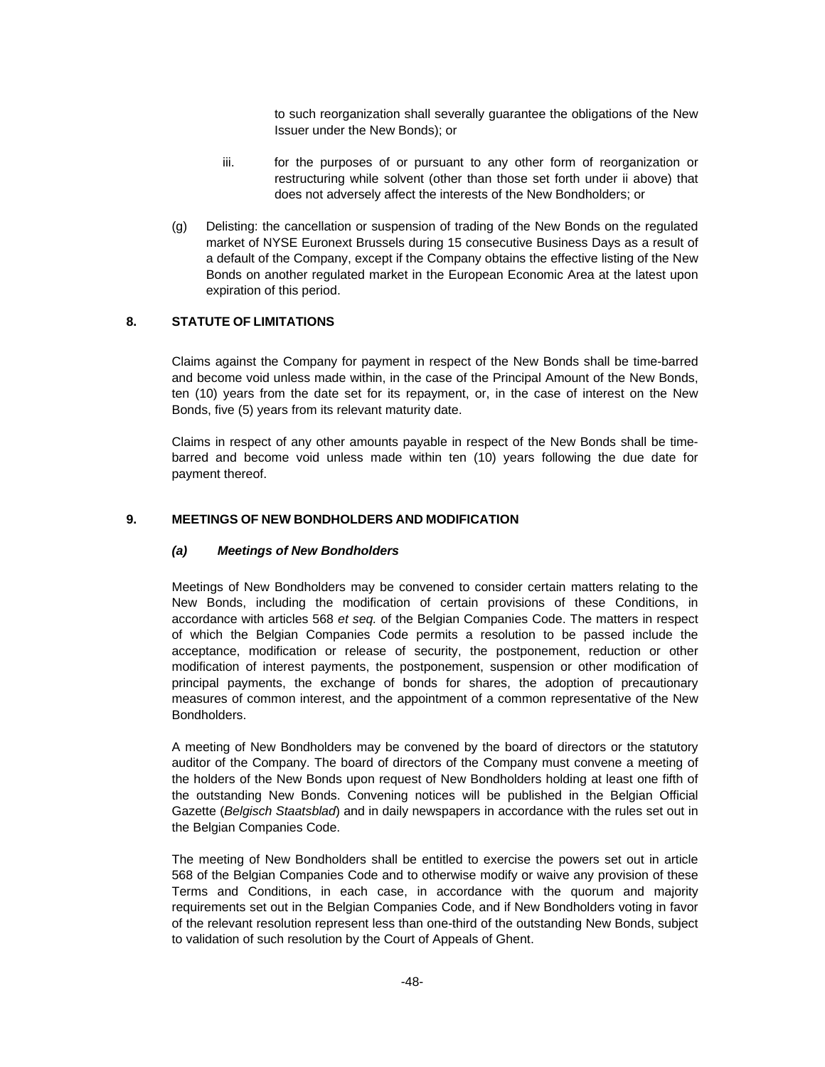to such reorganization shall severally guarantee the obligations of the New Issuer under the New Bonds); or

- iii. for the purposes of or pursuant to any other form of reorganization or restructuring while solvent (other than those set forth under ii above) that does not adversely affect the interests of the New Bondholders; or
- (g) Delisting: the cancellation or suspension of trading of the New Bonds on the regulated market of NYSE Euronext Brussels during 15 consecutive Business Days as a result of a default of the Company, except if the Company obtains the effective listing of the New Bonds on another regulated market in the European Economic Area at the latest upon expiration of this period.

## **8. STATUTE OF LIMITATIONS**

Claims against the Company for payment in respect of the New Bonds shall be time-barred and become void unless made within, in the case of the Principal Amount of the New Bonds, ten (10) years from the date set for its repayment, or, in the case of interest on the New Bonds, five (5) years from its relevant maturity date.

Claims in respect of any other amounts payable in respect of the New Bonds shall be timebarred and become void unless made within ten (10) years following the due date for payment thereof.

## **9. MEETINGS OF NEW BONDHOLDERS AND MODIFICATION**

## *(a) Meetings of New Bondholders*

Meetings of New Bondholders may be convened to consider certain matters relating to the New Bonds, including the modification of certain provisions of these Conditions, in accordance with articles 568 *et seq.* of the Belgian Companies Code. The matters in respect of which the Belgian Companies Code permits a resolution to be passed include the acceptance, modification or release of security, the postponement, reduction or other modification of interest payments, the postponement, suspension or other modification of principal payments, the exchange of bonds for shares, the adoption of precautionary measures of common interest, and the appointment of a common representative of the New Bondholders.

A meeting of New Bondholders may be convened by the board of directors or the statutory auditor of the Company. The board of directors of the Company must convene a meeting of the holders of the New Bonds upon request of New Bondholders holding at least one fifth of the outstanding New Bonds. Convening notices will be published in the Belgian Official Gazette (*Belgisch Staatsblad*) and in daily newspapers in accordance with the rules set out in the Belgian Companies Code.

The meeting of New Bondholders shall be entitled to exercise the powers set out in article 568 of the Belgian Companies Code and to otherwise modify or waive any provision of these Terms and Conditions, in each case, in accordance with the quorum and majority requirements set out in the Belgian Companies Code, and if New Bondholders voting in favor of the relevant resolution represent less than one-third of the outstanding New Bonds, subject to validation of such resolution by the Court of Appeals of Ghent.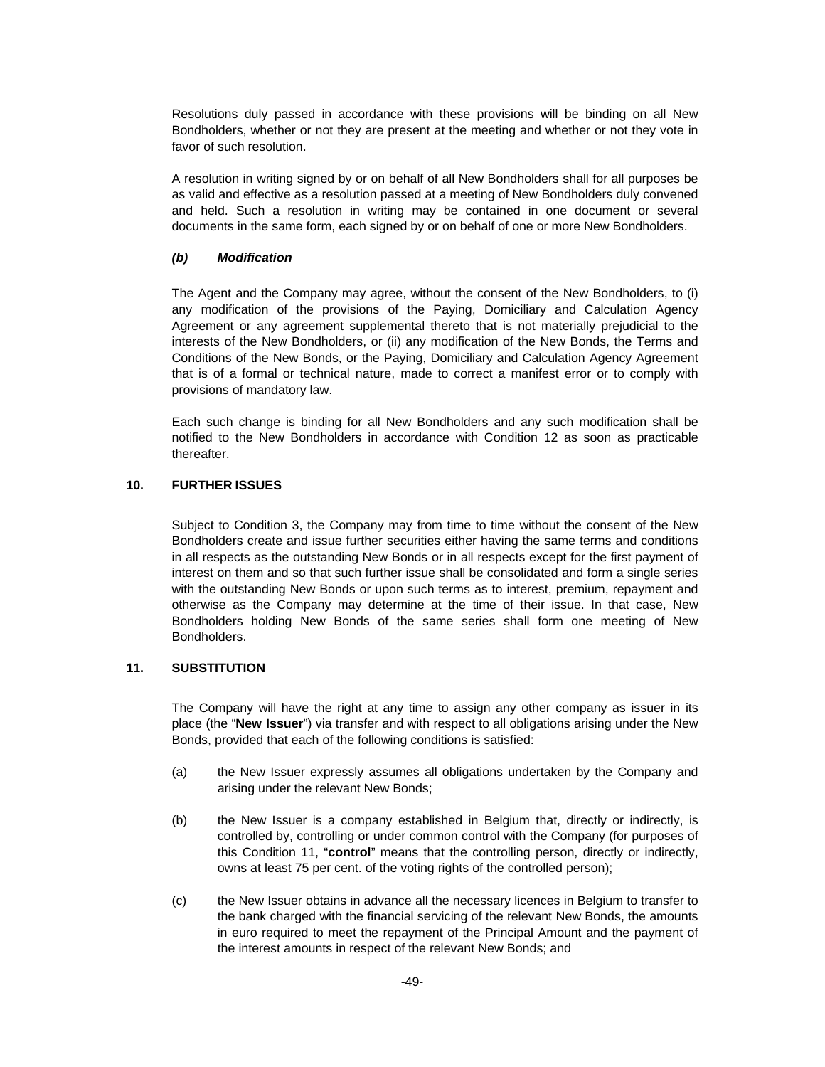Resolutions duly passed in accordance with these provisions will be binding on all New Bondholders, whether or not they are present at the meeting and whether or not they vote in favor of such resolution.

A resolution in writing signed by or on behalf of all New Bondholders shall for all purposes be as valid and effective as a resolution passed at a meeting of New Bondholders duly convened and held. Such a resolution in writing may be contained in one document or several documents in the same form, each signed by or on behalf of one or more New Bondholders.

## *(b) Modification*

The Agent and the Company may agree, without the consent of the New Bondholders, to (i) any modification of the provisions of the Paying, Domiciliary and Calculation Agency Agreement or any agreement supplemental thereto that is not materially prejudicial to the interests of the New Bondholders, or (ii) any modification of the New Bonds, the Terms and Conditions of the New Bonds, or the Paying, Domiciliary and Calculation Agency Agreement that is of a formal or technical nature, made to correct a manifest error or to comply with provisions of mandatory law.

Each such change is binding for all New Bondholders and any such modification shall be notified to the New Bondholders in accordance with Condition 12 as soon as practicable thereafter.

## **10. FURTHER ISSUES**

Subject to Condition 3, the Company may from time to time without the consent of the New Bondholders create and issue further securities either having the same terms and conditions in all respects as the outstanding New Bonds or in all respects except for the first payment of interest on them and so that such further issue shall be consolidated and form a single series with the outstanding New Bonds or upon such terms as to interest, premium, repayment and otherwise as the Company may determine at the time of their issue. In that case, New Bondholders holding New Bonds of the same series shall form one meeting of New Bondholders.

## **11. SUBSTITUTION**

The Company will have the right at any time to assign any other company as issuer in its place (the "**New Issuer**") via transfer and with respect to all obligations arising under the New Bonds, provided that each of the following conditions is satisfied:

- (a) the New Issuer expressly assumes all obligations undertaken by the Company and arising under the relevant New Bonds;
- (b) the New Issuer is a company established in Belgium that, directly or indirectly, is controlled by, controlling or under common control with the Company (for purposes of this Condition 11, "**control**" means that the controlling person, directly or indirectly, owns at least 75 per cent. of the voting rights of the controlled person);
- (c) the New Issuer obtains in advance all the necessary licences in Belgium to transfer to the bank charged with the financial servicing of the relevant New Bonds, the amounts in euro required to meet the repayment of the Principal Amount and the payment of the interest amounts in respect of the relevant New Bonds; and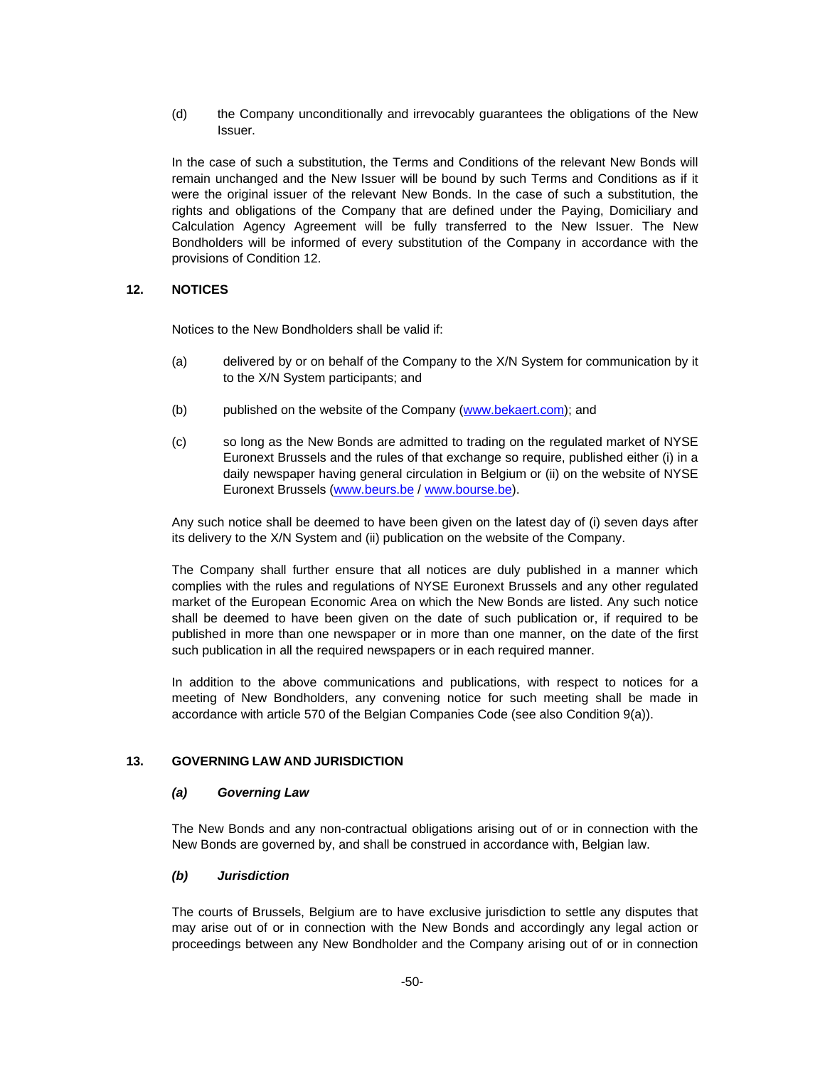(d) the Company unconditionally and irrevocably guarantees the obligations of the New Issuer.

In the case of such a substitution, the Terms and Conditions of the relevant New Bonds will remain unchanged and the New Issuer will be bound by such Terms and Conditions as if it were the original issuer of the relevant New Bonds. In the case of such a substitution, the rights and obligations of the Company that are defined under the Paying, Domiciliary and Calculation Agency Agreement will be fully transferred to the New Issuer. The New Bondholders will be informed of every substitution of the Company in accordance with the provisions of Condition 12.

### **12. NOTICES**

Notices to the New Bondholders shall be valid if:

- (a) delivered by or on behalf of the Company to the X/N System for communication by it to the X/N System participants; and
- (b) published on the website of the Company (www.bekaert.com); and
- (c) so long as the New Bonds are admitted to trading on the regulated market of NYSE Euronext Brussels and the rules of that exchange so require, published either (i) in a daily newspaper having general circulation in Belgium or (ii) on the website of NYSE Euronext Brussels (www.beurs.be / www.bourse.be).

Any such notice shall be deemed to have been given on the latest day of (i) seven days after its delivery to the X/N System and (ii) publication on the website of the Company.

The Company shall further ensure that all notices are duly published in a manner which complies with the rules and regulations of NYSE Euronext Brussels and any other regulated market of the European Economic Area on which the New Bonds are listed. Any such notice shall be deemed to have been given on the date of such publication or, if required to be published in more than one newspaper or in more than one manner, on the date of the first such publication in all the required newspapers or in each required manner.

In addition to the above communications and publications, with respect to notices for a meeting of New Bondholders, any convening notice for such meeting shall be made in accordance with article 570 of the Belgian Companies Code (see also Condition 9(a)).

#### **13. GOVERNING LAW AND JURISDICTION**

#### *(a) Governing Law*

The New Bonds and any non-contractual obligations arising out of or in connection with the New Bonds are governed by, and shall be construed in accordance with, Belgian law.

#### *(b) Jurisdiction*

The courts of Brussels, Belgium are to have exclusive jurisdiction to settle any disputes that may arise out of or in connection with the New Bonds and accordingly any legal action or proceedings between any New Bondholder and the Company arising out of or in connection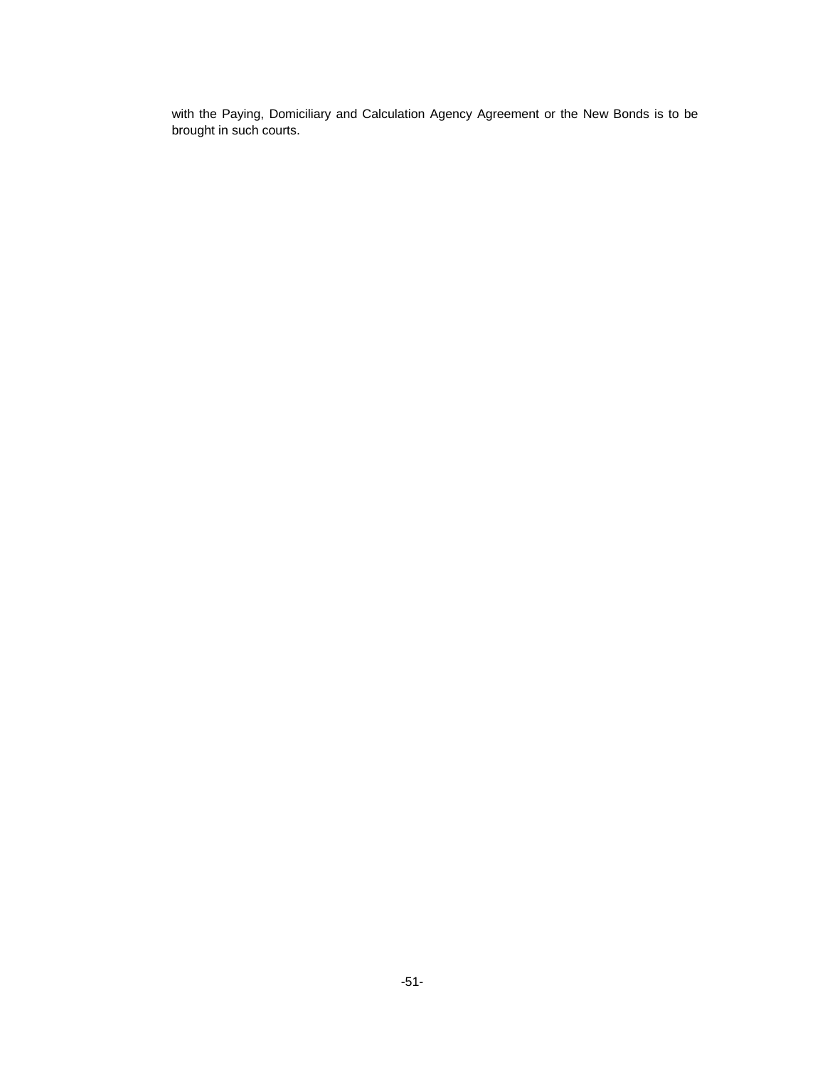with the Paying, Domiciliary and Calculation Agency Agreement or the New Bonds is to be brought in such courts.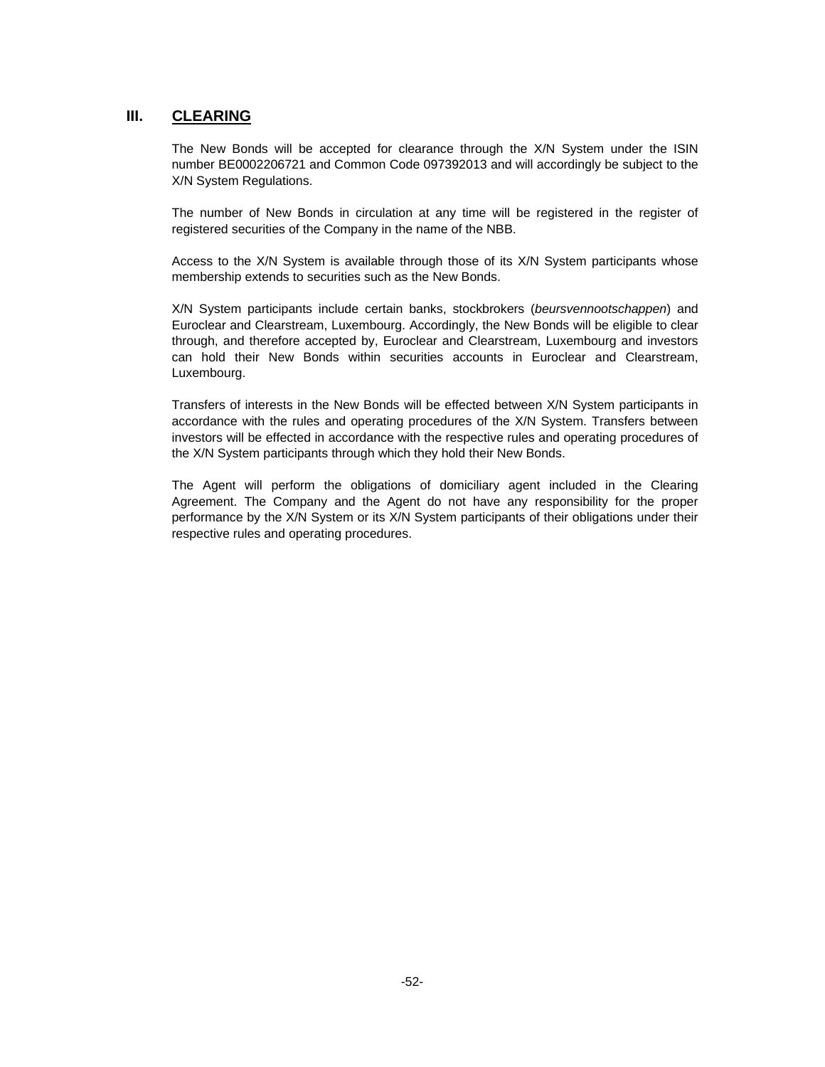## **III. CLEARING**

The New Bonds will be accepted for clearance through the X/N System under the ISIN number BE0002206721 and Common Code 097392013 and will accordingly be subject to the X/N System Regulations.

The number of New Bonds in circulation at any time will be registered in the register of registered securities of the Company in the name of the NBB.

Access to the X/N System is available through those of its X/N System participants whose membership extends to securities such as the New Bonds.

X/N System participants include certain banks, stockbrokers (*beursvennootschappen*) and Euroclear and Clearstream, Luxembourg. Accordingly, the New Bonds will be eligible to clear through, and therefore accepted by, Euroclear and Clearstream, Luxembourg and investors can hold their New Bonds within securities accounts in Euroclear and Clearstream, Luxembourg.

Transfers of interests in the New Bonds will be effected between X/N System participants in accordance with the rules and operating procedures of the X/N System. Transfers between investors will be effected in accordance with the respective rules and operating procedures of the X/N System participants through which they hold their New Bonds.

The Agent will perform the obligations of domiciliary agent included in the Clearing Agreement. The Company and the Agent do not have any responsibility for the proper performance by the X/N System or its X/N System participants of their obligations under their respective rules and operating procedures.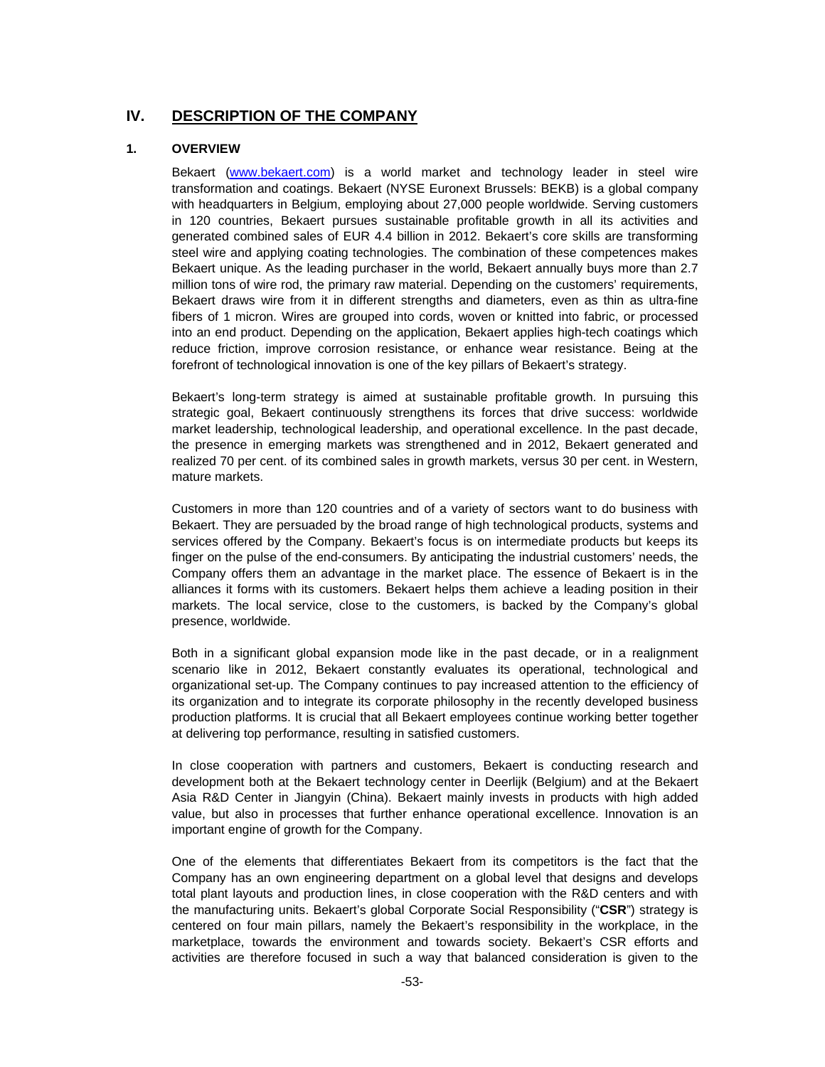## **IV. DESCRIPTION OF THE COMPANY**

### **1. OVERVIEW**

Bekaert (www.bekaert.com) is a world market and technology leader in steel wire transformation and coatings. Bekaert (NYSE Euronext Brussels: BEKB) is a global company with headquarters in Belgium, employing about 27,000 people worldwide. Serving customers in 120 countries, Bekaert pursues sustainable profitable growth in all its activities and generated combined sales of EUR 4.4 billion in 2012. Bekaert's core skills are transforming steel wire and applying coating technologies. The combination of these competences makes Bekaert unique. As the leading purchaser in the world, Bekaert annually buys more than 2.7 million tons of wire rod, the primary raw material. Depending on the customers' requirements, Bekaert draws wire from it in different strengths and diameters, even as thin as ultra-fine fibers of 1 micron. Wires are grouped into cords, woven or knitted into fabric, or processed into an end product. Depending on the application, Bekaert applies high-tech coatings which reduce friction, improve corrosion resistance, or enhance wear resistance. Being at the forefront of technological innovation is one of the key pillars of Bekaert's strategy.

Bekaert's long-term strategy is aimed at sustainable profitable growth. In pursuing this strategic goal, Bekaert continuously strengthens its forces that drive success: worldwide market leadership, technological leadership, and operational excellence. In the past decade, the presence in emerging markets was strengthened and in 2012, Bekaert generated and realized 70 per cent. of its combined sales in growth markets, versus 30 per cent. in Western, mature markets.

Customers in more than 120 countries and of a variety of sectors want to do business with Bekaert. They are persuaded by the broad range of high technological products, systems and services offered by the Company. Bekaert's focus is on intermediate products but keeps its finger on the pulse of the end-consumers. By anticipating the industrial customers' needs, the Company offers them an advantage in the market place. The essence of Bekaert is in the alliances it forms with its customers. Bekaert helps them achieve a leading position in their markets. The local service, close to the customers, is backed by the Company's global presence, worldwide.

Both in a significant global expansion mode like in the past decade, or in a realignment scenario like in 2012, Bekaert constantly evaluates its operational, technological and organizational set-up. The Company continues to pay increased attention to the efficiency of its organization and to integrate its corporate philosophy in the recently developed business production platforms. It is crucial that all Bekaert employees continue working better together at delivering top performance, resulting in satisfied customers.

In close cooperation with partners and customers, Bekaert is conducting research and development both at the Bekaert technology center in Deerlijk (Belgium) and at the Bekaert Asia R&D Center in Jiangyin (China). Bekaert mainly invests in products with high added value, but also in processes that further enhance operational excellence. Innovation is an important engine of growth for the Company.

One of the elements that differentiates Bekaert from its competitors is the fact that the Company has an own engineering department on a global level that designs and develops total plant layouts and production lines, in close cooperation with the R&D centers and with the manufacturing units. Bekaert's global Corporate Social Responsibility ("**CSR**") strategy is centered on four main pillars, namely the Bekaert's responsibility in the workplace, in the marketplace, towards the environment and towards society. Bekaert's CSR efforts and activities are therefore focused in such a way that balanced consideration is given to the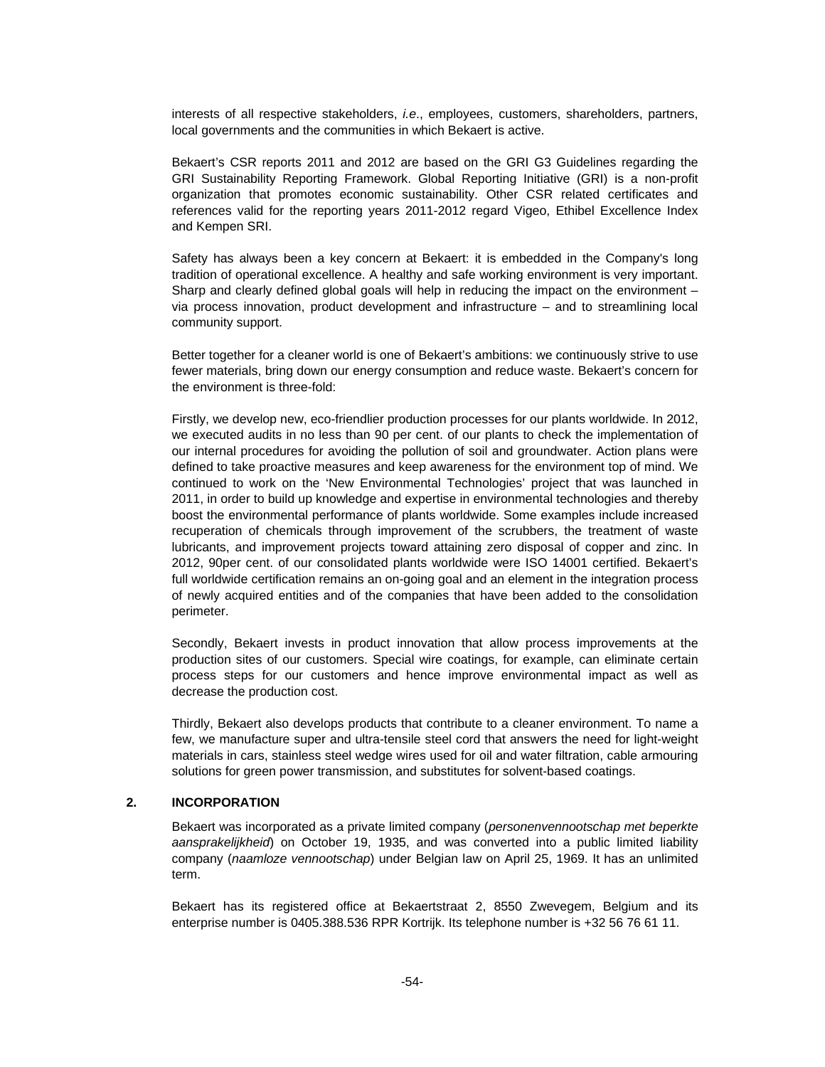interests of all respective stakeholders, *i.e*., employees, customers, shareholders, partners, local governments and the communities in which Bekaert is active.

Bekaert's CSR reports 2011 and 2012 are based on the GRI G3 Guidelines regarding the GRI Sustainability Reporting Framework. Global Reporting Initiative (GRI) is a non-profit organization that promotes economic sustainability. Other CSR related certificates and references valid for the reporting years 2011-2012 regard Vigeo, Ethibel Excellence Index and Kempen SRI.

Safety has always been a key concern at Bekaert: it is embedded in the Company's long tradition of operational excellence. A healthy and safe working environment is very important. Sharp and clearly defined global goals will help in reducing the impact on the environment – via process innovation, product development and infrastructure – and to streamlining local community support.

Better together for a cleaner world is one of Bekaert's ambitions: we continuously strive to use fewer materials, bring down our energy consumption and reduce waste. Bekaert's concern for the environment is three-fold:

Firstly, we develop new, eco-friendlier production processes for our plants worldwide. In 2012, we executed audits in no less than 90 per cent. of our plants to check the implementation of our internal procedures for avoiding the pollution of soil and groundwater. Action plans were defined to take proactive measures and keep awareness for the environment top of mind. We continued to work on the 'New Environmental Technologies' project that was launched in 2011, in order to build up knowledge and expertise in environmental technologies and thereby boost the environmental performance of plants worldwide. Some examples include increased recuperation of chemicals through improvement of the scrubbers, the treatment of waste lubricants, and improvement projects toward attaining zero disposal of copper and zinc. In 2012, 90per cent. of our consolidated plants worldwide were ISO 14001 certified. Bekaert's full worldwide certification remains an on-going goal and an element in the integration process of newly acquired entities and of the companies that have been added to the consolidation perimeter.

Secondly, Bekaert invests in product innovation that allow process improvements at the production sites of our customers. Special wire coatings, for example, can eliminate certain process steps for our customers and hence improve environmental impact as well as decrease the production cost.

Thirdly, Bekaert also develops products that contribute to a cleaner environment. To name a few, we manufacture super and ultra-tensile steel cord that answers the need for light-weight materials in cars, stainless steel wedge wires used for oil and water filtration, cable armouring solutions for green power transmission, and substitutes for solvent-based coatings.

### **2. INCORPORATION**

Bekaert was incorporated as a private limited company (*personenvennootschap met beperkte aansprakelijkheid*) on October 19, 1935, and was converted into a public limited liability company (*naamloze vennootschap*) under Belgian law on April 25, 1969. It has an unlimited term.

Bekaert has its registered office at Bekaertstraat 2, 8550 Zwevegem, Belgium and its enterprise number is 0405.388.536 RPR Kortrijk. Its telephone number is +32 56 76 61 11.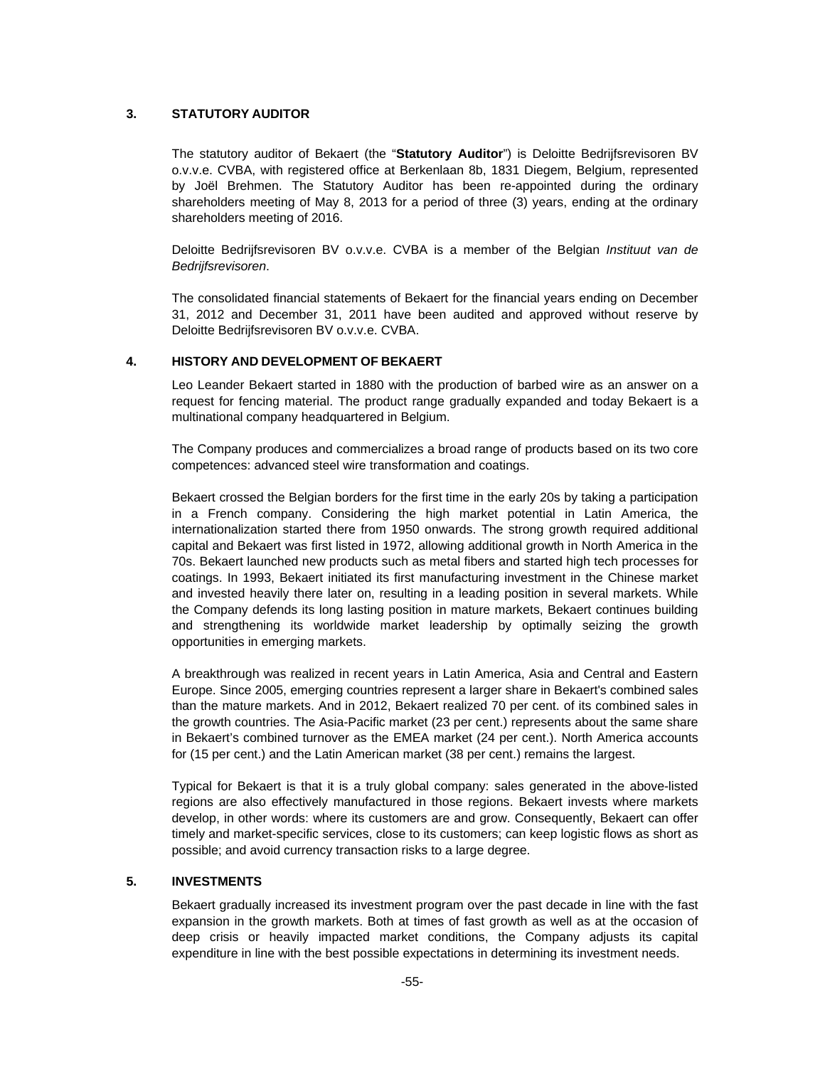## **3. STATUTORY AUDITOR**

The statutory auditor of Bekaert (the "**Statutory Auditor**") is Deloitte Bedrijfsrevisoren BV o.v.v.e. CVBA, with registered office at Berkenlaan 8b, 1831 Diegem, Belgium, represented by Joël Brehmen. The Statutory Auditor has been re-appointed during the ordinary shareholders meeting of May 8, 2013 for a period of three (3) years, ending at the ordinary shareholders meeting of 2016.

Deloitte Bedrijfsrevisoren BV o.v.v.e. CVBA is a member of the Belgian *Instituut van de Bedrijfsrevisoren*.

The consolidated financial statements of Bekaert for the financial years ending on December 31, 2012 and December 31, 2011 have been audited and approved without reserve by Deloitte Bedrijfsrevisoren BV o.v.v.e. CVBA.

## **4. HISTORY AND DEVELOPMENT OF BEKAERT**

Leo Leander Bekaert started in 1880 with the production of barbed wire as an answer on a request for fencing material. The product range gradually expanded and today Bekaert is a multinational company headquartered in Belgium.

The Company produces and commercializes a broad range of products based on its two core competences: advanced steel wire transformation and coatings.

Bekaert crossed the Belgian borders for the first time in the early 20s by taking a participation in a French company. Considering the high market potential in Latin America, the internationalization started there from 1950 onwards. The strong growth required additional capital and Bekaert was first listed in 1972, allowing additional growth in North America in the 70s. Bekaert launched new products such as metal fibers and started high tech processes for coatings. In 1993, Bekaert initiated its first manufacturing investment in the Chinese market and invested heavily there later on, resulting in a leading position in several markets. While the Company defends its long lasting position in mature markets, Bekaert continues building and strengthening its worldwide market leadership by optimally seizing the growth opportunities in emerging markets.

A breakthrough was realized in recent years in Latin America, Asia and Central and Eastern Europe. Since 2005, emerging countries represent a larger share in Bekaert's combined sales than the mature markets. And in 2012, Bekaert realized 70 per cent. of its combined sales in the growth countries. The Asia-Pacific market (23 per cent.) represents about the same share in Bekaert's combined turnover as the EMEA market (24 per cent.). North America accounts for (15 per cent.) and the Latin American market (38 per cent.) remains the largest.

Typical for Bekaert is that it is a truly global company: sales generated in the above-listed regions are also effectively manufactured in those regions. Bekaert invests where markets develop, in other words: where its customers are and grow. Consequently, Bekaert can offer timely and market-specific services, close to its customers; can keep logistic flows as short as possible; and avoid currency transaction risks to a large degree.

## **5. INVESTMENTS**

Bekaert gradually increased its investment program over the past decade in line with the fast expansion in the growth markets. Both at times of fast growth as well as at the occasion of deep crisis or heavily impacted market conditions, the Company adjusts its capital expenditure in line with the best possible expectations in determining its investment needs.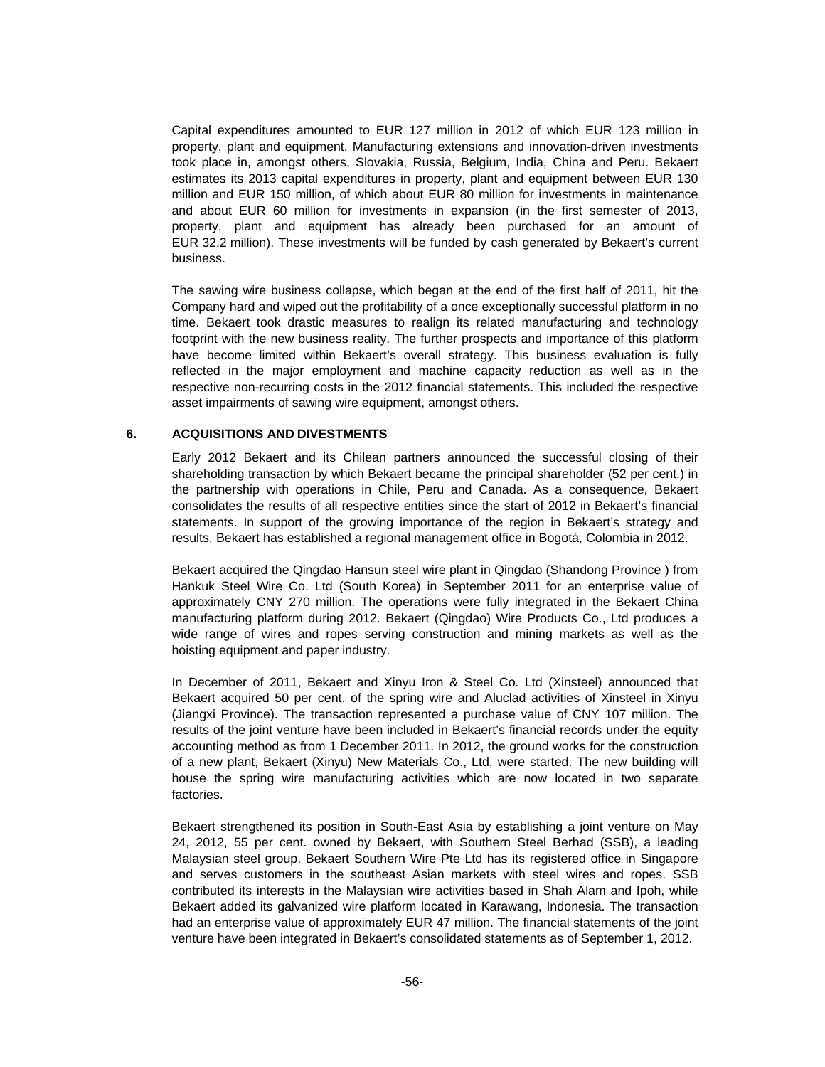Capital expenditures amounted to EUR 127 million in 2012 of which EUR 123 million in property, plant and equipment. Manufacturing extensions and innovation-driven investments took place in, amongst others, Slovakia, Russia, Belgium, India, China and Peru. Bekaert estimates its 2013 capital expenditures in property, plant and equipment between EUR 130 million and EUR 150 million, of which about EUR 80 million for investments in maintenance and about EUR 60 million for investments in expansion (in the first semester of 2013, property, plant and equipment has already been purchased for an amount of EUR 32.2 million). These investments will be funded by cash generated by Bekaert's current business.

The sawing wire business collapse, which began at the end of the first half of 2011, hit the Company hard and wiped out the profitability of a once exceptionally successful platform in no time. Bekaert took drastic measures to realign its related manufacturing and technology footprint with the new business reality. The further prospects and importance of this platform have become limited within Bekaert's overall strategy. This business evaluation is fully reflected in the major employment and machine capacity reduction as well as in the respective non-recurring costs in the 2012 financial statements. This included the respective asset impairments of sawing wire equipment, amongst others.

#### **6. ACQUISITIONS AND DIVESTMENTS**

Early 2012 Bekaert and its Chilean partners announced the successful closing of their shareholding transaction by which Bekaert became the principal shareholder (52 per cent.) in the partnership with operations in Chile, Peru and Canada. As a consequence, Bekaert consolidates the results of all respective entities since the start of 2012 in Bekaert's financial statements. In support of the growing importance of the region in Bekaert's strategy and results, Bekaert has established a regional management office in Bogotá, Colombia in 2012.

Bekaert acquired the Qingdao Hansun steel wire plant in Qingdao (Shandong Province ) from Hankuk Steel Wire Co. Ltd (South Korea) in September 2011 for an enterprise value of approximately CNY 270 million. The operations were fully integrated in the Bekaert China manufacturing platform during 2012. Bekaert (Qingdao) Wire Products Co., Ltd produces a wide range of wires and ropes serving construction and mining markets as well as the hoisting equipment and paper industry.

In December of 2011, Bekaert and Xinyu Iron & Steel Co. Ltd (Xinsteel) announced that Bekaert acquired 50 per cent. of the spring wire and Aluclad activities of Xinsteel in Xinyu (Jiangxi Province). The transaction represented a purchase value of CNY 107 million. The results of the joint venture have been included in Bekaert's financial records under the equity accounting method as from 1 December 2011. In 2012, the ground works for the construction of a new plant, Bekaert (Xinyu) New Materials Co., Ltd, were started. The new building will house the spring wire manufacturing activities which are now located in two separate factories.

Bekaert strengthened its position in South-East Asia by establishing a joint venture on May 24, 2012, 55 per cent. owned by Bekaert, with Southern Steel Berhad (SSB), a leading Malaysian steel group. Bekaert Southern Wire Pte Ltd has its registered office in Singapore and serves customers in the southeast Asian markets with steel wires and ropes. SSB contributed its interests in the Malaysian wire activities based in Shah Alam and Ipoh, while Bekaert added its galvanized wire platform located in Karawang, Indonesia. The transaction had an enterprise value of approximately EUR 47 million. The financial statements of the joint venture have been integrated in Bekaert's consolidated statements as of September 1, 2012.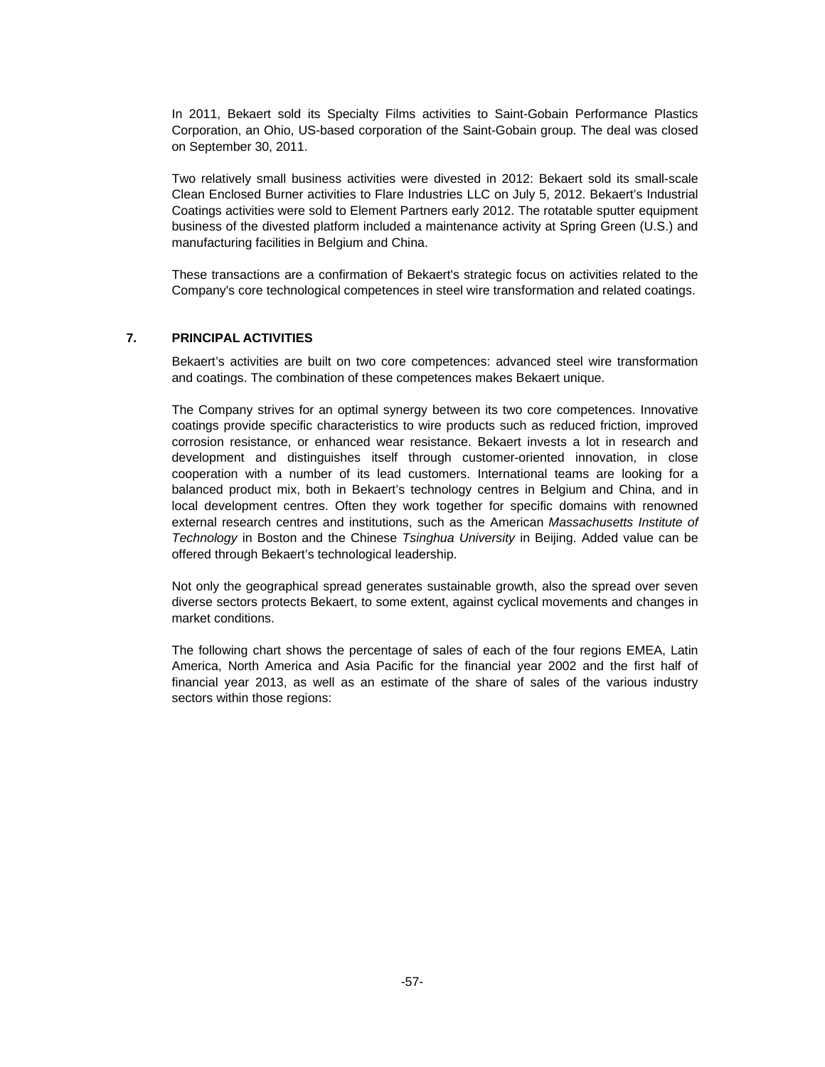In 2011, Bekaert sold its Specialty Films activities to Saint-Gobain Performance Plastics Corporation, an Ohio, US-based corporation of the Saint-Gobain group. The deal was closed on September 30, 2011.

Two relatively small business activities were divested in 2012: Bekaert sold its small-scale Clean Enclosed Burner activities to Flare Industries LLC on July 5, 2012. Bekaert's Industrial Coatings activities were sold to Element Partners early 2012. The rotatable sputter equipment business of the divested platform included a maintenance activity at Spring Green (U.S.) and manufacturing facilities in Belgium and China.

These transactions are a confirmation of Bekaert's strategic focus on activities related to the Company's core technological competences in steel wire transformation and related coatings.

#### **7. PRINCIPAL ACTIVITIES**

Bekaert's activities are built on two core competences: advanced steel wire transformation and coatings. The combination of these competences makes Bekaert unique.

The Company strives for an optimal synergy between its two core competences. Innovative coatings provide specific characteristics to wire products such as reduced friction, improved corrosion resistance, or enhanced wear resistance. Bekaert invests a lot in research and development and distinguishes itself through customer-oriented innovation, in close cooperation with a number of its lead customers. International teams are looking for a balanced product mix, both in Bekaert's technology centres in Belgium and China, and in local development centres. Often they work together for specific domains with renowned external research centres and institutions, such as the American *Massachusetts Institute of Technology* in Boston and the Chinese *Tsinghua University* in Beijing. Added value can be offered through Bekaert's technological leadership.

Not only the geographical spread generates sustainable growth, also the spread over seven diverse sectors protects Bekaert, to some extent, against cyclical movements and changes in market conditions.

The following chart shows the percentage of sales of each of the four regions EMEA, Latin America, North America and Asia Pacific for the financial year 2002 and the first half of financial year 2013, as well as an estimate of the share of sales of the various industry sectors within those regions: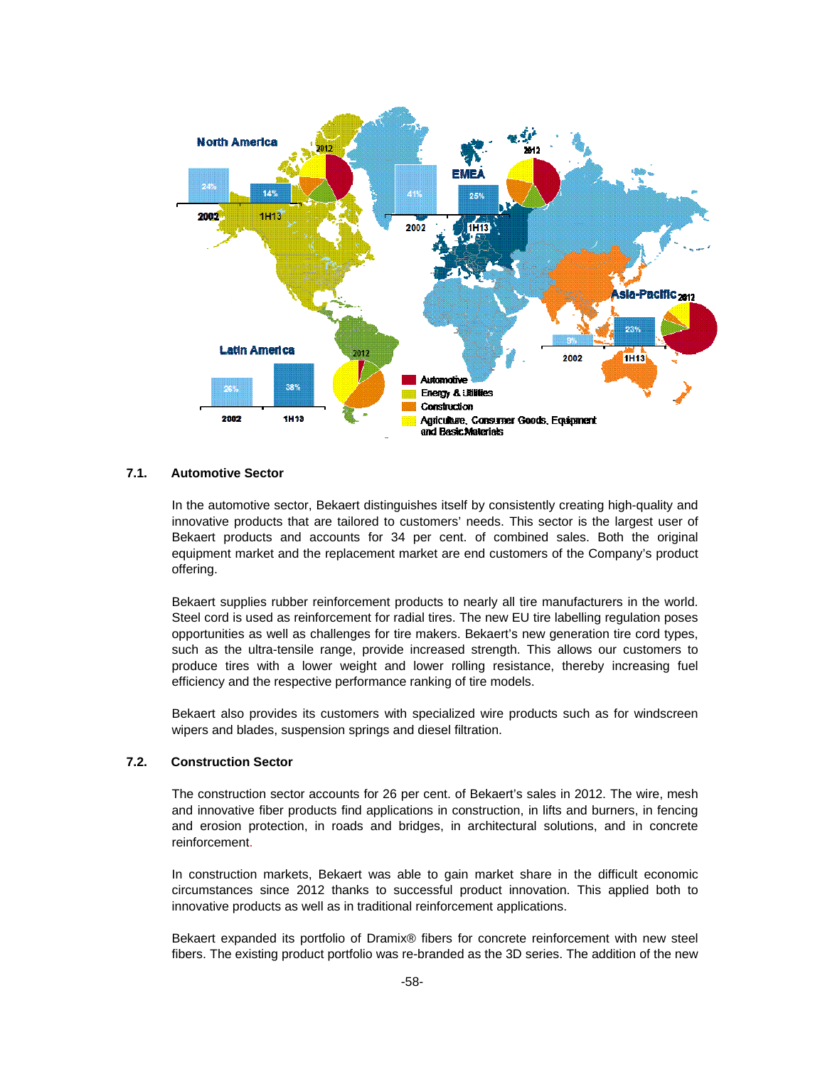

#### **7.1. Automotive Sector**

In the automotive sector, Bekaert distinguishes itself by consistently creating high-quality and innovative products that are tailored to customers' needs. This sector is the largest user of Bekaert products and accounts for 34 per cent. of combined sales. Both the original equipment market and the replacement market are end customers of the Company's product offering.

Bekaert supplies rubber reinforcement products to nearly all tire manufacturers in the world. Steel cord is used as reinforcement for radial tires. The new EU tire labelling regulation poses opportunities as well as challenges for tire makers. Bekaert's new generation tire cord types, such as the ultra-tensile range, provide increased strength. This allows our customers to produce tires with a lower weight and lower rolling resistance, thereby increasing fuel efficiency and the respective performance ranking of tire models.

Bekaert also provides its customers with specialized wire products such as for windscreen wipers and blades, suspension springs and diesel filtration.

#### **7.2. Construction Sector**

The construction sector accounts for 26 per cent. of Bekaert's sales in 2012. The wire, mesh and innovative fiber products find applications in construction, in lifts and burners, in fencing and erosion protection, in roads and bridges, in architectural solutions, and in concrete reinforcement.

In construction markets, Bekaert was able to gain market share in the difficult economic circumstances since 2012 thanks to successful product innovation. This applied both to innovative products as well as in traditional reinforcement applications.

Bekaert expanded its portfolio of Dramix® fibers for concrete reinforcement with new steel fibers. The existing product portfolio was re-branded as the 3D series. The addition of the new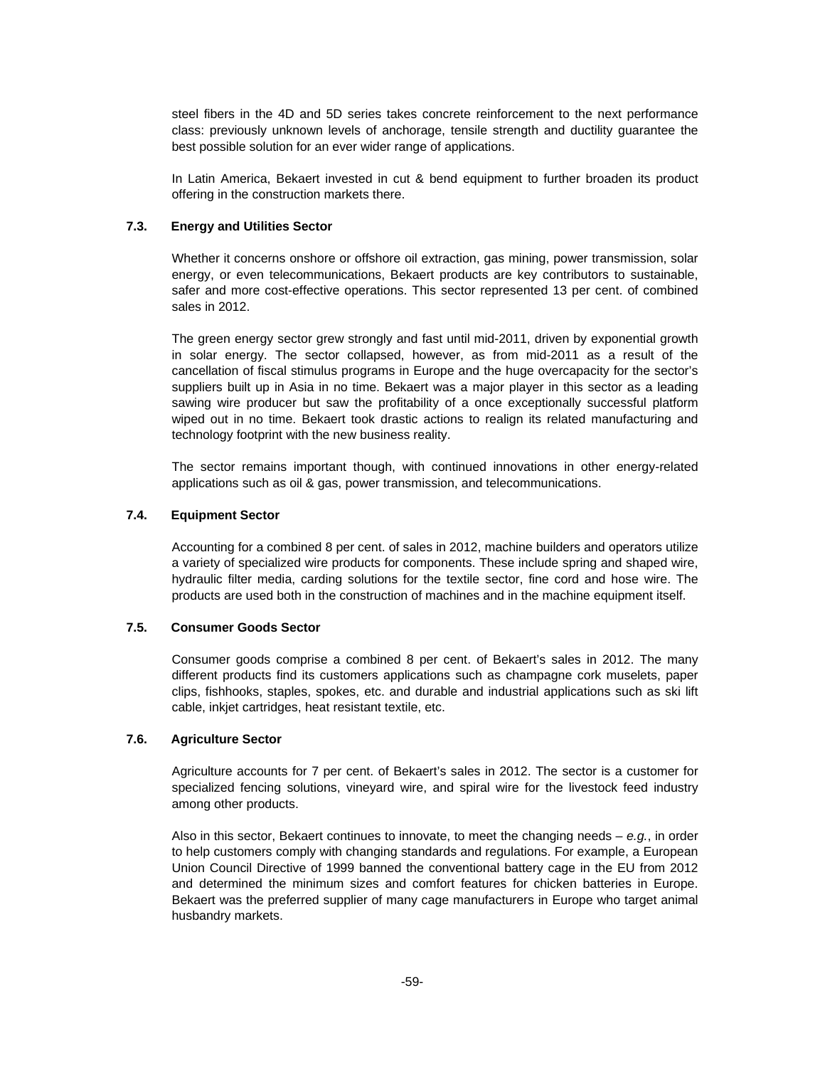steel fibers in the 4D and 5D series takes concrete reinforcement to the next performance class: previously unknown levels of anchorage, tensile strength and ductility guarantee the best possible solution for an ever wider range of applications.

In Latin America, Bekaert invested in cut & bend equipment to further broaden its product offering in the construction markets there.

## **7.3. Energy and Utilities Sector**

Whether it concerns onshore or offshore oil extraction, gas mining, power transmission, solar energy, or even telecommunications, Bekaert products are key contributors to sustainable, safer and more cost-effective operations. This sector represented 13 per cent. of combined sales in 2012.

The green energy sector grew strongly and fast until mid-2011, driven by exponential growth in solar energy. The sector collapsed, however, as from mid-2011 as a result of the cancellation of fiscal stimulus programs in Europe and the huge overcapacity for the sector's suppliers built up in Asia in no time. Bekaert was a major player in this sector as a leading sawing wire producer but saw the profitability of a once exceptionally successful platform wiped out in no time. Bekaert took drastic actions to realign its related manufacturing and technology footprint with the new business reality.

The sector remains important though, with continued innovations in other energy-related applications such as oil & gas, power transmission, and telecommunications.

### **7.4. Equipment Sector**

Accounting for a combined 8 per cent. of sales in 2012, machine builders and operators utilize a variety of specialized wire products for components. These include spring and shaped wire, hydraulic filter media, carding solutions for the textile sector, fine cord and hose wire. The products are used both in the construction of machines and in the machine equipment itself.

#### **7.5. Consumer Goods Sector**

Consumer goods comprise a combined 8 per cent. of Bekaert's sales in 2012. The many different products find its customers applications such as champagne cork muselets, paper clips, fishhooks, staples, spokes, etc. and durable and industrial applications such as ski lift cable, inkjet cartridges, heat resistant textile, etc.

#### **7.6. Agriculture Sector**

Agriculture accounts for 7 per cent. of Bekaert's sales in 2012. The sector is a customer for specialized fencing solutions, vineyard wire, and spiral wire for the livestock feed industry among other products.

Also in this sector, Bekaert continues to innovate, to meet the changing needs – *e.g.*, in order to help customers comply with changing standards and regulations. For example, a European Union Council Directive of 1999 banned the conventional battery cage in the EU from 2012 and determined the minimum sizes and comfort features for chicken batteries in Europe. Bekaert was the preferred supplier of many cage manufacturers in Europe who target animal husbandry markets.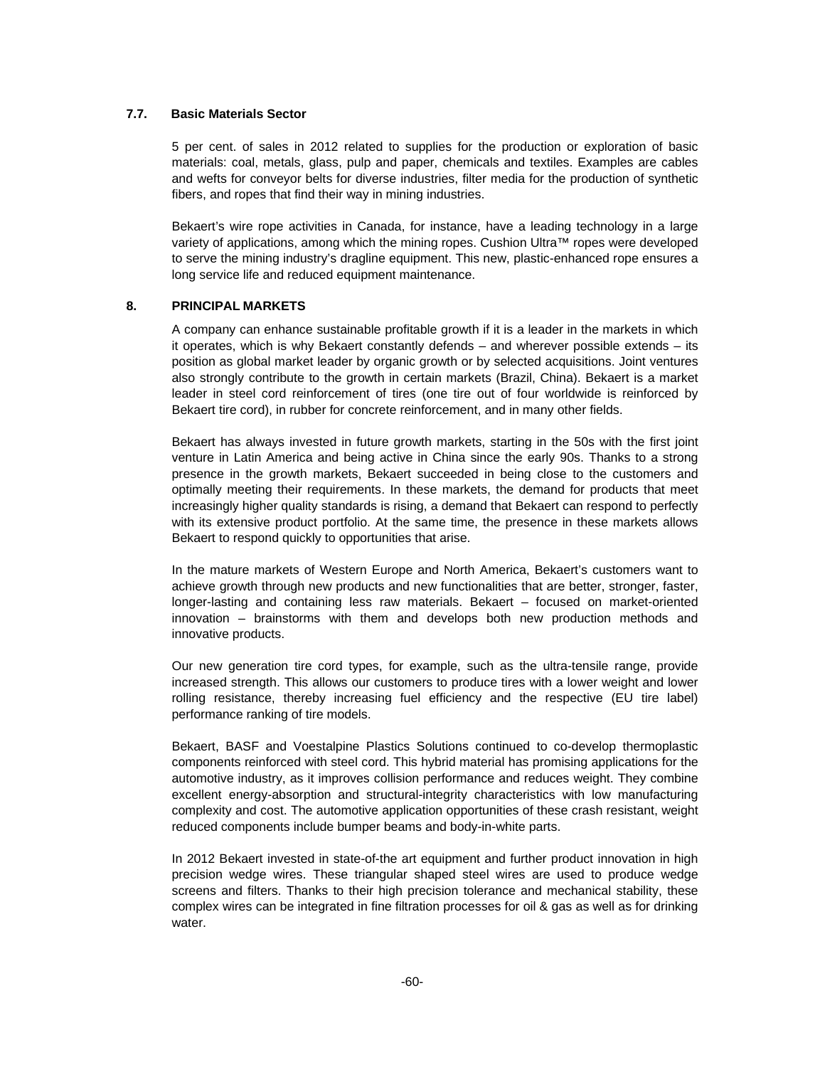#### **7.7. Basic Materials Sector**

5 per cent. of sales in 2012 related to supplies for the production or exploration of basic materials: coal, metals, glass, pulp and paper, chemicals and textiles. Examples are cables and wefts for conveyor belts for diverse industries, filter media for the production of synthetic fibers, and ropes that find their way in mining industries.

Bekaert's wire rope activities in Canada, for instance, have a leading technology in a large variety of applications, among which the mining ropes. Cushion Ultra™ ropes were developed to serve the mining industry's dragline equipment. This new, plastic-enhanced rope ensures a long service life and reduced equipment maintenance.

### **8. PRINCIPAL MARKETS**

A company can enhance sustainable profitable growth if it is a leader in the markets in which it operates, which is why Bekaert constantly defends – and wherever possible extends – its position as global market leader by organic growth or by selected acquisitions. Joint ventures also strongly contribute to the growth in certain markets (Brazil, China). Bekaert is a market leader in steel cord reinforcement of tires (one tire out of four worldwide is reinforced by Bekaert tire cord), in rubber for concrete reinforcement, and in many other fields.

Bekaert has always invested in future growth markets, starting in the 50s with the first joint venture in Latin America and being active in China since the early 90s. Thanks to a strong presence in the growth markets, Bekaert succeeded in being close to the customers and optimally meeting their requirements. In these markets, the demand for products that meet increasingly higher quality standards is rising, a demand that Bekaert can respond to perfectly with its extensive product portfolio. At the same time, the presence in these markets allows Bekaert to respond quickly to opportunities that arise.

In the mature markets of Western Europe and North America, Bekaert's customers want to achieve growth through new products and new functionalities that are better, stronger, faster, longer-lasting and containing less raw materials. Bekaert – focused on market-oriented innovation – brainstorms with them and develops both new production methods and innovative products.

Our new generation tire cord types, for example, such as the ultra-tensile range, provide increased strength. This allows our customers to produce tires with a lower weight and lower rolling resistance, thereby increasing fuel efficiency and the respective (EU tire label) performance ranking of tire models.

Bekaert, BASF and Voestalpine Plastics Solutions continued to co-develop thermoplastic components reinforced with steel cord. This hybrid material has promising applications for the automotive industry, as it improves collision performance and reduces weight. They combine excellent energy-absorption and structural-integrity characteristics with low manufacturing complexity and cost. The automotive application opportunities of these crash resistant, weight reduced components include bumper beams and body-in-white parts.

In 2012 Bekaert invested in state-of-the art equipment and further product innovation in high precision wedge wires. These triangular shaped steel wires are used to produce wedge screens and filters. Thanks to their high precision tolerance and mechanical stability, these complex wires can be integrated in fine filtration processes for oil & gas as well as for drinking water.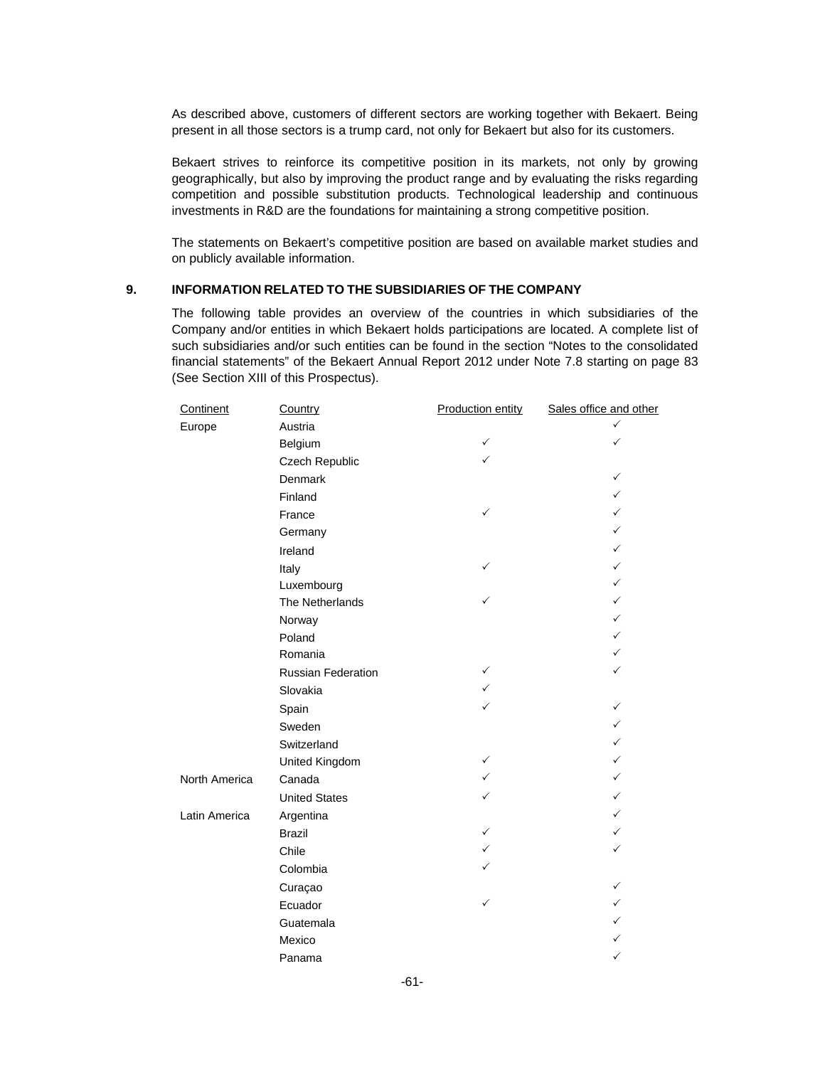As described above, customers of different sectors are working together with Bekaert. Being present in all those sectors is a trump card, not only for Bekaert but also for its customers.

Bekaert strives to reinforce its competitive position in its markets, not only by growing geographically, but also by improving the product range and by evaluating the risks regarding competition and possible substitution products. Technological leadership and continuous investments in R&D are the foundations for maintaining a strong competitive position.

The statements on Bekaert's competitive position are based on available market studies and on publicly available information.

## **9. INFORMATION RELATED TO THE SUBSIDIARIES OF THE COMPANY**

The following table provides an overview of the countries in which subsidiaries of the Company and/or entities in which Bekaert holds participations are located. A complete list of such subsidiaries and/or such entities can be found in the section "Notes to the consolidated financial statements" of the Bekaert Annual Report 2012 under Note 7.8 starting on page 83 (See Section XIII of this Prospectus).

| Continent     | Country              | <b>Production entity</b> | Sales office and other |
|---------------|----------------------|--------------------------|------------------------|
| Europe        | Austria              |                          | ✓                      |
|               | Belgium              | $\checkmark$             |                        |
|               | Czech Republic       | ✓                        |                        |
|               | Denmark              |                          | ✓                      |
|               | Finland              |                          | ✓                      |
|               | France               | ✓                        | ✓                      |
|               | Germany              |                          | ✓                      |
|               | Ireland              |                          | ✓                      |
|               | Italy                |                          | ✓                      |
|               | Luxembourg           |                          | $\checkmark$           |
|               | The Netherlands      |                          | ✓                      |
|               | Norway               |                          | ✓                      |
|               | Poland               |                          | ✓                      |
|               | Romania              |                          | ✓                      |
|               | Russian Federation   | $\checkmark$             | ✓                      |
|               | Slovakia             | $\checkmark$             |                        |
|               | Spain                | ✓                        | ✓                      |
|               | Sweden               |                          | ✓                      |
|               | Switzerland          |                          | ✓                      |
|               | United Kingdom       | ✓                        | ✓                      |
| North America | Canada               | $\checkmark$             | $\checkmark$           |
|               | <b>United States</b> | ✓                        | ✓                      |
| Latin America | Argentina            |                          | ✓                      |
|               | <b>Brazil</b>        | ✓                        | ✓                      |
|               | Chile                | ✓                        | ✓                      |
|               | Colombia             |                          |                        |
|               | Curaçao              |                          | ✓                      |
|               | Ecuador              | ✓                        | ✓                      |
|               | Guatemala            |                          |                        |
|               | Mexico               |                          |                        |
|               | Panama               |                          | ✓                      |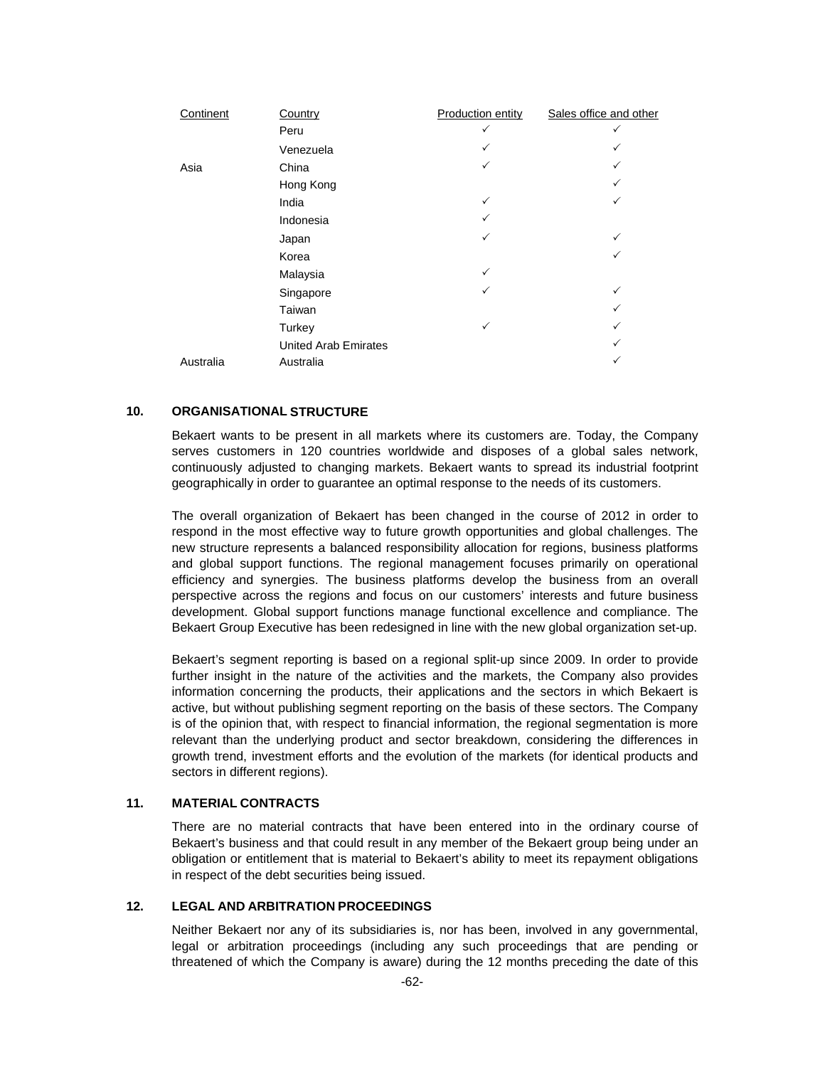| Continent | Country                     | Production entity | Sales office and other |
|-----------|-----------------------------|-------------------|------------------------|
|           | Peru                        |                   |                        |
|           | Venezuela                   |                   |                        |
| Asia      | China                       |                   |                        |
|           | Hong Kong                   |                   |                        |
|           | India                       | ✓                 | ✓                      |
|           | Indonesia                   |                   |                        |
|           | Japan                       | ✓                 | ✓                      |
|           | Korea                       |                   |                        |
|           | Malaysia                    | ✓                 |                        |
|           | Singapore                   |                   | $\checkmark$           |
|           | Taiwan                      |                   |                        |
|           | Turkey                      | ✓                 |                        |
|           | <b>United Arab Emirates</b> |                   |                        |
| Australia | Australia                   |                   |                        |

## **10. ORGANISATIONAL STRUCTURE**

Bekaert wants to be present in all markets where its customers are. Today, the Company serves customers in 120 countries worldwide and disposes of a global sales network, continuously adjusted to changing markets. Bekaert wants to spread its industrial footprint geographically in order to guarantee an optimal response to the needs of its customers.

The overall organization of Bekaert has been changed in the course of 2012 in order to respond in the most effective way to future growth opportunities and global challenges. The new structure represents a balanced responsibility allocation for regions, business platforms and global support functions. The regional management focuses primarily on operational efficiency and synergies. The business platforms develop the business from an overall perspective across the regions and focus on our customers' interests and future business development. Global support functions manage functional excellence and compliance. The Bekaert Group Executive has been redesigned in line with the new global organization set-up.

Bekaert's segment reporting is based on a regional split-up since 2009. In order to provide further insight in the nature of the activities and the markets, the Company also provides information concerning the products, their applications and the sectors in which Bekaert is active, but without publishing segment reporting on the basis of these sectors. The Company is of the opinion that, with respect to financial information, the regional segmentation is more relevant than the underlying product and sector breakdown, considering the differences in growth trend, investment efforts and the evolution of the markets (for identical products and sectors in different regions).

### **11. MATERIAL CONTRACTS**

There are no material contracts that have been entered into in the ordinary course of Bekaert's business and that could result in any member of the Bekaert group being under an obligation or entitlement that is material to Bekaert's ability to meet its repayment obligations in respect of the debt securities being issued.

### **12. LEGAL AND ARBITRATION PROCEEDINGS**

Neither Bekaert nor any of its subsidiaries is, nor has been, involved in any governmental, legal or arbitration proceedings (including any such proceedings that are pending or threatened of which the Company is aware) during the 12 months preceding the date of this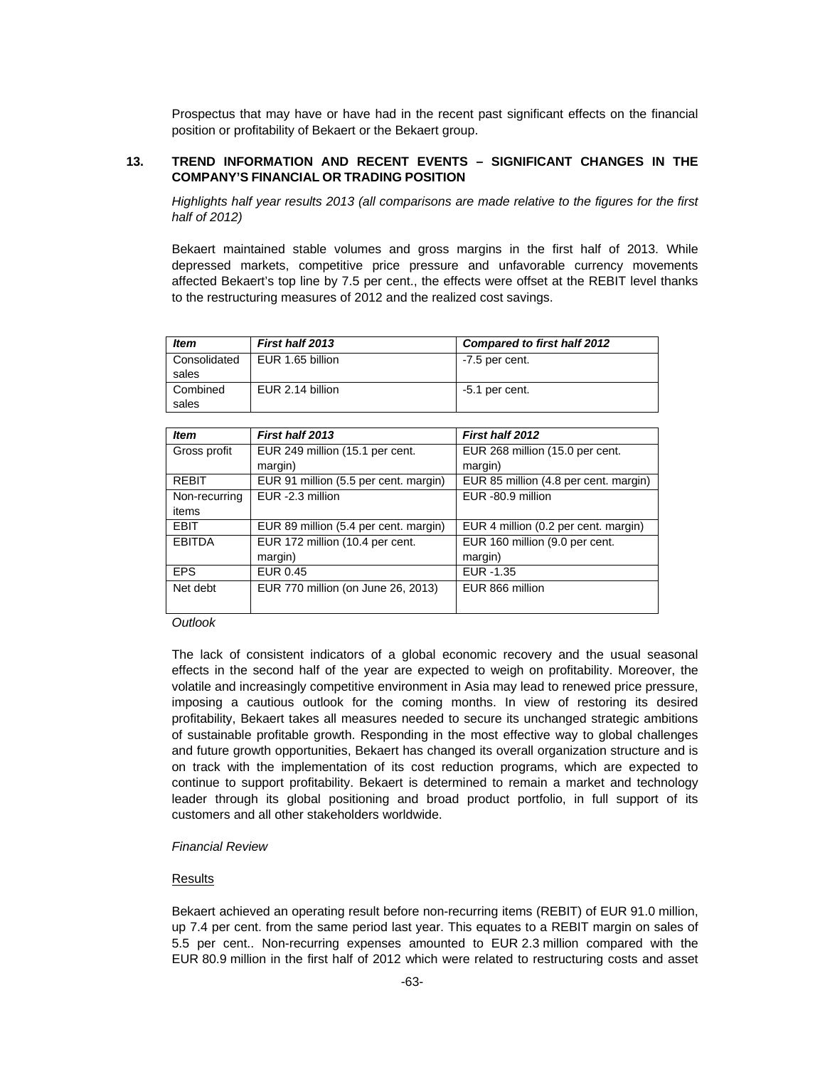Prospectus that may have or have had in the recent past significant effects on the financial position or profitability of Bekaert or the Bekaert group.

## **13. TREND INFORMATION AND RECENT EVENTS – SIGNIFICANT CHANGES IN THE COMPANY'S FINANCIAL OR TRADING POSITION**

*Highlights half year results 2013 (all comparisons are made relative to the figures for the first half of 2012)* 

Bekaert maintained stable volumes and gross margins in the first half of 2013. While depressed markets, competitive price pressure and unfavorable currency movements affected Bekaert's top line by 7.5 per cent., the effects were offset at the REBIT level thanks to the restructuring measures of 2012 and the realized cost savings.

| <b>Item</b>           | First half 2013  | <b>Compared to first half 2012</b> |
|-----------------------|------------------|------------------------------------|
| Consolidated<br>sales | EUR 1.65 billion | $-7.5$ per cent.                   |
| Combined<br>sales     | EUR 2.14 billion | $-5.1$ per cent.                   |

| First half 2013                       | First half 2012                                  |
|---------------------------------------|--------------------------------------------------|
| EUR 249 million (15.1 per cent.       | EUR 268 million (15.0 per cent.                  |
|                                       | margin)                                          |
|                                       | EUR 85 million (4.8 per cent. margin)            |
| EUR -2.3 million                      | EUR -80.9 million                                |
|                                       |                                                  |
| EUR 89 million (5.4 per cent. margin) | EUR 4 million (0.2 per cent. margin)             |
| EUR 172 million (10.4 per cent.       | EUR 160 million (9.0 per cent.                   |
| margin)                               | margin)                                          |
| <b>EUR 0.45</b>                       | EUR - 1.35                                       |
| EUR 770 million (on June 26, 2013)    | EUR 866 million                                  |
|                                       | margin)<br>EUR 91 million (5.5 per cent. margin) |

#### *Outlook*

The lack of consistent indicators of a global economic recovery and the usual seasonal effects in the second half of the year are expected to weigh on profitability. Moreover, the volatile and increasingly competitive environment in Asia may lead to renewed price pressure, imposing a cautious outlook for the coming months. In view of restoring its desired profitability, Bekaert takes all measures needed to secure its unchanged strategic ambitions of sustainable profitable growth. Responding in the most effective way to global challenges and future growth opportunities, Bekaert has changed its overall organization structure and is on track with the implementation of its cost reduction programs, which are expected to continue to support profitability. Bekaert is determined to remain a market and technology leader through its global positioning and broad product portfolio, in full support of its customers and all other stakeholders worldwide.

#### *Financial Review*

#### **Results**

Bekaert achieved an operating result before non-recurring items (REBIT) of EUR 91.0 million, up 7.4 per cent. from the same period last year. This equates to a REBIT margin on sales of 5.5 per cent.. Non-recurring expenses amounted to EUR 2.3 million compared with the EUR 80.9 million in the first half of 2012 which were related to restructuring costs and asset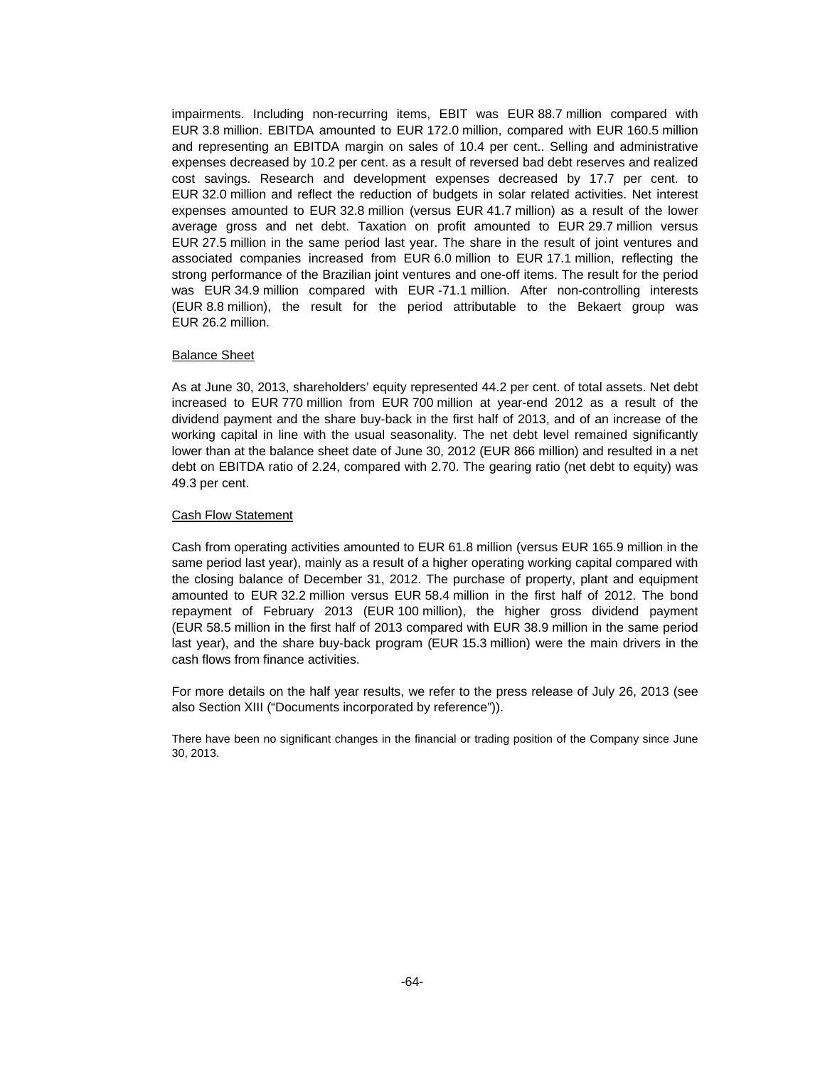impairments. Including non-recurring items, EBIT was EUR 88.7 million compared with EUR 3.8 million. EBITDA amounted to EUR 172.0 million, compared with EUR 160.5 million and representing an EBITDA margin on sales of 10.4 per cent.. Selling and administrative expenses decreased by 10.2 per cent. as a result of reversed bad debt reserves and realized cost savings. Research and development expenses decreased by 17.7 per cent. to EUR 32.0 million and reflect the reduction of budgets in solar related activities. Net interest expenses amounted to EUR 32.8 million (versus EUR 41.7 million) as a result of the lower average gross and net debt. Taxation on profit amounted to EUR 29.7 million versus EUR 27.5 million in the same period last year. The share in the result of joint ventures and associated companies increased from EUR 6.0 million to EUR 17.1 million, reflecting the strong performance of the Brazilian joint ventures and one-off items. The result for the period was EUR 34.9 million compared with EUR -71.1 million. After non-controlling interests (EUR 8.8 million), the result for the period attributable to the Bekaert group was EUR 26.2 million.

#### Balance Sheet

As at June 30, 2013, shareholders' equity represented 44.2 per cent. of total assets. Net debt increased to EUR 770 million from EUR 700 million at year-end 2012 as a result of the dividend payment and the share buy-back in the first half of 2013, and of an increase of the working capital in line with the usual seasonality. The net debt level remained significantly lower than at the balance sheet date of June 30, 2012 (EUR 866 million) and resulted in a net debt on EBITDA ratio of 2.24, compared with 2.70. The gearing ratio (net debt to equity) was 49.3 per cent.

#### Cash Flow Statement

Cash from operating activities amounted to EUR 61.8 million (versus EUR 165.9 million in the same period last year), mainly as a result of a higher operating working capital compared with the closing balance of December 31, 2012. The purchase of property, plant and equipment amounted to EUR 32.2 million versus EUR 58.4 million in the first half of 2012. The bond repayment of February 2013 (EUR 100 million), the higher gross dividend payment (EUR 58.5 million in the first half of 2013 compared with EUR 38.9 million in the same period last year), and the share buy-back program (EUR 15.3 million) were the main drivers in the cash flows from finance activities.

For more details on the half year results, we refer to the press release of July 26, 2013 (see also Section XIII ("Documents incorporated by reference")).

There have been no significant changes in the financial or trading position of the Company since June 30, 2013.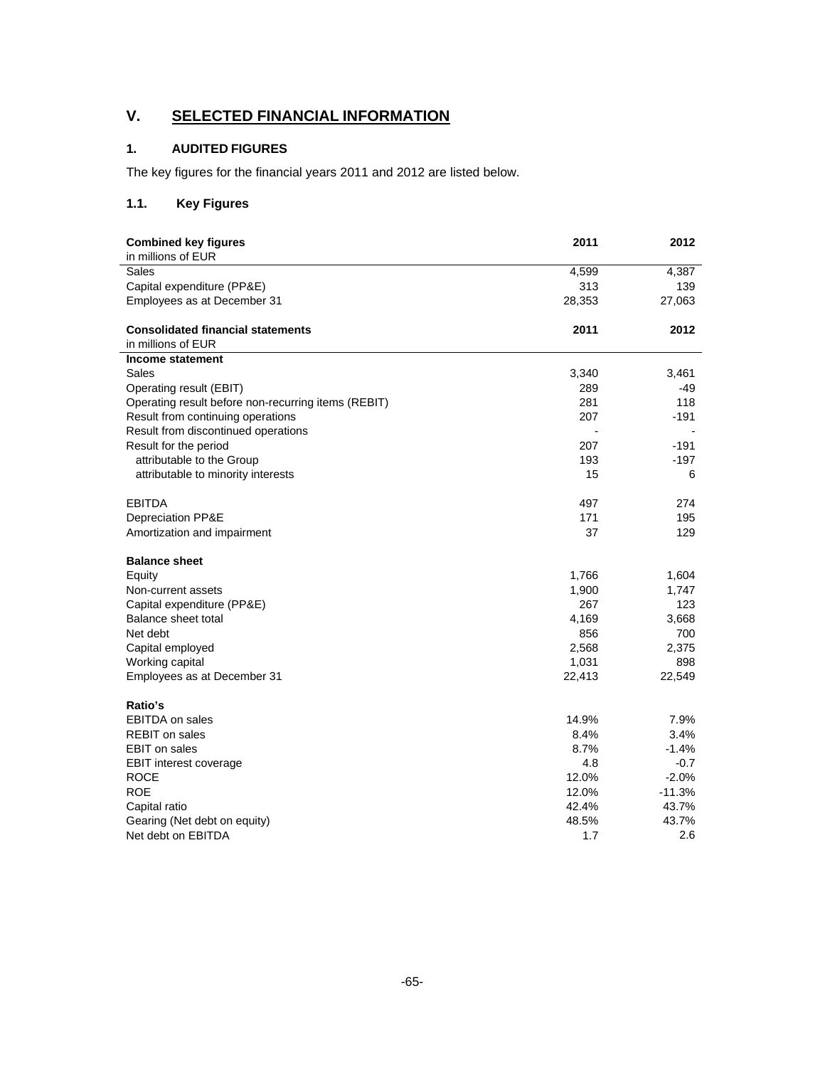# **V. SELECTED FINANCIAL INFORMATION**

## **1. AUDITED FIGURES**

The key figures for the financial years 2011 and 2012 are listed below.

## **1.1. Key Figures**

| <b>Combined key figures</b><br>in millions of EUR   | 2011                     | 2012                     |
|-----------------------------------------------------|--------------------------|--------------------------|
| Sales                                               | 4,599                    | 4,387                    |
| Capital expenditure (PP&E)                          | 313                      | 139                      |
| Employees as at December 31                         | 28,353                   | 27,063                   |
|                                                     |                          |                          |
| <b>Consolidated financial statements</b>            | 2011                     | 2012                     |
| in millions of EUR                                  |                          |                          |
| Income statement                                    |                          |                          |
| Sales                                               | 3,340                    | 3,461                    |
| Operating result (EBIT)                             | 289                      | -49                      |
| Operating result before non-recurring items (REBIT) | 281                      | 118                      |
| Result from continuing operations                   | 207                      | $-191$                   |
| Result from discontinued operations                 | $\overline{\phantom{a}}$ | $\overline{\phantom{a}}$ |
| Result for the period                               | 207                      | $-191$                   |
| attributable to the Group                           | 193                      | $-197$                   |
| attributable to minority interests                  | 15                       | 6                        |
| <b>EBITDA</b>                                       | 497                      | 274                      |
| Depreciation PP&E                                   | 171                      | 195                      |
| Amortization and impairment                         | 37                       | 129                      |
| <b>Balance sheet</b>                                |                          |                          |
| Equity                                              | 1,766                    | 1,604                    |
| Non-current assets                                  | 1,900                    | 1,747                    |
| Capital expenditure (PP&E)                          | 267                      | 123                      |
| Balance sheet total                                 | 4,169                    | 3,668                    |
| Net debt                                            | 856                      | 700                      |
| Capital employed                                    | 2,568                    | 2,375                    |
| Working capital                                     | 1,031                    | 898                      |
| Employees as at December 31                         | 22,413                   | 22,549                   |
| Ratio's                                             |                          |                          |
| <b>EBITDA</b> on sales                              | 14.9%                    | 7.9%                     |
| <b>REBIT</b> on sales                               | 8.4%                     | 3.4%                     |
| <b>EBIT</b> on sales                                | 8.7%                     | $-1.4%$                  |
| EBIT interest coverage                              | 4.8                      | $-0.7$                   |
| <b>ROCE</b>                                         | 12.0%                    | $-2.0%$                  |
| <b>ROE</b>                                          | 12.0%                    | $-11.3%$                 |
| Capital ratio                                       | 42.4%                    | 43.7%                    |
| Gearing (Net debt on equity)                        | 48.5%                    | 43.7%                    |
| Net debt on EBITDA                                  | 1.7                      | 2.6                      |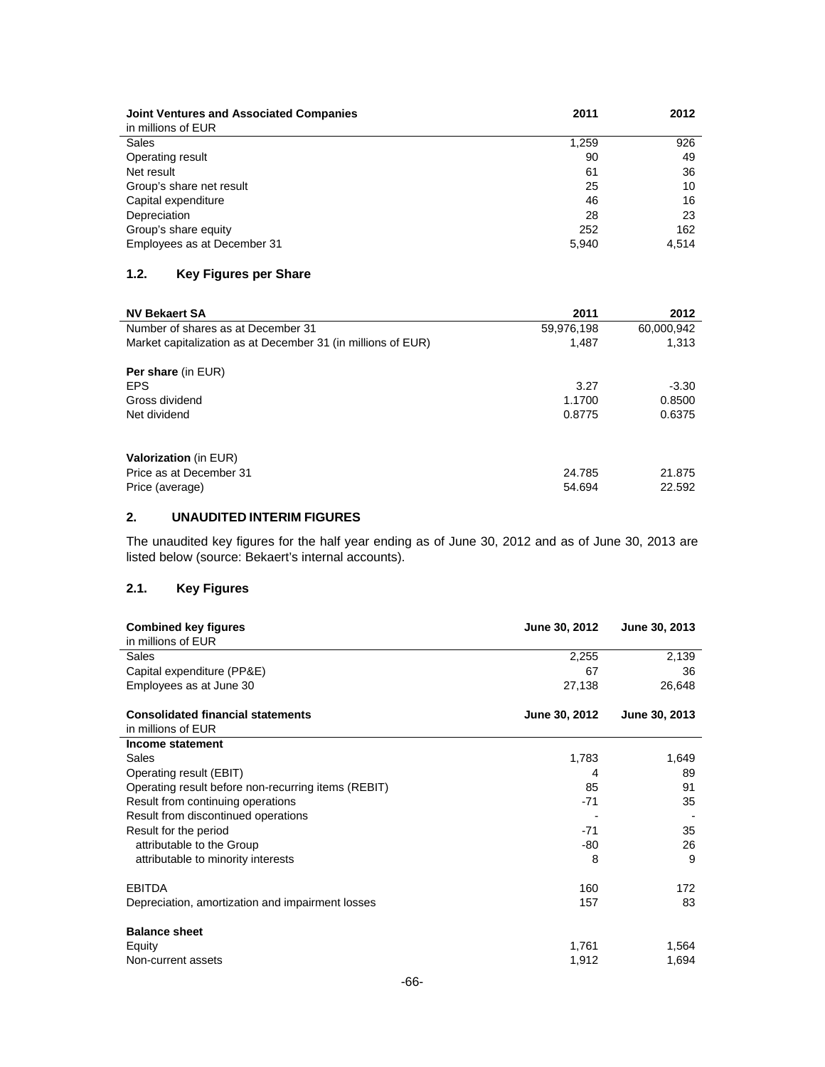| <b>Joint Ventures and Associated Companies</b><br>in millions of EUR | 2011  | 2012  |
|----------------------------------------------------------------------|-------|-------|
| Sales                                                                | 1,259 | 926   |
| Operating result                                                     | 90    | 49    |
| Net result                                                           | 61    | 36    |
| Group's share net result                                             | 25    | 10    |
| Capital expenditure                                                  | 46    | 16    |
| Depreciation                                                         | 28    | 23    |
| Group's share equity                                                 | 252   | 162   |
| Employees as at December 31                                          | 5,940 | 4.514 |

## **1.2. Key Figures per Share**

| <b>NV Bekaert SA</b>                                         | 2011       | 2012       |
|--------------------------------------------------------------|------------|------------|
| Number of shares as at December 31                           | 59,976,198 | 60,000,942 |
| Market capitalization as at December 31 (in millions of EUR) | 1.487      | 1.313      |
| <b>Per share (in EUR)</b>                                    |            |            |
| <b>EPS</b>                                                   | 3.27       | $-3.30$    |
| Gross dividend                                               | 1.1700     | 0.8500     |
| Net dividend                                                 | 0.8775     | 0.6375     |
| <b>Valorization</b> (in EUR)                                 |            |            |
| Price as at December 31                                      | 24.785     | 21.875     |
| Price (average)                                              | 54.694     | 22.592     |

## **2. UNAUDITED INTERIM FIGURES**

The unaudited key figures for the half year ending as of June 30, 2012 and as of June 30, 2013 are listed below (source: Bekaert's internal accounts).

## **2.1. Key Figures**

| <b>Combined key figures</b>                         | <b>June 30, 2012</b> | June 30, 2013 |
|-----------------------------------------------------|----------------------|---------------|
| in millions of EUR                                  |                      |               |
| Sales                                               | 2,255                | 2,139         |
| Capital expenditure (PP&E)                          | 67                   | 36            |
| Employees as at June 30                             | 27,138               | 26,648        |
| <b>Consolidated financial statements</b>            | June 30, 2012        | June 30, 2013 |
| in millions of EUR                                  |                      |               |
| Income statement                                    |                      |               |
| Sales                                               | 1,783                | 1,649         |
| Operating result (EBIT)                             | 4                    | 89            |
| Operating result before non-recurring items (REBIT) | 85                   | 91            |
| Result from continuing operations                   | $-71$                | 35            |
| Result from discontinued operations                 |                      |               |
| Result for the period                               | $-71$                | 35            |
| attributable to the Group                           | -80                  | 26            |
| attributable to minority interests                  | 8                    | 9             |
| <b>EBITDA</b>                                       | 160                  | 172           |
| Depreciation, amortization and impairment losses    | 157                  | 83            |
| <b>Balance sheet</b>                                |                      |               |
| Equity                                              | 1,761                | 1,564         |
| Non-current assets                                  | 1,912                | 1,694         |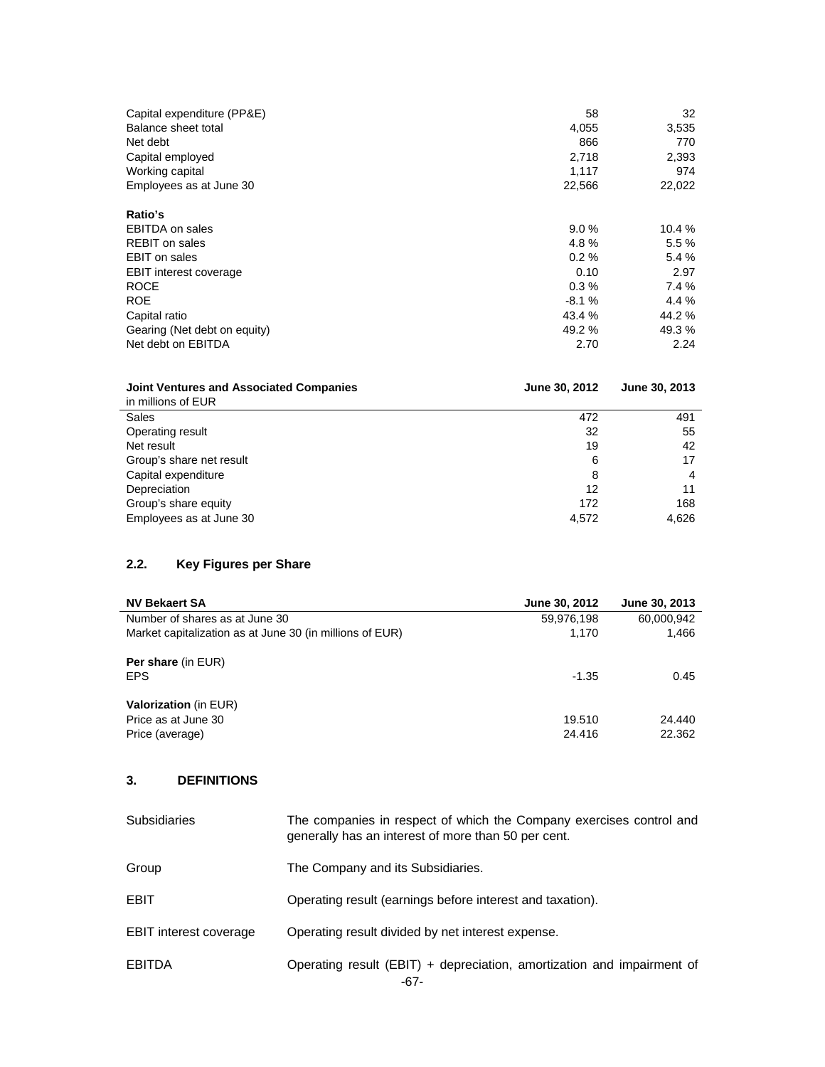| Capital expenditure (PP&E)<br>Balance sheet total | 58<br>4,055 | 32<br>3,535 |
|---------------------------------------------------|-------------|-------------|
| Net debt                                          | 866         | 770         |
| Capital employed                                  | 2,718       | 2,393       |
| Working capital                                   | 1.117       | 974         |
| Employees as at June 30                           | 22,566      | 22,022      |
| Ratio's                                           |             |             |
| <b>EBITDA on sales</b>                            | 9.0%        | 10.4 %      |
| <b>REBIT</b> on sales                             | 4.8%        | 5.5 %       |
| <b>EBIT</b> on sales                              | 0.2%        | 5.4 %       |
| <b>EBIT interest coverage</b>                     | 0.10        | 2.97        |
| <b>ROCE</b>                                       | $0.3\%$     | 7.4 %       |
| <b>ROE</b>                                        | $-8.1%$     | 4.4 %       |
| Capital ratio                                     | 43.4 %      | 44.2 %      |
| Gearing (Net debt on equity)                      | 49.2 %      | 49.3 %      |
| Net debt on EBITDA                                | 2.70        | 2.24        |

| <b>Joint Ventures and Associated Companies</b> | June 30, 2012 | June 30, 2013 |
|------------------------------------------------|---------------|---------------|
| in millions of EUR                             |               |               |
| Sales                                          | 472           | 491           |
| Operating result                               | 32            | 55            |
| Net result                                     | 19            | 42            |
| Group's share net result                       | 6             | 17            |
| Capital expenditure                            | 8             | 4             |
| Depreciation                                   | 12            | 11            |
| Group's share equity                           | 172           | 168           |
| Employees as at June 30                        | 4,572         | 4,626         |

## **2.2. Key Figures per Share**

| <b>NV Bekaert SA</b>                                     | June 30, 2012 | June 30, 2013 |
|----------------------------------------------------------|---------------|---------------|
| Number of shares as at June 30                           | 59,976,198    | 60,000,942    |
| Market capitalization as at June 30 (in millions of EUR) | 1.170         | 1.466         |
| <b>Per share (in EUR)</b><br><b>EPS</b>                  | $-1.35$       | 0.45          |
|                                                          |               |               |
| <b>Valorization</b> (in EUR)                             |               |               |
| Price as at June 30                                      | 19.510        | 24.440        |
| Price (average)                                          | 24.416        | 22.362        |

## **3. DEFINITIONS**

| <b>Subsidiaries</b>           | The companies in respect of which the Company exercises control and<br>generally has an interest of more than 50 per cent. |
|-------------------------------|----------------------------------------------------------------------------------------------------------------------------|
| Group                         | The Company and its Subsidiaries.                                                                                          |
| EBIT                          | Operating result (earnings before interest and taxation).                                                                  |
| <b>EBIT interest coverage</b> | Operating result divided by net interest expense.                                                                          |
| <b>EBITDA</b>                 | Operating result (EBIT) + depreciation, amortization and impairment of<br>-67-                                             |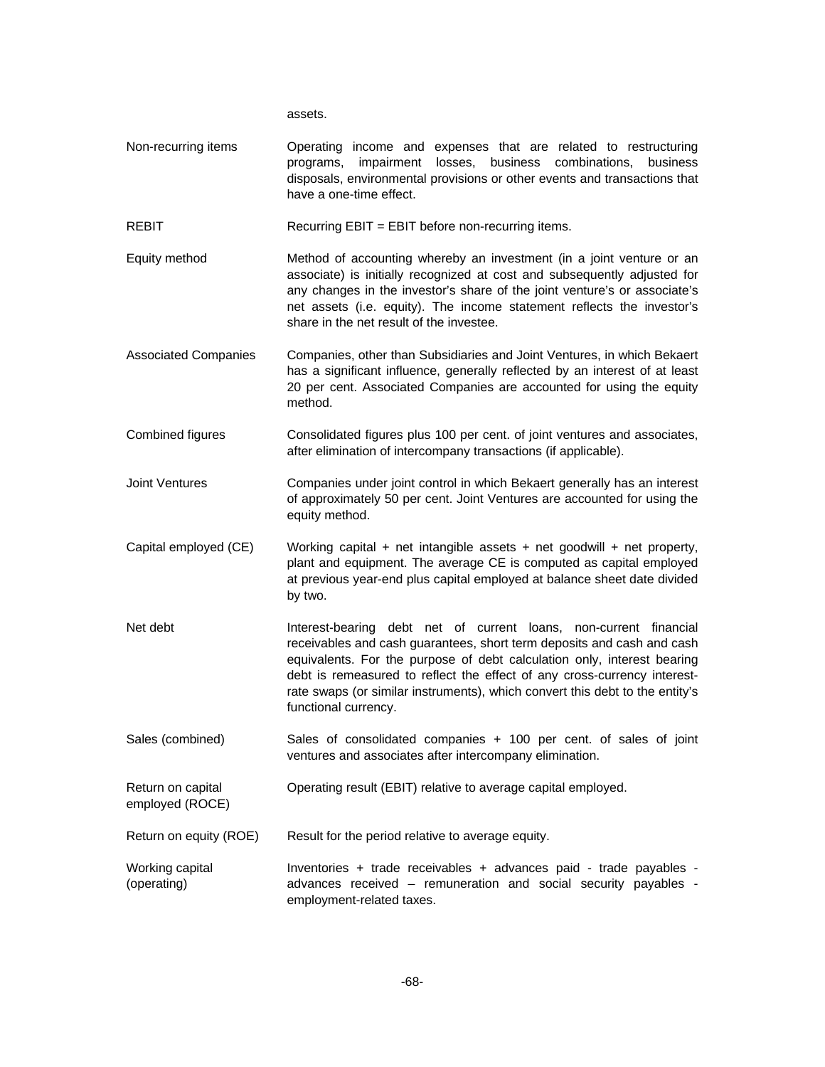assets.

Non-recurring items Operating income and expenses that are related to restructuring programs, impairment losses, business combinations, business disposals, environmental provisions or other events and transactions that have a one-time effect.

REBIT REGUIT Recurring EBIT = EBIT before non-recurring items.

- Equity method Method of accounting whereby an investment (in a joint venture or an associate) is initially recognized at cost and subsequently adjusted for any changes in the investor's share of the joint venture's or associate's net assets (i.e. equity). The income statement reflects the investor's share in the net result of the investee.
- Associated Companies Companies, other than Subsidiaries and Joint Ventures, in which Bekaert has a significant influence, generally reflected by an interest of at least 20 per cent. Associated Companies are accounted for using the equity method.
- Combined figures Consolidated figures plus 100 per cent. of joint ventures and associates, after elimination of intercompany transactions (if applicable).
- Joint Ventures Companies under joint control in which Bekaert generally has an interest of approximately 50 per cent. Joint Ventures are accounted for using the equity method.
- Capital employed (CE) Working capital + net intangible assets + net goodwill + net property, plant and equipment. The average CE is computed as capital employed at previous year-end plus capital employed at balance sheet date divided by two.
- Net debt **Interest-bearing debt** net of current loans, non-current financial receivables and cash guarantees, short term deposits and cash and cash equivalents. For the purpose of debt calculation only, interest bearing debt is remeasured to reflect the effect of any cross-currency interestrate swaps (or similar instruments), which convert this debt to the entity's functional currency.
- Sales (combined) Sales of consolidated companies + 100 per cent. of sales of joint ventures and associates after intercompany elimination.

Return on capital Operating result (EBIT) relative to average capital employed.

Return on equity (ROE) Result for the period relative to average equity.

employed (ROCE)

Working capital (operating) Inventories + trade receivables + advances paid - trade payables advances received – remuneration and social security payables employment-related taxes.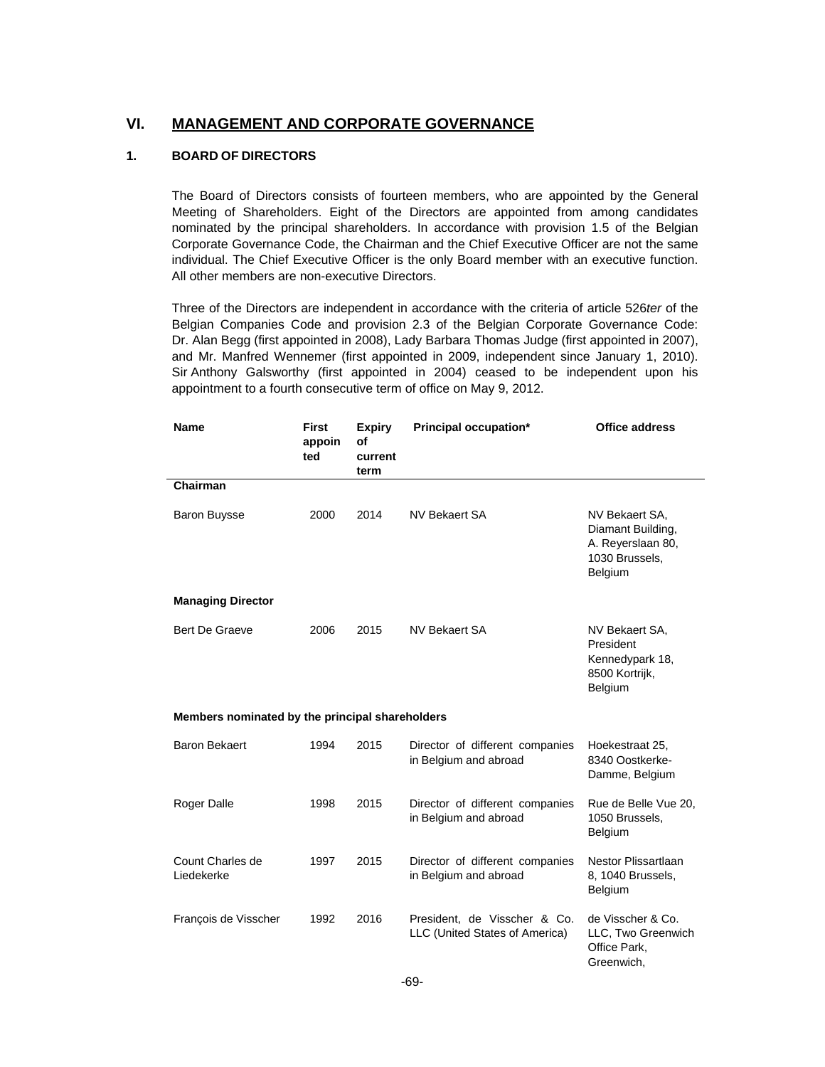## **VI. MANAGEMENT AND CORPORATE GOVERNANCE**

## **1. BOARD OF DIRECTORS**

The Board of Directors consists of fourteen members, who are appointed by the General Meeting of Shareholders. Eight of the Directors are appointed from among candidates nominated by the principal shareholders. In accordance with provision 1.5 of the Belgian Corporate Governance Code, the Chairman and the Chief Executive Officer are not the same individual. The Chief Executive Officer is the only Board member with an executive function. All other members are non-executive Directors.

Three of the Directors are independent in accordance with the criteria of article 526*ter* of the Belgian Companies Code and provision 2.3 of the Belgian Corporate Governance Code: Dr. Alan Begg (first appointed in 2008), Lady Barbara Thomas Judge (first appointed in 2007), and Mr. Manfred Wennemer (first appointed in 2009, independent since January 1, 2010). Sir Anthony Galsworthy (first appointed in 2004) ceased to be independent upon his appointment to a fourth consecutive term of office on May 9, 2012.

| <b>Name</b>                                     | <b>First</b><br>appoin<br>ted | <b>Expiry</b><br>оf<br>current<br>term | Principal occupation*                                          | <b>Office address</b>                                                                 |  |  |
|-------------------------------------------------|-------------------------------|----------------------------------------|----------------------------------------------------------------|---------------------------------------------------------------------------------------|--|--|
| Chairman                                        |                               |                                        |                                                                |                                                                                       |  |  |
| <b>Baron Buysse</b>                             | 2000                          | 2014                                   | NV Bekaert SA                                                  | NV Bekaert SA,<br>Diamant Building,<br>A. Reyerslaan 80,<br>1030 Brussels,<br>Belgium |  |  |
| <b>Managing Director</b>                        |                               |                                        |                                                                |                                                                                       |  |  |
| Bert De Graeve                                  | 2006                          | 2015                                   | <b>NV Bekaert SA</b>                                           | NV Bekaert SA,<br>President<br>Kennedypark 18,<br>8500 Kortrijk,<br>Belgium           |  |  |
| Members nominated by the principal shareholders |                               |                                        |                                                                |                                                                                       |  |  |
| <b>Baron Bekaert</b>                            | 1994                          | 2015                                   | Director of different companies<br>in Belgium and abroad       | Hoekestraat 25,<br>8340 Oostkerke-<br>Damme, Belgium                                  |  |  |
| Roger Dalle                                     | 1998                          | 2015                                   | Director of different companies<br>in Belgium and abroad       | Rue de Belle Vue 20,<br>1050 Brussels,<br>Belgium                                     |  |  |
| Count Charles de<br>Liedekerke                  | 1997                          | 2015                                   | Director of different companies<br>in Belgium and abroad       | Nestor Plissartlaan<br>8, 1040 Brussels,<br>Belgium                                   |  |  |
| François de Visscher                            | 1992                          | 2016                                   | President, de Visscher & Co.<br>LLC (United States of America) | de Visscher & Co.<br>LLC, Two Greenwich<br>Office Park,<br>Greenwich,                 |  |  |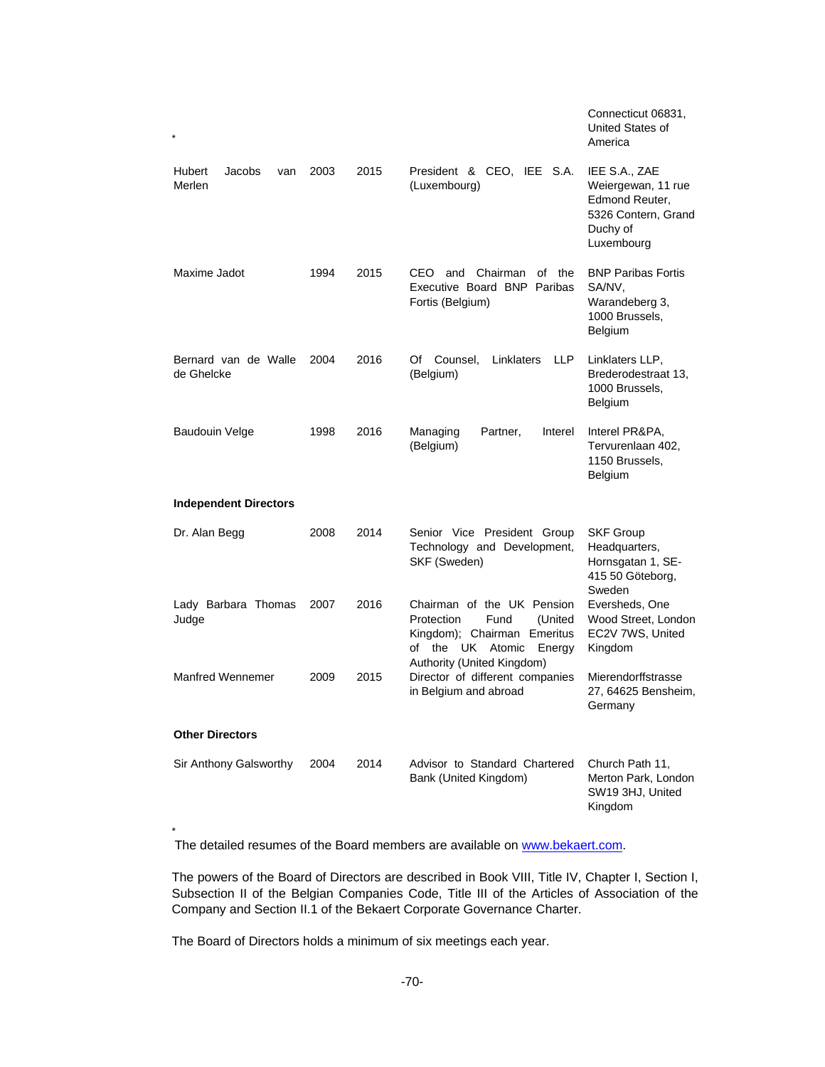|                                    |      |      |                                                                                                                                                           | Connecticut 06831,<br>United States of<br>America                                                      |
|------------------------------------|------|------|-----------------------------------------------------------------------------------------------------------------------------------------------------------|--------------------------------------------------------------------------------------------------------|
| Jacobs<br>Hubert<br>van<br>Merlen  | 2003 | 2015 | President & CEO, IEE S.A.<br>(Luxembourg)                                                                                                                 | IEE S.A., ZAE<br>Weiergewan, 11 rue<br>Edmond Reuter,<br>5326 Contern, Grand<br>Duchy of<br>Luxembourg |
| Maxime Jadot                       | 1994 | 2015 | CEO and<br>Chairman<br>of the<br>Executive Board BNP Paribas<br>Fortis (Belgium)                                                                          | <b>BNP Paribas Fortis</b><br>SA/NV,<br>Warandeberg 3,<br>1000 Brussels,<br>Belgium                     |
| Bernard van de Walle<br>de Ghelcke | 2004 | 2016 | Counsel,<br>Linklaters<br><b>LLP</b><br>Of<br>(Belgium)                                                                                                   | Linklaters LLP,<br>Brederodestraat 13.<br>1000 Brussels,<br>Belgium                                    |
| <b>Baudouin Velge</b>              | 1998 | 2016 | Partner,<br>Managing<br>Interel<br>(Belgium)                                                                                                              | Interel PR&PA,<br>Tervurenlaan 402.<br>1150 Brussels,<br>Belgium                                       |
| <b>Independent Directors</b>       |      |      |                                                                                                                                                           |                                                                                                        |
| Dr. Alan Begg                      | 2008 | 2014 | Senior Vice President Group<br>Technology and Development,<br>SKF (Sweden)                                                                                | <b>SKF Group</b><br>Headquarters,<br>Hornsgatan 1, SE-<br>415 50 Göteborg,<br>Sweden                   |
| Lady Barbara Thomas<br>Judge       | 2007 | 2016 | Chairman of the UK Pension<br>Fund<br>(United<br>Protection<br>Kingdom); Chairman Emeritus<br>the UK Atomic<br>of<br>Energy<br>Authority (United Kingdom) | Eversheds, One<br>Wood Street, London<br>EC2V 7WS, United<br>Kingdom                                   |
| <b>Manfred Wennemer</b>            | 2009 | 2015 | Director of different companies<br>in Belgium and abroad                                                                                                  | Mierendorffstrasse<br>27, 64625 Bensheim,<br>Germany                                                   |
| <b>Other Directors</b>             |      |      |                                                                                                                                                           |                                                                                                        |
| Sir Anthony Galsworthy             | 2004 | 2014 | Advisor to Standard Chartered<br>Bank (United Kingdom)                                                                                                    | Church Path 11,<br>Merton Park, London<br>SW19 3HJ, United<br>Kingdom                                  |

The detailed resumes of the Board members are available on www.bekaert.com.

The powers of the Board of Directors are described in Book VIII, Title IV, Chapter I, Section I, Subsection II of the Belgian Companies Code, Title III of the Articles of Association of the Company and Section II.1 of the Bekaert Corporate Governance Charter.

The Board of Directors holds a minimum of six meetings each year.

\*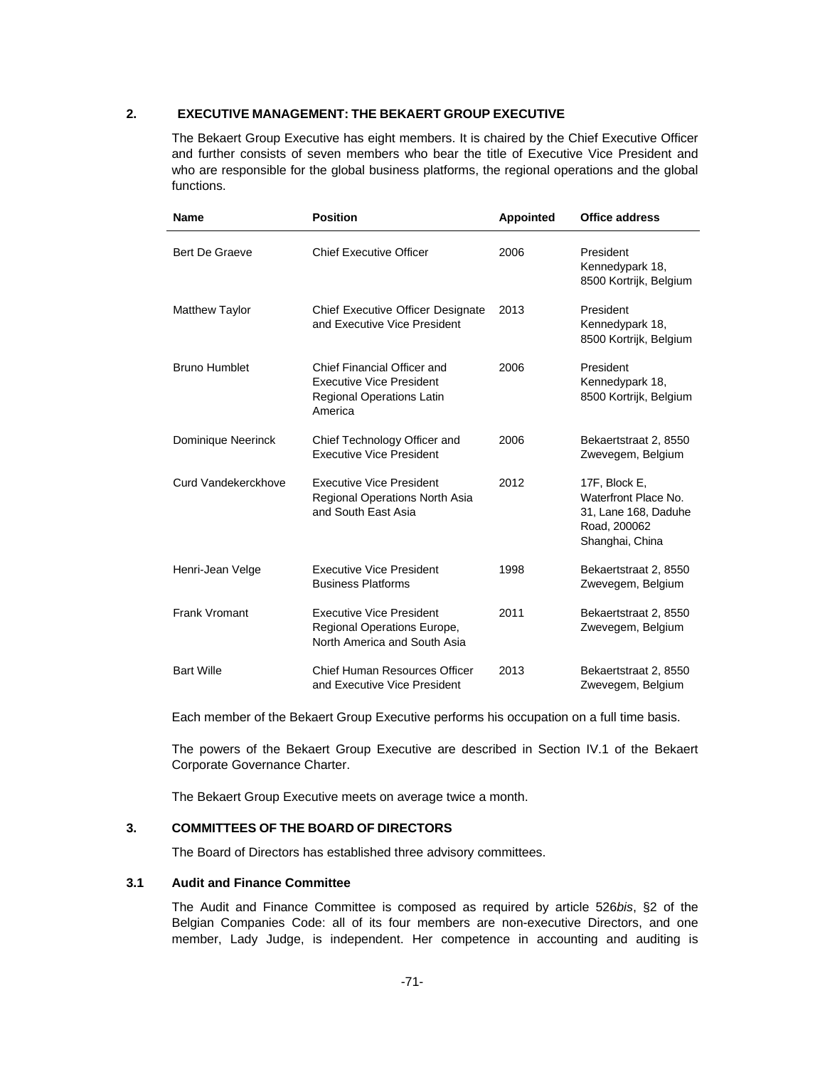#### **2. EXECUTIVE MANAGEMENT: THE BEKAERT GROUP EXECUTIVE**

The Bekaert Group Executive has eight members. It is chaired by the Chief Executive Officer and further consists of seven members who bear the title of Executive Vice President and who are responsible for the global business platforms, the regional operations and the global functions.

| <b>Name</b>           | <b>Position</b>                                                                                        | <b>Appointed</b> | <b>Office address</b>                                                                            |
|-----------------------|--------------------------------------------------------------------------------------------------------|------------------|--------------------------------------------------------------------------------------------------|
| Bert De Graeve        | <b>Chief Executive Officer</b>                                                                         | 2006             | President<br>Kennedypark 18,<br>8500 Kortrijk, Belgium                                           |
| <b>Matthew Taylor</b> | <b>Chief Executive Officer Designate</b><br>and Executive Vice President                               | 2013             | President<br>Kennedypark 18,<br>8500 Kortrijk, Belgium                                           |
| <b>Bruno Humblet</b>  | Chief Financial Officer and<br><b>Executive Vice President</b><br>Regional Operations Latin<br>America | 2006             | President<br>Kennedypark 18,<br>8500 Kortrijk, Belgium                                           |
| Dominique Neerinck    | Chief Technology Officer and<br><b>Executive Vice President</b>                                        | 2006             | Bekaertstraat 2, 8550<br>Zwevegem, Belgium                                                       |
| Curd Vandekerckhove   | <b>Executive Vice President</b><br>Regional Operations North Asia<br>and South East Asia               | 2012             | 17F, Block E,<br>Waterfront Place No.<br>31, Lane 168, Daduhe<br>Road, 200062<br>Shanghai, China |
| Henri-Jean Velge      | <b>Executive Vice President</b><br><b>Business Platforms</b>                                           | 1998             | Bekaertstraat 2, 8550<br>Zwevegem, Belgium                                                       |
| Frank Vromant         | <b>Executive Vice President</b><br>Regional Operations Europe,<br>North America and South Asia         | 2011             | Bekaertstraat 2, 8550<br>Zwevegem, Belgium                                                       |
| <b>Bart Wille</b>     | <b>Chief Human Resources Officer</b><br>and Executive Vice President                                   | 2013             | Bekaertstraat 2, 8550<br>Zwevegem, Belgium                                                       |

Each member of the Bekaert Group Executive performs his occupation on a full time basis.

The powers of the Bekaert Group Executive are described in Section IV.1 of the Bekaert Corporate Governance Charter.

The Bekaert Group Executive meets on average twice a month.

#### **3. COMMITTEES OF THE BOARD OF DIRECTORS**

The Board of Directors has established three advisory committees.

## **3.1 Audit and Finance Committee**

The Audit and Finance Committee is composed as required by article 526*bis*, §2 of the Belgian Companies Code: all of its four members are non-executive Directors, and one member, Lady Judge, is independent. Her competence in accounting and auditing is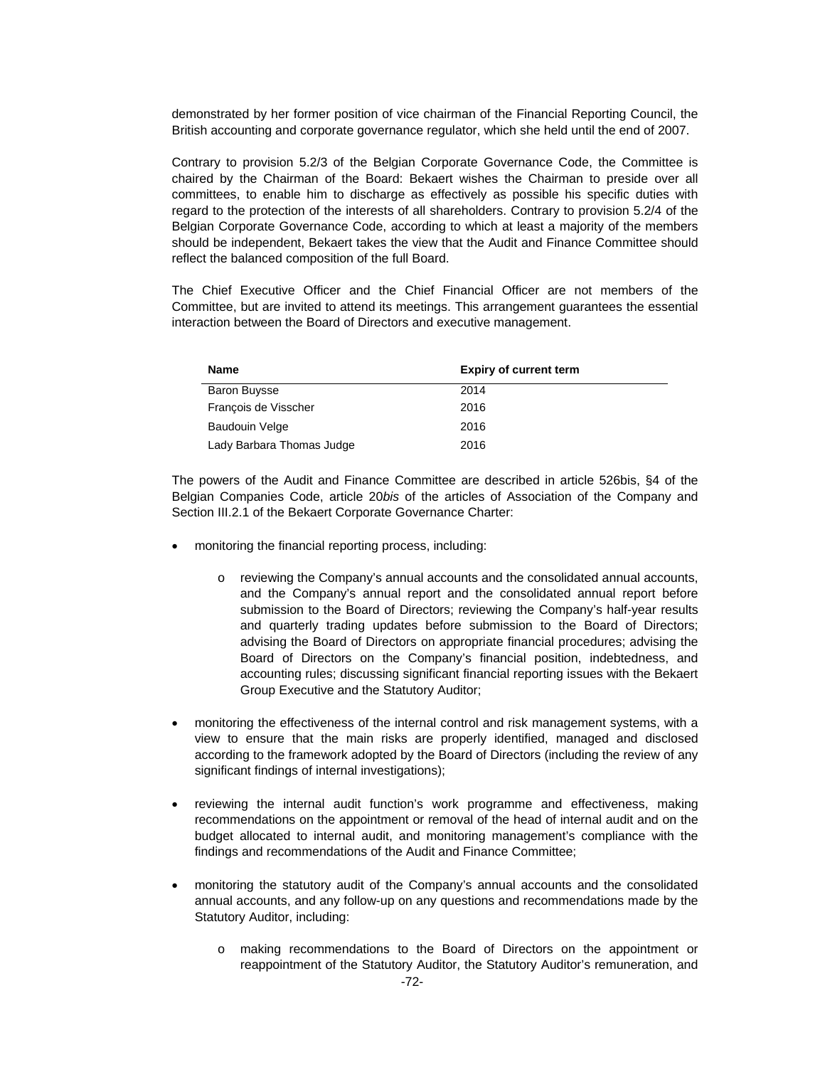demonstrated by her former position of vice chairman of the Financial Reporting Council, the British accounting and corporate governance regulator, which she held until the end of 2007.

Contrary to provision 5.2/3 of the Belgian Corporate Governance Code, the Committee is chaired by the Chairman of the Board: Bekaert wishes the Chairman to preside over all committees, to enable him to discharge as effectively as possible his specific duties with regard to the protection of the interests of all shareholders. Contrary to provision 5.2/4 of the Belgian Corporate Governance Code, according to which at least a majority of the members should be independent, Bekaert takes the view that the Audit and Finance Committee should reflect the balanced composition of the full Board.

The Chief Executive Officer and the Chief Financial Officer are not members of the Committee, but are invited to attend its meetings. This arrangement guarantees the essential interaction between the Board of Directors and executive management.

| Name                      | <b>Expiry of current term</b> |
|---------------------------|-------------------------------|
| <b>Baron Buysse</b>       | 2014                          |
| François de Visscher      | 2016                          |
| <b>Baudouin Velge</b>     | 2016                          |
| Lady Barbara Thomas Judge | 2016                          |

The powers of the Audit and Finance Committee are described in article 526bis, §4 of the Belgian Companies Code, article 20*bis* of the articles of Association of the Company and Section III.2.1 of the Bekaert Corporate Governance Charter:

- monitoring the financial reporting process, including:
	- o reviewing the Company's annual accounts and the consolidated annual accounts, and the Company's annual report and the consolidated annual report before submission to the Board of Directors; reviewing the Company's half-year results and quarterly trading updates before submission to the Board of Directors; advising the Board of Directors on appropriate financial procedures; advising the Board of Directors on the Company's financial position, indebtedness, and accounting rules; discussing significant financial reporting issues with the Bekaert Group Executive and the Statutory Auditor;
- monitoring the effectiveness of the internal control and risk management systems, with a view to ensure that the main risks are properly identified, managed and disclosed according to the framework adopted by the Board of Directors (including the review of any significant findings of internal investigations);
- reviewing the internal audit function's work programme and effectiveness, making recommendations on the appointment or removal of the head of internal audit and on the budget allocated to internal audit, and monitoring management's compliance with the findings and recommendations of the Audit and Finance Committee;
- monitoring the statutory audit of the Company's annual accounts and the consolidated annual accounts, and any follow-up on any questions and recommendations made by the Statutory Auditor, including:
	- o making recommendations to the Board of Directors on the appointment or reappointment of the Statutory Auditor, the Statutory Auditor's remuneration, and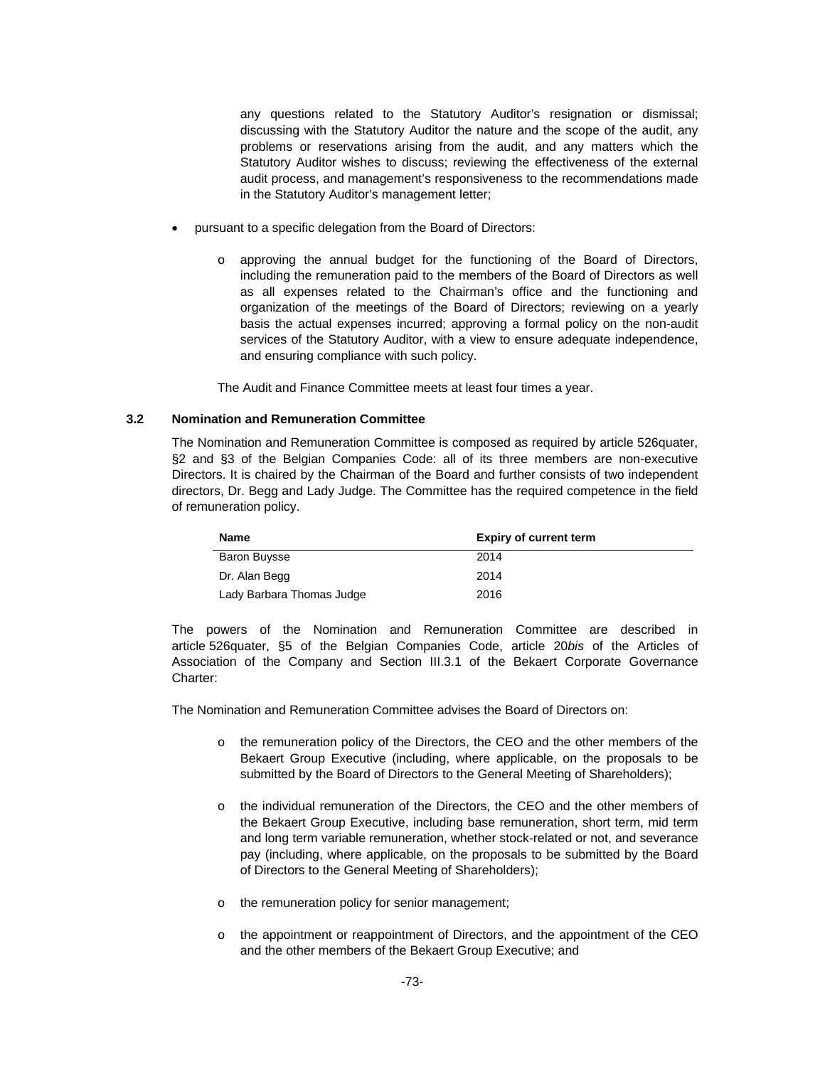any questions related to the Statutory Auditor's resignation or dismissal; discussing with the Statutory Auditor the nature and the scope of the audit, any problems or reservations arising from the audit, and any matters which the Statutory Auditor wishes to discuss; reviewing the effectiveness of the external audit process, and management's responsiveness to the recommendations made in the Statutory Auditor's management letter;

- pursuant to a specific delegation from the Board of Directors:
	- o approving the annual budget for the functioning of the Board of Directors, including the remuneration paid to the members of the Board of Directors as well as all expenses related to the Chairman's office and the functioning and organization of the meetings of the Board of Directors; reviewing on a yearly basis the actual expenses incurred; approving a formal policy on the non-audit services of the Statutory Auditor, with a view to ensure adequate independence, and ensuring compliance with such policy.

The Audit and Finance Committee meets at least four times a year.

## **3.2 Nomination and Remuneration Committee**

The Nomination and Remuneration Committee is composed as required by article 526quater, §2 and §3 of the Belgian Companies Code: all of its three members are non-executive Directors. It is chaired by the Chairman of the Board and further consists of two independent directors, Dr. Begg and Lady Judge. The Committee has the required competence in the field of remuneration policy.

| Name                      | <b>Expiry of current term</b> |
|---------------------------|-------------------------------|
| <b>Baron Buysse</b>       | 2014                          |
| Dr. Alan Begg             | 2014                          |
| Lady Barbara Thomas Judge | 2016                          |

The powers of the Nomination and Remuneration Committee are described in article 526quater, §5 of the Belgian Companies Code, article 20*bis* of the Articles of Association of the Company and Section III.3.1 of the Bekaert Corporate Governance Charter:

The Nomination and Remuneration Committee advises the Board of Directors on:

- o the remuneration policy of the Directors, the CEO and the other members of the Bekaert Group Executive (including, where applicable, on the proposals to be submitted by the Board of Directors to the General Meeting of Shareholders);
- o the individual remuneration of the Directors, the CEO and the other members of the Bekaert Group Executive, including base remuneration, short term, mid term and long term variable remuneration, whether stock-related or not, and severance pay (including, where applicable, on the proposals to be submitted by the Board of Directors to the General Meeting of Shareholders);
- o the remuneration policy for senior management;
- o the appointment or reappointment of Directors, and the appointment of the CEO and the other members of the Bekaert Group Executive; and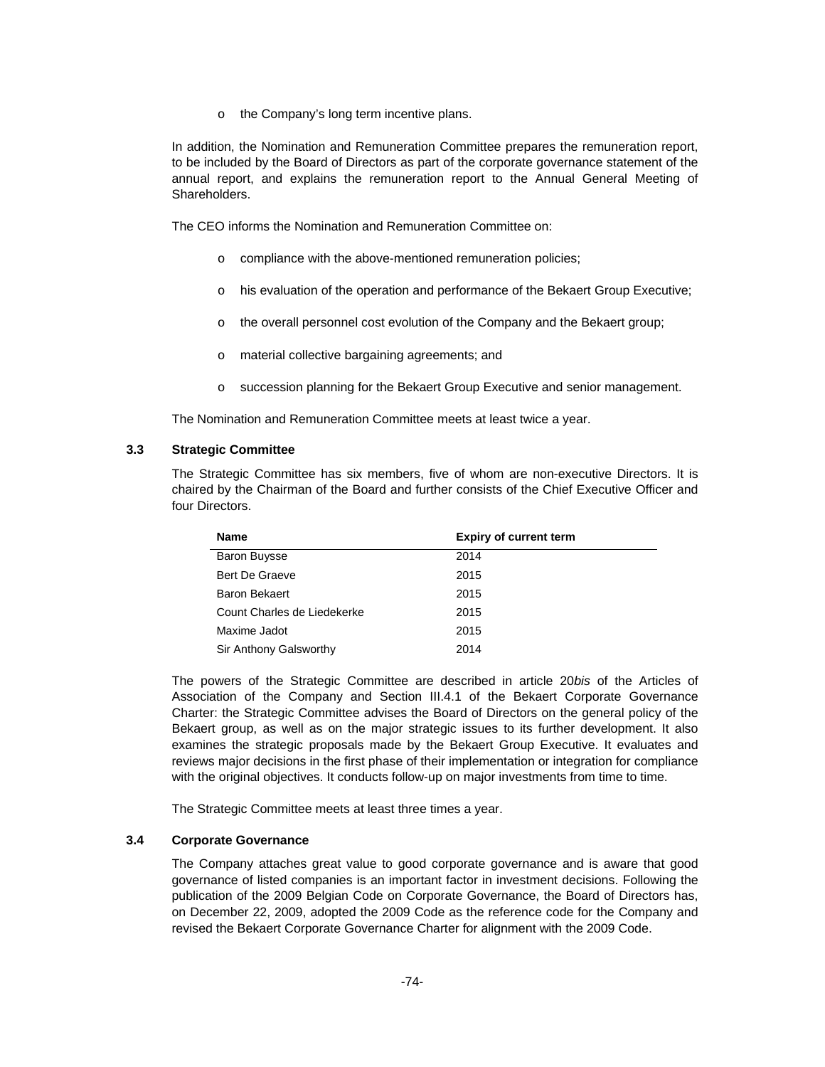o the Company's long term incentive plans.

In addition, the Nomination and Remuneration Committee prepares the remuneration report, to be included by the Board of Directors as part of the corporate governance statement of the annual report, and explains the remuneration report to the Annual General Meeting of Shareholders.

The CEO informs the Nomination and Remuneration Committee on:

- o compliance with the above-mentioned remuneration policies;
- o his evaluation of the operation and performance of the Bekaert Group Executive;
- o the overall personnel cost evolution of the Company and the Bekaert group;
- o material collective bargaining agreements; and
- o succession planning for the Bekaert Group Executive and senior management.

The Nomination and Remuneration Committee meets at least twice a year.

## **3.3 Strategic Committee**

The Strategic Committee has six members, five of whom are non-executive Directors. It is chaired by the Chairman of the Board and further consists of the Chief Executive Officer and four Directors.

| <b>Name</b>                 | <b>Expiry of current term</b> |  |
|-----------------------------|-------------------------------|--|
| <b>Baron Buysse</b>         | 2014                          |  |
| Bert De Graeve              | 2015                          |  |
| <b>Baron Bekaert</b>        | 2015                          |  |
| Count Charles de Liedekerke | 2015                          |  |
| Maxime Jadot                | 2015                          |  |
| Sir Anthony Galsworthy      | 2014                          |  |

The powers of the Strategic Committee are described in article 20*bis* of the Articles of Association of the Company and Section III.4.1 of the Bekaert Corporate Governance Charter: the Strategic Committee advises the Board of Directors on the general policy of the Bekaert group, as well as on the major strategic issues to its further development. It also examines the strategic proposals made by the Bekaert Group Executive. It evaluates and reviews major decisions in the first phase of their implementation or integration for compliance with the original objectives. It conducts follow-up on major investments from time to time.

The Strategic Committee meets at least three times a year.

#### **3.4 Corporate Governance**

The Company attaches great value to good corporate governance and is aware that good governance of listed companies is an important factor in investment decisions. Following the publication of the 2009 Belgian Code on Corporate Governance, the Board of Directors has, on December 22, 2009, adopted the 2009 Code as the reference code for the Company and revised the Bekaert Corporate Governance Charter for alignment with the 2009 Code.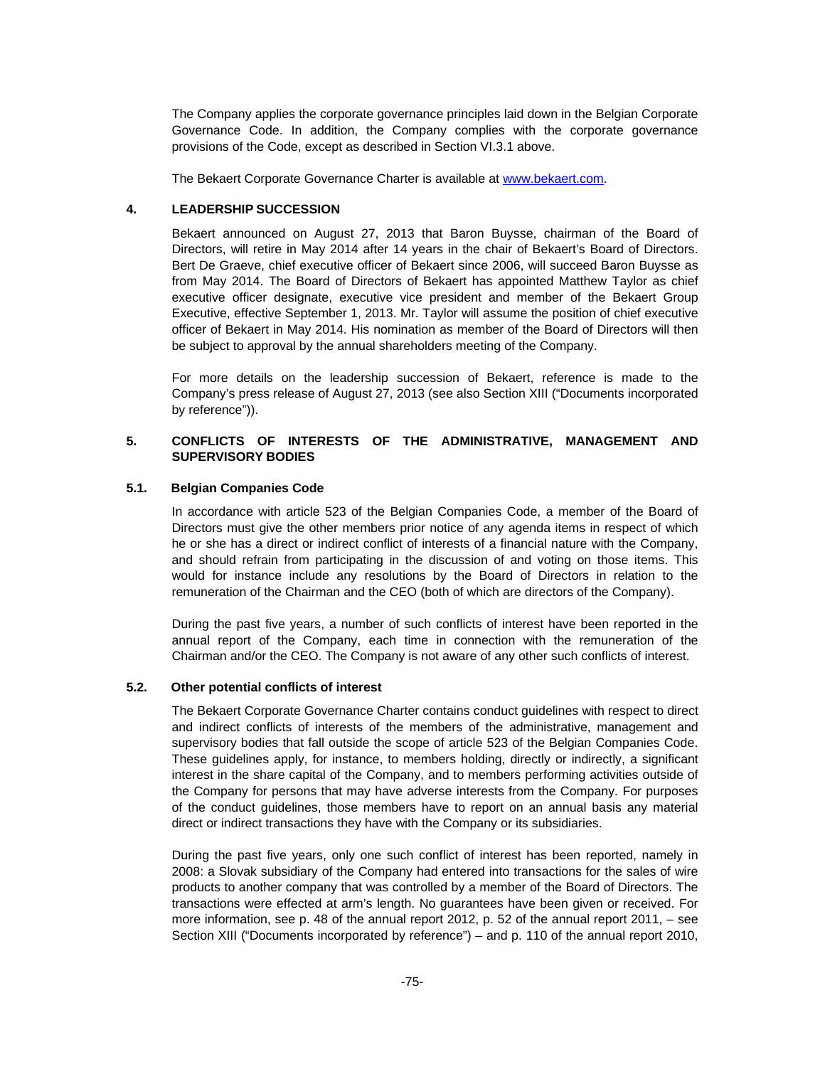The Company applies the corporate governance principles laid down in the Belgian Corporate Governance Code. In addition, the Company complies with the corporate governance provisions of the Code, except as described in Section VI.3.1 above.

The Bekaert Corporate Governance Charter is available at www.bekaert.com.

### **4. LEADERSHIP SUCCESSION**

Bekaert announced on August 27, 2013 that Baron Buysse, chairman of the Board of Directors, will retire in May 2014 after 14 years in the chair of Bekaert's Board of Directors. Bert De Graeve, chief executive officer of Bekaert since 2006, will succeed Baron Buysse as from May 2014. The Board of Directors of Bekaert has appointed Matthew Taylor as chief executive officer designate, executive vice president and member of the Bekaert Group Executive, effective September 1, 2013. Mr. Taylor will assume the position of chief executive officer of Bekaert in May 2014. His nomination as member of the Board of Directors will then be subject to approval by the annual shareholders meeting of the Company.

For more details on the leadership succession of Bekaert, reference is made to the Company's press release of August 27, 2013 (see also Section XIII ("Documents incorporated by reference")).

## **5. CONFLICTS OF INTERESTS OF THE ADMINISTRATIVE, MANAGEMENT AND SUPERVISORY BODIES**

#### **5.1. Belgian Companies Code**

In accordance with article 523 of the Belgian Companies Code, a member of the Board of Directors must give the other members prior notice of any agenda items in respect of which he or she has a direct or indirect conflict of interests of a financial nature with the Company, and should refrain from participating in the discussion of and voting on those items. This would for instance include any resolutions by the Board of Directors in relation to the remuneration of the Chairman and the CEO (both of which are directors of the Company).

During the past five years, a number of such conflicts of interest have been reported in the annual report of the Company, each time in connection with the remuneration of the Chairman and/or the CEO. The Company is not aware of any other such conflicts of interest.

## **5.2. Other potential conflicts of interest**

The Bekaert Corporate Governance Charter contains conduct guidelines with respect to direct and indirect conflicts of interests of the members of the administrative, management and supervisory bodies that fall outside the scope of article 523 of the Belgian Companies Code. These guidelines apply, for instance, to members holding, directly or indirectly, a significant interest in the share capital of the Company, and to members performing activities outside of the Company for persons that may have adverse interests from the Company. For purposes of the conduct guidelines, those members have to report on an annual basis any material direct or indirect transactions they have with the Company or its subsidiaries.

During the past five years, only one such conflict of interest has been reported, namely in 2008: a Slovak subsidiary of the Company had entered into transactions for the sales of wire products to another company that was controlled by a member of the Board of Directors. The transactions were effected at arm's length. No guarantees have been given or received. For more information, see p. 48 of the annual report 2012, p. 52 of the annual report 2011, – see Section XIII ("Documents incorporated by reference") – and p. 110 of the annual report 2010,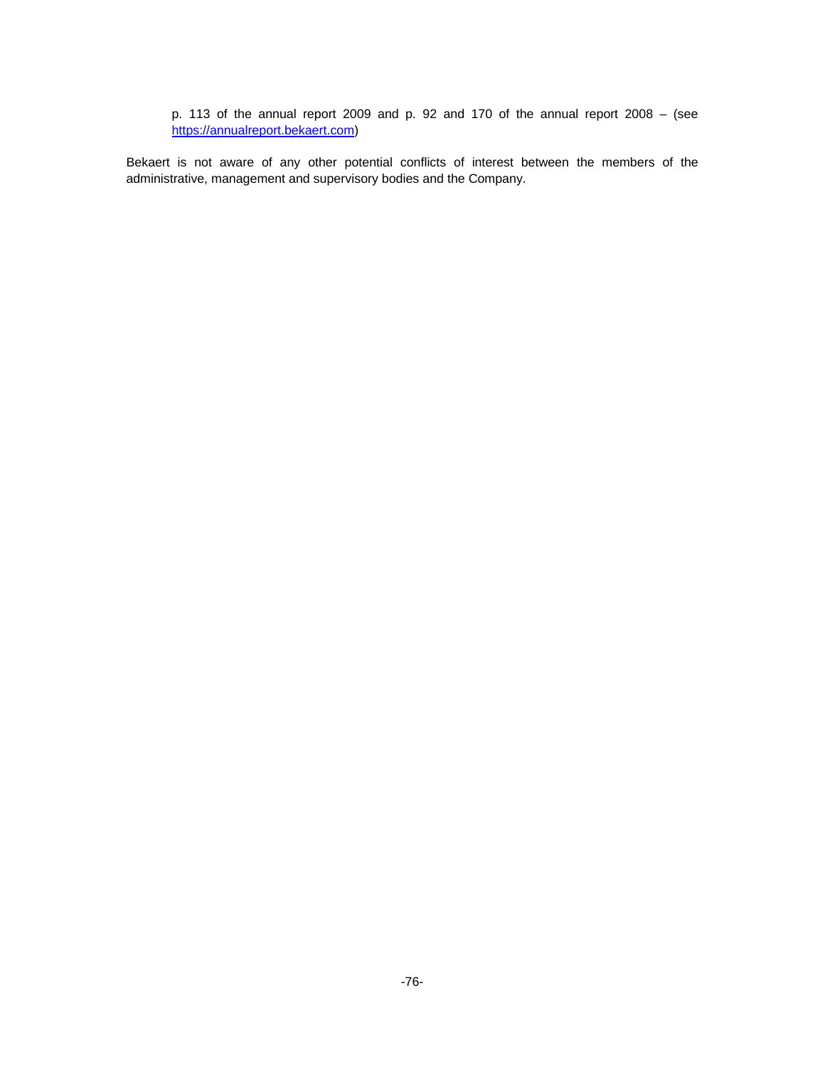p. 113 of the annual report 2009 and p. 92 and 170 of the annual report 2008 – (see https://annualreport.bekaert.com)

Bekaert is not aware of any other potential conflicts of interest between the members of the administrative, management and supervisory bodies and the Company.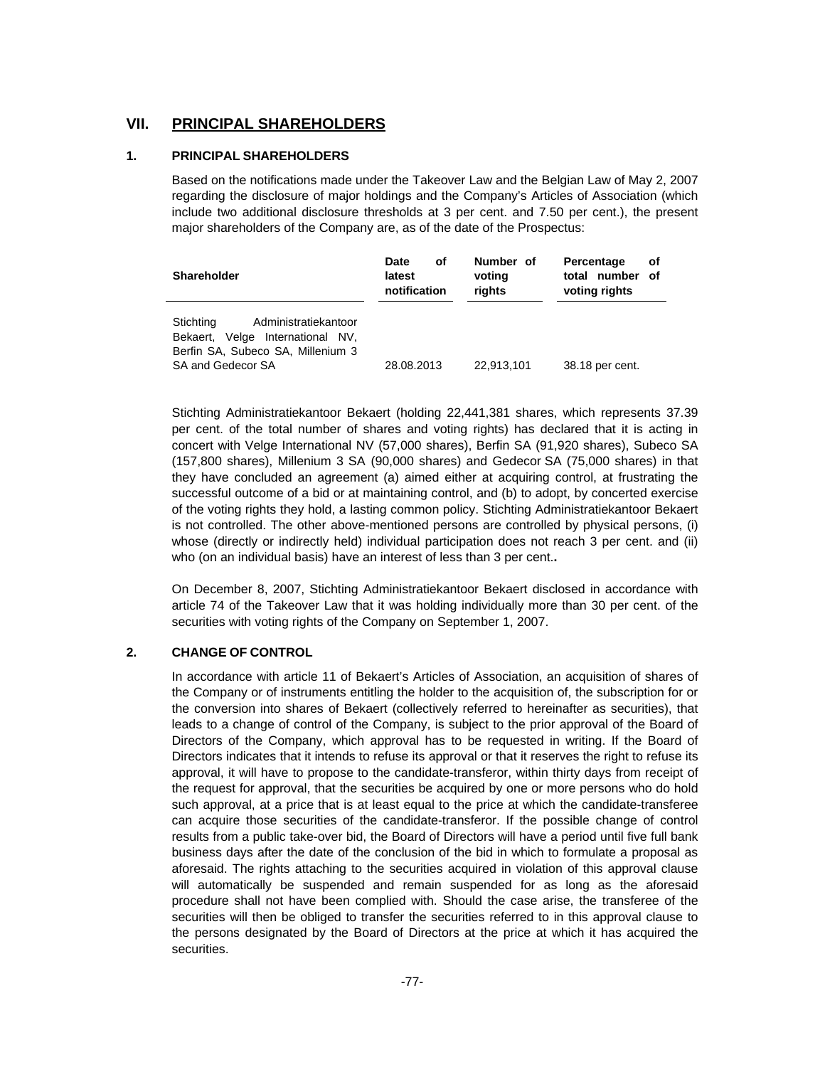## **VII. PRINCIPAL SHAREHOLDERS**

## **1. PRINCIPAL SHAREHOLDERS**

Based on the notifications made under the Takeover Law and the Belgian Law of May 2, 2007 regarding the disclosure of major holdings and the Company's Articles of Association (which include two additional disclosure thresholds at 3 per cent. and 7.50 per cent.), the present major shareholders of the Company are, as of the date of the Prospectus:

| <b>Shareholder</b>                                                                                                                 | Date<br>οf<br>latest<br>notification | Number of<br>voting<br>rights | Percentage<br>Οt<br>total number<br>of<br>voting rights |
|------------------------------------------------------------------------------------------------------------------------------------|--------------------------------------|-------------------------------|---------------------------------------------------------|
| Stichting<br>Administratiekantoor<br>Velge International NV,<br>Bekaert.<br>Berfin SA, Subeco SA, Millenium 3<br>SA and Gedecor SA | 28.08.2013                           | 22.913.101                    | 38.18 per cent.                                         |

Stichting Administratiekantoor Bekaert (holding 22,441,381 shares, which represents 37.39 per cent. of the total number of shares and voting rights) has declared that it is acting in concert with Velge International NV (57,000 shares), Berfin SA (91,920 shares), Subeco SA (157,800 shares), Millenium 3 SA (90,000 shares) and Gedecor SA (75,000 shares) in that they have concluded an agreement (a) aimed either at acquiring control, at frustrating the successful outcome of a bid or at maintaining control, and (b) to adopt, by concerted exercise of the voting rights they hold, a lasting common policy. Stichting Administratiekantoor Bekaert is not controlled. The other above-mentioned persons are controlled by physical persons, (i) whose (directly or indirectly held) individual participation does not reach 3 per cent. and (ii) who (on an individual basis) have an interest of less than 3 per cent.**.** 

On December 8, 2007, Stichting Administratiekantoor Bekaert disclosed in accordance with article 74 of the Takeover Law that it was holding individually more than 30 per cent. of the securities with voting rights of the Company on September 1, 2007.

## **2. CHANGE OF CONTROL**

In accordance with article 11 of Bekaert's Articles of Association, an acquisition of shares of the Company or of instruments entitling the holder to the acquisition of, the subscription for or the conversion into shares of Bekaert (collectively referred to hereinafter as securities), that leads to a change of control of the Company, is subject to the prior approval of the Board of Directors of the Company, which approval has to be requested in writing. If the Board of Directors indicates that it intends to refuse its approval or that it reserves the right to refuse its approval, it will have to propose to the candidate-transferor, within thirty days from receipt of the request for approval, that the securities be acquired by one or more persons who do hold such approval, at a price that is at least equal to the price at which the candidate-transferee can acquire those securities of the candidate-transferor. If the possible change of control results from a public take-over bid, the Board of Directors will have a period until five full bank business days after the date of the conclusion of the bid in which to formulate a proposal as aforesaid. The rights attaching to the securities acquired in violation of this approval clause will automatically be suspended and remain suspended for as long as the aforesaid procedure shall not have been complied with. Should the case arise, the transferee of the securities will then be obliged to transfer the securities referred to in this approval clause to the persons designated by the Board of Directors at the price at which it has acquired the securities.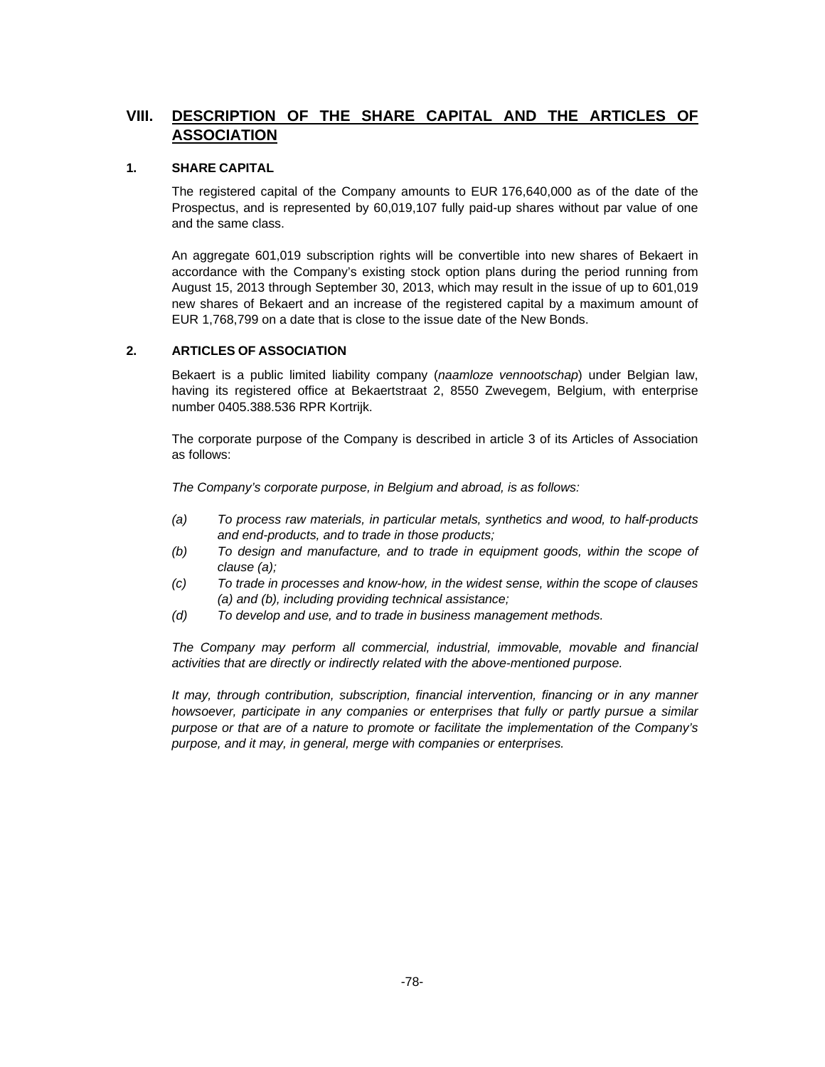## **VIII. DESCRIPTION OF THE SHARE CAPITAL AND THE ARTICLES OF ASSOCIATION**

## **1. SHARE CAPITAL**

The registered capital of the Company amounts to EUR 176,640,000 as of the date of the Prospectus, and is represented by 60,019,107 fully paid-up shares without par value of one and the same class.

An aggregate 601,019 subscription rights will be convertible into new shares of Bekaert in accordance with the Company's existing stock option plans during the period running from August 15, 2013 through September 30, 2013, which may result in the issue of up to 601,019 new shares of Bekaert and an increase of the registered capital by a maximum amount of EUR 1,768,799 on a date that is close to the issue date of the New Bonds.

## **2. ARTICLES OF ASSOCIATION**

Bekaert is a public limited liability company (*naamloze vennootschap*) under Belgian law, having its registered office at Bekaertstraat 2, 8550 Zwevegem, Belgium, with enterprise number 0405.388.536 RPR Kortrijk.

The corporate purpose of the Company is described in article 3 of its Articles of Association as follows:

*The Company's corporate purpose, in Belgium and abroad, is as follows:* 

- *(a) To process raw materials, in particular metals, synthetics and wood, to half-products and end-products, and to trade in those products;*
- *(b) To design and manufacture, and to trade in equipment goods, within the scope of clause (a);*
- *(c) To trade in processes and know-how, in the widest sense, within the scope of clauses (a) and (b), including providing technical assistance;*
- *(d) To develop and use, and to trade in business management methods.*

*The Company may perform all commercial, industrial, immovable, movable and financial activities that are directly or indirectly related with the above-mentioned purpose.* 

*It may, through contribution, subscription, financial intervention, financing or in any manner howsoever, participate in any companies or enterprises that fully or partly pursue a similar purpose or that are of a nature to promote or facilitate the implementation of the Company's purpose, and it may, in general, merge with companies or enterprises.*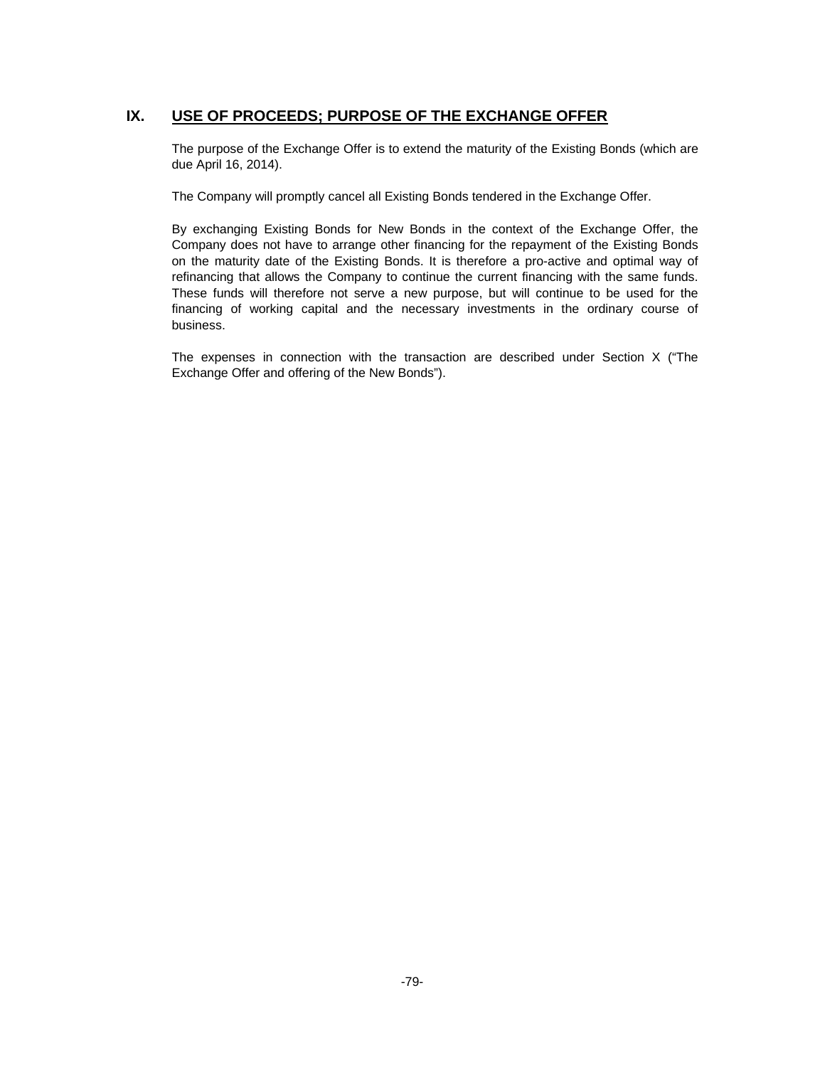## **IX. USE OF PROCEEDS; PURPOSE OF THE EXCHANGE OFFER**

The purpose of the Exchange Offer is to extend the maturity of the Existing Bonds (which are due April 16, 2014).

The Company will promptly cancel all Existing Bonds tendered in the Exchange Offer.

By exchanging Existing Bonds for New Bonds in the context of the Exchange Offer, the Company does not have to arrange other financing for the repayment of the Existing Bonds on the maturity date of the Existing Bonds. It is therefore a pro-active and optimal way of refinancing that allows the Company to continue the current financing with the same funds. These funds will therefore not serve a new purpose, but will continue to be used for the financing of working capital and the necessary investments in the ordinary course of business.

The expenses in connection with the transaction are described under Section X ("The Exchange Offer and offering of the New Bonds").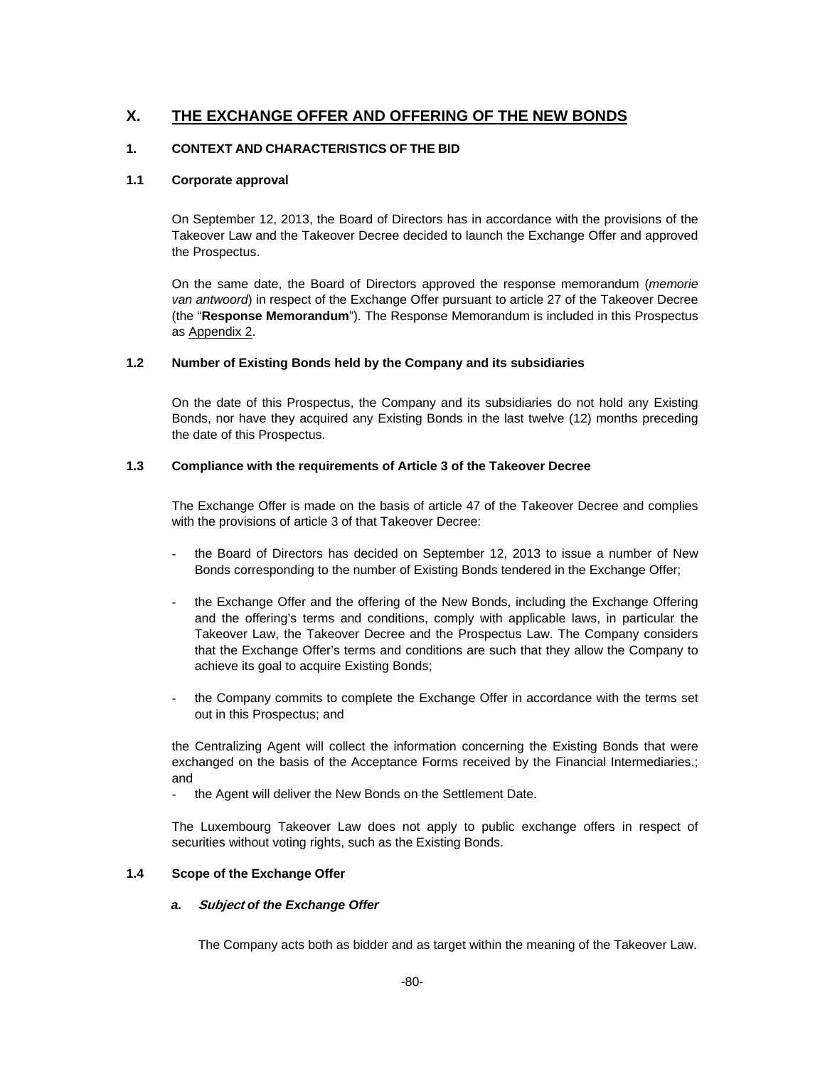## **X. THE EXCHANGE OFFER AND OFFERING OF THE NEW BONDS**

## **1. CONTEXT AND CHARACTERISTICS OF THE BID**

## **1.1 Corporate approval**

On September 12, 2013, the Board of Directors has in accordance with the provisions of the Takeover Law and the Takeover Decree decided to launch the Exchange Offer and approved the Prospectus.

On the same date, the Board of Directors approved the response memorandum (*memorie van antwoord*) in respect of the Exchange Offer pursuant to article 27 of the Takeover Decree (the "**Response Memorandum**"). The Response Memorandum is included in this Prospectus as Appendix 2.

## **1.2 Number of Existing Bonds held by the Company and its subsidiaries**

On the date of this Prospectus, the Company and its subsidiaries do not hold any Existing Bonds, nor have they acquired any Existing Bonds in the last twelve (12) months preceding the date of this Prospectus.

## **1.3 Compliance with the requirements of Article 3 of the Takeover Decree**

The Exchange Offer is made on the basis of article 47 of the Takeover Decree and complies with the provisions of article 3 of that Takeover Decree:

- the Board of Directors has decided on September 12, 2013 to issue a number of New Bonds corresponding to the number of Existing Bonds tendered in the Exchange Offer;
- the Exchange Offer and the offering of the New Bonds, including the Exchange Offering and the offering's terms and conditions, comply with applicable laws, in particular the Takeover Law, the Takeover Decree and the Prospectus Law. The Company considers that the Exchange Offer's terms and conditions are such that they allow the Company to achieve its goal to acquire Existing Bonds;
- the Company commits to complete the Exchange Offer in accordance with the terms set out in this Prospectus; and

the Centralizing Agent will collect the information concerning the Existing Bonds that were exchanged on the basis of the Acceptance Forms received by the Financial Intermediaries.; and

the Agent will deliver the New Bonds on the Settlement Date.

The Luxembourg Takeover Law does not apply to public exchange offers in respect of securities without voting rights, such as the Existing Bonds.

## **1.4 Scope of the Exchange Offer**

## *a.* **Subject** *of the Exchange Offer*

The Company acts both as bidder and as target within the meaning of the Takeover Law.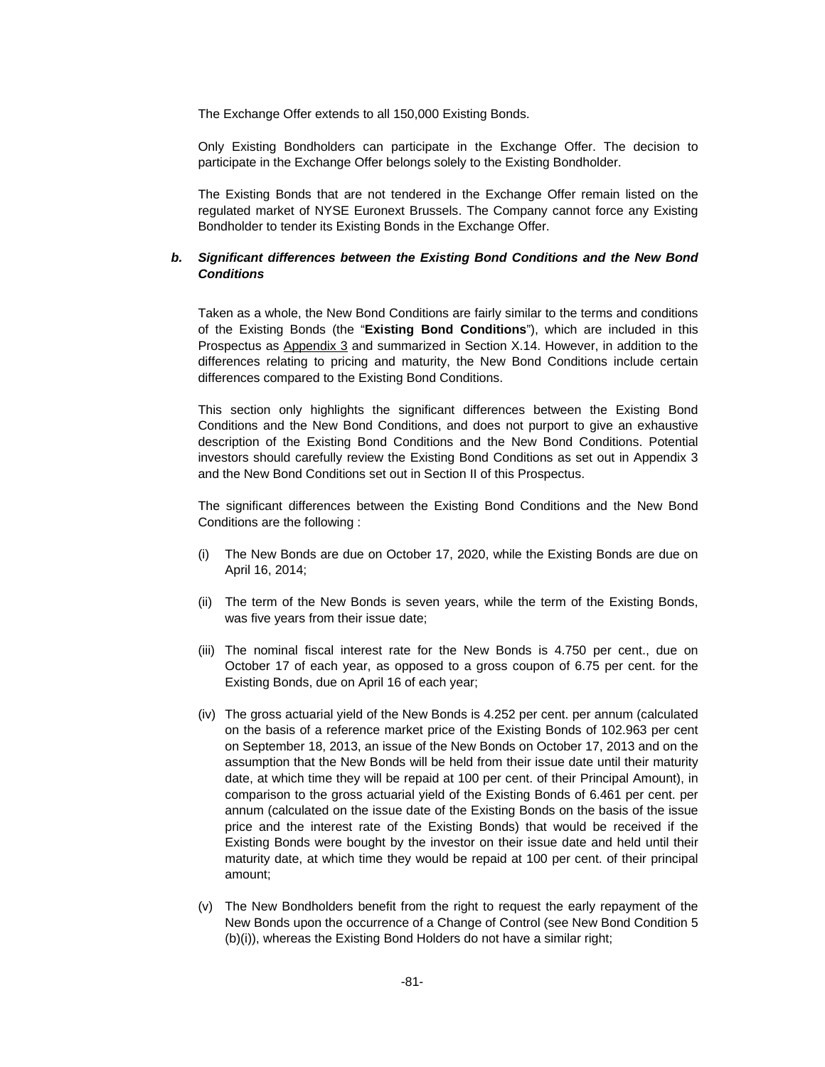The Exchange Offer extends to all 150,000 Existing Bonds.

Only Existing Bondholders can participate in the Exchange Offer. The decision to participate in the Exchange Offer belongs solely to the Existing Bondholder.

The Existing Bonds that are not tendered in the Exchange Offer remain listed on the regulated market of NYSE Euronext Brussels. The Company cannot force any Existing Bondholder to tender its Existing Bonds in the Exchange Offer.

#### *b. Significant differences between the Existing Bond Conditions and the New Bond Conditions*

Taken as a whole, the New Bond Conditions are fairly similar to the terms and conditions of the Existing Bonds (the "**Existing Bond Conditions**"), which are included in this Prospectus as Appendix 3 and summarized in Section X.14. However, in addition to the differences relating to pricing and maturity, the New Bond Conditions include certain differences compared to the Existing Bond Conditions.

This section only highlights the significant differences between the Existing Bond Conditions and the New Bond Conditions, and does not purport to give an exhaustive description of the Existing Bond Conditions and the New Bond Conditions. Potential investors should carefully review the Existing Bond Conditions as set out in Appendix 3 and the New Bond Conditions set out in Section II of this Prospectus.

The significant differences between the Existing Bond Conditions and the New Bond Conditions are the following :

- (i) The New Bonds are due on October 17, 2020, while the Existing Bonds are due on April 16, 2014;
- (ii) The term of the New Bonds is seven years, while the term of the Existing Bonds, was five years from their issue date;
- (iii) The nominal fiscal interest rate for the New Bonds is 4.750 per cent., due on October 17 of each year, as opposed to a gross coupon of 6.75 per cent. for the Existing Bonds, due on April 16 of each year;
- (iv) The gross actuarial yield of the New Bonds is 4.252 per cent. per annum (calculated on the basis of a reference market price of the Existing Bonds of 102.963 per cent on September 18, 2013, an issue of the New Bonds on October 17, 2013 and on the assumption that the New Bonds will be held from their issue date until their maturity date, at which time they will be repaid at 100 per cent. of their Principal Amount), in comparison to the gross actuarial yield of the Existing Bonds of 6.461 per cent. per annum (calculated on the issue date of the Existing Bonds on the basis of the issue price and the interest rate of the Existing Bonds) that would be received if the Existing Bonds were bought by the investor on their issue date and held until their maturity date, at which time they would be repaid at 100 per cent. of their principal amount;
- (v) The New Bondholders benefit from the right to request the early repayment of the New Bonds upon the occurrence of a Change of Control (see New Bond Condition 5 (b)(i)), whereas the Existing Bond Holders do not have a similar right;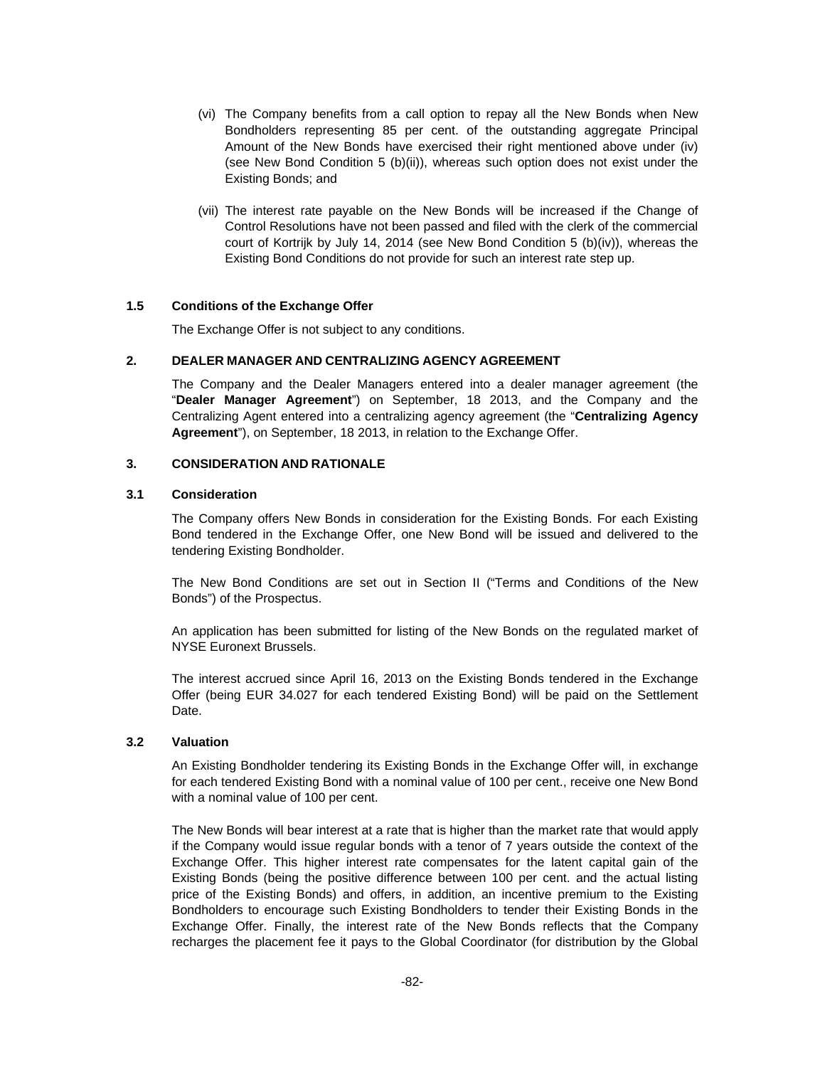- (vi) The Company benefits from a call option to repay all the New Bonds when New Bondholders representing 85 per cent. of the outstanding aggregate Principal Amount of the New Bonds have exercised their right mentioned above under (iv) (see New Bond Condition 5 (b)(ii)), whereas such option does not exist under the Existing Bonds; and
- (vii) The interest rate payable on the New Bonds will be increased if the Change of Control Resolutions have not been passed and filed with the clerk of the commercial court of Kortrijk by July 14, 2014 (see New Bond Condition 5 (b)(iv)), whereas the Existing Bond Conditions do not provide for such an interest rate step up.

#### **1.5 Conditions of the Exchange Offer**

The Exchange Offer is not subject to any conditions.

## **2. DEALER MANAGER AND CENTRALIZING AGENCY AGREEMENT**

The Company and the Dealer Managers entered into a dealer manager agreement (the "**Dealer Manager Agreement**") on September, 18 2013, and the Company and the Centralizing Agent entered into a centralizing agency agreement (the "**Centralizing Agency Agreement**"), on September, 18 2013, in relation to the Exchange Offer.

## **3. CONSIDERATION AND RATIONALE**

#### **3.1 Consideration**

The Company offers New Bonds in consideration for the Existing Bonds. For each Existing Bond tendered in the Exchange Offer, one New Bond will be issued and delivered to the tendering Existing Bondholder.

The New Bond Conditions are set out in Section II ("Terms and Conditions of the New Bonds") of the Prospectus.

An application has been submitted for listing of the New Bonds on the regulated market of NYSE Euronext Brussels.

The interest accrued since April 16, 2013 on the Existing Bonds tendered in the Exchange Offer (being EUR 34.027 for each tendered Existing Bond) will be paid on the Settlement Date.

#### **3.2 Valuation**

An Existing Bondholder tendering its Existing Bonds in the Exchange Offer will, in exchange for each tendered Existing Bond with a nominal value of 100 per cent., receive one New Bond with a nominal value of 100 per cent.

The New Bonds will bear interest at a rate that is higher than the market rate that would apply if the Company would issue regular bonds with a tenor of 7 years outside the context of the Exchange Offer. This higher interest rate compensates for the latent capital gain of the Existing Bonds (being the positive difference between 100 per cent. and the actual listing price of the Existing Bonds) and offers, in addition, an incentive premium to the Existing Bondholders to encourage such Existing Bondholders to tender their Existing Bonds in the Exchange Offer. Finally, the interest rate of the New Bonds reflects that the Company recharges the placement fee it pays to the Global Coordinator (for distribution by the Global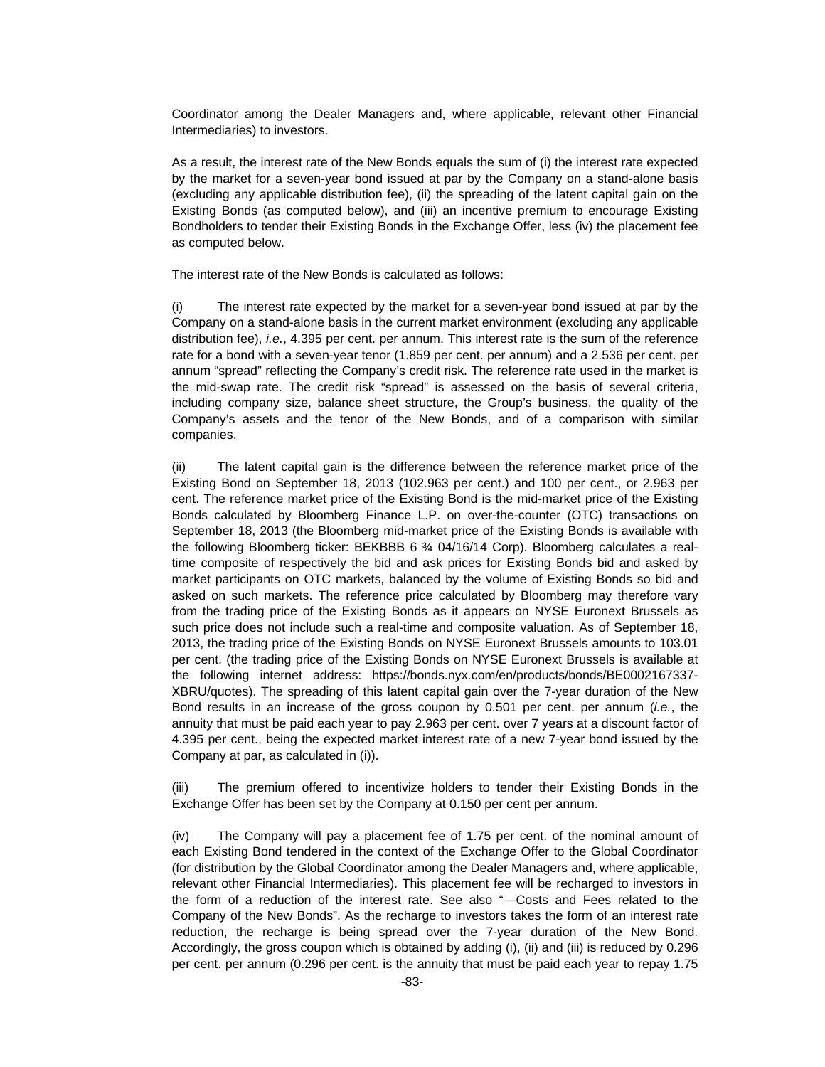Coordinator among the Dealer Managers and, where applicable, relevant other Financial Intermediaries) to investors.

As a result, the interest rate of the New Bonds equals the sum of (i) the interest rate expected by the market for a seven-year bond issued at par by the Company on a stand-alone basis (excluding any applicable distribution fee), (ii) the spreading of the latent capital gain on the Existing Bonds (as computed below), and (iii) an incentive premium to encourage Existing Bondholders to tender their Existing Bonds in the Exchange Offer, less (iv) the placement fee as computed below.

The interest rate of the New Bonds is calculated as follows:

(i) The interest rate expected by the market for a seven-year bond issued at par by the Company on a stand-alone basis in the current market environment (excluding any applicable distribution fee), *i.e.*, 4.395 per cent. per annum. This interest rate is the sum of the reference rate for a bond with a seven-year tenor (1.859 per cent. per annum) and a 2.536 per cent. per annum "spread" reflecting the Company's credit risk. The reference rate used in the market is the mid-swap rate. The credit risk "spread" is assessed on the basis of several criteria, including company size, balance sheet structure, the Group's business, the quality of the Company's assets and the tenor of the New Bonds, and of a comparison with similar companies.

(ii) The latent capital gain is the difference between the reference market price of the Existing Bond on September 18, 2013 (102.963 per cent.) and 100 per cent., or 2.963 per cent. The reference market price of the Existing Bond is the mid-market price of the Existing Bonds calculated by Bloomberg Finance L.P. on over-the-counter (OTC) transactions on September 18, 2013 (the Bloomberg mid-market price of the Existing Bonds is available with the following Bloomberg ticker: BEKBBB 6 ¾ 04/16/14 Corp). Bloomberg calculates a realtime composite of respectively the bid and ask prices for Existing Bonds bid and asked by market participants on OTC markets, balanced by the volume of Existing Bonds so bid and asked on such markets. The reference price calculated by Bloomberg may therefore vary from the trading price of the Existing Bonds as it appears on NYSE Euronext Brussels as such price does not include such a real-time and composite valuation. As of September 18, 2013, the trading price of the Existing Bonds on NYSE Euronext Brussels amounts to 103.01 per cent. (the trading price of the Existing Bonds on NYSE Euronext Brussels is available at the following internet address: https://bonds.nyx.com/en/products/bonds/BE0002167337- XBRU/quotes). The spreading of this latent capital gain over the 7-year duration of the New Bond results in an increase of the gross coupon by 0.501 per cent. per annum (*i.e.*, the annuity that must be paid each year to pay 2.963 per cent. over 7 years at a discount factor of 4.395 per cent., being the expected market interest rate of a new 7-year bond issued by the Company at par, as calculated in (i)).

(iii) The premium offered to incentivize holders to tender their Existing Bonds in the Exchange Offer has been set by the Company at 0.150 per cent per annum.

(iv) The Company will pay a placement fee of 1.75 per cent. of the nominal amount of each Existing Bond tendered in the context of the Exchange Offer to the Global Coordinator (for distribution by the Global Coordinator among the Dealer Managers and, where applicable, relevant other Financial Intermediaries). This placement fee will be recharged to investors in the form of a reduction of the interest rate. See also "—Costs and Fees related to the Company of the New Bonds". As the recharge to investors takes the form of an interest rate reduction, the recharge is being spread over the 7-year duration of the New Bond. Accordingly, the gross coupon which is obtained by adding (i), (ii) and (iii) is reduced by 0.296 per cent. per annum (0.296 per cent. is the annuity that must be paid each year to repay 1.75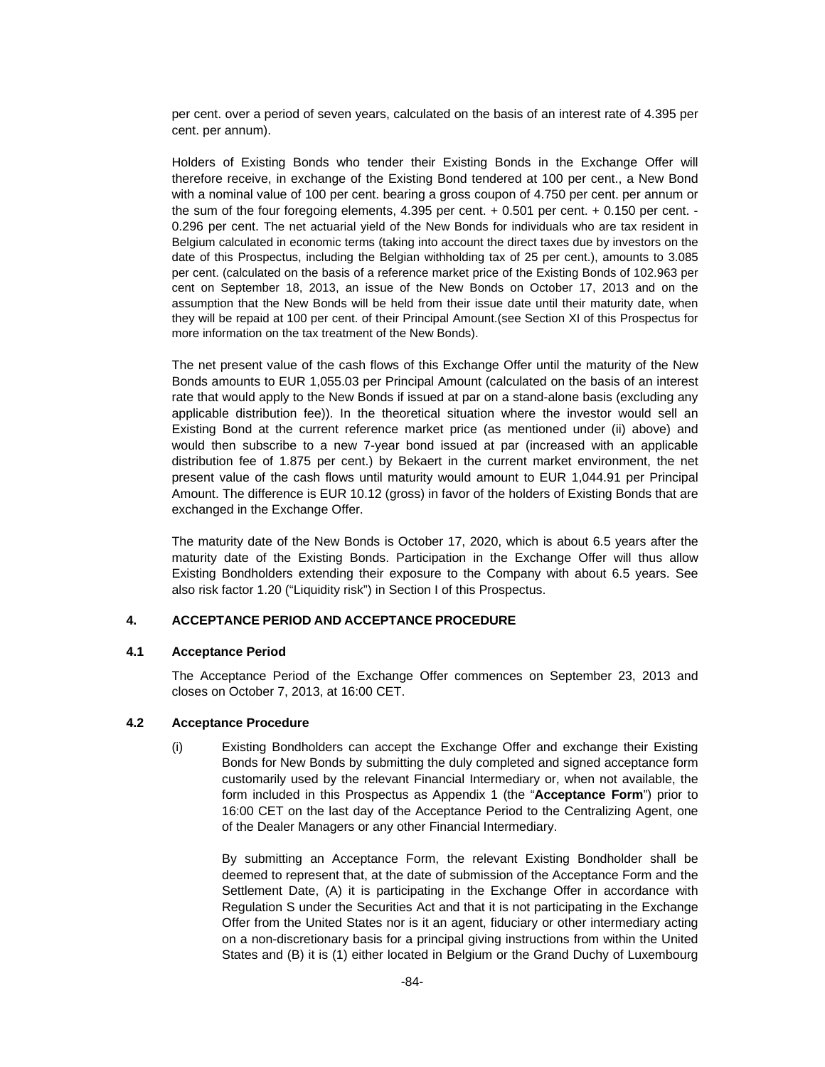per cent. over a period of seven years, calculated on the basis of an interest rate of 4.395 per cent. per annum).

Holders of Existing Bonds who tender their Existing Bonds in the Exchange Offer will therefore receive, in exchange of the Existing Bond tendered at 100 per cent., a New Bond with a nominal value of 100 per cent. bearing a gross coupon of 4.750 per cent. per annum or the sum of the four foregoing elements, 4.395 per cent. + 0.501 per cent. + 0.150 per cent. - 0.296 per cent. The net actuarial yield of the New Bonds for individuals who are tax resident in Belgium calculated in economic terms (taking into account the direct taxes due by investors on the date of this Prospectus, including the Belgian withholding tax of 25 per cent.), amounts to 3.085 per cent. (calculated on the basis of a reference market price of the Existing Bonds of 102.963 per cent on September 18, 2013, an issue of the New Bonds on October 17, 2013 and on the assumption that the New Bonds will be held from their issue date until their maturity date, when they will be repaid at 100 per cent. of their Principal Amount.(see Section XI of this Prospectus for more information on the tax treatment of the New Bonds).

The net present value of the cash flows of this Exchange Offer until the maturity of the New Bonds amounts to EUR 1,055.03 per Principal Amount (calculated on the basis of an interest rate that would apply to the New Bonds if issued at par on a stand-alone basis (excluding any applicable distribution fee)). In the theoretical situation where the investor would sell an Existing Bond at the current reference market price (as mentioned under (ii) above) and would then subscribe to a new 7-year bond issued at par (increased with an applicable distribution fee of 1.875 per cent.) by Bekaert in the current market environment, the net present value of the cash flows until maturity would amount to EUR 1,044.91 per Principal Amount. The difference is EUR 10.12 (gross) in favor of the holders of Existing Bonds that are exchanged in the Exchange Offer.

The maturity date of the New Bonds is October 17, 2020, which is about 6.5 years after the maturity date of the Existing Bonds. Participation in the Exchange Offer will thus allow Existing Bondholders extending their exposure to the Company with about 6.5 years. See also risk factor 1.20 ("Liquidity risk") in Section I of this Prospectus.

## **4. ACCEPTANCE PERIOD AND ACCEPTANCE PROCEDURE**

#### **4.1 Acceptance Period**

The Acceptance Period of the Exchange Offer commences on September 23, 2013 and closes on October 7, 2013, at 16:00 CET.

#### **4.2 Acceptance Procedure**

(i)Existing Bondholders can accept the Exchange Offer and exchange their Existing Bonds for New Bonds by submitting the duly completed and signed acceptance form customarily used by the relevant Financial Intermediary or, when not available, the form included in this Prospectus as Appendix 1 (the "**Acceptance Form**") prior to 16:00 CET on the last day of the Acceptance Period to the Centralizing Agent, one of the Dealer Managers or any other Financial Intermediary.

 By submitting an Acceptance Form, the relevant Existing Bondholder shall be deemed to represent that, at the date of submission of the Acceptance Form and the Settlement Date, (A) it is participating in the Exchange Offer in accordance with Regulation S under the Securities Act and that it is not participating in the Exchange Offer from the United States nor is it an agent, fiduciary or other intermediary acting on a non-discretionary basis for a principal giving instructions from within the United States and (B) it is (1) either located in Belgium or the Grand Duchy of Luxembourg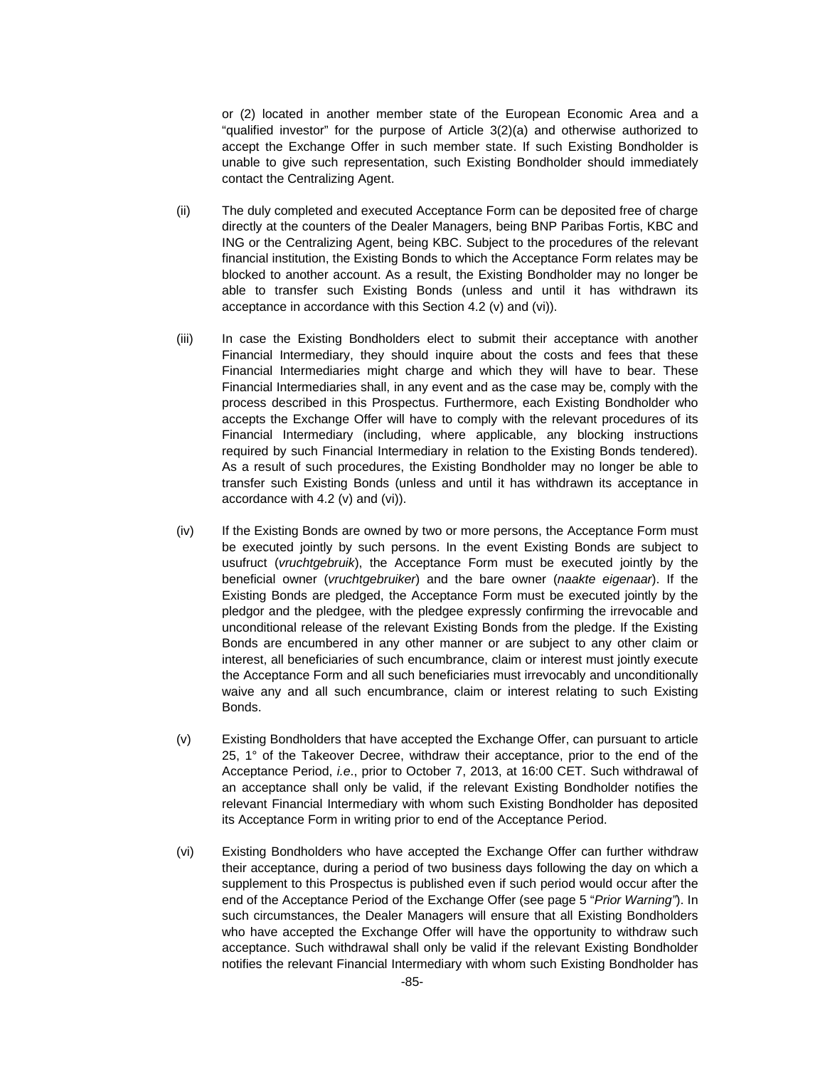or (2) located in another member state of the European Economic Area and a "qualified investor" for the purpose of Article 3(2)(a) and otherwise authorized to accept the Exchange Offer in such member state. If such Existing Bondholder is unable to give such representation, such Existing Bondholder should immediately contact the Centralizing Agent.

- (ii) The duly completed and executed Acceptance Form can be deposited free of charge directly at the counters of the Dealer Managers, being BNP Paribas Fortis, KBC and ING or the Centralizing Agent, being KBC. Subject to the procedures of the relevant financial institution, the Existing Bonds to which the Acceptance Form relates may be blocked to another account. As a result, the Existing Bondholder may no longer be able to transfer such Existing Bonds (unless and until it has withdrawn its acceptance in accordance with this Section 4.2 (v) and (vi)).
- (iii) In case the Existing Bondholders elect to submit their acceptance with another Financial Intermediary, they should inquire about the costs and fees that these Financial Intermediaries might charge and which they will have to bear. These Financial Intermediaries shall, in any event and as the case may be, comply with the process described in this Prospectus. Furthermore, each Existing Bondholder who accepts the Exchange Offer will have to comply with the relevant procedures of its Financial Intermediary (including, where applicable, any blocking instructions required by such Financial Intermediary in relation to the Existing Bonds tendered). As a result of such procedures, the Existing Bondholder may no longer be able to transfer such Existing Bonds (unless and until it has withdrawn its acceptance in accordance with 4.2 (v) and (vi)).
- (iv) If the Existing Bonds are owned by two or more persons, the Acceptance Form must be executed jointly by such persons. In the event Existing Bonds are subject to usufruct (*vruchtgebruik*), the Acceptance Form must be executed jointly by the beneficial owner (*vruchtgebruiker*) and the bare owner (*naakte eigenaar*). If the Existing Bonds are pledged, the Acceptance Form must be executed jointly by the pledgor and the pledgee, with the pledgee expressly confirming the irrevocable and unconditional release of the relevant Existing Bonds from the pledge. If the Existing Bonds are encumbered in any other manner or are subject to any other claim or interest, all beneficiaries of such encumbrance, claim or interest must jointly execute the Acceptance Form and all such beneficiaries must irrevocably and unconditionally waive any and all such encumbrance, claim or interest relating to such Existing Bonds.
- (v) Existing Bondholders that have accepted the Exchange Offer, can pursuant to article 25, 1° of the Takeover Decree, withdraw their acceptance, prior to the end of the Acceptance Period, *i.e*., prior to October 7, 2013, at 16:00 CET. Such withdrawal of an acceptance shall only be valid, if the relevant Existing Bondholder notifies the relevant Financial Intermediary with whom such Existing Bondholder has deposited its Acceptance Form in writing prior to end of the Acceptance Period.
- (vi) Existing Bondholders who have accepted the Exchange Offer can further withdraw their acceptance, during a period of two business days following the day on which a supplement to this Prospectus is published even if such period would occur after the end of the Acceptance Period of the Exchange Offer (see page 5 "*Prior Warning"*). In such circumstances, the Dealer Managers will ensure that all Existing Bondholders who have accepted the Exchange Offer will have the opportunity to withdraw such acceptance. Such withdrawal shall only be valid if the relevant Existing Bondholder notifies the relevant Financial Intermediary with whom such Existing Bondholder has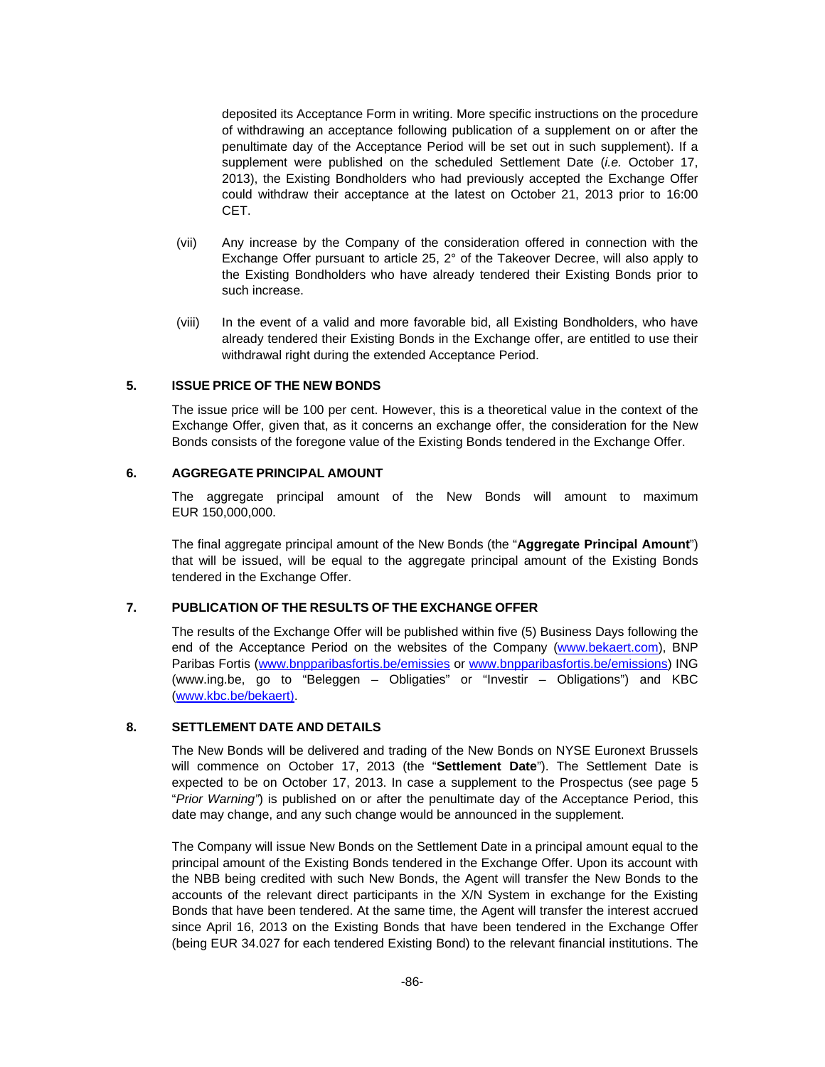deposited its Acceptance Form in writing. More specific instructions on the procedure of withdrawing an acceptance following publication of a supplement on or after the penultimate day of the Acceptance Period will be set out in such supplement). If a supplement were published on the scheduled Settlement Date (*i.e.* October 17, 2013), the Existing Bondholders who had previously accepted the Exchange Offer could withdraw their acceptance at the latest on October 21, 2013 prior to 16:00 CET.

- (vii) Any increase by the Company of the consideration offered in connection with the Exchange Offer pursuant to article 25, 2° of the Takeover Decree, will also apply to the Existing Bondholders who have already tendered their Existing Bonds prior to such increase.
- (viii) In the event of a valid and more favorable bid, all Existing Bondholders, who have already tendered their Existing Bonds in the Exchange offer, are entitled to use their withdrawal right during the extended Acceptance Period.

## **5. ISSUE PRICE OF THE NEW BONDS**

The issue price will be 100 per cent. However, this is a theoretical value in the context of the Exchange Offer, given that, as it concerns an exchange offer, the consideration for the New Bonds consists of the foregone value of the Existing Bonds tendered in the Exchange Offer.

#### **6. AGGREGATE PRINCIPAL AMOUNT**

The aggregate principal amount of the New Bonds will amount to maximum EUR 150,000,000.

The final aggregate principal amount of the New Bonds (the "**Aggregate Principal Amount**") that will be issued, will be equal to the aggregate principal amount of the Existing Bonds tendered in the Exchange Offer.

## **7. PUBLICATION OF THE RESULTS OF THE EXCHANGE OFFER**

The results of the Exchange Offer will be published within five (5) Business Days following the end of the Acceptance Period on the websites of the Company (www.bekaert.com), BNP Paribas Fortis (www.bnpparibasfortis.be/emissies or www.bnpparibasfortis.be/emissions) ING (www.ing.be, go to "Beleggen – Obligaties" or "Investir – Obligations") and KBC (www.kbc.be/bekaert).

## **8. SETTLEMENT DATE AND DETAILS**

The New Bonds will be delivered and trading of the New Bonds on NYSE Euronext Brussels will commence on October 17, 2013 (the "**Settlement Date**"). The Settlement Date is expected to be on October 17, 2013. In case a supplement to the Prospectus (see page 5 "*Prior Warning"*) is published on or after the penultimate day of the Acceptance Period, this date may change, and any such change would be announced in the supplement.

The Company will issue New Bonds on the Settlement Date in a principal amount equal to the principal amount of the Existing Bonds tendered in the Exchange Offer. Upon its account with the NBB being credited with such New Bonds, the Agent will transfer the New Bonds to the accounts of the relevant direct participants in the X/N System in exchange for the Existing Bonds that have been tendered. At the same time, the Agent will transfer the interest accrued since April 16, 2013 on the Existing Bonds that have been tendered in the Exchange Offer (being EUR 34.027 for each tendered Existing Bond) to the relevant financial institutions. The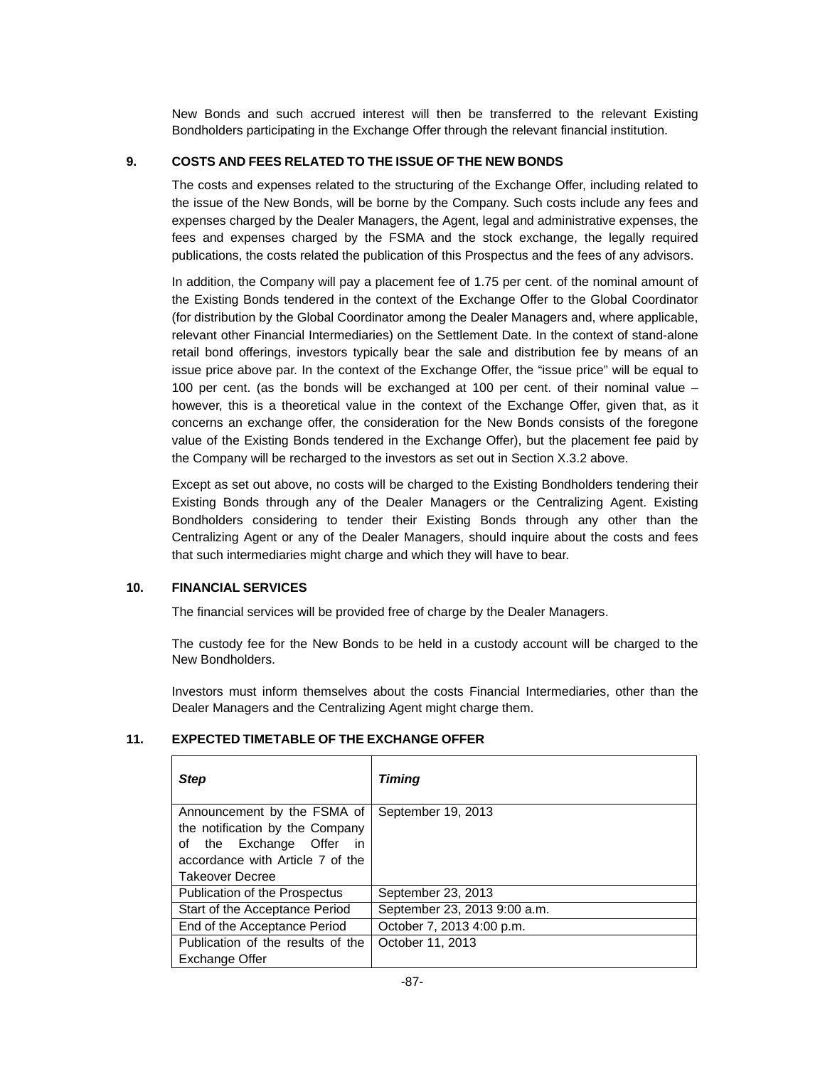New Bonds and such accrued interest will then be transferred to the relevant Existing Bondholders participating in the Exchange Offer through the relevant financial institution.

## **9. COSTS AND FEES RELATED TO THE ISSUE OF THE NEW BONDS**

The costs and expenses related to the structuring of the Exchange Offer, including related to the issue of the New Bonds, will be borne by the Company. Such costs include any fees and expenses charged by the Dealer Managers, the Agent, legal and administrative expenses, the fees and expenses charged by the FSMA and the stock exchange, the legally required publications, the costs related the publication of this Prospectus and the fees of any advisors.

In addition, the Company will pay a placement fee of 1.75 per cent. of the nominal amount of the Existing Bonds tendered in the context of the Exchange Offer to the Global Coordinator (for distribution by the Global Coordinator among the Dealer Managers and, where applicable, relevant other Financial Intermediaries) on the Settlement Date. In the context of stand-alone retail bond offerings, investors typically bear the sale and distribution fee by means of an issue price above par. In the context of the Exchange Offer, the "issue price" will be equal to 100 per cent. (as the bonds will be exchanged at 100 per cent. of their nominal value – however, this is a theoretical value in the context of the Exchange Offer, given that, as it concerns an exchange offer, the consideration for the New Bonds consists of the foregone value of the Existing Bonds tendered in the Exchange Offer), but the placement fee paid by the Company will be recharged to the investors as set out in Section X.3.2 above.

Except as set out above, no costs will be charged to the Existing Bondholders tendering their Existing Bonds through any of the Dealer Managers or the Centralizing Agent. Existing Bondholders considering to tender their Existing Bonds through any other than the Centralizing Agent or any of the Dealer Managers, should inquire about the costs and fees that such intermediaries might charge and which they will have to bear.

## **10. FINANCIAL SERVICES**

The financial services will be provided free of charge by the Dealer Managers.

The custody fee for the New Bonds to be held in a custody account will be charged to the New Bondholders.

Investors must inform themselves about the costs Financial Intermediaries, other than the Dealer Managers and the Centralizing Agent might charge them.

| <b>Step</b>                                                                                                                                                    | Timing                       |
|----------------------------------------------------------------------------------------------------------------------------------------------------------------|------------------------------|
| Announcement by the FSMA of<br>the notification by the Company<br>the Exchange Offer<br>οf<br>in<br>accordance with Article 7 of the<br><b>Takeover Decree</b> | September 19, 2013           |
| <b>Publication of the Prospectus</b>                                                                                                                           | September 23, 2013           |
| Start of the Acceptance Period                                                                                                                                 | September 23, 2013 9:00 a.m. |
| End of the Acceptance Period                                                                                                                                   | October 7, 2013 4:00 p.m.    |
| Publication of the results of the<br><b>Exchange Offer</b>                                                                                                     | October 11, 2013             |

## **11. EXPECTED TIMETABLE OF THE EXCHANGE OFFER**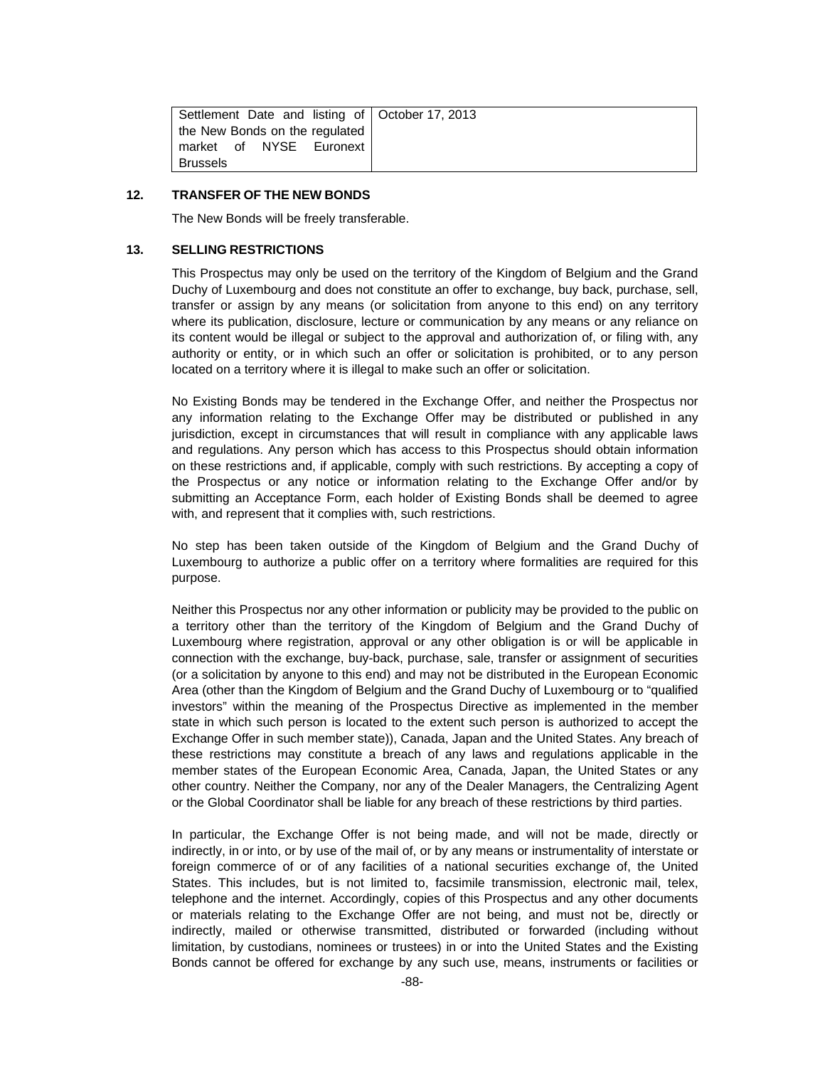| Settlement Date and listing of   October 17, 2013 |  |
|---------------------------------------------------|--|
| the New Bonds on the regulated                    |  |
| market of NYSE Euronext                           |  |
| Brussels                                          |  |

#### **12. TRANSFER OF THE NEW BONDS**

The New Bonds will be freely transferable.

#### **13. SELLING RESTRICTIONS**

This Prospectus may only be used on the territory of the Kingdom of Belgium and the Grand Duchy of Luxembourg and does not constitute an offer to exchange, buy back, purchase, sell, transfer or assign by any means (or solicitation from anyone to this end) on any territory where its publication, disclosure, lecture or communication by any means or any reliance on its content would be illegal or subject to the approval and authorization of, or filing with, any authority or entity, or in which such an offer or solicitation is prohibited, or to any person located on a territory where it is illegal to make such an offer or solicitation.

No Existing Bonds may be tendered in the Exchange Offer, and neither the Prospectus nor any information relating to the Exchange Offer may be distributed or published in any jurisdiction, except in circumstances that will result in compliance with any applicable laws and regulations. Any person which has access to this Prospectus should obtain information on these restrictions and, if applicable, comply with such restrictions. By accepting a copy of the Prospectus or any notice or information relating to the Exchange Offer and/or by submitting an Acceptance Form, each holder of Existing Bonds shall be deemed to agree with, and represent that it complies with, such restrictions.

No step has been taken outside of the Kingdom of Belgium and the Grand Duchy of Luxembourg to authorize a public offer on a territory where formalities are required for this purpose.

Neither this Prospectus nor any other information or publicity may be provided to the public on a territory other than the territory of the Kingdom of Belgium and the Grand Duchy of Luxembourg where registration, approval or any other obligation is or will be applicable in connection with the exchange, buy-back, purchase, sale, transfer or assignment of securities (or a solicitation by anyone to this end) and may not be distributed in the European Economic Area (other than the Kingdom of Belgium and the Grand Duchy of Luxembourg or to "qualified investors" within the meaning of the Prospectus Directive as implemented in the member state in which such person is located to the extent such person is authorized to accept the Exchange Offer in such member state)), Canada, Japan and the United States. Any breach of these restrictions may constitute a breach of any laws and regulations applicable in the member states of the European Economic Area, Canada, Japan, the United States or any other country. Neither the Company, nor any of the Dealer Managers, the Centralizing Agent or the Global Coordinator shall be liable for any breach of these restrictions by third parties.

In particular, the Exchange Offer is not being made, and will not be made, directly or indirectly, in or into, or by use of the mail of, or by any means or instrumentality of interstate or foreign commerce of or of any facilities of a national securities exchange of, the United States. This includes, but is not limited to, facsimile transmission, electronic mail, telex, telephone and the internet. Accordingly, copies of this Prospectus and any other documents or materials relating to the Exchange Offer are not being, and must not be, directly or indirectly, mailed or otherwise transmitted, distributed or forwarded (including without limitation, by custodians, nominees or trustees) in or into the United States and the Existing Bonds cannot be offered for exchange by any such use, means, instruments or facilities or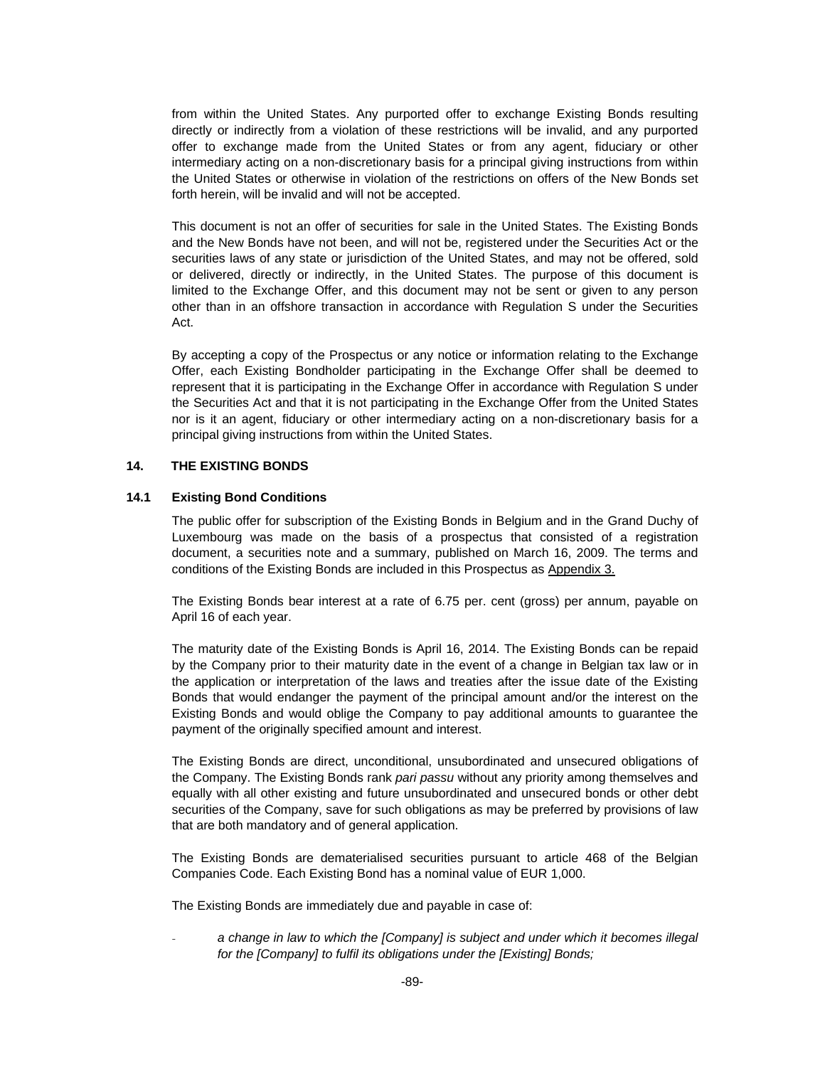from within the United States. Any purported offer to exchange Existing Bonds resulting directly or indirectly from a violation of these restrictions will be invalid, and any purported offer to exchange made from the United States or from any agent, fiduciary or other intermediary acting on a non-discretionary basis for a principal giving instructions from within the United States or otherwise in violation of the restrictions on offers of the New Bonds set forth herein, will be invalid and will not be accepted.

This document is not an offer of securities for sale in the United States. The Existing Bonds and the New Bonds have not been, and will not be, registered under the Securities Act or the securities laws of any state or jurisdiction of the United States, and may not be offered, sold or delivered, directly or indirectly, in the United States. The purpose of this document is limited to the Exchange Offer, and this document may not be sent or given to any person other than in an offshore transaction in accordance with Regulation S under the Securities Act.

By accepting a copy of the Prospectus or any notice or information relating to the Exchange Offer, each Existing Bondholder participating in the Exchange Offer shall be deemed to represent that it is participating in the Exchange Offer in accordance with Regulation S under the Securities Act and that it is not participating in the Exchange Offer from the United States nor is it an agent, fiduciary or other intermediary acting on a non-discretionary basis for a principal giving instructions from within the United States.

### **14. THE EXISTING BONDS**

#### **14.1 Existing Bond Conditions**

The public offer for subscription of the Existing Bonds in Belgium and in the Grand Duchy of Luxembourg was made on the basis of a prospectus that consisted of a registration document, a securities note and a summary, published on March 16, 2009. The terms and conditions of the Existing Bonds are included in this Prospectus as Appendix 3.

The Existing Bonds bear interest at a rate of 6.75 per. cent (gross) per annum, payable on April 16 of each year.

The maturity date of the Existing Bonds is April 16, 2014. The Existing Bonds can be repaid by the Company prior to their maturity date in the event of a change in Belgian tax law or in the application or interpretation of the laws and treaties after the issue date of the Existing Bonds that would endanger the payment of the principal amount and/or the interest on the Existing Bonds and would oblige the Company to pay additional amounts to guarantee the payment of the originally specified amount and interest.

The Existing Bonds are direct, unconditional, unsubordinated and unsecured obligations of the Company. The Existing Bonds rank *pari passu* without any priority among themselves and equally with all other existing and future unsubordinated and unsecured bonds or other debt securities of the Company, save for such obligations as may be preferred by provisions of law that are both mandatory and of general application.

The Existing Bonds are dematerialised securities pursuant to article 468 of the Belgian Companies Code. Each Existing Bond has a nominal value of EUR 1,000.

The Existing Bonds are immediately due and payable in case of:

a change in law to which the [Company] is subject and under which it becomes illegal *for the [Company] to fulfil its obligations under the [Existing] Bonds;*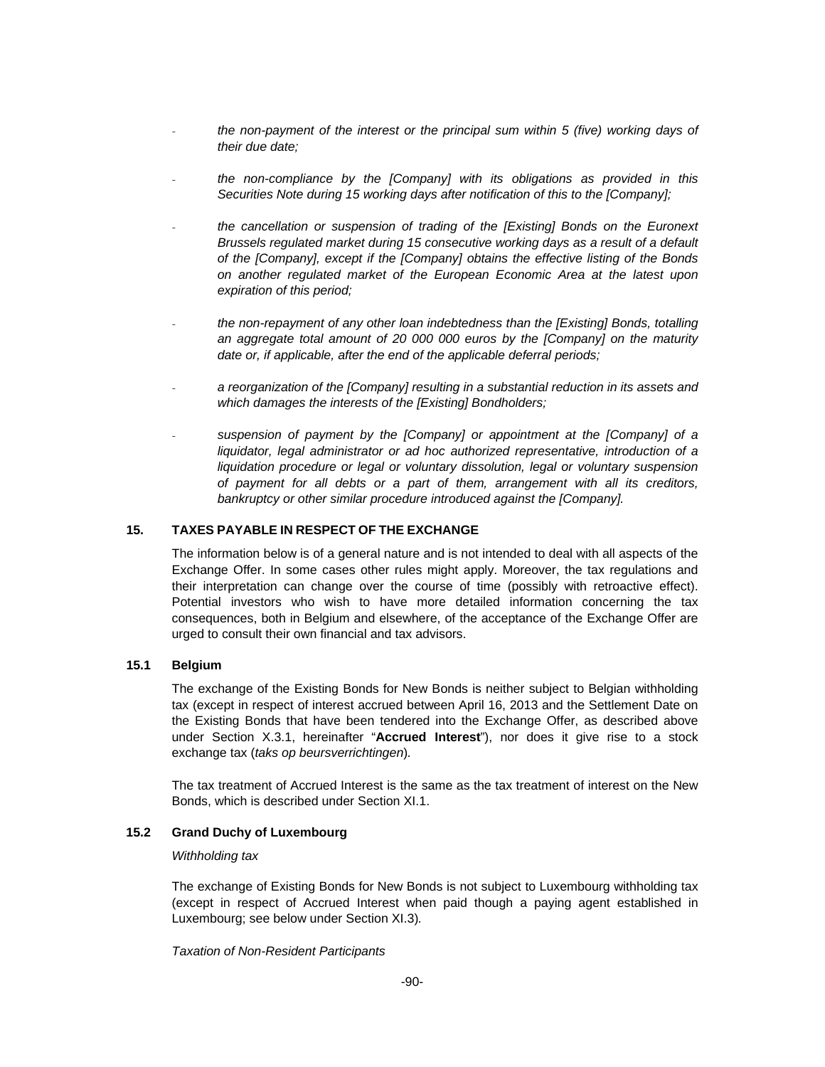- *the non-payment of the interest or the principal sum within 5 (five) working days of their due date;*
- the non-compliance by the [Company] with its obligations as provided in this *Securities Note during 15 working days after notification of this to the [Company];*
- *the cancellation or suspension of trading of the [Existing] Bonds on the Euronext Brussels regulated market during 15 consecutive working days as a result of a default of the [Company], except if the [Company] obtains the effective listing of the Bonds on another regulated market of the European Economic Area at the latest upon expiration of this period;*
- *the non-repayment of any other loan indebtedness than the [Existing] Bonds, totalling an aggregate total amount of 20 000 000 euros by the [Company] on the maturity date or, if applicable, after the end of the applicable deferral periods;*
- a reorganization of the [Company] resulting in a substantial reduction in its assets and *which damages the interests of the [Existing] Bondholders;*
- suspension of payment by the [Company] or appointment at the [Company] of a *liquidator, legal administrator or ad hoc authorized representative, introduction of a liquidation procedure or legal or voluntary dissolution, legal or voluntary suspension of payment for all debts or a part of them, arrangement with all its creditors,*  bankruptcy or other similar procedure introduced against the [Company].

## **15. TAXES PAYABLE IN RESPECT OF THE EXCHANGE**

The information below is of a general nature and is not intended to deal with all aspects of the Exchange Offer. In some cases other rules might apply. Moreover, the tax regulations and their interpretation can change over the course of time (possibly with retroactive effect). Potential investors who wish to have more detailed information concerning the tax consequences, both in Belgium and elsewhere, of the acceptance of the Exchange Offer are urged to consult their own financial and tax advisors.

#### **15.1 Belgium**

The exchange of the Existing Bonds for New Bonds is neither subject to Belgian withholding tax (except in respect of interest accrued between April 16, 2013 and the Settlement Date on the Existing Bonds that have been tendered into the Exchange Offer, as described above under Section X.3.1, hereinafter "**Accrued Interest**"), nor does it give rise to a stock exchange tax (*taks op beursverrichtingen*)*.* 

The tax treatment of Accrued Interest is the same as the tax treatment of interest on the New Bonds, which is described under Section XI.1.

### **15.2 Grand Duchy of Luxembourg**

#### *Withholding tax*

The exchange of Existing Bonds for New Bonds is not subject to Luxembourg withholding tax (except in respect of Accrued Interest when paid though a paying agent established in Luxembourg; see below under Section XI.3)*.*

#### *Taxation of Non-Resident Participants*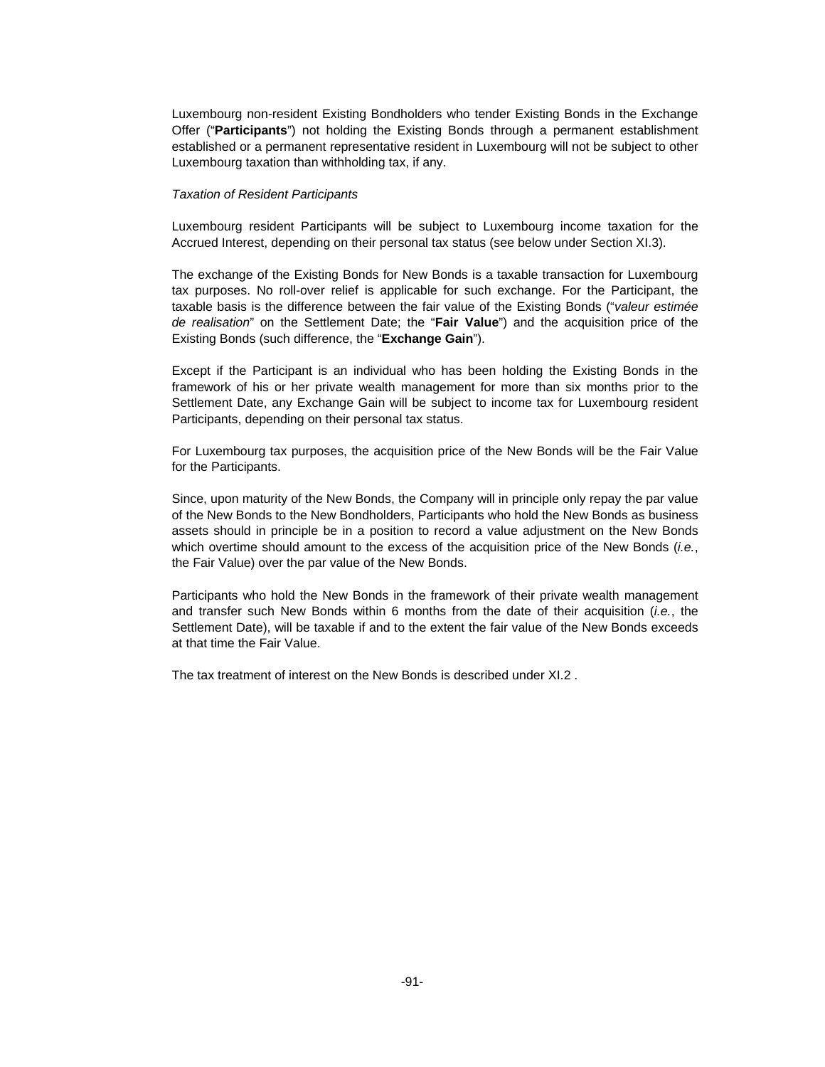Luxembourg non-resident Existing Bondholders who tender Existing Bonds in the Exchange Offer ("**Participants**") not holding the Existing Bonds through a permanent establishment established or a permanent representative resident in Luxembourg will not be subject to other Luxembourg taxation than withholding tax, if any.

#### *Taxation of Resident Participants*

Luxembourg resident Participants will be subject to Luxembourg income taxation for the Accrued Interest, depending on their personal tax status (see below under Section XI.3).

The exchange of the Existing Bonds for New Bonds is a taxable transaction for Luxembourg tax purposes. No roll-over relief is applicable for such exchange. For the Participant, the taxable basis is the difference between the fair value of the Existing Bonds ("*valeur estimée de realisation*" on the Settlement Date; the "**Fair Value**") and the acquisition price of the Existing Bonds (such difference, the "**Exchange Gain**").

Except if the Participant is an individual who has been holding the Existing Bonds in the framework of his or her private wealth management for more than six months prior to the Settlement Date, any Exchange Gain will be subject to income tax for Luxembourg resident Participants, depending on their personal tax status.

For Luxembourg tax purposes, the acquisition price of the New Bonds will be the Fair Value for the Participants.

Since, upon maturity of the New Bonds, the Company will in principle only repay the par value of the New Bonds to the New Bondholders, Participants who hold the New Bonds as business assets should in principle be in a position to record a value adjustment on the New Bonds which overtime should amount to the excess of the acquisition price of the New Bonds (*i.e.*, the Fair Value) over the par value of the New Bonds.

Participants who hold the New Bonds in the framework of their private wealth management and transfer such New Bonds within 6 months from the date of their acquisition (*i.e.*, the Settlement Date), will be taxable if and to the extent the fair value of the New Bonds exceeds at that time the Fair Value.

The tax treatment of interest on the New Bonds is described under XI.2 .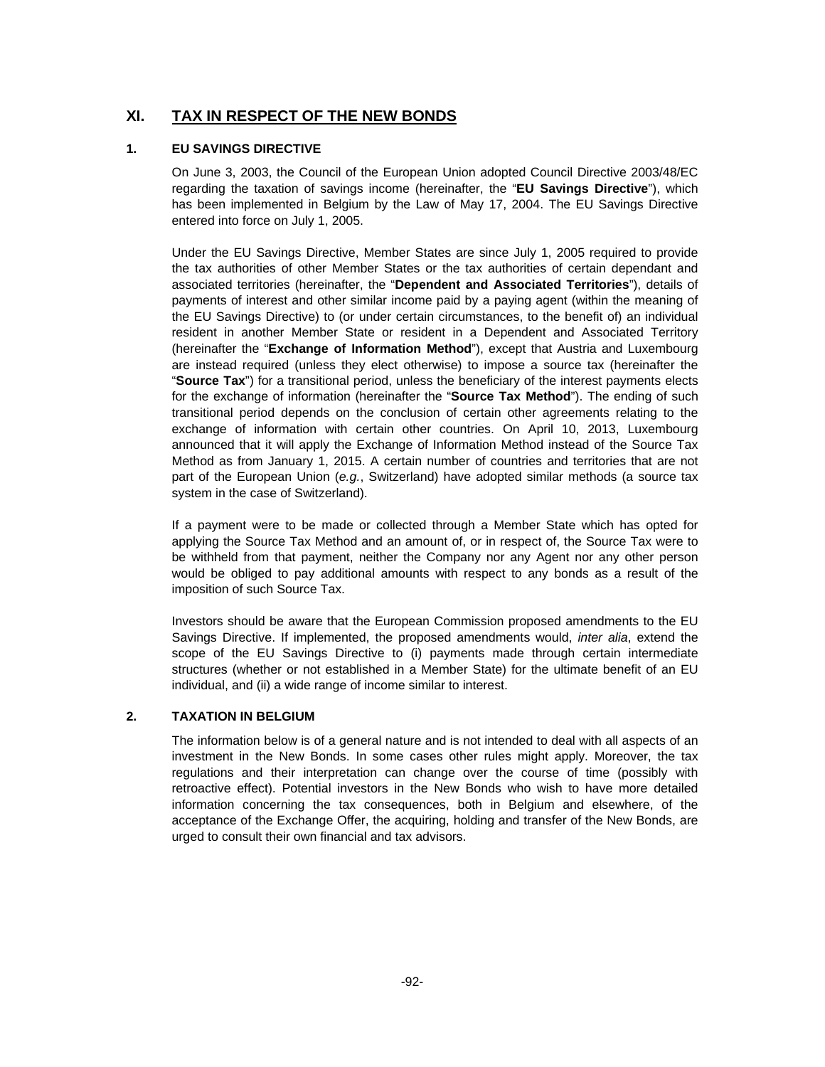## **XI. TAX IN RESPECT OF THE NEW BONDS**

## **1. EU SAVINGS DIRECTIVE**

On June 3, 2003, the Council of the European Union adopted Council Directive 2003/48/EC regarding the taxation of savings income (hereinafter, the "**EU Savings Directive**"), which has been implemented in Belgium by the Law of May 17, 2004. The EU Savings Directive entered into force on July 1, 2005.

Under the EU Savings Directive, Member States are since July 1, 2005 required to provide the tax authorities of other Member States or the tax authorities of certain dependant and associated territories (hereinafter, the "**Dependent and Associated Territories**"), details of payments of interest and other similar income paid by a paying agent (within the meaning of the EU Savings Directive) to (or under certain circumstances, to the benefit of) an individual resident in another Member State or resident in a Dependent and Associated Territory (hereinafter the "**Exchange of Information Method**"), except that Austria and Luxembourg are instead required (unless they elect otherwise) to impose a source tax (hereinafter the "**Source Tax**") for a transitional period, unless the beneficiary of the interest payments elects for the exchange of information (hereinafter the "**Source Tax Method**"). The ending of such transitional period depends on the conclusion of certain other agreements relating to the exchange of information with certain other countries. On April 10, 2013, Luxembourg announced that it will apply the Exchange of Information Method instead of the Source Tax Method as from January 1, 2015. A certain number of countries and territories that are not part of the European Union (*e.g.*, Switzerland) have adopted similar methods (a source tax system in the case of Switzerland).

If a payment were to be made or collected through a Member State which has opted for applying the Source Tax Method and an amount of, or in respect of, the Source Tax were to be withheld from that payment, neither the Company nor any Agent nor any other person would be obliged to pay additional amounts with respect to any bonds as a result of the imposition of such Source Tax.

Investors should be aware that the European Commission proposed amendments to the EU Savings Directive. If implemented, the proposed amendments would, *inter alia*, extend the scope of the EU Savings Directive to (i) payments made through certain intermediate structures (whether or not established in a Member State) for the ultimate benefit of an EU individual, and (ii) a wide range of income similar to interest.

## **2. TAXATION IN BELGIUM**

The information below is of a general nature and is not intended to deal with all aspects of an investment in the New Bonds. In some cases other rules might apply. Moreover, the tax regulations and their interpretation can change over the course of time (possibly with retroactive effect). Potential investors in the New Bonds who wish to have more detailed information concerning the tax consequences, both in Belgium and elsewhere, of the acceptance of the Exchange Offer, the acquiring, holding and transfer of the New Bonds, are urged to consult their own financial and tax advisors.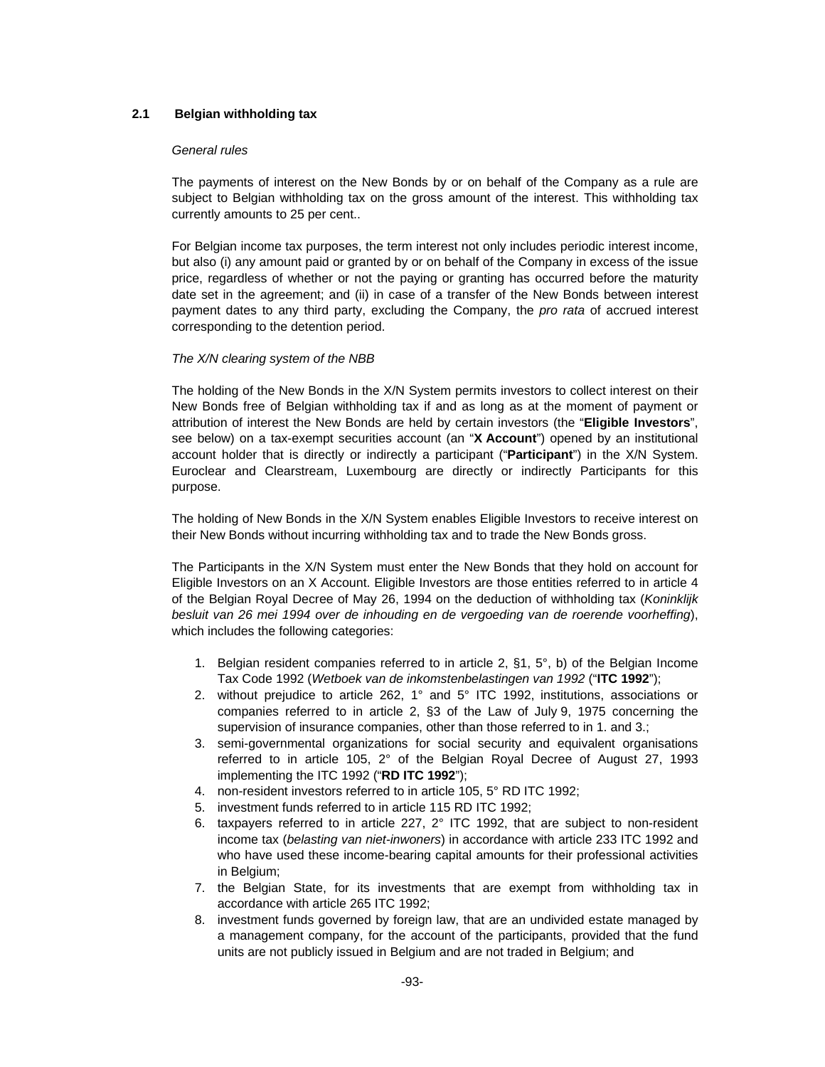## **2.1 Belgian withholding tax**

#### *General rules*

The payments of interest on the New Bonds by or on behalf of the Company as a rule are subject to Belgian withholding tax on the gross amount of the interest. This withholding tax currently amounts to 25 per cent..

For Belgian income tax purposes, the term interest not only includes periodic interest income, but also (i) any amount paid or granted by or on behalf of the Company in excess of the issue price, regardless of whether or not the paying or granting has occurred before the maturity date set in the agreement; and (ii) in case of a transfer of the New Bonds between interest payment dates to any third party, excluding the Company, the *pro rata* of accrued interest corresponding to the detention period.

#### *The X/N clearing system of the NBB*

The holding of the New Bonds in the X/N System permits investors to collect interest on their New Bonds free of Belgian withholding tax if and as long as at the moment of payment or attribution of interest the New Bonds are held by certain investors (the "**Eligible Investors**", see below) on a tax-exempt securities account (an "**X Account**") opened by an institutional account holder that is directly or indirectly a participant ("**Participant**") in the X/N System. Euroclear and Clearstream, Luxembourg are directly or indirectly Participants for this purpose.

The holding of New Bonds in the X/N System enables Eligible Investors to receive interest on their New Bonds without incurring withholding tax and to trade the New Bonds gross.

The Participants in the X/N System must enter the New Bonds that they hold on account for Eligible Investors on an X Account. Eligible Investors are those entities referred to in article 4 of the Belgian Royal Decree of May 26, 1994 on the deduction of withholding tax (*Koninklijk besluit van 26 mei 1994 over de inhouding en de vergoeding van de roerende voorheffing*), which includes the following categories:

- 1. Belgian resident companies referred to in article 2, §1, 5°, b) of the Belgian Income Tax Code 1992 (*Wetboek van de inkomstenbelastingen van 1992* ("**ITC 1992**");
- 2. without prejudice to article 262, 1° and 5° ITC 1992, institutions, associations or companies referred to in article 2, §3 of the Law of July 9, 1975 concerning the supervision of insurance companies, other than those referred to in 1. and 3.;
- 3. semi-governmental organizations for social security and equivalent organisations referred to in article 105, 2° of the Belgian Royal Decree of August 27, 1993 implementing the ITC 1992 ("**RD ITC 1992**");
- 4. non-resident investors referred to in article 105, 5° RD ITC 1992;
- 5. investment funds referred to in article 115 RD ITC 1992;
- 6. taxpayers referred to in article 227, 2° ITC 1992, that are subject to non-resident income tax (*belasting van niet-inwoners*) in accordance with article 233 ITC 1992 and who have used these income-bearing capital amounts for their professional activities in Belgium;
- 7. the Belgian State, for its investments that are exempt from withholding tax in accordance with article 265 ITC 1992;
- 8. investment funds governed by foreign law, that are an undivided estate managed by a management company, for the account of the participants, provided that the fund units are not publicly issued in Belgium and are not traded in Belgium; and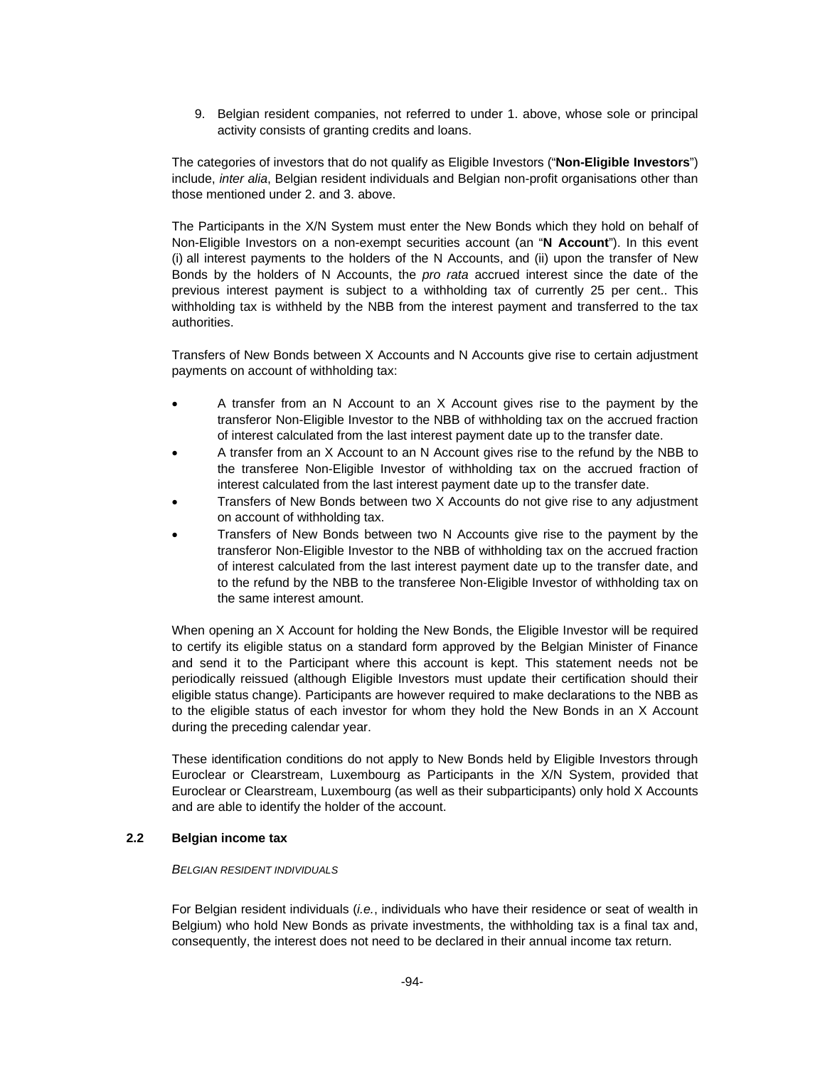9. Belgian resident companies, not referred to under 1. above, whose sole or principal activity consists of granting credits and loans.

The categories of investors that do not qualify as Eligible Investors ("**Non-Eligible Investors**") include, *inter alia*, Belgian resident individuals and Belgian non-profit organisations other than those mentioned under 2. and 3. above.

The Participants in the X/N System must enter the New Bonds which they hold on behalf of Non-Eligible Investors on a non-exempt securities account (an "**N Account**"). In this event (i) all interest payments to the holders of the N Accounts, and (ii) upon the transfer of New Bonds by the holders of N Accounts, the *pro rata* accrued interest since the date of the previous interest payment is subject to a withholding tax of currently 25 per cent.. This withholding tax is withheld by the NBB from the interest payment and transferred to the tax authorities.

Transfers of New Bonds between X Accounts and N Accounts give rise to certain adjustment payments on account of withholding tax:

- A transfer from an N Account to an X Account gives rise to the payment by the transferor Non-Eligible Investor to the NBB of withholding tax on the accrued fraction of interest calculated from the last interest payment date up to the transfer date.
- A transfer from an X Account to an N Account gives rise to the refund by the NBB to the transferee Non-Eligible Investor of withholding tax on the accrued fraction of interest calculated from the last interest payment date up to the transfer date.
- Transfers of New Bonds between two X Accounts do not give rise to any adjustment on account of withholding tax.
- Transfers of New Bonds between two N Accounts give rise to the payment by the transferor Non-Eligible Investor to the NBB of withholding tax on the accrued fraction of interest calculated from the last interest payment date up to the transfer date, and to the refund by the NBB to the transferee Non-Eligible Investor of withholding tax on the same interest amount.

When opening an X Account for holding the New Bonds, the Eligible Investor will be required to certify its eligible status on a standard form approved by the Belgian Minister of Finance and send it to the Participant where this account is kept. This statement needs not be periodically reissued (although Eligible Investors must update their certification should their eligible status change). Participants are however required to make declarations to the NBB as to the eligible status of each investor for whom they hold the New Bonds in an X Account during the preceding calendar year.

These identification conditions do not apply to New Bonds held by Eligible Investors through Euroclear or Clearstream, Luxembourg as Participants in the X/N System, provided that Euroclear or Clearstream, Luxembourg (as well as their subparticipants) only hold X Accounts and are able to identify the holder of the account.

## **2.2 Belgian income tax**

#### *BELGIAN RESIDENT INDIVIDUALS*

For Belgian resident individuals (*i.e.*, individuals who have their residence or seat of wealth in Belgium) who hold New Bonds as private investments, the withholding tax is a final tax and, consequently, the interest does not need to be declared in their annual income tax return.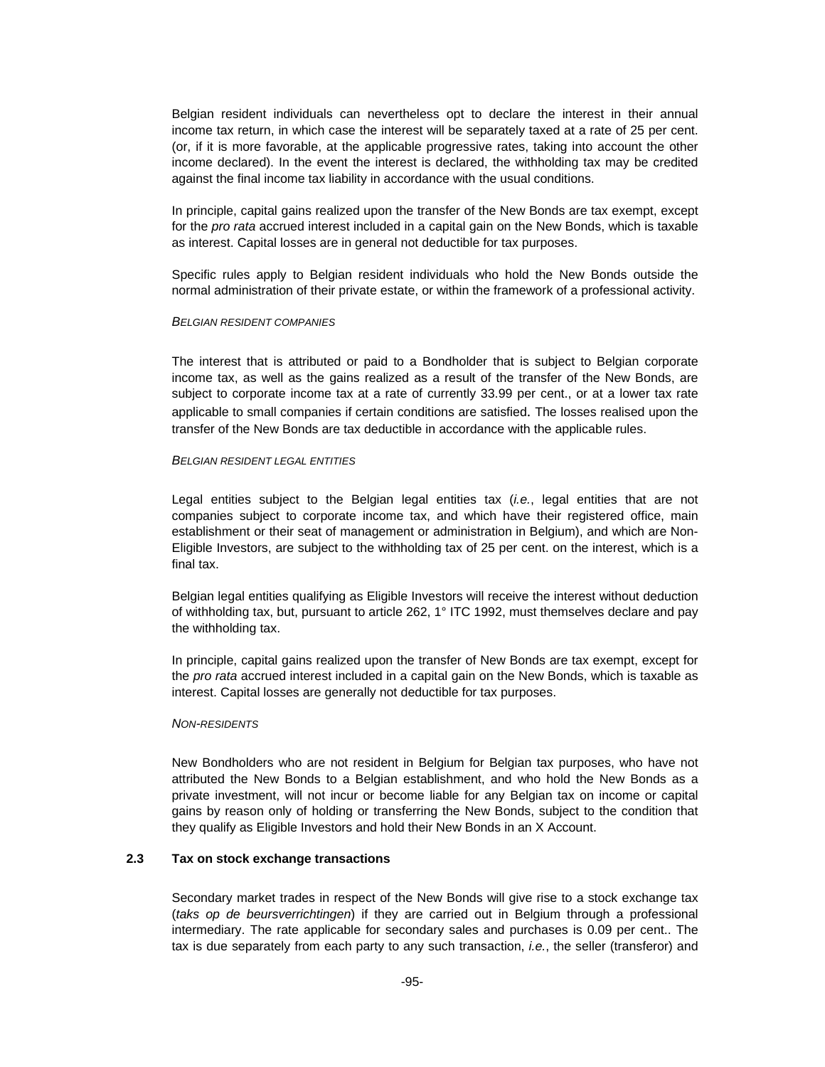Belgian resident individuals can nevertheless opt to declare the interest in their annual income tax return, in which case the interest will be separately taxed at a rate of 25 per cent. (or, if it is more favorable, at the applicable progressive rates, taking into account the other income declared). In the event the interest is declared, the withholding tax may be credited against the final income tax liability in accordance with the usual conditions.

In principle, capital gains realized upon the transfer of the New Bonds are tax exempt, except for the *pro rata* accrued interest included in a capital gain on the New Bonds, which is taxable as interest. Capital losses are in general not deductible for tax purposes.

Specific rules apply to Belgian resident individuals who hold the New Bonds outside the normal administration of their private estate, or within the framework of a professional activity.

#### *BELGIAN RESIDENT COMPANIES*

The interest that is attributed or paid to a Bondholder that is subject to Belgian corporate income tax, as well as the gains realized as a result of the transfer of the New Bonds, are subject to corporate income tax at a rate of currently 33.99 per cent., or at a lower tax rate applicable to small companies if certain conditions are satisfied. The losses realised upon the transfer of the New Bonds are tax deductible in accordance with the applicable rules.

#### *BELGIAN RESIDENT LEGAL ENTITIES*

Legal entities subject to the Belgian legal entities tax (*i.e.*, legal entities that are not companies subject to corporate income tax, and which have their registered office, main establishment or their seat of management or administration in Belgium), and which are Non-Eligible Investors, are subject to the withholding tax of 25 per cent. on the interest, which is a final tax.

Belgian legal entities qualifying as Eligible Investors will receive the interest without deduction of withholding tax, but, pursuant to article 262, 1° ITC 1992, must themselves declare and pay the withholding tax.

In principle, capital gains realized upon the transfer of New Bonds are tax exempt, except for the *pro rata* accrued interest included in a capital gain on the New Bonds, which is taxable as interest. Capital losses are generally not deductible for tax purposes.

#### *NON-RESIDENTS*

New Bondholders who are not resident in Belgium for Belgian tax purposes, who have not attributed the New Bonds to a Belgian establishment, and who hold the New Bonds as a private investment, will not incur or become liable for any Belgian tax on income or capital gains by reason only of holding or transferring the New Bonds, subject to the condition that they qualify as Eligible Investors and hold their New Bonds in an X Account.

## **2.3 Tax on stock exchange transactions**

Secondary market trades in respect of the New Bonds will give rise to a stock exchange tax (*taks op de beursverrichtingen*) if they are carried out in Belgium through a professional intermediary. The rate applicable for secondary sales and purchases is 0.09 per cent.. The tax is due separately from each party to any such transaction, *i.e.*, the seller (transferor) and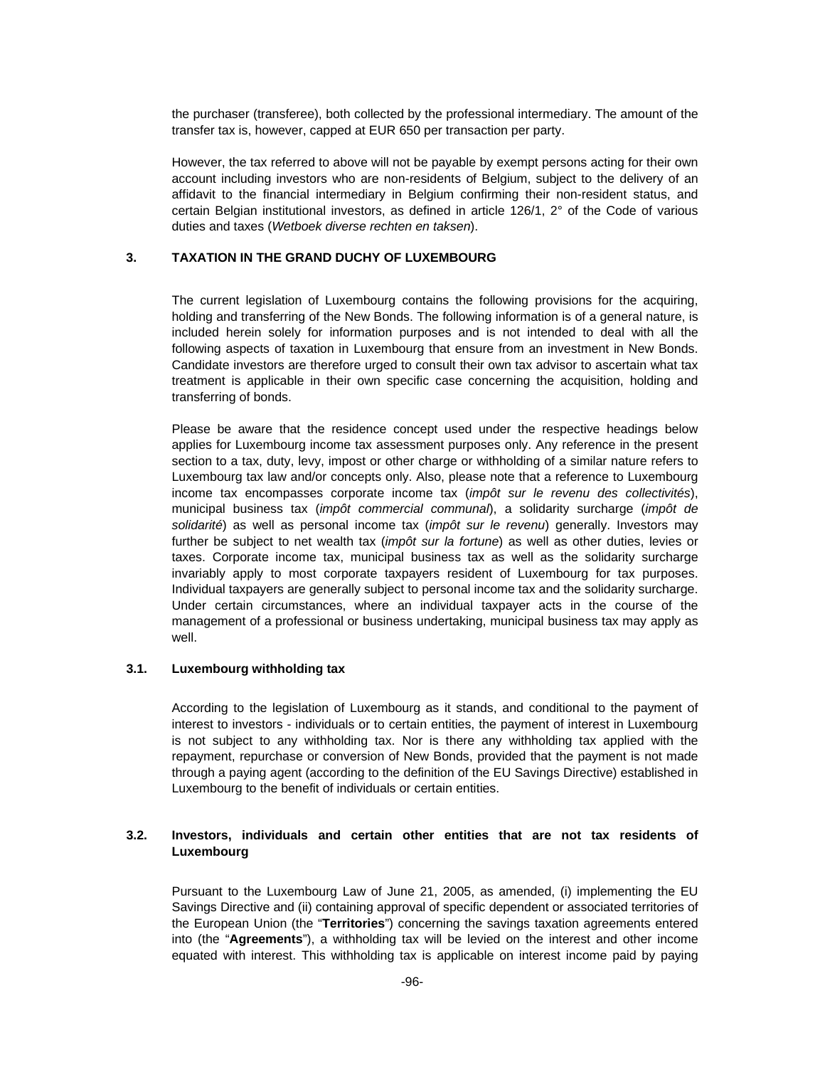the purchaser (transferee), both collected by the professional intermediary. The amount of the transfer tax is, however, capped at EUR 650 per transaction per party.

However, the tax referred to above will not be payable by exempt persons acting for their own account including investors who are non-residents of Belgium, subject to the delivery of an affidavit to the financial intermediary in Belgium confirming their non-resident status, and certain Belgian institutional investors, as defined in article 126/1, 2° of the Code of various duties and taxes (*Wetboek diverse rechten en taksen*).

### **3. TAXATION IN THE GRAND DUCHY OF LUXEMBOURG**

The current legislation of Luxembourg contains the following provisions for the acquiring, holding and transferring of the New Bonds. The following information is of a general nature, is included herein solely for information purposes and is not intended to deal with all the following aspects of taxation in Luxembourg that ensure from an investment in New Bonds. Candidate investors are therefore urged to consult their own tax advisor to ascertain what tax treatment is applicable in their own specific case concerning the acquisition, holding and transferring of bonds.

Please be aware that the residence concept used under the respective headings below applies for Luxembourg income tax assessment purposes only. Any reference in the present section to a tax, duty, levy, impost or other charge or withholding of a similar nature refers to Luxembourg tax law and/or concepts only. Also, please note that a reference to Luxembourg income tax encompasses corporate income tax (*impôt sur le revenu des collectivités*), municipal business tax (*impôt commercial communal*), a solidarity surcharge (*impôt de solidarité*) as well as personal income tax (*impôt sur le revenu*) generally. Investors may further be subject to net wealth tax (*impôt sur la fortune*) as well as other duties, levies or taxes. Corporate income tax, municipal business tax as well as the solidarity surcharge invariably apply to most corporate taxpayers resident of Luxembourg for tax purposes. Individual taxpayers are generally subject to personal income tax and the solidarity surcharge. Under certain circumstances, where an individual taxpayer acts in the course of the management of a professional or business undertaking, municipal business tax may apply as well.

#### **3.1. Luxembourg withholding tax**

According to the legislation of Luxembourg as it stands, and conditional to the payment of interest to investors - individuals or to certain entities, the payment of interest in Luxembourg is not subject to any withholding tax. Nor is there any withholding tax applied with the repayment, repurchase or conversion of New Bonds, provided that the payment is not made through a paying agent (according to the definition of the EU Savings Directive) established in Luxembourg to the benefit of individuals or certain entities.

## **3.2. Investors, individuals and certain other entities that are not tax residents of Luxembourg**

Pursuant to the Luxembourg Law of June 21, 2005, as amended, (i) implementing the EU Savings Directive and (ii) containing approval of specific dependent or associated territories of the European Union (the "**Territories**") concerning the savings taxation agreements entered into (the "**Agreements**"), a withholding tax will be levied on the interest and other income equated with interest. This withholding tax is applicable on interest income paid by paying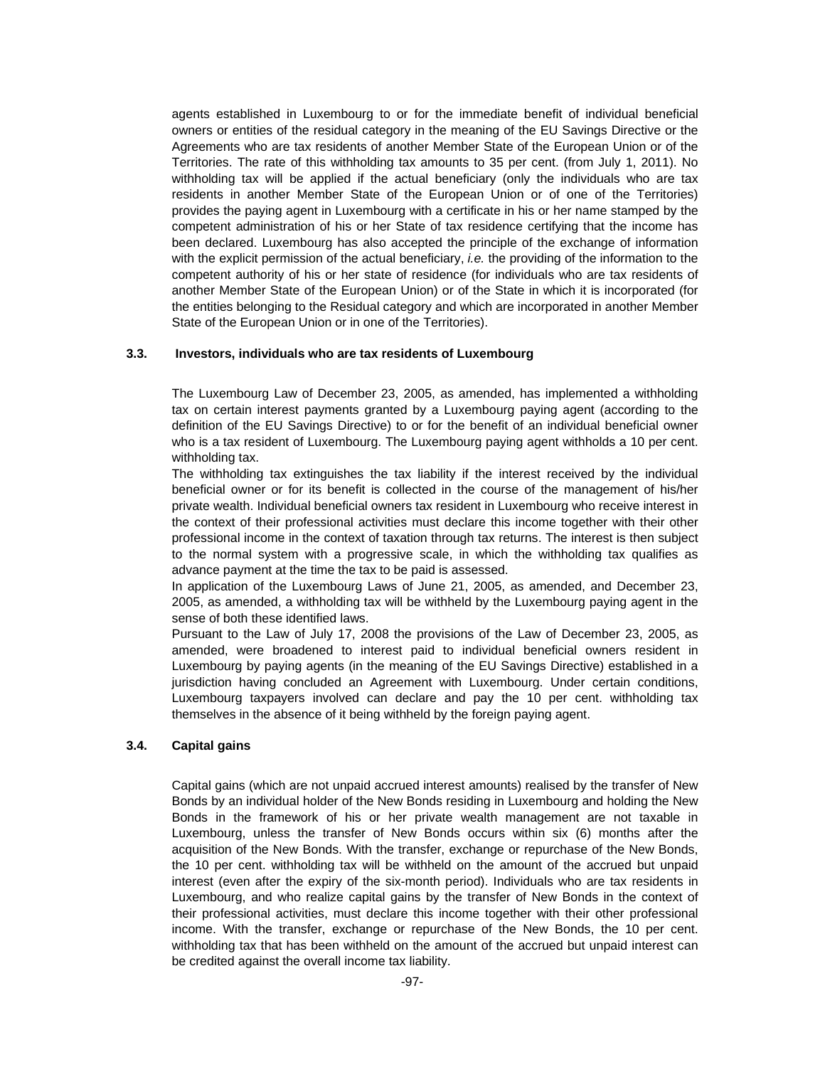agents established in Luxembourg to or for the immediate benefit of individual beneficial owners or entities of the residual category in the meaning of the EU Savings Directive or the Agreements who are tax residents of another Member State of the European Union or of the Territories. The rate of this withholding tax amounts to 35 per cent. (from July 1, 2011). No withholding tax will be applied if the actual beneficiary (only the individuals who are tax residents in another Member State of the European Union or of one of the Territories) provides the paying agent in Luxembourg with a certificate in his or her name stamped by the competent administration of his or her State of tax residence certifying that the income has been declared. Luxembourg has also accepted the principle of the exchange of information with the explicit permission of the actual beneficiary, *i.e.* the providing of the information to the competent authority of his or her state of residence (for individuals who are tax residents of another Member State of the European Union) or of the State in which it is incorporated (for the entities belonging to the Residual category and which are incorporated in another Member State of the European Union or in one of the Territories).

## **3.3. Investors, individuals who are tax residents of Luxembourg**

The Luxembourg Law of December 23, 2005, as amended, has implemented a withholding tax on certain interest payments granted by a Luxembourg paying agent (according to the definition of the EU Savings Directive) to or for the benefit of an individual beneficial owner who is a tax resident of Luxembourg. The Luxembourg paying agent withholds a 10 per cent. withholding tax.

The withholding tax extinguishes the tax liability if the interest received by the individual beneficial owner or for its benefit is collected in the course of the management of his/her private wealth. Individual beneficial owners tax resident in Luxembourg who receive interest in the context of their professional activities must declare this income together with their other professional income in the context of taxation through tax returns. The interest is then subject to the normal system with a progressive scale, in which the withholding tax qualifies as advance payment at the time the tax to be paid is assessed.

In application of the Luxembourg Laws of June 21, 2005, as amended, and December 23, 2005, as amended, a withholding tax will be withheld by the Luxembourg paying agent in the sense of both these identified laws.

Pursuant to the Law of July 17, 2008 the provisions of the Law of December 23, 2005, as amended, were broadened to interest paid to individual beneficial owners resident in Luxembourg by paying agents (in the meaning of the EU Savings Directive) established in a jurisdiction having concluded an Agreement with Luxembourg. Under certain conditions, Luxembourg taxpayers involved can declare and pay the 10 per cent. withholding tax themselves in the absence of it being withheld by the foreign paying agent.

#### **3.4. Capital gains**

Capital gains (which are not unpaid accrued interest amounts) realised by the transfer of New Bonds by an individual holder of the New Bonds residing in Luxembourg and holding the New Bonds in the framework of his or her private wealth management are not taxable in Luxembourg, unless the transfer of New Bonds occurs within six (6) months after the acquisition of the New Bonds. With the transfer, exchange or repurchase of the New Bonds, the 10 per cent. withholding tax will be withheld on the amount of the accrued but unpaid interest (even after the expiry of the six-month period). Individuals who are tax residents in Luxembourg, and who realize capital gains by the transfer of New Bonds in the context of their professional activities, must declare this income together with their other professional income. With the transfer, exchange or repurchase of the New Bonds, the 10 per cent. withholding tax that has been withheld on the amount of the accrued but unpaid interest can be credited against the overall income tax liability.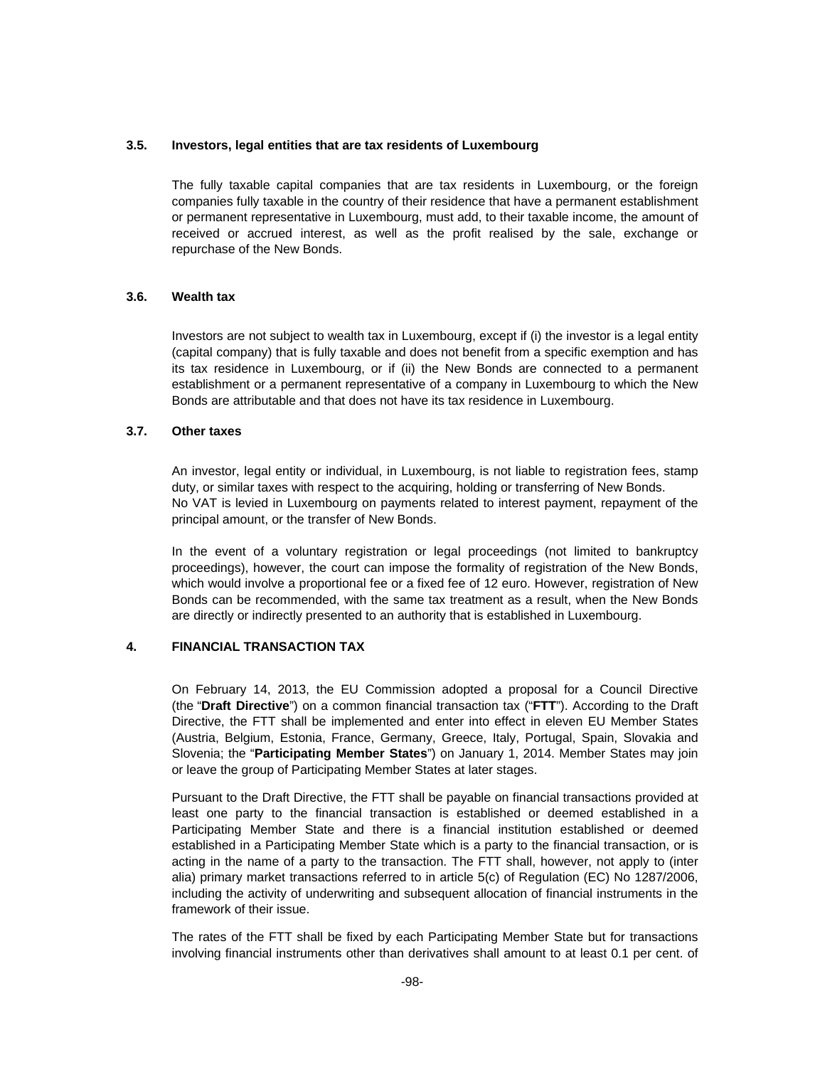### **3.5. Investors, legal entities that are tax residents of Luxembourg**

The fully taxable capital companies that are tax residents in Luxembourg, or the foreign companies fully taxable in the country of their residence that have a permanent establishment or permanent representative in Luxembourg, must add, to their taxable income, the amount of received or accrued interest, as well as the profit realised by the sale, exchange or repurchase of the New Bonds.

## **3.6. Wealth tax**

Investors are not subject to wealth tax in Luxembourg, except if (i) the investor is a legal entity (capital company) that is fully taxable and does not benefit from a specific exemption and has its tax residence in Luxembourg, or if (ii) the New Bonds are connected to a permanent establishment or a permanent representative of a company in Luxembourg to which the New Bonds are attributable and that does not have its tax residence in Luxembourg.

## **3.7. Other taxes**

An investor, legal entity or individual, in Luxembourg, is not liable to registration fees, stamp duty, or similar taxes with respect to the acquiring, holding or transferring of New Bonds. No VAT is levied in Luxembourg on payments related to interest payment, repayment of the principal amount, or the transfer of New Bonds.

In the event of a voluntary registration or legal proceedings (not limited to bankruptcy proceedings), however, the court can impose the formality of registration of the New Bonds, which would involve a proportional fee or a fixed fee of 12 euro. However, registration of New Bonds can be recommended, with the same tax treatment as a result, when the New Bonds are directly or indirectly presented to an authority that is established in Luxembourg.

## **4. FINANCIAL TRANSACTION TAX**

On February 14, 2013, the EU Commission adopted a proposal for a Council Directive (the "**Draft Directive**") on a common financial transaction tax ("**FTT**"). According to the Draft Directive, the FTT shall be implemented and enter into effect in eleven EU Member States (Austria, Belgium, Estonia, France, Germany, Greece, Italy, Portugal, Spain, Slovakia and Slovenia; the "**Participating Member States**") on January 1, 2014. Member States may join or leave the group of Participating Member States at later stages.

Pursuant to the Draft Directive, the FTT shall be payable on financial transactions provided at least one party to the financial transaction is established or deemed established in a Participating Member State and there is a financial institution established or deemed established in a Participating Member State which is a party to the financial transaction, or is acting in the name of a party to the transaction. The FTT shall, however, not apply to (inter alia) primary market transactions referred to in article 5(c) of Regulation (EC) No 1287/2006, including the activity of underwriting and subsequent allocation of financial instruments in the framework of their issue.

The rates of the FTT shall be fixed by each Participating Member State but for transactions involving financial instruments other than derivatives shall amount to at least 0.1 per cent. of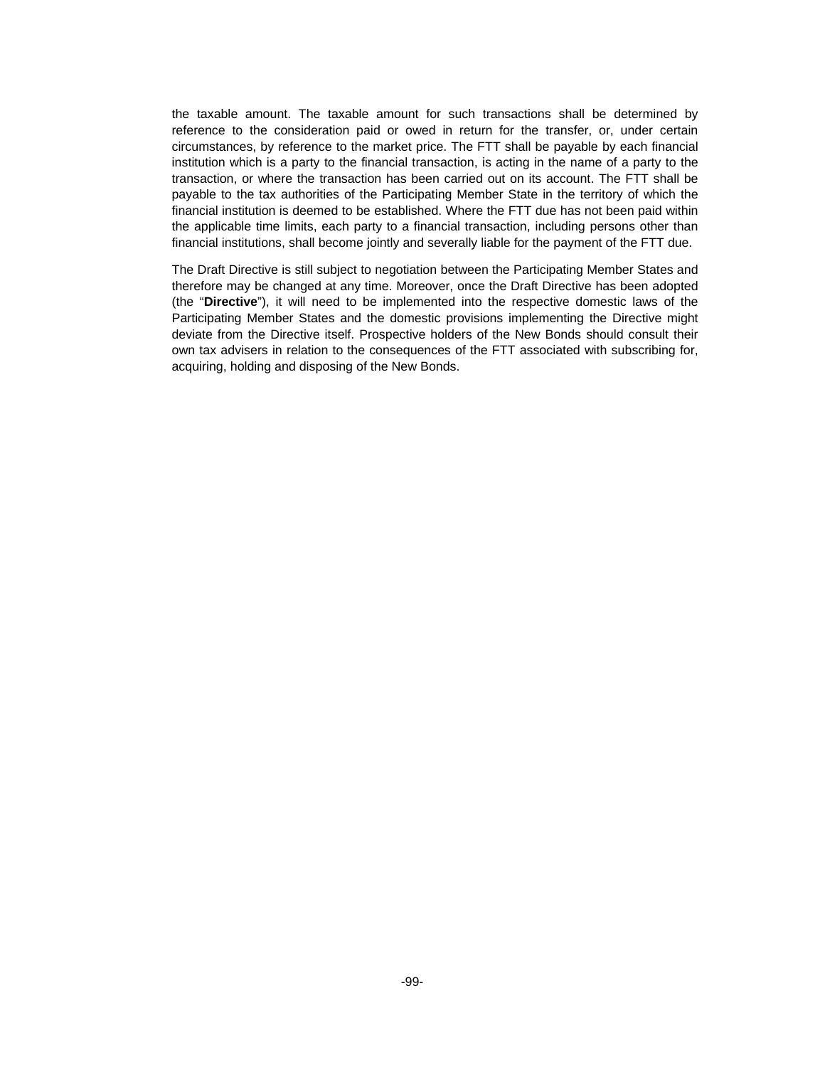the taxable amount. The taxable amount for such transactions shall be determined by reference to the consideration paid or owed in return for the transfer, or, under certain circumstances, by reference to the market price. The FTT shall be payable by each financial institution which is a party to the financial transaction, is acting in the name of a party to the transaction, or where the transaction has been carried out on its account. The FTT shall be payable to the tax authorities of the Participating Member State in the territory of which the financial institution is deemed to be established. Where the FTT due has not been paid within the applicable time limits, each party to a financial transaction, including persons other than financial institutions, shall become jointly and severally liable for the payment of the FTT due.

The Draft Directive is still subject to negotiation between the Participating Member States and therefore may be changed at any time. Moreover, once the Draft Directive has been adopted (the "**Directive**"), it will need to be implemented into the respective domestic laws of the Participating Member States and the domestic provisions implementing the Directive might deviate from the Directive itself. Prospective holders of the New Bonds should consult their own tax advisers in relation to the consequences of the FTT associated with subscribing for, acquiring, holding and disposing of the New Bonds.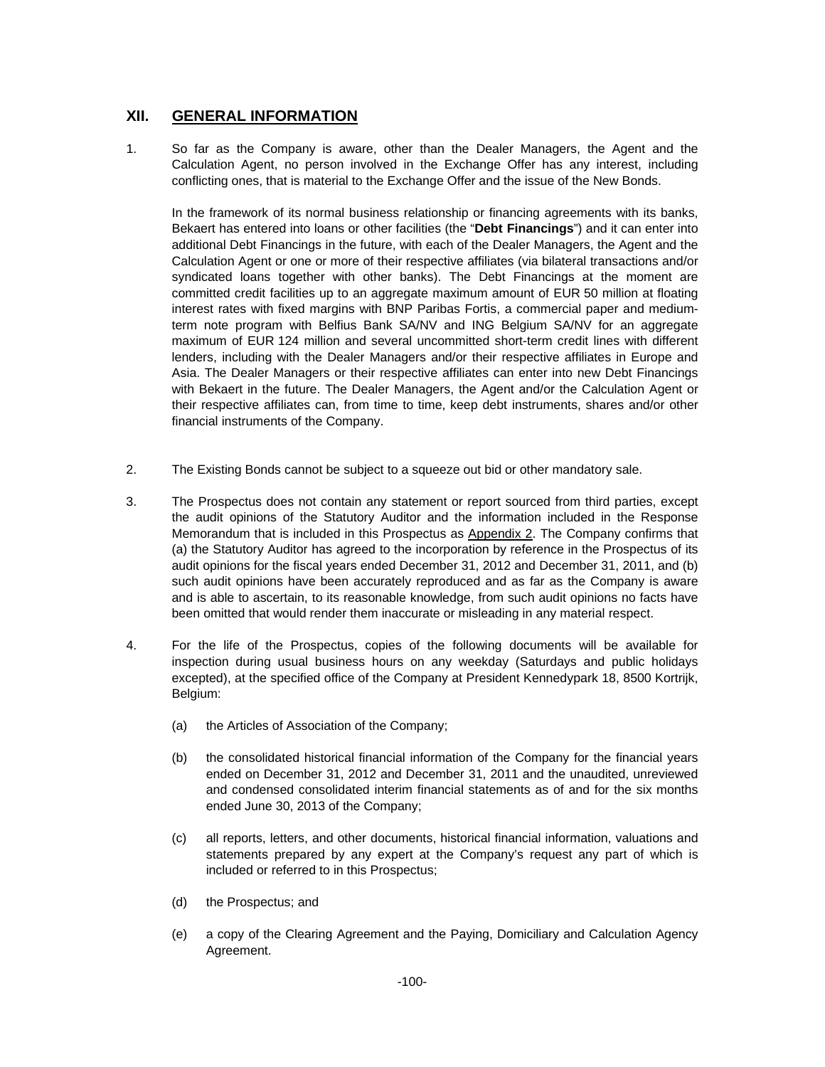## **XII. GENERAL INFORMATION**

1. So far as the Company is aware, other than the Dealer Managers, the Agent and the Calculation Agent, no person involved in the Exchange Offer has any interest, including conflicting ones, that is material to the Exchange Offer and the issue of the New Bonds.

In the framework of its normal business relationship or financing agreements with its banks, Bekaert has entered into loans or other facilities (the "**Debt Financings**") and it can enter into additional Debt Financings in the future, with each of the Dealer Managers, the Agent and the Calculation Agent or one or more of their respective affiliates (via bilateral transactions and/or syndicated loans together with other banks). The Debt Financings at the moment are committed credit facilities up to an aggregate maximum amount of EUR 50 million at floating interest rates with fixed margins with BNP Paribas Fortis, a commercial paper and mediumterm note program with Belfius Bank SA/NV and ING Belgium SA/NV for an aggregate maximum of EUR 124 million and several uncommitted short-term credit lines with different lenders, including with the Dealer Managers and/or their respective affiliates in Europe and Asia. The Dealer Managers or their respective affiliates can enter into new Debt Financings with Bekaert in the future. The Dealer Managers, the Agent and/or the Calculation Agent or their respective affiliates can, from time to time, keep debt instruments, shares and/or other financial instruments of the Company.

- 2. The Existing Bonds cannot be subject to a squeeze out bid or other mandatory sale.
- 3. The Prospectus does not contain any statement or report sourced from third parties, except the audit opinions of the Statutory Auditor and the information included in the Response Memorandum that is included in this Prospectus as Appendix 2. The Company confirms that (a) the Statutory Auditor has agreed to the incorporation by reference in the Prospectus of its audit opinions for the fiscal years ended December 31, 2012 and December 31, 2011, and (b) such audit opinions have been accurately reproduced and as far as the Company is aware and is able to ascertain, to its reasonable knowledge, from such audit opinions no facts have been omitted that would render them inaccurate or misleading in any material respect.
- 4. For the life of the Prospectus, copies of the following documents will be available for inspection during usual business hours on any weekday (Saturdays and public holidays excepted), at the specified office of the Company at President Kennedypark 18, 8500 Kortrijk, Belgium:
	- (a) the Articles of Association of the Company;
	- (b) the consolidated historical financial information of the Company for the financial years ended on December 31, 2012 and December 31, 2011 and the unaudited, unreviewed and condensed consolidated interim financial statements as of and for the six months ended June 30, 2013 of the Company;
	- (c) all reports, letters, and other documents, historical financial information, valuations and statements prepared by any expert at the Company's request any part of which is included or referred to in this Prospectus;
	- (d) the Prospectus; and
	- (e) a copy of the Clearing Agreement and the Paying, Domiciliary and Calculation Agency Agreement.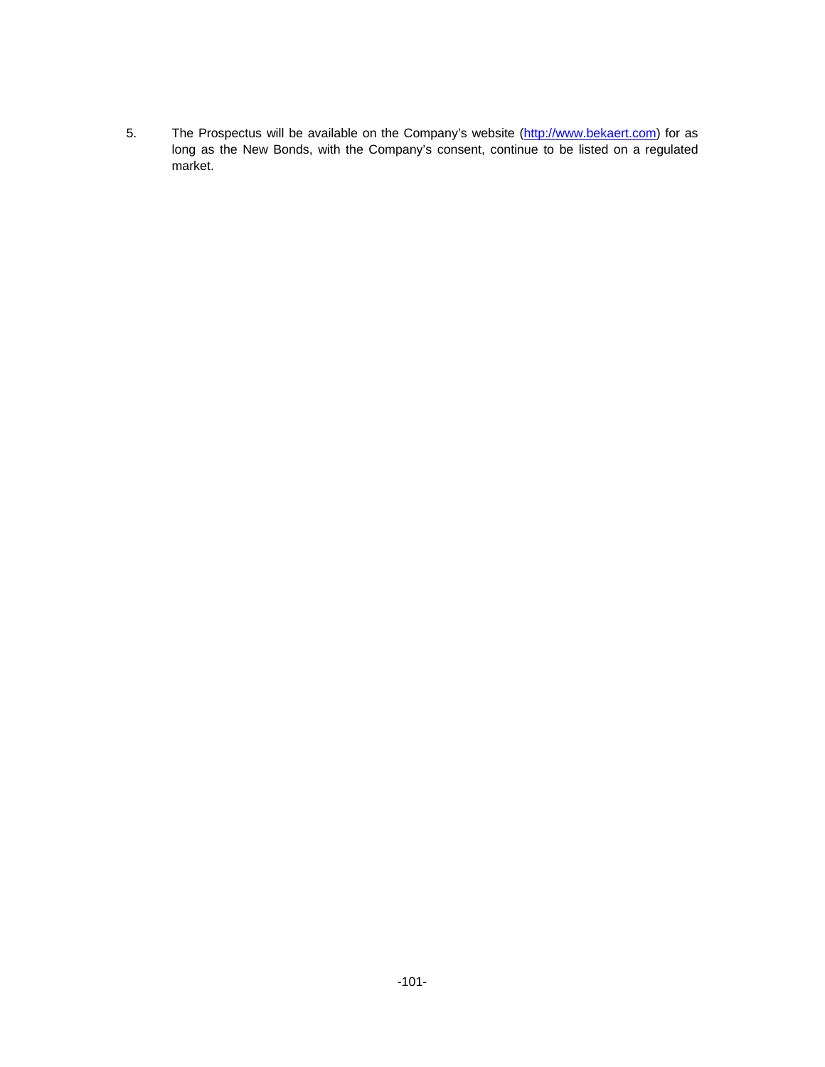5. The Prospectus will be available on the Company's website (http://www.bekaert.com) for as long as the New Bonds, with the Company's consent, continue to be listed on a regulated market.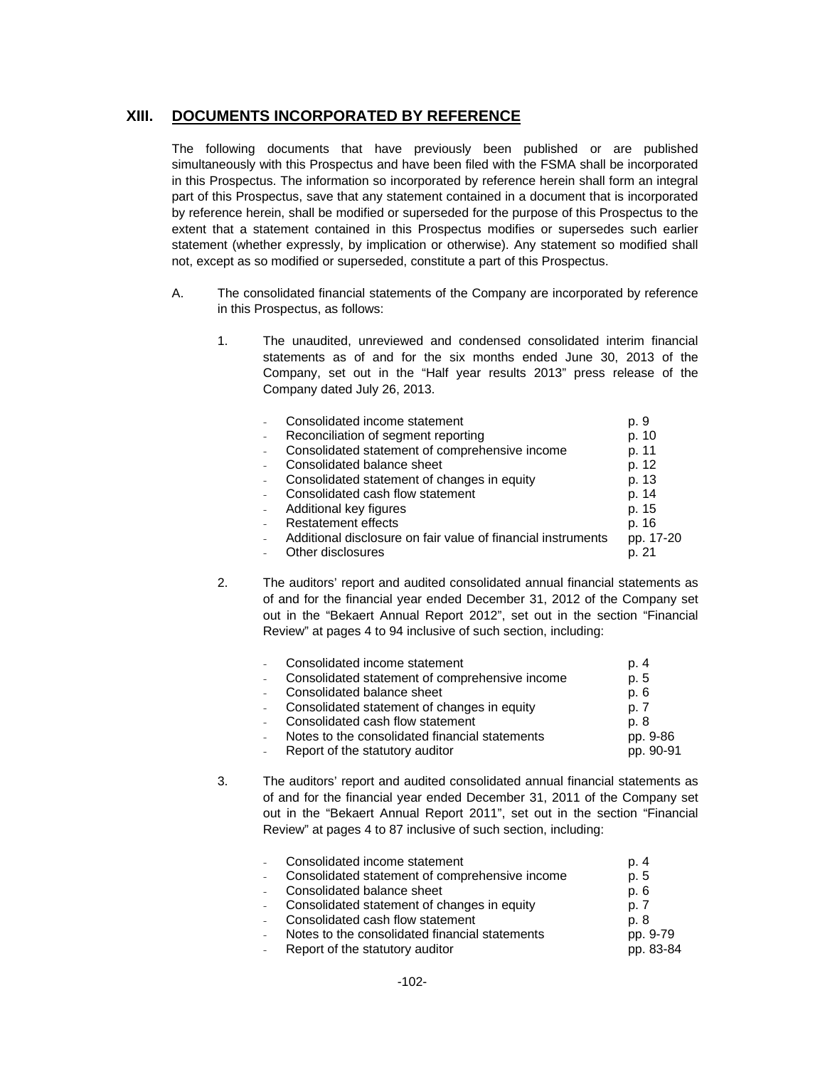## **XIII. DOCUMENTS INCORPORATED BY REFERENCE**

The following documents that have previously been published or are published simultaneously with this Prospectus and have been filed with the FSMA shall be incorporated in this Prospectus. The information so incorporated by reference herein shall form an integral part of this Prospectus, save that any statement contained in a document that is incorporated by reference herein, shall be modified or superseded for the purpose of this Prospectus to the extent that a statement contained in this Prospectus modifies or supersedes such earlier statement (whether expressly, by implication or otherwise). Any statement so modified shall not, except as so modified or superseded, constitute a part of this Prospectus.

- A. The consolidated financial statements of the Company are incorporated by reference in this Prospectus, as follows:
	- 1. The unaudited, unreviewed and condensed consolidated interim financial statements as of and for the six months ended June 30, 2013 of the Company, set out in the "Half year results 2013" press release of the Company dated July 26, 2013.

|        | Consolidated income statement                                | p. 9      |
|--------|--------------------------------------------------------------|-----------|
|        | Reconciliation of segment reporting                          | p. 10     |
|        | Consolidated statement of comprehensive income               | p. 11     |
|        | Consolidated balance sheet                                   | p. 12     |
|        | Consolidated statement of changes in equity                  | p. 13     |
|        | Consolidated cash flow statement                             | p. 14     |
| $\sim$ | Additional key figures                                       | p. 15     |
| $\sim$ | <b>Restatement effects</b>                                   | p. 16     |
|        | Additional disclosure on fair value of financial instruments | pp. 17-20 |
|        | Other disclosures                                            | p. 21     |

2. The auditors' report and audited consolidated annual financial statements as of and for the financial year ended December 31, 2012 of the Company set out in the "Bekaert Annual Report 2012", set out in the section "Financial Review" at pages 4 to 94 inclusive of such section, including:

| Consolidated income statement                  | p. 4      |
|------------------------------------------------|-----------|
| Consolidated statement of comprehensive income | p. 5      |
| Consolidated balance sheet                     | p. 6      |
| Consolidated statement of changes in equity    | p. 7      |
| Consolidated cash flow statement               | p. 8      |
| Notes to the consolidated financial statements | pp. 9-86  |
| Report of the statutory auditor                | pp. 90-91 |

3. The auditors' report and audited consolidated annual financial statements as of and for the financial year ended December 31, 2011 of the Company set out in the "Bekaert Annual Report 2011", set out in the section "Financial Review" at pages 4 to 87 inclusive of such section, including:

| Consolidated income statement                  | p. 4                                                                                                            |
|------------------------------------------------|-----------------------------------------------------------------------------------------------------------------|
| Consolidated statement of comprehensive income | p. 5                                                                                                            |
|                                                | p. 6                                                                                                            |
|                                                | p. 7                                                                                                            |
|                                                | p. 8                                                                                                            |
| Notes to the consolidated financial statements | pp. 9-79                                                                                                        |
| Report of the statutory auditor                | pp. 83-84                                                                                                       |
|                                                | Consolidated balance sheet<br>- Consolidated statement of changes in equity<br>Consolidated cash flow statement |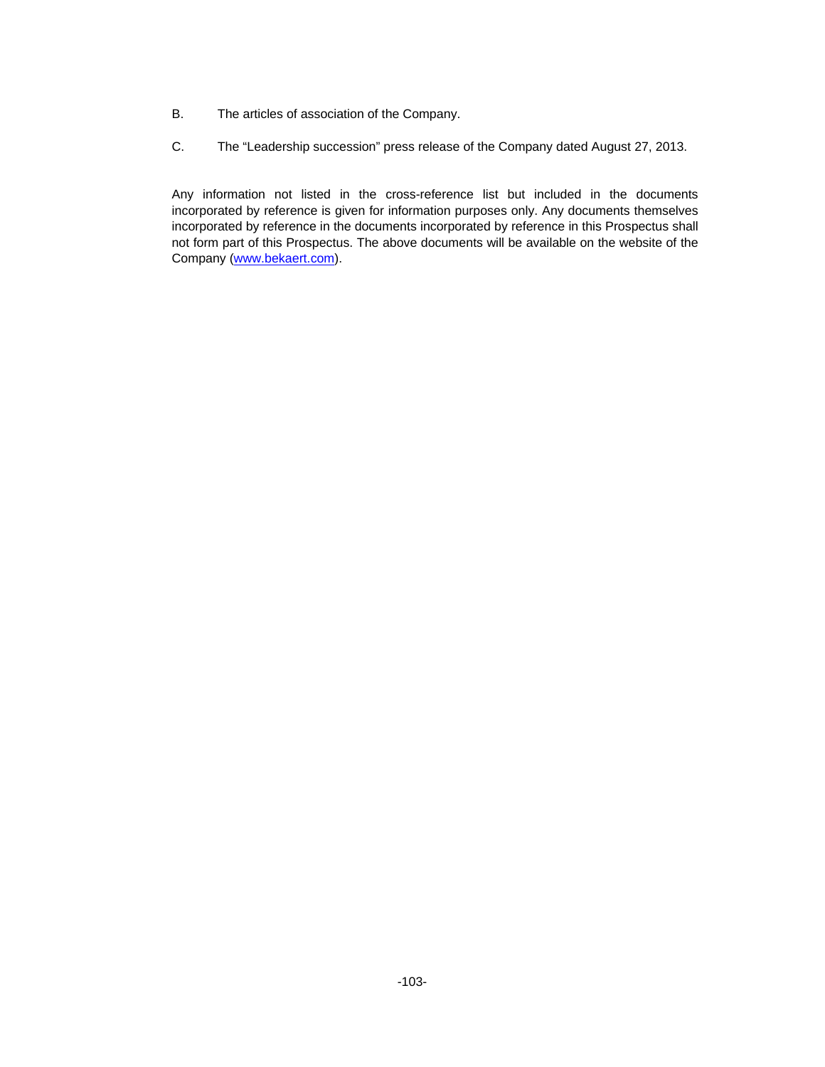- B. The articles of association of the Company.
- C. The "Leadership succession" press release of the Company dated August 27, 2013.

Any information not listed in the cross-reference list but included in the documents incorporated by reference is given for information purposes only. Any documents themselves incorporated by reference in the documents incorporated by reference in this Prospectus shall not form part of this Prospectus. The above documents will be available on the website of the Company (www.bekaert.com).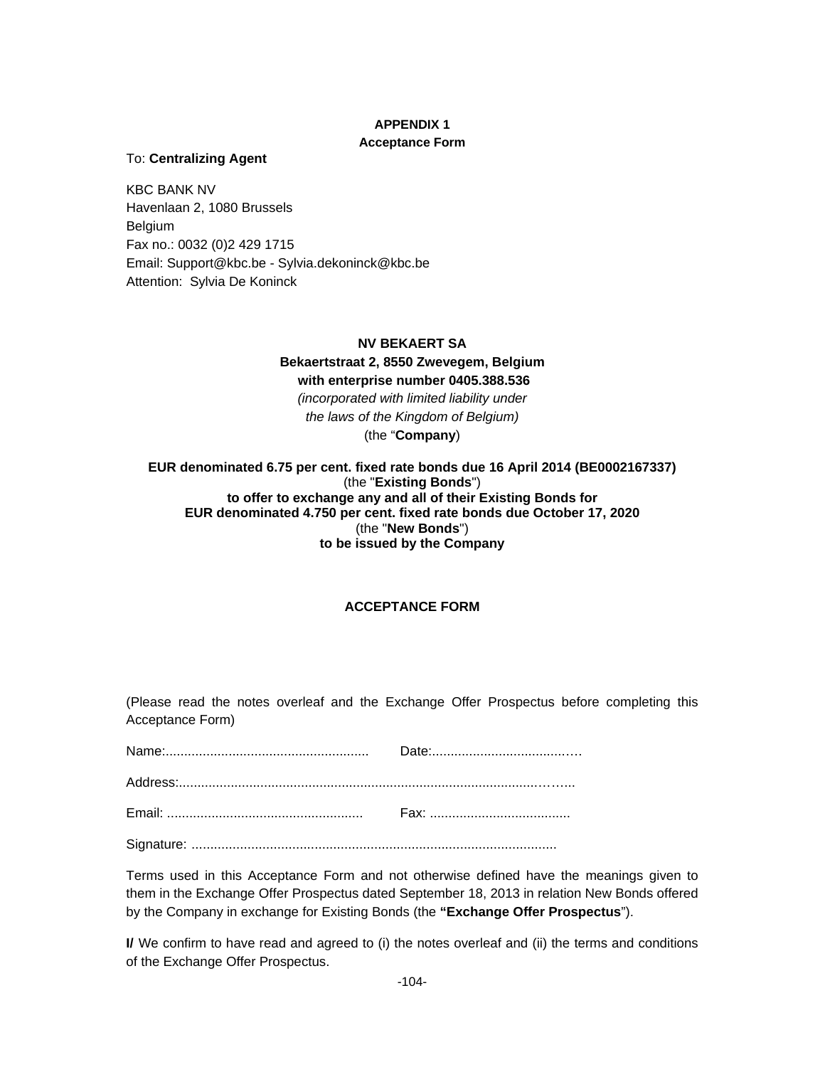# **APPENDIX 1**

## **Acceptance Form**

## To: **Centralizing Agent**

KBC BANK NV Havenlaan 2, 1080 Brussels Belgium Fax no.: 0032 (0)2 429 1715 Email: Support@kbc.be - Sylvia.dekoninck@kbc.be Attention: Sylvia De Koninck

## **NV BEKAERT SA**

**Bekaertstraat 2, 8550 Zwevegem, Belgium with enterprise number 0405.388.536**  *(incorporated with limited liability under the laws of the Kingdom of Belgium)*  (the "**Company**)

## **EUR denominated 6.75 per cent. fixed rate bonds due 16 April 2014 (BE0002167337)**  (the "**Existing Bonds**") **to offer to exchange any and all of their Existing Bonds for EUR denominated 4.750 per cent. fixed rate bonds due October 17, 2020** (the "**New Bonds**") **to be issued by the Company**

## **ACCEPTANCE FORM**

(Please read the notes overleaf and the Exchange Offer Prospectus before completing this Acceptance Form)

Signature: ..................................................................................................

Terms used in this Acceptance Form and not otherwise defined have the meanings given to them in the Exchange Offer Prospectus dated September 18, 2013 in relation New Bonds offered by the Company in exchange for Existing Bonds (the **"Exchange Offer Prospectus**").

**I/** We confirm to have read and agreed to (i) the notes overleaf and (ii) the terms and conditions of the Exchange Offer Prospectus.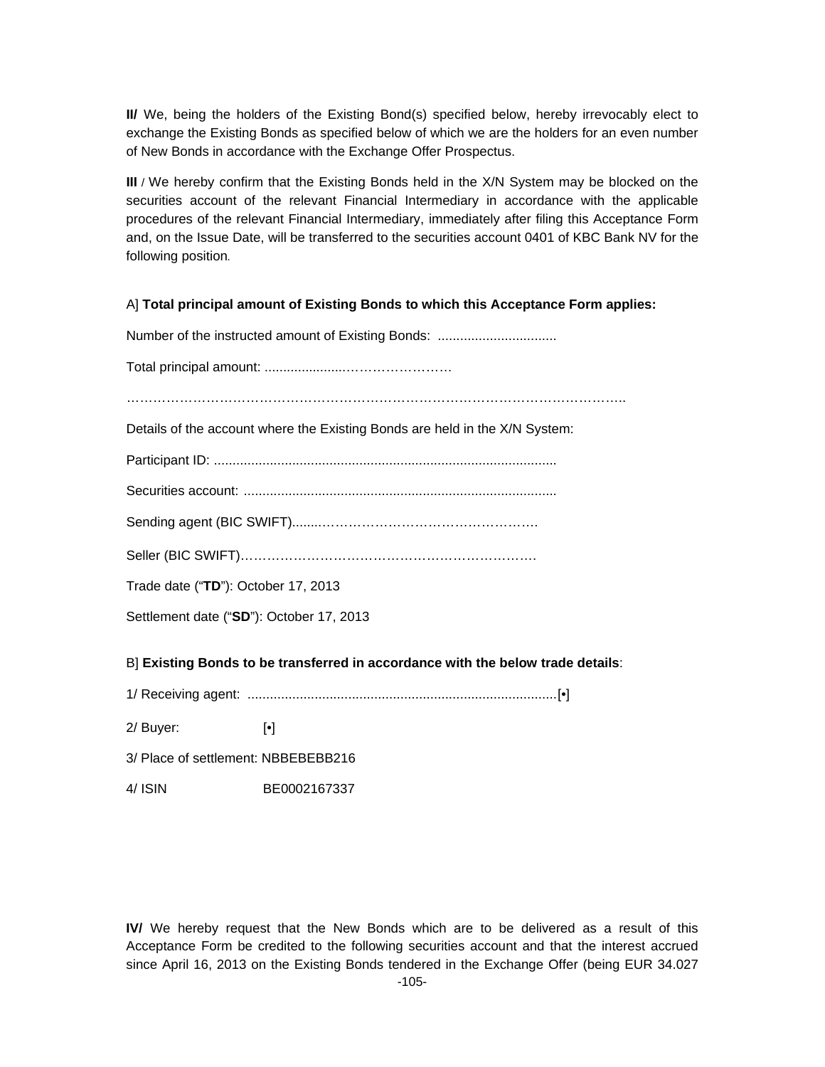**II/** We, being the holders of the Existing Bond(s) specified below, hereby irrevocably elect to exchange the Existing Bonds as specified below of which we are the holders for an even number of New Bonds in accordance with the Exchange Offer Prospectus.

**III** / We hereby confirm that the Existing Bonds held in the X/N System may be blocked on the securities account of the relevant Financial Intermediary in accordance with the applicable procedures of the relevant Financial Intermediary, immediately after filing this Acceptance Form and, on the Issue Date, will be transferred to the securities account 0401 of KBC Bank NV for the following position*.*

A] **Total principal amount of Existing Bonds to which this Acceptance Form applies:** 

Number of the instructed amount of Existing Bonds: ................................ Total principal amount: ......................…………………… ………………………………………………………………………………………………….. Details of the account where the Existing Bonds are held in the X/N System: Participant ID: ............................................................................................ Securities account: .................................................................................... Sending agent (BIC SWIFT)........…………………………………………. Seller (BIC SWIFT)…………………………………………………………. Trade date ("**TD**"): October 17, 2013 Settlement date ("**SD**"): October 17, 2013

B] **Existing Bonds to be transferred in accordance with the below trade details**:

1/ Receiving agent: ................................................................................... [•]

2/ Buyer: [•]

- 3/ Place of settlement: NBBEBEBB216
- 4/ ISIN BE0002167337

**IV/** We hereby request that the New Bonds which are to be delivered as a result of this Acceptance Form be credited to the following securities account and that the interest accrued since April 16, 2013 on the Existing Bonds tendered in the Exchange Offer (being EUR 34.027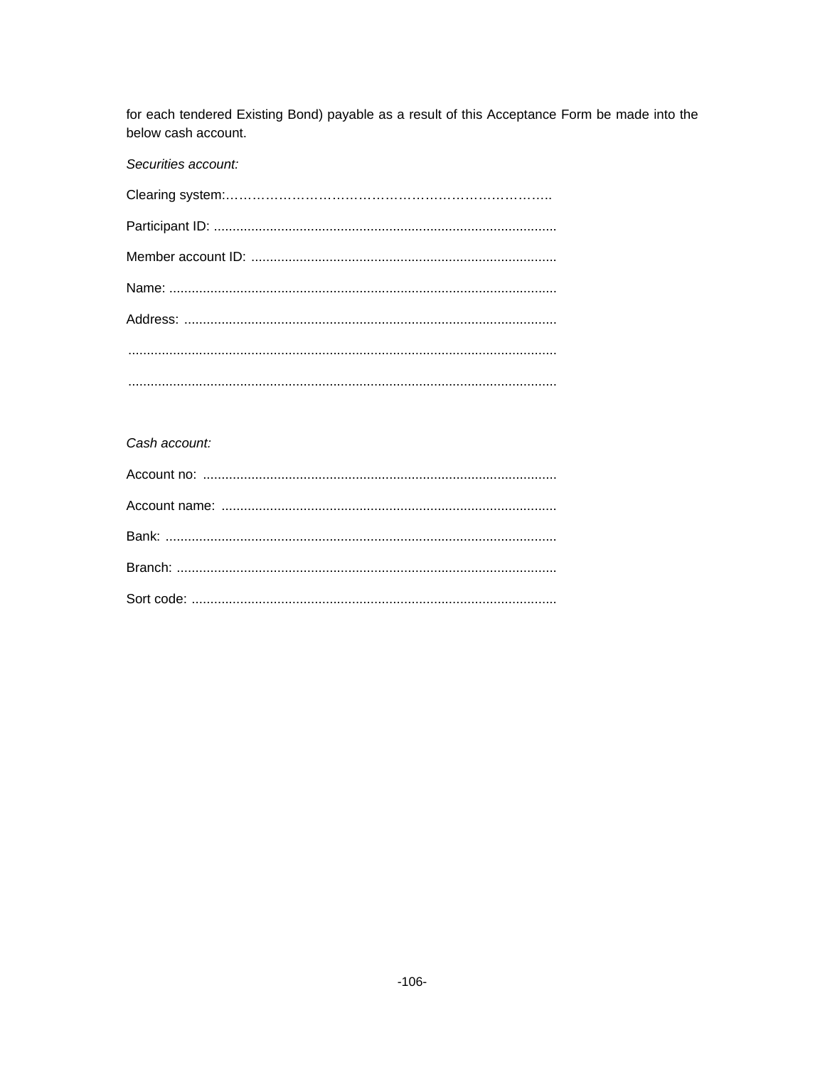for each tendered Existing Bond) payable as a result of this Acceptance Form be made into the below cash account.

Securities account:

## Cash account: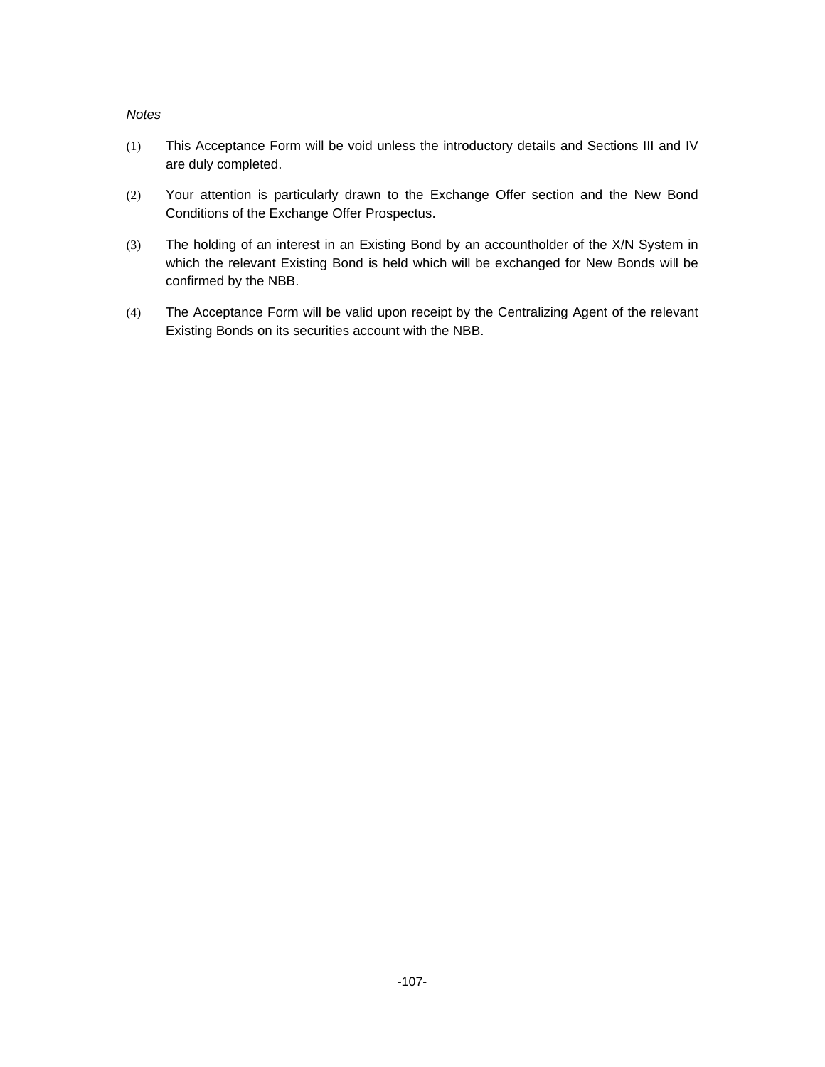### *Notes*

- (1) This Acceptance Form will be void unless the introductory details and Sections III and IV are duly completed.
- (2) Your attention is particularly drawn to the Exchange Offer section and the New Bond Conditions of the Exchange Offer Prospectus.
- (3) The holding of an interest in an Existing Bond by an accountholder of the X/N System in which the relevant Existing Bond is held which will be exchanged for New Bonds will be confirmed by the NBB.
- (4) The Acceptance Form will be valid upon receipt by the Centralizing Agent of the relevant Existing Bonds on its securities account with the NBB.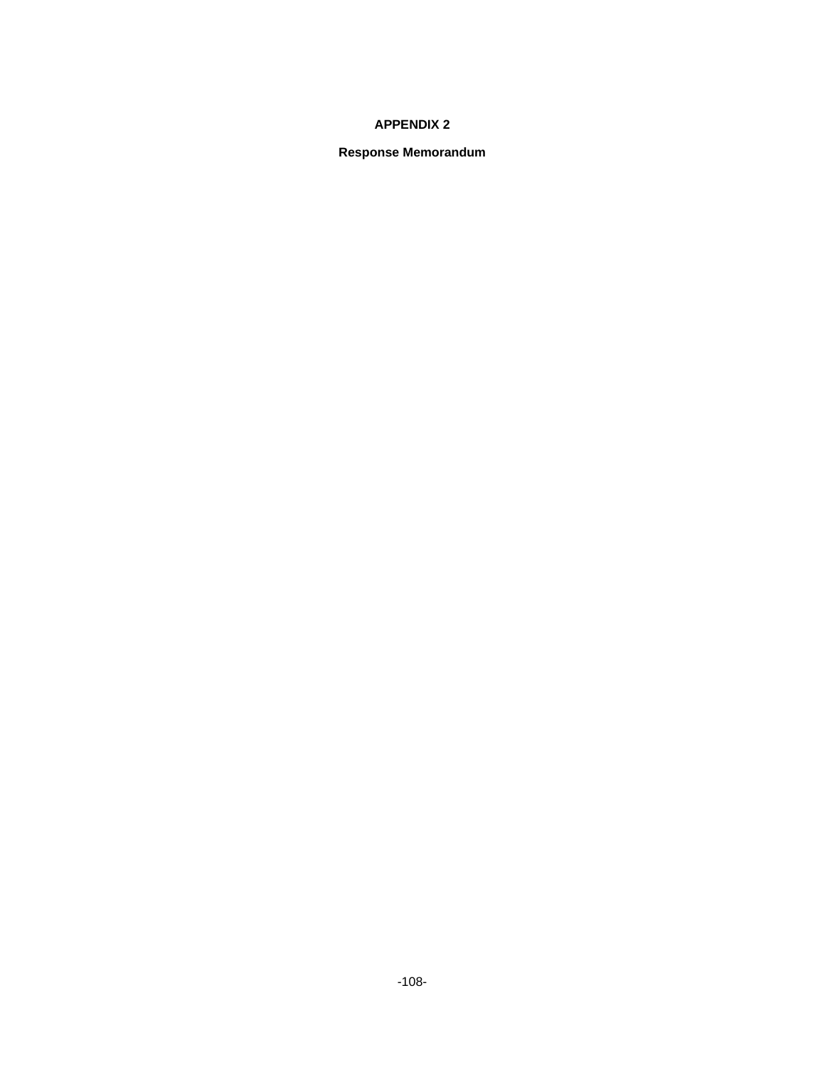## **APPENDIX 2**

### **Response Memorandum**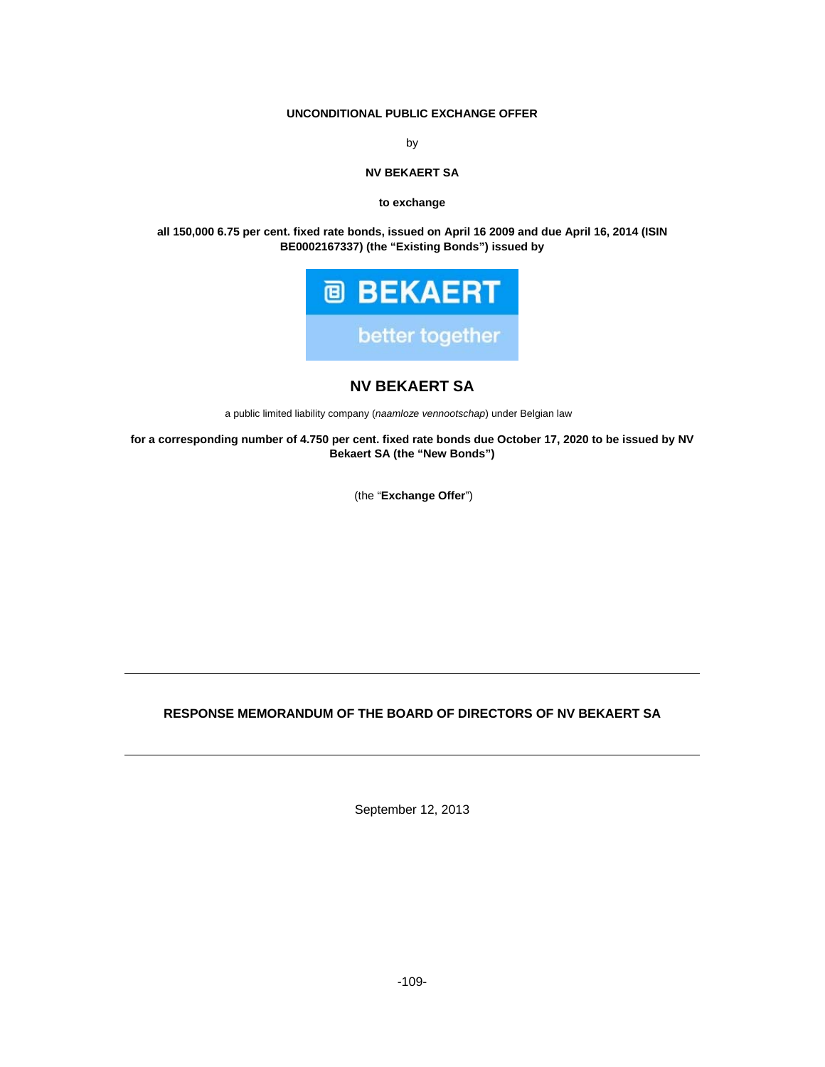## **UNCONDITIONAL PUBLIC EXCHANGE OFFER**

by

#### **NV BEKAERT SA**

**to exchange** 

**all 150,000 6.75 per cent. fixed rate bonds, issued on April 16 2009 and due April 16, 2014 (ISIN BE0002167337) (the "Existing Bonds") issued by** 



# **NV BEKAERT SA**

a public limited liability company (*naamloze vennootschap*) under Belgian law

**for a corresponding number of 4.750 per cent. fixed rate bonds due October 17, 2020 to be issued by NV Bekaert SA (the "New Bonds")** 

(the "**Exchange Offer**")

## **RESPONSE MEMORANDUM OF THE BOARD OF DIRECTORS OF NV BEKAERT SA**

September 12, 2013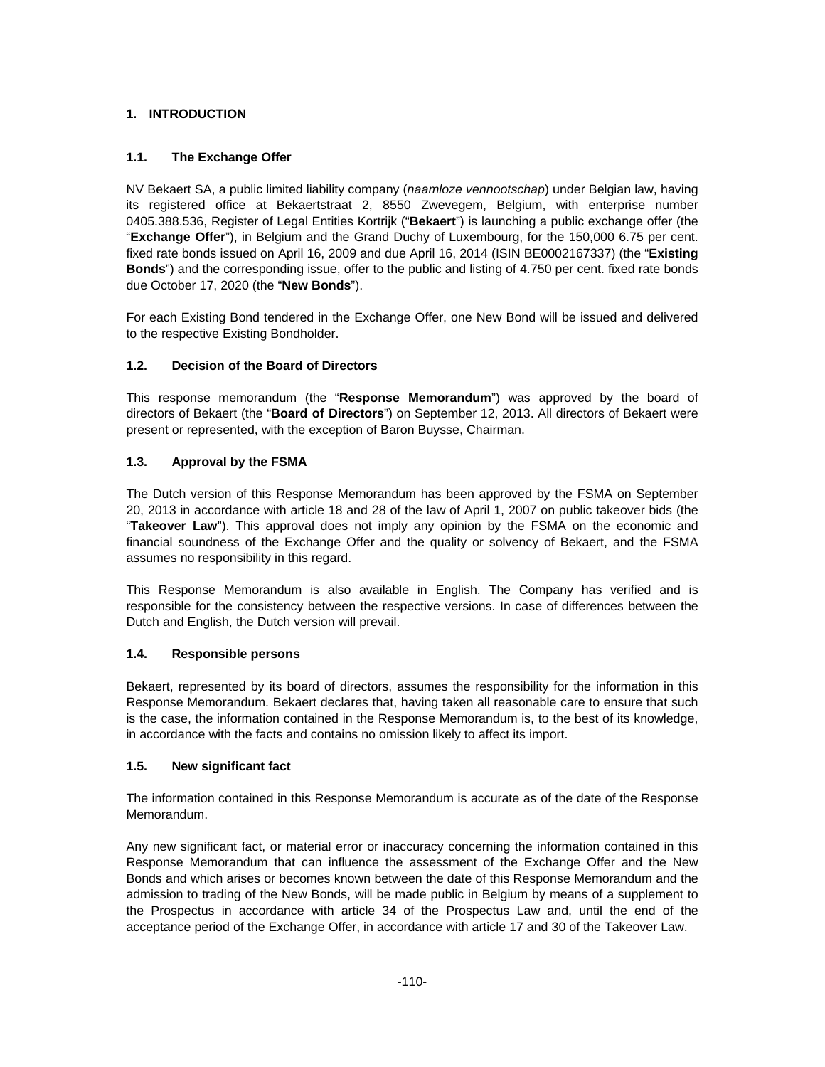## **1. INTRODUCTION**

## **1.1. The Exchange Offer**

NV Bekaert SA, a public limited liability company (*naamloze vennootschap*) under Belgian law, having its registered office at Bekaertstraat 2, 8550 Zwevegem, Belgium, with enterprise number 0405.388.536, Register of Legal Entities Kortrijk ("**Bekaert**") is launching a public exchange offer (the "**Exchange Offer**"), in Belgium and the Grand Duchy of Luxembourg, for the 150,000 6.75 per cent. fixed rate bonds issued on April 16, 2009 and due April 16, 2014 (ISIN BE0002167337) (the "**Existing Bonds**") and the corresponding issue, offer to the public and listing of 4.750 per cent. fixed rate bonds due October 17, 2020 (the "**New Bonds**").

For each Existing Bond tendered in the Exchange Offer, one New Bond will be issued and delivered to the respective Existing Bondholder.

## **1.2. Decision of the Board of Directors**

This response memorandum (the "**Response Memorandum**") was approved by the board of directors of Bekaert (the "**Board of Directors**") on September 12, 2013. All directors of Bekaert were present or represented, with the exception of Baron Buysse, Chairman.

## **1.3. Approval by the FSMA**

The Dutch version of this Response Memorandum has been approved by the FSMA on September 20, 2013 in accordance with article 18 and 28 of the law of April 1, 2007 on public takeover bids (the "**Takeover Law**"). This approval does not imply any opinion by the FSMA on the economic and financial soundness of the Exchange Offer and the quality or solvency of Bekaert, and the FSMA assumes no responsibility in this regard.

This Response Memorandum is also available in English. The Company has verified and is responsible for the consistency between the respective versions. In case of differences between the Dutch and English, the Dutch version will prevail.

## **1.4. Responsible persons**

Bekaert, represented by its board of directors, assumes the responsibility for the information in this Response Memorandum. Bekaert declares that, having taken all reasonable care to ensure that such is the case, the information contained in the Response Memorandum is, to the best of its knowledge, in accordance with the facts and contains no omission likely to affect its import.

## **1.5. New significant fact**

The information contained in this Response Memorandum is accurate as of the date of the Response Memorandum.

Any new significant fact, or material error or inaccuracy concerning the information contained in this Response Memorandum that can influence the assessment of the Exchange Offer and the New Bonds and which arises or becomes known between the date of this Response Memorandum and the admission to trading of the New Bonds, will be made public in Belgium by means of a supplement to the Prospectus in accordance with article 34 of the Prospectus Law and, until the end of the acceptance period of the Exchange Offer, in accordance with article 17 and 30 of the Takeover Law.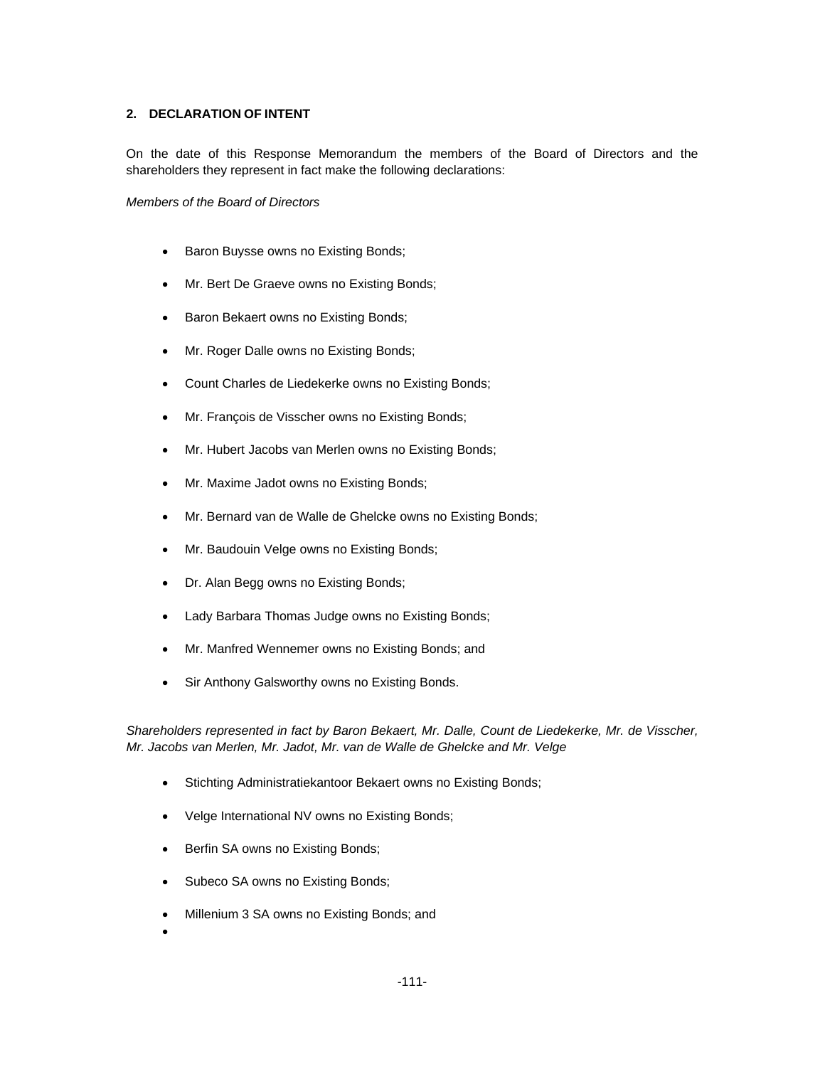### **2. DECLARATION OF INTENT**

On the date of this Response Memorandum the members of the Board of Directors and the shareholders they represent in fact make the following declarations:

*Members of the Board of Directors* 

- Baron Buysse owns no Existing Bonds;
- Mr. Bert De Graeve owns no Existing Bonds;
- Baron Bekaert owns no Existing Bonds;
- Mr. Roger Dalle owns no Existing Bonds;
- Count Charles de Liedekerke owns no Existing Bonds;
- Mr. François de Visscher owns no Existing Bonds;
- Mr. Hubert Jacobs van Merlen owns no Existing Bonds;
- Mr. Maxime Jadot owns no Existing Bonds;
- Mr. Bernard van de Walle de Ghelcke owns no Existing Bonds;
- Mr. Baudouin Velge owns no Existing Bonds;
- Dr. Alan Begg owns no Existing Bonds;
- Lady Barbara Thomas Judge owns no Existing Bonds;
- Mr. Manfred Wennemer owns no Existing Bonds; and
- Sir Anthony Galsworthy owns no Existing Bonds.

*Shareholders represented in fact by Baron Bekaert, Mr. Dalle, Count de Liedekerke, Mr. de Visscher, Mr. Jacobs van Merlen, Mr. Jadot, Mr. van de Walle de Ghelcke and Mr. Velge* 

- Stichting Administratiekantoor Bekaert owns no Existing Bonds;
- Velge International NV owns no Existing Bonds;
- Berfin SA owns no Existing Bonds;
- Subeco SA owns no Existing Bonds;
- Millenium 3 SA owns no Existing Bonds; and
- $\bullet$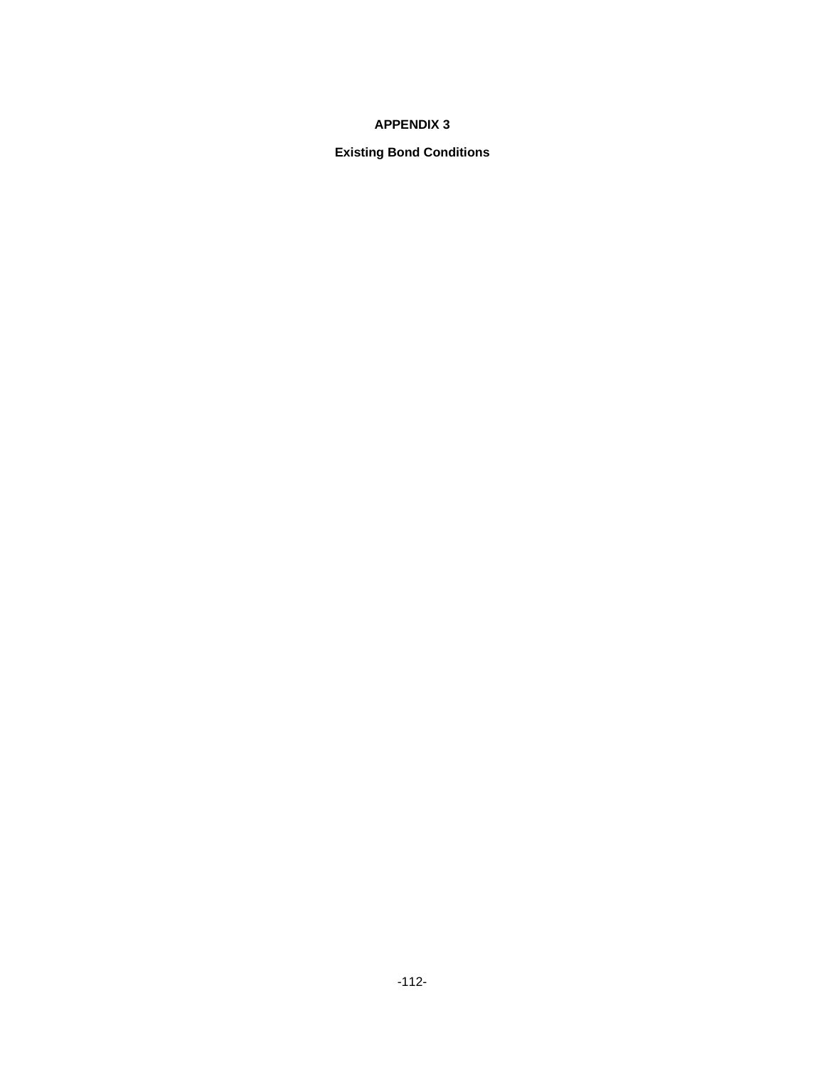## **APPENDIX 3**

# **Existing Bond Conditions**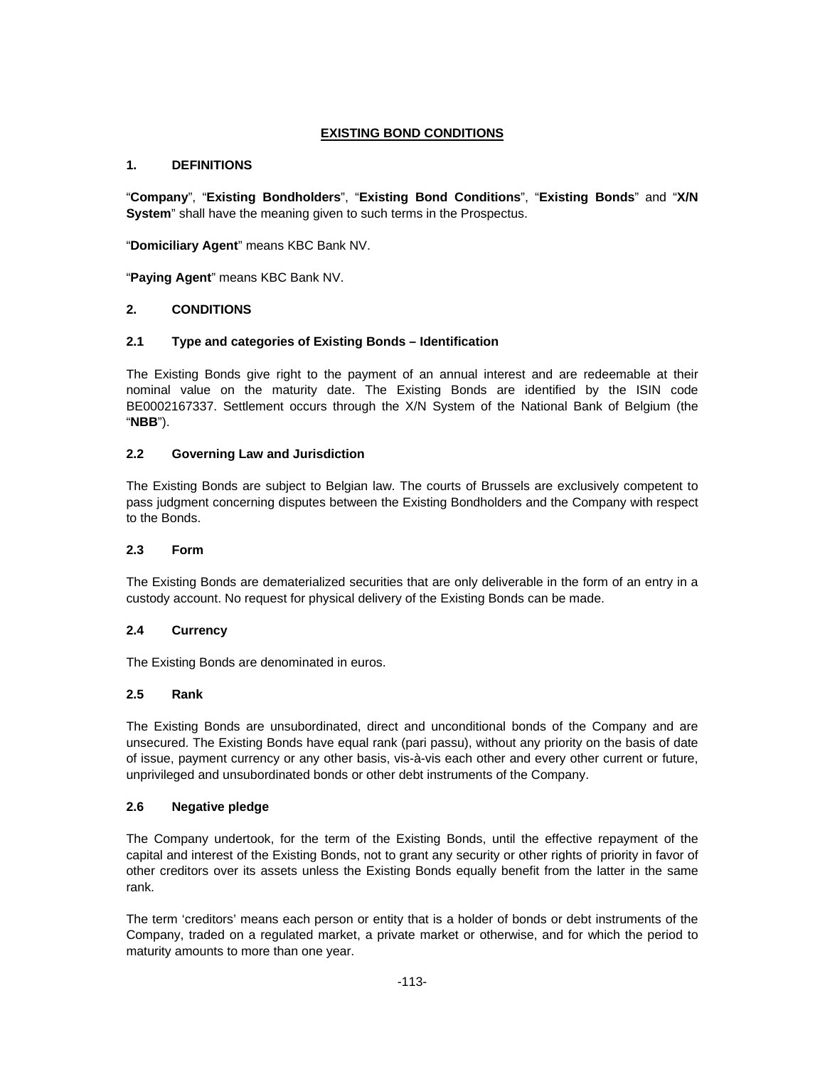## **EXISTING BOND CONDITIONS**

## **1. DEFINITIONS**

"**Company**", "**Existing Bondholders**", "**Existing Bond Conditions**", "**Existing Bonds**" and "**X/N System**" shall have the meaning given to such terms in the Prospectus.

"**Domiciliary Agent**" means KBC Bank NV.

"**Paying Agent**" means KBC Bank NV.

### **2. CONDITIONS**

### **2.1 Type and categories of Existing Bonds – Identification**

The Existing Bonds give right to the payment of an annual interest and are redeemable at their nominal value on the maturity date. The Existing Bonds are identified by the ISIN code BE0002167337. Settlement occurs through the X/N System of the National Bank of Belgium (the "**NBB**").

## **2.2 Governing Law and Jurisdiction**

The Existing Bonds are subject to Belgian law. The courts of Brussels are exclusively competent to pass judgment concerning disputes between the Existing Bondholders and the Company with respect to the Bonds.

#### **2.3 Form**

The Existing Bonds are dematerialized securities that are only deliverable in the form of an entry in a custody account. No request for physical delivery of the Existing Bonds can be made.

## **2.4 Currency**

The Existing Bonds are denominated in euros.

#### **2.5 Rank**

The Existing Bonds are unsubordinated, direct and unconditional bonds of the Company and are unsecured. The Existing Bonds have equal rank (pari passu), without any priority on the basis of date of issue, payment currency or any other basis, vis-à-vis each other and every other current or future, unprivileged and unsubordinated bonds or other debt instruments of the Company.

## **2.6 Negative pledge**

The Company undertook, for the term of the Existing Bonds, until the effective repayment of the capital and interest of the Existing Bonds, not to grant any security or other rights of priority in favor of other creditors over its assets unless the Existing Bonds equally benefit from the latter in the same rank.

The term 'creditors' means each person or entity that is a holder of bonds or debt instruments of the Company, traded on a regulated market, a private market or otherwise, and for which the period to maturity amounts to more than one year.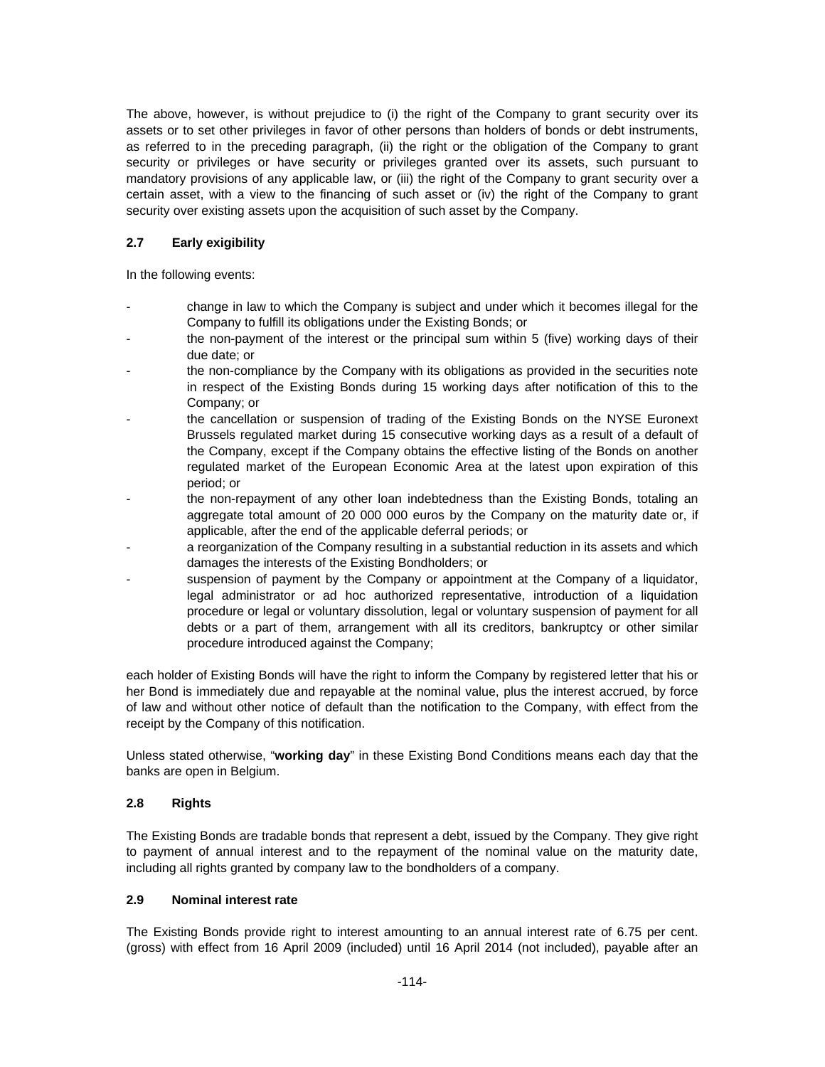The above, however, is without prejudice to (i) the right of the Company to grant security over its assets or to set other privileges in favor of other persons than holders of bonds or debt instruments, as referred to in the preceding paragraph, (ii) the right or the obligation of the Company to grant security or privileges or have security or privileges granted over its assets, such pursuant to mandatory provisions of any applicable law, or (iii) the right of the Company to grant security over a certain asset, with a view to the financing of such asset or (iv) the right of the Company to grant security over existing assets upon the acquisition of such asset by the Company.

## **2.7 Early exigibility**

In the following events:

- change in law to which the Company is subject and under which it becomes illegal for the Company to fulfill its obligations under the Existing Bonds; or
- the non-payment of the interest or the principal sum within 5 (five) working days of their due date; or
- the non-compliance by the Company with its obligations as provided in the securities note in respect of the Existing Bonds during 15 working days after notification of this to the Company; or
- the cancellation or suspension of trading of the Existing Bonds on the NYSE Euronext Brussels regulated market during 15 consecutive working days as a result of a default of the Company, except if the Company obtains the effective listing of the Bonds on another regulated market of the European Economic Area at the latest upon expiration of this period; or
- the non-repayment of any other loan indebtedness than the Existing Bonds, totaling an aggregate total amount of 20 000 000 euros by the Company on the maturity date or, if applicable, after the end of the applicable deferral periods; or
- a reorganization of the Company resulting in a substantial reduction in its assets and which damages the interests of the Existing Bondholders; or
- suspension of payment by the Company or appointment at the Company of a liquidator, legal administrator or ad hoc authorized representative, introduction of a liquidation procedure or legal or voluntary dissolution, legal or voluntary suspension of payment for all debts or a part of them, arrangement with all its creditors, bankruptcy or other similar procedure introduced against the Company;

each holder of Existing Bonds will have the right to inform the Company by registered letter that his or her Bond is immediately due and repayable at the nominal value, plus the interest accrued, by force of law and without other notice of default than the notification to the Company, with effect from the receipt by the Company of this notification.

Unless stated otherwise, "**working day**" in these Existing Bond Conditions means each day that the banks are open in Belgium.

## **2.8 Rights**

The Existing Bonds are tradable bonds that represent a debt, issued by the Company. They give right to payment of annual interest and to the repayment of the nominal value on the maturity date, including all rights granted by company law to the bondholders of a company.

## **2.9 Nominal interest rate**

The Existing Bonds provide right to interest amounting to an annual interest rate of 6.75 per cent. (gross) with effect from 16 April 2009 (included) until 16 April 2014 (not included), payable after an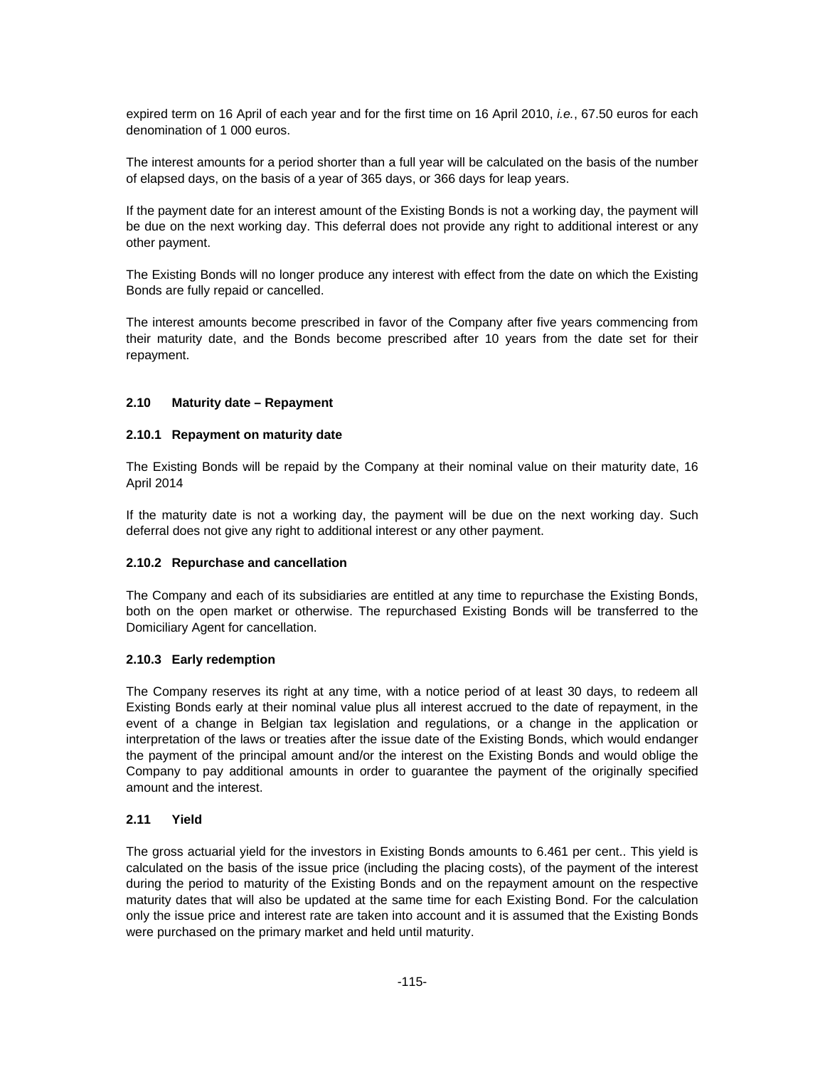expired term on 16 April of each year and for the first time on 16 April 2010, *i.e.*, 67.50 euros for each denomination of 1 000 euros.

The interest amounts for a period shorter than a full year will be calculated on the basis of the number of elapsed days, on the basis of a year of 365 days, or 366 days for leap years.

If the payment date for an interest amount of the Existing Bonds is not a working day, the payment will be due on the next working day. This deferral does not provide any right to additional interest or any other payment.

The Existing Bonds will no longer produce any interest with effect from the date on which the Existing Bonds are fully repaid or cancelled.

The interest amounts become prescribed in favor of the Company after five years commencing from their maturity date, and the Bonds become prescribed after 10 years from the date set for their repayment.

### **2.10 Maturity date – Repayment**

#### **2.10.1 Repayment on maturity date**

The Existing Bonds will be repaid by the Company at their nominal value on their maturity date, 16 April 2014

If the maturity date is not a working day, the payment will be due on the next working day. Such deferral does not give any right to additional interest or any other payment.

#### **2.10.2 Repurchase and cancellation**

The Company and each of its subsidiaries are entitled at any time to repurchase the Existing Bonds, both on the open market or otherwise. The repurchased Existing Bonds will be transferred to the Domiciliary Agent for cancellation.

## **2.10.3 Early redemption**

The Company reserves its right at any time, with a notice period of at least 30 days, to redeem all Existing Bonds early at their nominal value plus all interest accrued to the date of repayment, in the event of a change in Belgian tax legislation and regulations, or a change in the application or interpretation of the laws or treaties after the issue date of the Existing Bonds, which would endanger the payment of the principal amount and/or the interest on the Existing Bonds and would oblige the Company to pay additional amounts in order to guarantee the payment of the originally specified amount and the interest.

#### **2.11 Yield**

The gross actuarial yield for the investors in Existing Bonds amounts to 6.461 per cent.. This yield is calculated on the basis of the issue price (including the placing costs), of the payment of the interest during the period to maturity of the Existing Bonds and on the repayment amount on the respective maturity dates that will also be updated at the same time for each Existing Bond. For the calculation only the issue price and interest rate are taken into account and it is assumed that the Existing Bonds were purchased on the primary market and held until maturity.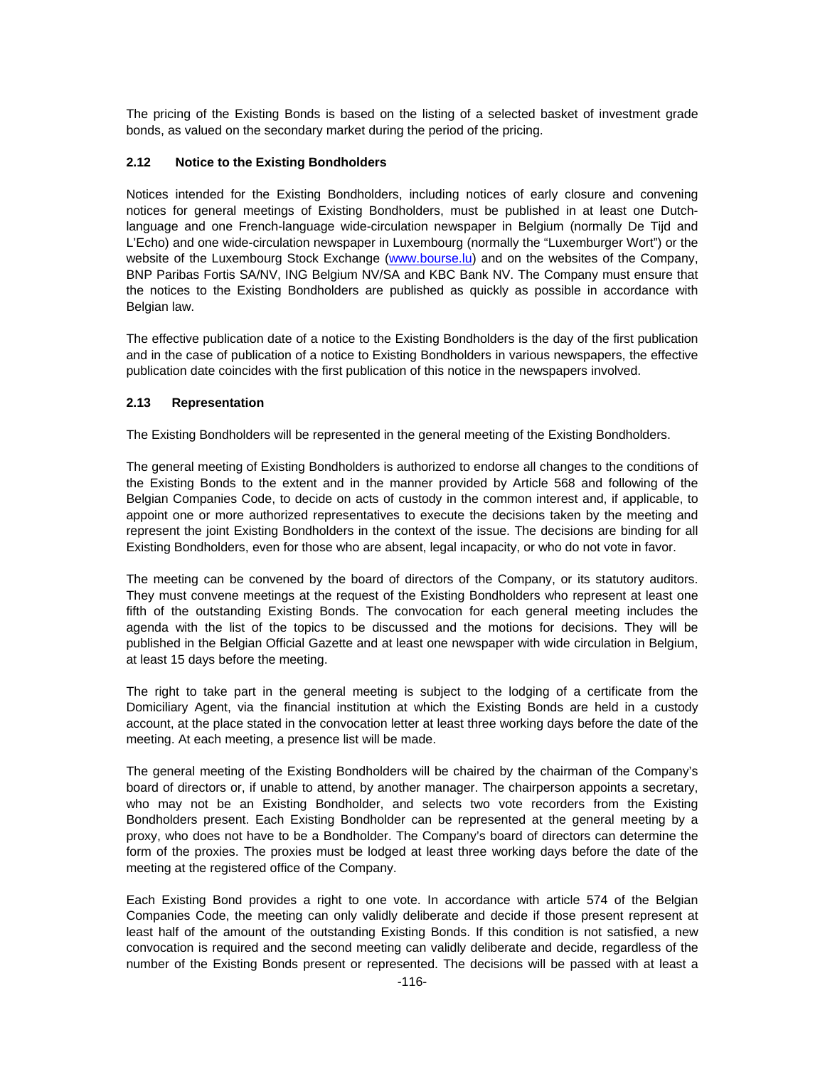The pricing of the Existing Bonds is based on the listing of a selected basket of investment grade bonds, as valued on the secondary market during the period of the pricing.

### **2.12 Notice to the Existing Bondholders**

Notices intended for the Existing Bondholders, including notices of early closure and convening notices for general meetings of Existing Bondholders, must be published in at least one Dutchlanguage and one French-language wide-circulation newspaper in Belgium (normally De Tijd and L'Echo) and one wide-circulation newspaper in Luxembourg (normally the "Luxemburger Wort") or the website of the Luxembourg Stock Exchange (www.bourse.lu) and on the websites of the Company, BNP Paribas Fortis SA/NV, ING Belgium NV/SA and KBC Bank NV. The Company must ensure that the notices to the Existing Bondholders are published as quickly as possible in accordance with Belgian law.

The effective publication date of a notice to the Existing Bondholders is the day of the first publication and in the case of publication of a notice to Existing Bondholders in various newspapers, the effective publication date coincides with the first publication of this notice in the newspapers involved.

### **2.13 Representation**

The Existing Bondholders will be represented in the general meeting of the Existing Bondholders.

The general meeting of Existing Bondholders is authorized to endorse all changes to the conditions of the Existing Bonds to the extent and in the manner provided by Article 568 and following of the Belgian Companies Code, to decide on acts of custody in the common interest and, if applicable, to appoint one or more authorized representatives to execute the decisions taken by the meeting and represent the joint Existing Bondholders in the context of the issue. The decisions are binding for all Existing Bondholders, even for those who are absent, legal incapacity, or who do not vote in favor.

The meeting can be convened by the board of directors of the Company, or its statutory auditors. They must convene meetings at the request of the Existing Bondholders who represent at least one fifth of the outstanding Existing Bonds. The convocation for each general meeting includes the agenda with the list of the topics to be discussed and the motions for decisions. They will be published in the Belgian Official Gazette and at least one newspaper with wide circulation in Belgium, at least 15 days before the meeting.

The right to take part in the general meeting is subject to the lodging of a certificate from the Domiciliary Agent, via the financial institution at which the Existing Bonds are held in a custody account, at the place stated in the convocation letter at least three working days before the date of the meeting. At each meeting, a presence list will be made.

The general meeting of the Existing Bondholders will be chaired by the chairman of the Company's board of directors or, if unable to attend, by another manager. The chairperson appoints a secretary, who may not be an Existing Bondholder, and selects two vote recorders from the Existing Bondholders present. Each Existing Bondholder can be represented at the general meeting by a proxy, who does not have to be a Bondholder. The Company's board of directors can determine the form of the proxies. The proxies must be lodged at least three working days before the date of the meeting at the registered office of the Company.

Each Existing Bond provides a right to one vote. In accordance with article 574 of the Belgian Companies Code, the meeting can only validly deliberate and decide if those present represent at least half of the amount of the outstanding Existing Bonds. If this condition is not satisfied, a new convocation is required and the second meeting can validly deliberate and decide, regardless of the number of the Existing Bonds present or represented. The decisions will be passed with at least a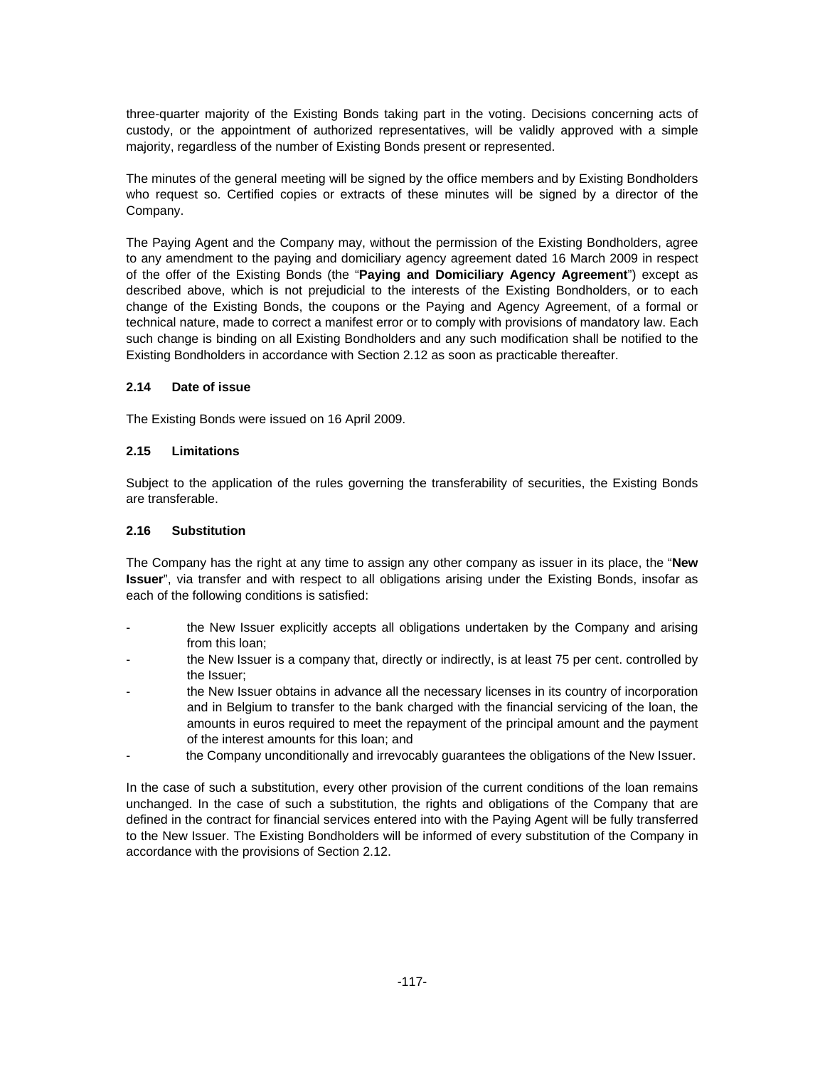three-quarter majority of the Existing Bonds taking part in the voting. Decisions concerning acts of custody, or the appointment of authorized representatives, will be validly approved with a simple majority, regardless of the number of Existing Bonds present or represented.

The minutes of the general meeting will be signed by the office members and by Existing Bondholders who request so. Certified copies or extracts of these minutes will be signed by a director of the Company.

The Paying Agent and the Company may, without the permission of the Existing Bondholders, agree to any amendment to the paying and domiciliary agency agreement dated 16 March 2009 in respect of the offer of the Existing Bonds (the "**Paying and Domiciliary Agency Agreement**") except as described above, which is not prejudicial to the interests of the Existing Bondholders, or to each change of the Existing Bonds, the coupons or the Paying and Agency Agreement, of a formal or technical nature, made to correct a manifest error or to comply with provisions of mandatory law. Each such change is binding on all Existing Bondholders and any such modification shall be notified to the Existing Bondholders in accordance with Section 2.12 as soon as practicable thereafter.

## **2.14 Date of issue**

The Existing Bonds were issued on 16 April 2009.

### **2.15 Limitations**

Subject to the application of the rules governing the transferability of securities, the Existing Bonds are transferable.

#### **2.16 Substitution**

The Company has the right at any time to assign any other company as issuer in its place, the "**New Issuer**", via transfer and with respect to all obligations arising under the Existing Bonds, insofar as each of the following conditions is satisfied:

- the New Issuer explicitly accepts all obligations undertaken by the Company and arising from this loan;
- the New Issuer is a company that, directly or indirectly, is at least 75 per cent. controlled by the Issuer;
- the New Issuer obtains in advance all the necessary licenses in its country of incorporation and in Belgium to transfer to the bank charged with the financial servicing of the loan, the amounts in euros required to meet the repayment of the principal amount and the payment of the interest amounts for this loan; and
- the Company unconditionally and irrevocably guarantees the obligations of the New Issuer.

In the case of such a substitution, every other provision of the current conditions of the loan remains unchanged. In the case of such a substitution, the rights and obligations of the Company that are defined in the contract for financial services entered into with the Paying Agent will be fully transferred to the New Issuer. The Existing Bondholders will be informed of every substitution of the Company in accordance with the provisions of Section 2.12.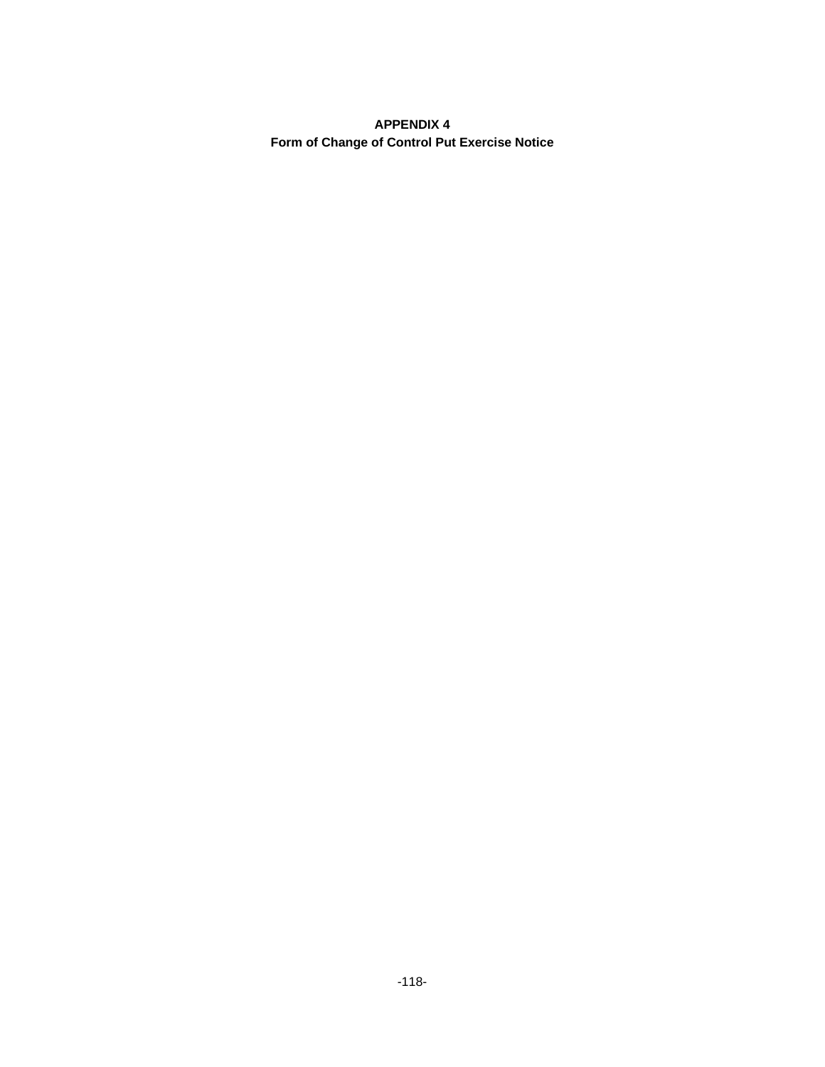## **APPENDIX 4 Form of Change of Control Put Exercise Notice**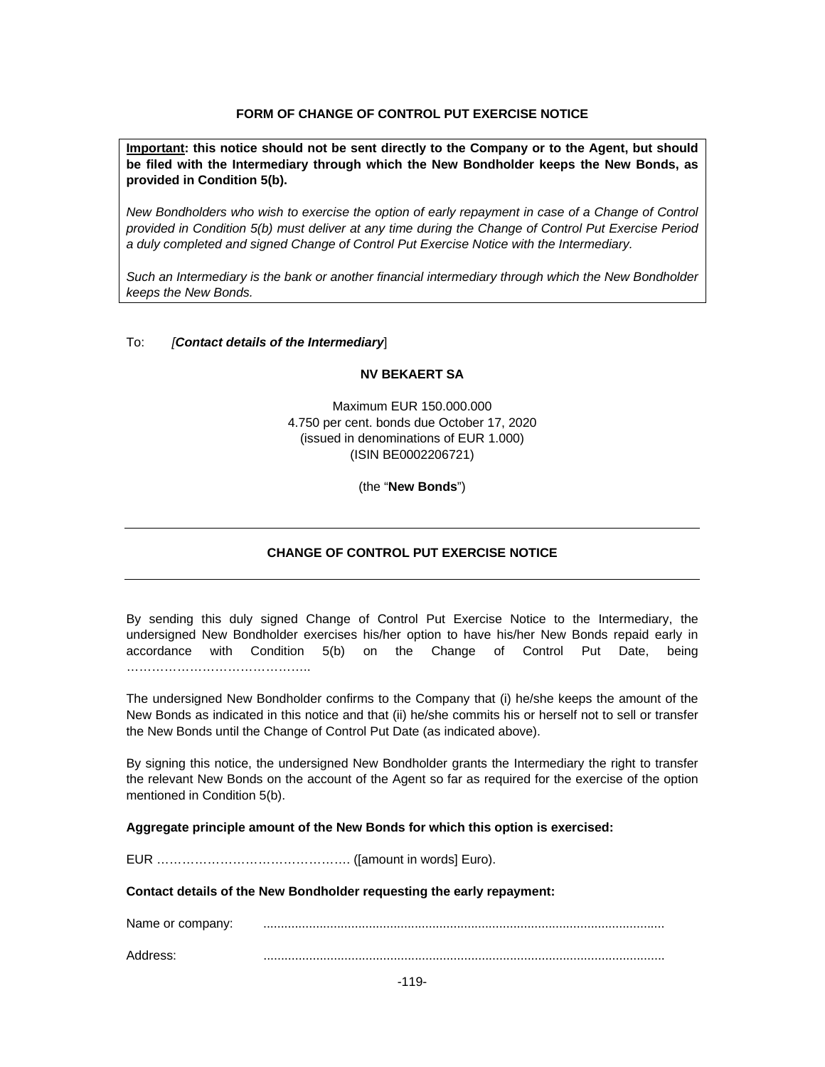## **FORM OF CHANGE OF CONTROL PUT EXERCISE NOTICE**

**Important: this notice should not be sent directly to the Company or to the Agent, but should be filed with the Intermediary through which the New Bondholder keeps the New Bonds, as provided in Condition 5(b).** 

*New Bondholders who wish to exercise the option of early repayment in case of a Change of Control provided in Condition 5(b) must deliver at any time during the Change of Control Put Exercise Period a duly completed and signed Change of Control Put Exercise Notice with the Intermediary.* 

*Such an Intermediary is the bank or another financial intermediary through which the New Bondholder keeps the New Bonds.* 

#### To: *[Contact details of the Intermediary*]

#### **NV BEKAERT SA**

Maximum EUR 150.000.000 4.750 per cent. bonds due October 17, 2020 (issued in denominations of EUR 1.000) (ISIN BE0002206721)

(the "**New Bonds**")

#### **CHANGE OF CONTROL PUT EXERCISE NOTICE**

By sending this duly signed Change of Control Put Exercise Notice to the Intermediary, the undersigned New Bondholder exercises his/her option to have his/her New Bonds repaid early in accordance with Condition 5(b) on the Change of Control Put Date, being ………………………………………

The undersigned New Bondholder confirms to the Company that (i) he/she keeps the amount of the New Bonds as indicated in this notice and that (ii) he/she commits his or herself not to sell or transfer the New Bonds until the Change of Control Put Date (as indicated above).

By signing this notice, the undersigned New Bondholder grants the Intermediary the right to transfer the relevant New Bonds on the account of the Agent so far as required for the exercise of the option mentioned in Condition 5(b).

**Aggregate principle amount of the New Bonds for which this option is exercised:** 

EUR ………………………………………. ([amount in words] Euro).

**Contact details of the New Bondholder requesting the early repayment:** 

Name or company: ..................................................................................................................

Address: ..................................................................................................................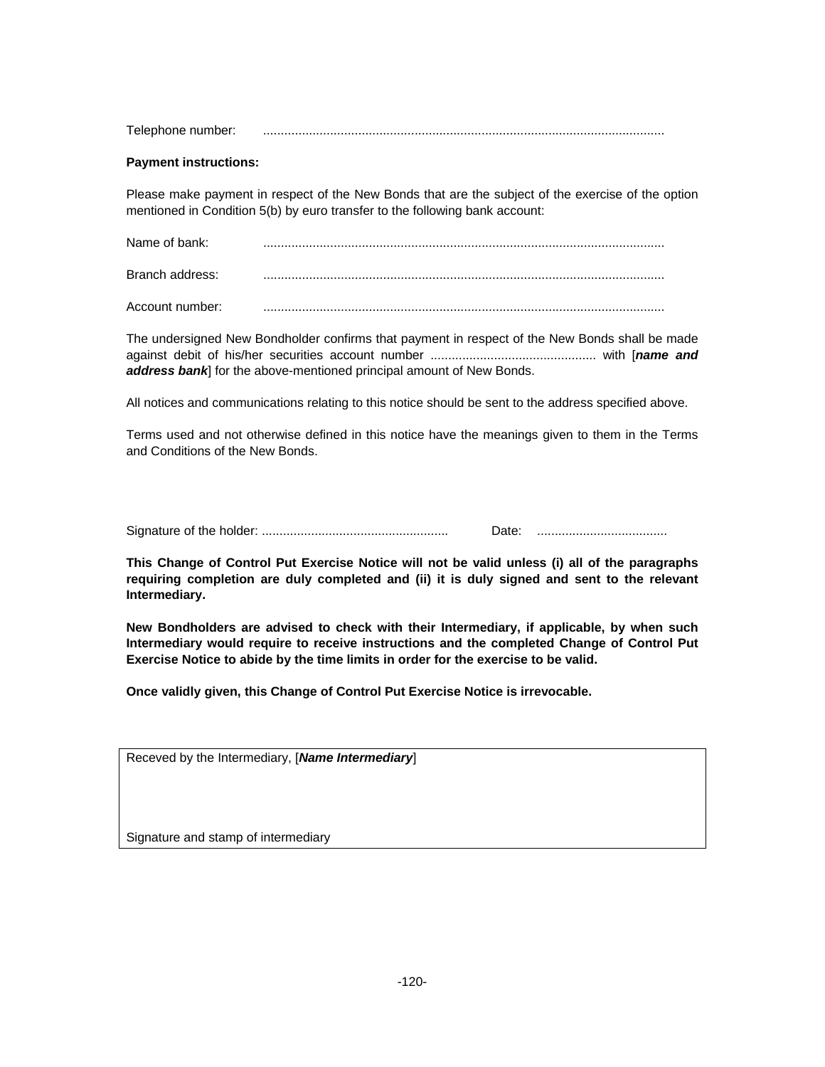| Telephone number: |  |
|-------------------|--|
|                   |  |

### **Payment instructions:**

Please make payment in respect of the New Bonds that are the subject of the exercise of the option mentioned in Condition 5(b) by euro transfer to the following bank account:

| Name of bank:   |  |
|-----------------|--|
| Branch address: |  |
| Account number: |  |

The undersigned New Bondholder confirms that payment in respect of the New Bonds shall be made against debit of his/her securities account number ............................................... with [*name and address bank*] for the above-mentioned principal amount of New Bonds.

All notices and communications relating to this notice should be sent to the address specified above.

Terms used and not otherwise defined in this notice have the meanings given to them in the Terms and Conditions of the New Bonds.

Signature of the holder: ..................................................... Date: .....................................

**This Change of Control Put Exercise Notice will not be valid unless (i) all of the paragraphs requiring completion are duly completed and (ii) it is duly signed and sent to the relevant Intermediary.** 

**New Bondholders are advised to check with their Intermediary, if applicable, by when such Intermediary would require to receive instructions and the completed Change of Control Put Exercise Notice to abide by the time limits in order for the exercise to be valid.** 

**Once validly given, this Change of Control Put Exercise Notice is irrevocable.** 

Signature and stamp of intermediary